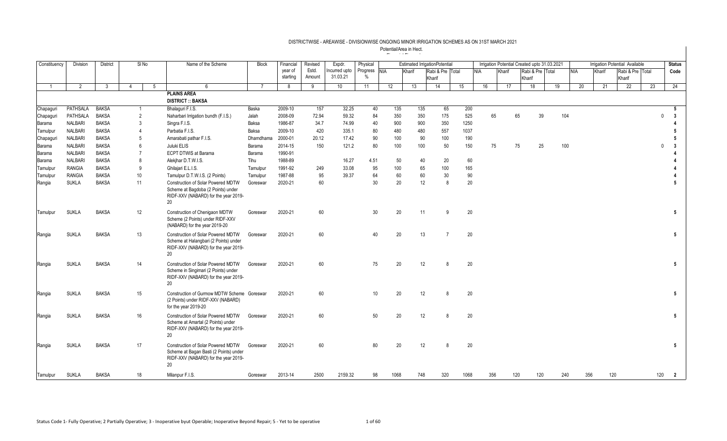| Constituency   | Division        | <b>District</b> |    | SI <sub>No</sub> | Name of the Scheme                                                                                                         | <b>Block</b>   | Financial | Revised | Expdr.          | Physical      |      | <b>Estimated IrrigationPotential</b> |                  |                    |            |     |        | Irrigation Potential Created upto 31.03.2021 |     |     |            |        | Irrigation Potential Available |     | <b>Status</b>   |
|----------------|-----------------|-----------------|----|------------------|----------------------------------------------------------------------------------------------------------------------------|----------------|-----------|---------|-----------------|---------------|------|--------------------------------------|------------------|--------------------|------------|-----|--------|----------------------------------------------|-----|-----|------------|--------|--------------------------------|-----|-----------------|
|                |                 |                 |    |                  |                                                                                                                            |                | year of   | Estd.   | Incurred upto   | Progress NIA  |      | Kharif                               | Rabi & Pre Total |                    | <b>NIA</b> |     | Kharif | Rabi & Pre Total                             |     |     | <b>NIA</b> | Kharif | Rabi & Pre Total               |     | Code            |
|                |                 |                 |    |                  |                                                                                                                            |                | starting  | Amount  | 31.03.21        | $\frac{0}{0}$ |      |                                      | Kharif           |                    |            |     |        | Kharif                                       |     |     |            |        | Kharif                         |     |                 |
| $\overline{1}$ | $\overline{2}$  | $\overline{3}$  | 4  | 5                | -6                                                                                                                         | $\overline{7}$ | 8         | 9       | 10 <sup>1</sup> | 11            | 12   | 13                                   | 14               | 15                 | 16         |     | 17     | 18                                           |     | 19  | 20         | 21     | $\overline{22}$                | 23  | 24              |
|                |                 |                 |    |                  | <b>PLAINS AREA</b>                                                                                                         |                |           |         |                 |               |      |                                      |                  |                    |            |     |        |                                              |     |     |            |        |                                |     |                 |
|                |                 |                 |    |                  | <b>DISTRICT :: BAKSA</b>                                                                                                   |                |           |         |                 |               |      |                                      |                  |                    |            |     |        |                                              |     |     |            |        |                                |     |                 |
| Chapaguri      | <b>PATHSALA</b> | <b>BAKSA</b>    |    | $\overline{1}$   | Bhalaquri F.I.S.                                                                                                           | Baska          | 2009-10   | 157     | 32.25           | 40            | 135  | 135                                  | 65               | 200                |            |     |        |                                              |     |     |            |        |                                |     | 5               |
| Chapaguri      | PATHSALA        | <b>BAKSA</b>    |    | $\overline{2}$   | Naharbari Irrigation bundh (F.I.S.)                                                                                        | Jalah          | 2008-09   | 72.94   | 59.32           | 84            | 350  | 350                                  | 175              | 525                |            | 65  | 65     |                                              | 39  | 104 |            |        |                                | 0   | 3               |
| Barama         | <b>NALBARI</b>  | <b>BAKSA</b>    |    | 3                | Singra F.I.S.                                                                                                              | Baksa          | 1986-87   | 34.7    | 74.99           | 40            | 900  | 900                                  | 350              | 1250               |            |     |        |                                              |     |     |            |        |                                |     |                 |
| Tamulpur       | <b>NALBARI</b>  | <b>BAKSA</b>    |    | $\overline{4}$   | Parbatia F.I.S.                                                                                                            | Baksa          | 2009-10   | 420     | 335.1           | 80            | 480  | 480                                  | 557              | 1037               |            |     |        |                                              |     |     |            |        |                                |     | -5              |
| Chapaguri      | <b>NALBARI</b>  | <b>BAKSA</b>    |    | 5                | Amarabati pathar F.I.S.                                                                                                    | Dhamdhama      | 2000-01   | 20.12   | 17.42           | 90            | 100  | 90                                   | 100              | 190                |            |     |        |                                              |     |     |            |        |                                |     | -5              |
| Barama         | <b>NALBARI</b>  | <b>BAKSA</b>    |    | 6                | Juluki ELIS                                                                                                                | Barama         | 2014-15   | 150     | 121.2           | 80            | 100  | 100                                  | 50               | 150                |            | 75  | 75     |                                              | 25  | 100 |            |        |                                |     | 3               |
| Barama         | <b>NALBARI</b>  | <b>BAKSA</b>    |    | $\overline{7}$   | <b>ECPT DTWIS at Barama</b>                                                                                                | Barama         | 1990-91   |         |                 |               |      |                                      |                  |                    |            |     |        |                                              |     |     |            |        |                                |     |                 |
| Barama         | <b>NALBARI</b>  | <b>BAKSA</b>    |    | 8                | Alekjhar D.T.W.I.S.                                                                                                        | Tihu           | 1988-89   |         | 16.27           | 4.51          | 50   | 40                                   | 20               |                    | 60         |     |        |                                              |     |     |            |        |                                |     |                 |
| Tamulpur       | <b>RANGIA</b>   | <b>BAKSA</b>    |    | 9                | Ghilajari E.L.I.S.                                                                                                         | Tamulpur       | 1991-92   | 249     | 33.08           | 95            | 100  | 65                                   | 100              | 165                |            |     |        |                                              |     |     |            |        |                                |     |                 |
| Tamulpur       | <b>RANGIA</b>   | <b>BAKSA</b>    | 10 |                  | Tamulpur D.T.W.I.S. (2 Points)                                                                                             | Tamulpur       | 1987-88   | 95      | 39.37           | 64            | 60   | 60                                   | 30               |                    | 90         |     |        |                                              |     |     |            |        |                                |     |                 |
| Rangia         | <b>SUKLA</b>    | <b>BAKSA</b>    | 11 |                  | Construction of Solar Powered MDTW<br>Scheme at Bagdoba (2 Points) under<br>RIDF-XXV (NABARD) for the year 2019-<br>20     | Goreswar       | 2020-21   | 60      |                 | 30            | 20   | 12                                   |                  | 8                  | 20         |     |        |                                              |     |     |            |        |                                |     | -5              |
| Tamulpur       | <b>SUKLA</b>    | <b>BAKSA</b>    | 12 |                  | Construction of Chenigaon MDTW<br>Scheme (2 Points) under RIDF-XXV<br>(NABARD) for the year 2019-20                        | Goreswar       | 2020-21   | 60      |                 | 30            | 20   | 11                                   |                  | 20<br>9            |            |     |        |                                              |     |     |            |        |                                |     | $5\phantom{.0}$ |
| Rangia         | <b>SUKLA</b>    | <b>BAKSA</b>    | 13 |                  | Construction of Solar Powered MDTW<br>Scheme at Halangbari (2 Points) under<br>RIDF-XXV (NABARD) for the year 2019-<br>20  | Goreswar       | 2020-21   | 60      |                 | 40            | 20   | 13                                   |                  | 20                 |            |     |        |                                              |     |     |            |        |                                |     | 5               |
| Rangia         | <b>SUKLA</b>    | <b>BAKSA</b>    | 14 |                  | Construction of Solar Powered MDTW<br>Scheme in Singimari (2 Points) under<br>RIDF-XXV (NABARD) for the year 2019-<br>20   | Goreswar       | 2020-21   | 60      |                 | 75            | 20   | 12                                   |                  | 20                 |            |     |        |                                              |     |     |            |        |                                |     | $5\phantom{.0}$ |
| Rangia         | <b>SUKLA</b>    | <b>BAKSA</b>    | 15 |                  | Construction of Gurmow MDTW Scheme Goreswar<br>(2 Points) under RIDF-XXV (NABARD)<br>for the year 2019-20                  |                | 2020-21   | 60      |                 | 10            | 20   | 12                                   |                  | 20<br>R.           |            |     |        |                                              |     |     |            |        |                                |     | 5               |
| Rangia         | <b>SUKLA</b>    | <b>BAKSA</b>    | 16 |                  | Construction of Solar Powered MDTW<br>Scheme at Amartal (2 Points) under<br>RIDF-XXV (NABARD) for the year 2019-<br>20     | Goreswar       | 2020-21   | 60      |                 | 50            | 20   | 12                                   |                  | 20<br>8            |            |     |        |                                              |     |     |            |        |                                |     | $5\phantom{.0}$ |
| Rangia         | <b>SUKLA</b>    | <b>BAKSA</b>    | 17 |                  | Construction of Solar Powered MDTW<br>Scheme at Bagan Basti (2 Points) under<br>RIDF-XXV (NABARD) for the year 2019-<br>20 | Goreswar       | 2020-21   | 60      |                 | 80            | 20   | 12                                   |                  | 20<br>$\mathsf{R}$ |            |     |        |                                              |     |     |            |        |                                |     | 5               |
| Tamulpur       | <b>SUKLA</b>    | <b>BAKSA</b>    | 18 |                  | Milanpur F.I.S.                                                                                                            | Goreswar       | 2013-14   | 2500    | 2159.32         | 98            | 1068 | 748                                  | 320              | 1068               |            | 356 | 120    |                                              | 120 | 240 | 356        |        | 120                            | 120 | $\overline{2}$  |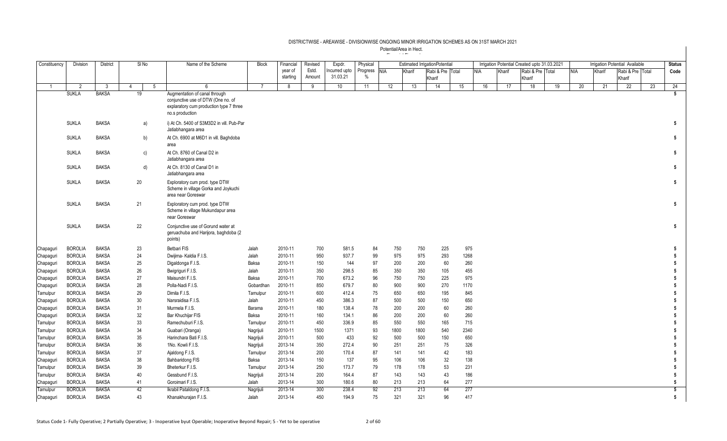| Constituency | Division       | <b>District</b> | SINo   | Name of the Scheme                                                                                                                | <b>Block</b> | Financial | Revised | Expdr.        | Physical     |            |            | <b>Estimated IrrigationPotential</b> |    |            |        | Irrigation Potential Created upto 31.03.2021 |    |     |        | <b>Irrigation Potential Available</b> |    | <b>Status</b>   |
|--------------|----------------|-----------------|--------|-----------------------------------------------------------------------------------------------------------------------------------|--------------|-----------|---------|---------------|--------------|------------|------------|--------------------------------------|----|------------|--------|----------------------------------------------|----|-----|--------|---------------------------------------|----|-----------------|
|              |                |                 |        |                                                                                                                                   |              | year of   | Estd.   | Incurred upto | Progress NIA |            | Kharif     | Rabi & Pre Total                     |    | <b>NIA</b> | Kharif | Rabi & Pre Total                             |    | NIA | Kharif | Rabi & Pre Total                      |    | Code            |
|              |                |                 |        |                                                                                                                                   |              | starting  | Amount  | 31.03.21      | $\%$         |            |            | Kharif                               |    |            |        | Kharif                                       |    |     |        | Kharif                                |    |                 |
|              | $\overline{2}$ | 3               | 5<br>4 | 6                                                                                                                                 |              | 8         | 9       | 10            | 11           | 12         | 13         | 14                                   | 15 | 16         | 17     | 18                                           | 19 | 20  | 21     | 22                                    | 23 | 24              |
|              | <b>SUKLA</b>   | <b>BAKSA</b>    | 19     | Augmentation of canal through<br>conjunctive use of DTW (One no. of<br>explaratory cum production type 7 three<br>no.s production |              |           |         |               |              |            |            |                                      |    |            |        |                                              |    |     |        |                                       |    | $5^{\circ}$     |
|              | <b>SUKLA</b>   | <b>BAKSA</b>    | a)     | i) At Ch. 5400 of S3M3D2 in vill. Pub-Par<br>Jatiabhangara area                                                                   |              |           |         |               |              |            |            |                                      |    |            |        |                                              |    |     |        |                                       |    | 5               |
|              | <b>SUKLA</b>   | <b>BAKSA</b>    | b)     | At Ch. 6900 at M6D1 in vill. Baghdoba<br>area                                                                                     |              |           |         |               |              |            |            |                                      |    |            |        |                                              |    |     |        |                                       |    | 5               |
|              | <b>SUKLA</b>   | <b>BAKSA</b>    | c)     | At Ch. 8760 of Canal D2 in<br>Jatiabhangara area                                                                                  |              |           |         |               |              |            |            |                                      |    |            |        |                                              |    |     |        |                                       |    | 5               |
|              | <b>SUKLA</b>   | <b>BAKSA</b>    | d)     | At Ch. 8130 of Canal D1 in<br>Jatiabhangara area                                                                                  |              |           |         |               |              |            |            |                                      |    |            |        |                                              |    |     |        |                                       |    | 5               |
|              | <b>SUKLA</b>   | <b>BAKSA</b>    | 20     | Exploratory cum prod. type DTW<br>Scheme in village Gorka and Joykuchi<br>area near Goreswar                                      |              |           |         |               |              |            |            |                                      |    |            |        |                                              |    |     |        |                                       |    | 5               |
|              | <b>SUKLA</b>   | <b>BAKSA</b>    | 21     | Exploratory cum prod. type DTW<br>Scheme in village Mukundapur area<br>near Goreswar                                              |              |           |         |               |              |            |            |                                      |    |            |        |                                              |    |     |        |                                       |    | 5               |
|              | <b>SUKLA</b>   | <b>BAKSA</b>    | 22     | Conjunctive use of Gorund water at<br>geruachuba and Harijora, baghdoba (2<br>points)                                             |              |           |         |               |              |            |            |                                      |    |            |        |                                              |    |     |        |                                       |    | 5               |
| Chapaguri    | <b>BOROLIA</b> | <b>BAKSA</b>    | 23     | Betbari FIS                                                                                                                       | Jalah        | 2010-11   | 700     | 581.5         |              | 84         | 750<br>750 | 225                                  |    | 975        |        |                                              |    |     |        |                                       |    |                 |
| Chapaguri    | <b>BOROLIA</b> | <b>BAKSA</b>    | 24     | Dwijima- Kaldia F.I.S.                                                                                                            | Jalah        | 2010-11   | 950     | 937.7         |              | 99         | 975<br>975 | 293                                  |    | 1268       |        |                                              |    |     |        |                                       |    |                 |
| Chapaguri    | <b>BOROLIA</b> | <b>BAKSA</b>    | 25     | Digaldonga F.I.S.                                                                                                                 | Baksa        | 2010-11   | 150     | 144           |              | 97         | 200<br>200 | 60                                   |    | 260        |        |                                              |    |     |        |                                       |    |                 |
| Chapaguri    | <b>BOROLIA</b> | <b>BAKSA</b>    | 26     | Bwigriguri F.I.S.                                                                                                                 | Jalah        | 2010-11   | 350     | 298.5         |              | 85         | 350<br>350 | 105                                  |    | 455        |        |                                              |    |     |        |                                       |    |                 |
| Chapaguri    | <b>BOROLIA</b> | <b>BAKSA</b>    | 27     | Maisundri F.I.S.                                                                                                                  | Baksa        | 2010-11   | 700     | 673.2         |              | 96         | 750<br>750 | 225                                  |    | 975        |        |                                              |    |     |        |                                       |    |                 |
| Chapaguri    | <b>BOROLIA</b> | <b>BAKSA</b>    | 28     | Polla-Nadi F.I.S.                                                                                                                 | Gobardhan    | 2010-11   | 850     | 679.7         |              | 80         | 900<br>900 | 270                                  |    | 1170       |        |                                              |    |     |        |                                       |    |                 |
| Tamulpur     | <b>BOROLIA</b> | <b>BAKSA</b>    | 29     | Dimila F.I.S.                                                                                                                     | Tamulpur     | 2010-11   | 600     | 412.4         |              | 75         | 650<br>650 | 195                                  |    | 845        |        |                                              |    |     |        |                                       |    |                 |
| Chapaguri    | <b>BOROLIA</b> | <b>BAKSA</b>    | 30     | Narsraidisa F.I.S                                                                                                                 | Jalah        | 2010-11   | 450     | 386.3         |              | 87         | 500<br>500 | 150                                  |    | 650        |        |                                              |    |     |        |                                       |    |                 |
| Chapaguri    | <b>BOROLIA</b> | <b>BAKSA</b>    | 31     | Murmela F.I.S.                                                                                                                    | Barama       | 2010-11   | 180     | 138.4         |              | 78         | 200<br>200 | 60                                   |    | 260        |        |                                              |    |     |        |                                       |    |                 |
| Chapaguri    | <b>BOROLIA</b> | <b>BAKSA</b>    | 32     | Bar Khuchijar FIS                                                                                                                 | Baksa        | 2010-11   | 160     | 134.1         |              | 86         | 200<br>200 | 60                                   |    | 260        |        |                                              |    |     |        |                                       |    |                 |
| Tamulpur     | <b>BOROLIA</b> | <b>BAKSA</b>    | 33     | Ramechuburi F.I.S.                                                                                                                | Tamulpur     | 2010-11   | 450     | 336.9         |              | 85         | 550<br>550 | 165                                  |    | 715        |        |                                              |    |     |        |                                       |    |                 |
| Tamulpur     | <b>BOROLIA</b> | <b>BAKSA</b>    | 34     | Guabari (Oranga)                                                                                                                  | Nagrijuli    | 2010-11   | 1500    | 1371          |              | 93<br>1800 | 1800       | 540                                  |    | 2340       |        |                                              |    |     |        |                                       |    |                 |
| Tamulpur     | <b>BOROLIA</b> | <b>BAKSA</b>    | 35     | Harinchara Bati F.I.S.                                                                                                            | Nagrijuli    | 2010-11   | 500     | 433           |              | 92         | 500<br>500 | 150                                  |    | 650        |        |                                              |    |     |        |                                       |    |                 |
| Tamulpur     | <b>BOROLIA</b> | <b>BAKSA</b>    | 36     | 1No. Kowli F.I.S.                                                                                                                 | Nagrijuli    | 2013-14   | 350     | 272.4         |              | 90         | 251<br>251 | 75                                   |    | 326        |        |                                              |    |     |        |                                       |    |                 |
| Tamulpur     | <b>BOROLIA</b> | <b>BAKSA</b>    | 37     | Ajaldong F.I.S.                                                                                                                   | Tamulpur     | 2013-14   | 200     | 170.4         |              | 87         | 141<br>141 | 42                                   |    | 183        |        |                                              |    |     |        |                                       |    |                 |
| Chapaguri    | <b>BOROLIA</b> | <b>BAKSA</b>    | 38     | <b>Bahbaridong FIS</b>                                                                                                            | Baksa        | 2013-14   | 150     | 137           |              | 95         | 106        | 106<br>32                            |    | 138        |        |                                              |    |     |        |                                       |    | 5               |
| Tamulpur     | <b>BOROLIA</b> | <b>BAKSA</b>    | 39     | Bheterkur F.I.S.                                                                                                                  | Tamulpur     | 2013-14   | 250     | 173.7         |              | 79<br>178  |            | 53<br>178                            |    | 231        |        |                                              |    |     |        |                                       |    | 5               |
| Tamulpur     | <b>BOROLIA</b> | <b>BAKSA</b>    | 40     | Gessbund F.I.S.                                                                                                                   | Nagrijuli    | 2013-14   | 200     | 164.4         | 87           |            | 143        | 143<br>43                            |    | 186        |        |                                              |    |     |        |                                       |    | 5               |
| Chapaguri    | <b>BOROLIA</b> | <b>BAKSA</b>    | 41     | Goroimari F.I.S.                                                                                                                  | Jalah        | 2013-14   | 300     | 180.6         |              | 80         | 213        | 64<br>213                            |    | 277        |        |                                              |    |     |        |                                       |    | 5               |
| Tamulpur     | <b>BOROLIA</b> | <b>BAKSA</b>    | 42     | Ikrabil Pataldong F.I.S.                                                                                                          | Nagrijuli    | 2013-14   | 300     | 238.4         |              | 92         | 213        | 213<br>64                            |    | 277        |        |                                              |    |     |        |                                       |    | $5\overline{)}$ |
| Chapaguri    | <b>BOROLIA</b> | <b>BAKSA</b>    | 43     | Khanakhurajan F.I.S.                                                                                                              | Jalah        | 2013-14   | 450     | 194.9         |              | 75         | 321<br>321 | 96                                   |    | 417        |        |                                              |    |     |        |                                       |    | $5\phantom{.0}$ |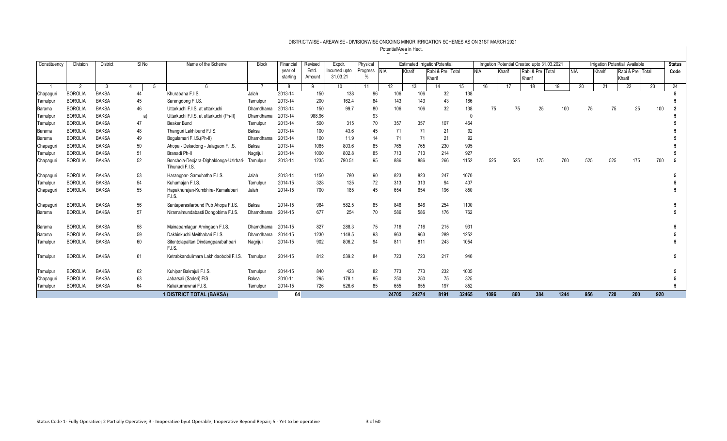| Constituency  | Division       | District     | SI No | Name of the Scheme                                        | <b>Block</b> | Financial | Revised | Expdr.          | Physical     |       |        | <b>Estimated IrrigationPotential</b> |       |            |     |        | Irrigation Potential Created upto 31.03.2021 |      |            |        | <b>Irrigation Potential Available</b> |     | <b>Status</b> |
|---------------|----------------|--------------|-------|-----------------------------------------------------------|--------------|-----------|---------|-----------------|--------------|-------|--------|--------------------------------------|-------|------------|-----|--------|----------------------------------------------|------|------------|--------|---------------------------------------|-----|---------------|
|               |                |              |       |                                                           |              | year of   | Estd.   | Incurred upto   | Progress NIA |       | Kharif | Rabi & Pre Total                     |       | <b>NIA</b> |     | Kharif | Rabi & Pre Total                             |      | <b>NIA</b> | Kharif | Rabi & Pre Total                      |     | Code          |
|               |                |              |       |                                                           |              | starting  | Amount  | 31.03.21        |              |       |        | Kharif                               |       |            |     |        | Kharif                                       |      |            |        | Kharif                                |     |               |
|               | $\overline{2}$ | -3           |       |                                                           |              | 8         | 9       | 10 <sup>°</sup> | 11           | 12    | 13     | 14                                   | 15    | 16         |     | 17     | 18                                           | 19   | 20         | 21     | 22                                    | 23  | 24            |
| Chapaguri     | <b>BOROLIA</b> | <b>BAKSA</b> | 44    | Khurabaha F.I.S.                                          | Jalah        | 2013-14   | 150     | 138             | 96           | 106   | 106    | 32                                   | 138   |            |     |        |                                              |      |            |        |                                       |     |               |
| Tamulpuı      | <b>BOROLIA</b> | <b>BAKSA</b> | 45    | Sarengdong F.I.S.                                         | Tamulpur     | 2013-14   | 200     | 162.4           | 84           | 143   | 143    | 43                                   | 186   |            |     |        |                                              |      |            |        |                                       |     |               |
| <b>Barama</b> | <b>BOROLIA</b> | <b>BAKSA</b> | 46    | Uttarkuchi F.I.S. at uttarkuchi                           | Dhamdhama    | 2013-14   | 150     | 99.7            | 80           | 106   | 106    | 32                                   | 138   |            | 75  | 75     | 25                                           | 100  | 75         |        | 25<br>75                              | 100 |               |
| Tamulpuı      | <b>BOROLIA</b> | <b>BAKSA</b> | a)    | Uttarkuchi F.I.S. at uttarkuchi (Ph-II)                   | Dhamdhama    | 2013-14   | 988.96  |                 | 93           |       |        |                                      |       |            |     |        |                                              |      |            |        |                                       |     |               |
| Tamulpu       | <b>BOROLIA</b> | <b>BAKSA</b> | 47    | Beaker Bund                                               | Tamulpur     | 2013-14   | 500     | 315             | 70           | 357   | 357    | 107                                  | 464   |            |     |        |                                              |      |            |        |                                       |     |               |
| <b>Barama</b> | <b>BOROLIA</b> | <b>BAKSA</b> | 48    | Thanguri Lakhibund F.I.S.                                 | Baksa        | 2013-14   | 100     | 43.6            | 45           | 71    | 71     | 21                                   | 92    |            |     |        |                                              |      |            |        |                                       |     |               |
| <b>Barama</b> | <b>BOROLIA</b> | <b>BAKSA</b> | 49    | Boqulamari F.I.S.(Ph-II)                                  | Dhamdhama    | 2013-14   | 100     | 11.9            | 14           | 71    | 71     | 21                                   | 92    |            |     |        |                                              |      |            |        |                                       |     |               |
| Chapagur      | <b>BOROLIA</b> | <b>BAKSA</b> | 50    | Ahopa - Dekadong - Jalagaon F.I.S.                        | Baksa        | 2013-14   | 1065    | 803.6           | 85           | 765   | 765    | 230                                  | 995   |            |     |        |                                              |      |            |        |                                       |     |               |
| Tamulpuı      | <b>BOROLIA</b> | <b>BAKSA</b> | 51    | Branadi Ph-II                                             | Nagrijuli    | 2013-14   | 1000    | 802.8           | 85           | 713   | 713    | 214                                  | 927   |            |     |        |                                              |      |            |        |                                       |     |               |
| Chapaguri     | <b>BOROLIA</b> | <b>BAKSA</b> | 52    | Bonchola-Deojara-Dighaldonga-Uzirbari-<br>Tihunadi F.I.S. | Tamulpur     | 2013-14   | 1235    | 790.51          | 95           | 886   | 886    | 266                                  | 1152  |            | 525 | 525    | 175                                          | 700  | 525        |        | 525<br>175                            | 700 |               |
| Chapaguri     | <b>BOROLIA</b> | <b>BAKSA</b> | 53    | Harangpar-Samuhatha F.I.S.                                | Jalah        | 2013-14   | 1150    | 780             | 90           | 823   | 823    | 247                                  | 1070  |            |     |        |                                              |      |            |        |                                       |     |               |
| Tamulpur      | <b>BOROLIA</b> | <b>BAKSA</b> | 54    | Kuhumajan F.I.S.                                          | Tamulpur     | 2014-15   | 328     | 125             | 72           | 313   | 313    | 94                                   | 407   |            |     |        |                                              |      |            |        |                                       |     |               |
| Chapaguri     | <b>BOROLIA</b> | <b>BAKSA</b> | 55    | Hapakhurajan-Kumbhira- Kamalabari<br>F.I.S.               | Jalah        | 2014-15   | 700     | 185             | 45           | 654   | 654    | 196                                  | 850   |            |     |        |                                              |      |            |        |                                       |     |               |
| Chapagur      | <b>BOROLIA</b> | <b>BAKSA</b> | 56    | Santaparasilarbund Pub Ahopa F.I.S.                       | Baksa        | 2014-15   | 964     | 582.5           | 85           | 846   | 846    | 254                                  | 1100  |            |     |        |                                              |      |            |        |                                       |     |               |
| <b>Barama</b> | <b>BOROLIA</b> | <b>BAKSA</b> | 57    | Niramalmundabasti Dongobima F.I.S.                        | Dhamdhama    | 2014-15   | 677     | 254             | 70           | 586   | 586    | 176                                  | 762   |            |     |        |                                              |      |            |        |                                       |     |               |
| <b>Barama</b> | <b>BOROLIA</b> | <b>BAKSA</b> | 58    | Mainaoamlaquri Amingaon F.I.S.                            | Dhamdhama    | 2014-15   | 827     | 288.3           | 75           | 716   | 716    | 215                                  | 931   |            |     |        |                                              |      |            |        |                                       |     |               |
| <b>Barama</b> | <b>BOROLIA</b> | <b>BAKSA</b> | 59    | Dakhinkuchi Mwithabari F.I.S.                             | Dhamdhama    | 2014-15   | 1230    | 1148.5          | 93           | 963   | 963    | 289                                  | 1252  |            |     |        |                                              |      |            |        |                                       |     |               |
| Tamulpuı      | <b>BOROLIA</b> | <b>BAKSA</b> | 60    | Sitontolapaltan Dindangparabahbari<br>F.I.S.              | Nagrijuli    | 2014-15   | 902     | 806.2           | 94           | 811   | 811    | 243                                  | 1054  |            |     |        |                                              |      |            |        |                                       |     |               |
| Tamulpur      | <b>BOROLIA</b> | <b>BAKSA</b> | 61    | Ketrabkandulimara Lakhidaobobil F.I.S.                    | Tamulpur     | 2014-15   | 812     | 539.2           | 84           | 723   | 723    | 217                                  | 940   |            |     |        |                                              |      |            |        |                                       |     |               |
| Tamulpuı      | <b>BOROLIA</b> | <b>BAKSA</b> | 62    | Kuhipar Bakrajuli F.I.S.                                  | Tamulpur     | 2014-15   | 840     | 423             | 82           | 773   | 773    | 232                                  | 1005  |            |     |        |                                              |      |            |        |                                       |     |               |
| Chapaguri     | <b>BOROLIA</b> | <b>BAKSA</b> | 63    | Jabarsali (Saderi) FIS                                    | Baksa        | 2010-11   | 295     | 178.1           | 85           | 250   | 250    | 75                                   | 325   |            |     |        |                                              |      |            |        |                                       |     |               |
| Tamulpur      | <b>BOROLIA</b> | <b>BAKSA</b> | 64    | Kaliakurnewnai F.I.S.                                     | Tamulpur     | 2014-15   | 726     | 526.6           | 85           | 655   | 655    | 197                                  | 852   |            |     |        |                                              |      |            |        |                                       |     |               |
|               |                |              |       | <b>1 DISTRICT TOTAL (BAKSA)</b>                           |              | 64        |         |                 |              | 24705 | 24274  | 8191                                 | 32465 | 1096       |     | 860    | 384                                          | 1244 | 956        |        | 720<br>200                            | 920 |               |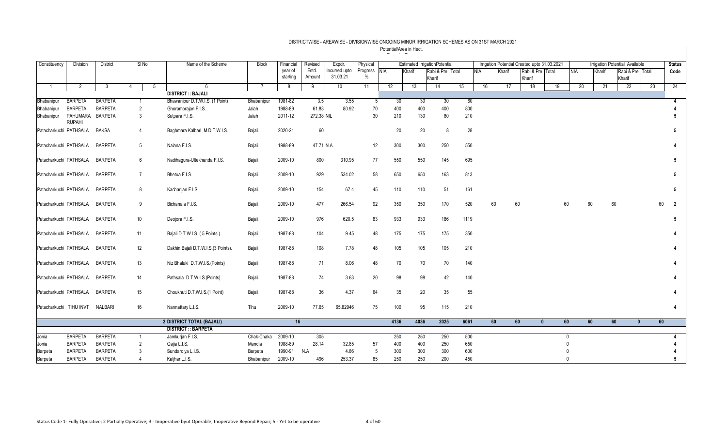| Constituency           | <b>Division</b>                 | <b>District</b> | $SI$ No             | Name of the Scheme                  | <b>Block</b> | Financial           | Revised         | Expdr.                    | Physical             |      | <b>Estimated IrrigationPotential</b> |                            |    |      |            |        | Irrigation Potential Created upto 31.03.2021 |    |          |        | <b>Irrigation Potential Available</b> |    | <b>Status</b>  |
|------------------------|---------------------------------|-----------------|---------------------|-------------------------------------|--------------|---------------------|-----------------|---------------------------|----------------------|------|--------------------------------------|----------------------------|----|------|------------|--------|----------------------------------------------|----|----------|--------|---------------------------------------|----|----------------|
|                        |                                 |                 |                     |                                     |              | year of<br>starting | Estd.<br>Amount | Incurred upto<br>31.03.21 | Progress NIA<br>$\%$ |      | Kharif                               | Rabi & Pre Total<br>Kharif |    |      | <b>NIA</b> | Kharif | Rabi & Pre Total<br>Kharif                   |    | NIA      | Kharif | Rabi & Pre Total<br>Kharif            |    | Code           |
|                        | $\overline{2}$                  | $\overline{3}$  | 5<br>$\overline{4}$ | 6                                   |              | 8                   | 9               | 10                        | 11                   | 12   | 13                                   | 14                         | 15 |      | 16         | 17     | 18                                           | 19 | 20       | 21     | 22                                    | 23 | 24             |
|                        |                                 |                 |                     | <b>DISTRICT :: BAJALI</b>           |              |                     |                 |                           |                      |      |                                      |                            |    |      |            |        |                                              |    |          |        |                                       |    |                |
| Bhabanipur             | <b>BARPETA</b>                  | <b>BARPETA</b>  | $\mathbf{1}$        | Bhawanipur D.T.W.I.S. (1 Point)     | Bhabanipu    | 1981-82             | 3.5             | 3.55                      | 5                    | 30   | 30                                   |                            | 30 | 60   |            |        |                                              |    |          |        |                                       |    | 4              |
| Bhabanipur             | <b>BARPETA</b>                  | <b>BARPETA</b>  | $\overline{2}$      | Ghoramorajan F.I.S.                 | Jalah        | 1988-89             | 61.83           | 80.92                     | 70                   | 400  | 400                                  | 400                        |    | 800  |            |        |                                              |    |          |        |                                       |    |                |
| Bhabanipur             | PAHUMARA<br><b>RUPAHI</b>       | <b>BARPETA</b>  | 3                   | Sutpara F.I.S.                      | Jalah        | 2011-12             | 272.38 NIL      |                           | 30                   | 210  | 130                                  |                            | 80 | 210  |            |        |                                              |    |          |        |                                       |    |                |
| Patacharkuchi PATHSALA |                                 | <b>BAKSA</b>    | $\overline{4}$      | Baghmara Kalbari M.D.T.W.I.S.       | Bajali       | 2020-21             | 60              |                           |                      | 20   | 20                                   |                            | 8  | 28   |            |        |                                              |    |          |        |                                       |    | 5              |
|                        | Patacharkuchi PATHSALA          | <b>BARPETA</b>  | 5                   | Nalana F.I.S.                       | Bajali       | 1988-89             | 47.71 N.A.      |                           | 12                   | 300  | 300                                  | 250                        |    | 550  |            |        |                                              |    |          |        |                                       |    |                |
| Patacharkuchi PATHSALA |                                 | <b>BARPETA</b>  | 6                   | Nadihagura-Ultekhanda F.I.S.        | Bajali       | 2009-10             | 800             | 310.95                    | 77                   | 550  | 550                                  | 145                        |    | 695  |            |        |                                              |    |          |        |                                       |    | 5              |
| Patacharkuchi PATHSALA |                                 | <b>BARPETA</b>  | $\overline{7}$      | Bhetua F.I.S.                       | Bajali       | 2009-10             | 929             | 534.02                    | 58                   | 650  | 650                                  | 163                        |    | 813  |            |        |                                              |    |          |        |                                       |    | 5              |
| Patacharkuchi PATHSALA |                                 | <b>BARPETA</b>  | 8                   | Kacharijan F.I.S.                   | Bajali       | 2009-10             | 154             | 67.4                      | 45                   | 110  | 110                                  | 51                         |    | 161  |            |        |                                              |    |          |        |                                       |    | 5              |
| Patacharkuchi PATHSALA |                                 | <b>BARPETA</b>  | 9                   | Bichanala F.I.S.                    | Bajali       | 2009-10             | 477             | 266.54                    | 92                   | 350  | 350                                  | 170                        |    | 520  | 60         |        | 60                                           | 60 | 60       | 60     |                                       | 60 | $\overline{2}$ |
| Patacharkuchi PATHSALA |                                 | <b>BARPETA</b>  | 10                  | Deojora F.I.S.                      | Bajali       | 2009-10             | 976             | 620.5                     | 83                   | 933  | 933                                  | 186                        |    | 1119 |            |        |                                              |    |          |        |                                       |    |                |
|                        | Patacharkuchi PATHSALA          | <b>BARPETA</b>  | 11                  | Bajali D.T.W.I.S. (5 Points.)       | Bajali       | 1987-88             | 104             | 9.45                      | 48                   | 175  | 175                                  | 175                        |    | 350  |            |        |                                              |    |          |        |                                       |    |                |
| Patacharkuchi PATHSALA |                                 | <b>BARPETA</b>  | 12                  | Dakhin Bajali D.T.W.I.S.(3 Points). | Bajali       | 1987-88             | 108             | 7.78                      | 48                   | 105  | 105                                  | 105                        |    | 210  |            |        |                                              |    |          |        |                                       |    |                |
|                        | Patacharkuchi PATHSALA          | <b>BARPETA</b>  | 13                  | Niz Bhaluki D.T.W.I.S.(Points)      | Bajali       | 1987-88             | 71              | 8.06                      | 48                   | 70   | 70                                   |                            | 70 | 140  |            |        |                                              |    |          |        |                                       |    |                |
| Patacharkuchi PATHSALA |                                 | <b>BARPETA</b>  | 14                  | Pathsala D.T.W.I.S.(Points).        | Bajali       | 1987-88             | 74              | 3.63                      | 20                   | 98   | 98                                   |                            | 42 | 140  |            |        |                                              |    |          |        |                                       |    |                |
| Patacharkuchi PATHSALA |                                 | <b>BARPETA</b>  | 15                  | Choukhuti D.T.W.I.S.(1 Point)       | Bajali       | 1987-88             | 36              | 4.37                      | 64                   | 35   | 20                                   |                            | 35 | 55   |            |        |                                              |    |          |        |                                       |    |                |
|                        | Patacharkuchi TIHU INVT NALBARI |                 | 16                  | Nannattary L.I.S.                   | Tihu         | 2009-10             | 77.65           | 65.82946                  | 75                   | 100  | 95                                   | 115                        |    | 210  |            |        |                                              |    |          |        |                                       |    |                |
|                        |                                 |                 |                     | 2 DISTRICT TOTAL (BAJALI)           |              | 16                  |                 |                           |                      | 4136 | 4036                                 | 2025                       |    | 6061 | 60         |        | 60<br>$\mathbf{0}$                           | 60 | 60       | 60     | $\mathbf{0}$                          | 60 |                |
|                        |                                 |                 |                     | <b>DISTRICT:: BARPETA</b>           |              |                     |                 |                           |                      |      |                                      |                            |    |      |            |        |                                              |    |          |        |                                       |    |                |
| Jonia                  | <b>BARPETA</b>                  | <b>BARPETA</b>  | $\mathbf{1}$        | Jamkurjan F.I.S.                    | Chak-Chaka   | 2009-10             | 305             |                           |                      | 250  | 250                                  | 250                        |    | 500  |            |        |                                              |    | $\Omega$ |        |                                       |    |                |
| Jonia                  | <b>BARPETA</b>                  | <b>BARPETA</b>  | 2                   | Gajia L.I.S.                        | Mandia       | 1988-89             | 28.14           | 32.85                     | 57                   | 400  | 400                                  | 250                        |    | 650  |            |        |                                              |    |          |        |                                       |    |                |
| Barpeta                | <b>BARPETA</b>                  | <b>BARPETA</b>  | 3                   | Sundardiya L.I.S.                   | Barpeta      | 1990-91             | N.A             | 4.86                      | 5                    | 300  | 300                                  | 300                        |    | 600  |            |        |                                              |    |          |        |                                       |    |                |
| Barpeta                | <b>BARPETA</b>                  | <b>BARPETA</b>  |                     | Kalihar L.I.S.                      | Bhabanipur   | 2009-10             | 496             | 253.37                    | 85                   | 250  | 250                                  | 200                        |    | 450  |            |        |                                              |    | $\Omega$ |        |                                       |    |                |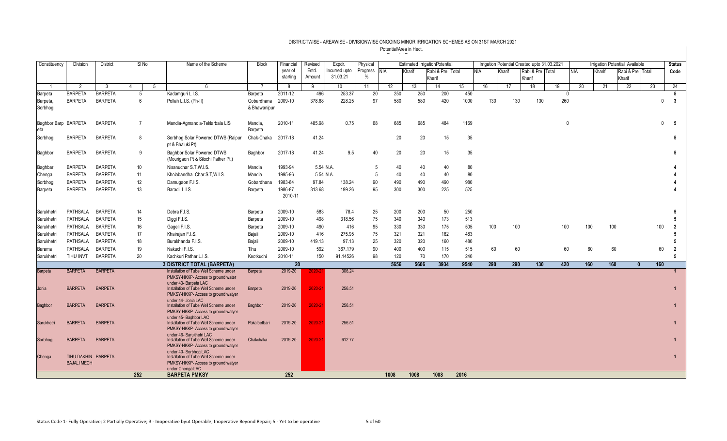| Constituency          | <b>Division</b>                           | <b>District</b> | SINo            |    | Name of the Scheme                                                            | <b>Block</b> | Financial     | Revised     | Expdr.          | Physical     |      |        | <b>Estimated IrrigationPotential</b> |      |     |     |        | Irrigation Potential Created upto 31.03.2021 |     |              |     |        | Irrigation Potential Available |    |              | <b>Status</b>  |
|-----------------------|-------------------------------------------|-----------------|-----------------|----|-------------------------------------------------------------------------------|--------------|---------------|-------------|-----------------|--------------|------|--------|--------------------------------------|------|-----|-----|--------|----------------------------------------------|-----|--------------|-----|--------|--------------------------------|----|--------------|----------------|
|                       |                                           |                 |                 |    |                                                                               |              | year of       | Estd.       | ncurred upto    | Progress NIA |      | Kharif | Rabi & Pre Total                     |      | NIA |     | Kharif | Rabi & Pre Total                             |     |              | NIA | Kharif | Rabi & Pre Total               |    |              | Code           |
|                       |                                           |                 |                 |    |                                                                               |              | starting      | Amount      | 31.03.21        | $\%$         |      |        | Kharif                               |      |     |     |        | Kharif                                       |     |              |     |        | Kharif                         |    |              |                |
|                       | 2                                         | - 3             | $\Delta$        | -5 | 6                                                                             | -7           | 8             | 9           | 10 <sup>°</sup> | 11           | 12   | 13     | 14                                   | 15   |     | 16  | 17     | 18                                           |     | 19           | 20  | 21     | 22                             | 23 |              | 24             |
| Barpeta               | <b>BARPETA</b>                            | <b>BARPETA</b>  | 5               |    | Kadamouri L.I.S.                                                              | Barpeta      | 2011-12       | 496         | 253.37          | 20           | 250  | 250    | 200                                  | 450  |     |     |        |                                              |     | $\mathbf{0}$ |     |        |                                |    |              |                |
| Barpeta,              | <b>BARPETA</b>                            | <b>BARPETA</b>  | 6               |    | Pollah L.I.S. (Ph-II)                                                         | Gobardhana   | 2009-10       | 378.68      | 228.25          | 97           | 580  | 580    | 420                                  | 1000 |     | 130 |        | 130                                          | 130 | 260          |     |        |                                |    | $\mathbf{0}$ | -3             |
| Sorbhog               |                                           |                 |                 |    |                                                                               | & Bhawanipur |               |             |                 |              |      |        |                                      |      |     |     |        |                                              |     |              |     |        |                                |    |              |                |
| Baghbor, Barp BARPETA |                                           | <b>BARPETA</b>  | $\overline{7}$  |    |                                                                               | Mandia.      | 2010-11       | 485.98      | 0.75            | 68           | 685  | 685    | 484                                  | 1169 |     |     |        |                                              |     | $\mathbf{0}$ |     |        |                                |    | $\mathbf{0}$ | 5              |
| eta                   |                                           |                 |                 |    | Mandia-Agmandia-Teklarbala LIS                                                | Barpeta      |               |             |                 |              |      |        |                                      |      |     |     |        |                                              |     |              |     |        |                                |    |              |                |
| Sorbhog               | <b>BARPETA</b>                            | <b>BARPETA</b>  | 8               |    | Sorbhog Solar Powered DTWS (Raipur                                            | Chak-Chaka   | 2017-18       | 41.24       |                 |              | 20   | 20     | 15                                   |      | 35  |     |        |                                              |     |              |     |        |                                |    |              | 5              |
|                       |                                           |                 |                 |    | pt & Bhaluki Pt)                                                              |              |               |             |                 |              |      |        |                                      |      |     |     |        |                                              |     |              |     |        |                                |    |              |                |
| Baghbor               | <b>BARPETA</b>                            | <b>BARPETA</b>  | 9               |    | <b>Baghbor Solar Powered DTWS</b>                                             | Baghbor      | 2017-18       | 41.24       | 9.5             | 40           | 20   | 20     | 15                                   |      | 35  |     |        |                                              |     |              |     |        |                                |    |              | 5              |
|                       |                                           |                 |                 |    | (Mourigaon Pt & Silochi Pather Pt.)                                           |              |               |             |                 |              |      |        |                                      |      |     |     |        |                                              |     |              |     |        |                                |    |              |                |
| Baghbar               | <b>BARPETA</b>                            | <b>BARPETA</b>  | 10 <sup>°</sup> |    | Nisanuchar S.T.W.I.S.                                                         | Mandia       | 1993-94       |             | 5.54 N.A.       | -5           | 40   | 40     | 40                                   |      | 80  |     |        |                                              |     |              |     |        |                                |    |              |                |
| Chenga                | <b>BARPETA</b>                            | <b>BARPETA</b>  | 11              |    | Kholabandha Char S.T.W.I.S.                                                   | Mandia       | 1995-96       |             | 5.54 N.A.       | .5           | 40   | 40     | 40                                   |      | 80  |     |        |                                              |     |              |     |        |                                |    |              |                |
| Sorbhog               | <b>BARPETA</b>                            | <b>BARPETA</b>  | 12              |    | Damugaon F.I.S.                                                               | Gobardhana   | 1983-84       | 97.84       | 138.24          | 90           | 490  | 490    | 490                                  | 980  |     |     |        |                                              |     |              |     |        |                                |    |              |                |
| <b>Barpeta</b>        | <b>BARPETA</b>                            | <b>BARPETA</b>  | 13              |    | Baradi L.I.S.                                                                 | Barpeta      | 1986-87       | 313.68      | 199.26          | 95           | 300  | 300    | 225                                  | 525  |     |     |        |                                              |     |              |     |        |                                |    |              |                |
|                       |                                           |                 |                 |    |                                                                               |              | 2010-11       |             |                 |              |      |        |                                      |      |     |     |        |                                              |     |              |     |        |                                |    |              |                |
|                       |                                           |                 |                 |    |                                                                               |              |               |             |                 |              |      |        |                                      |      |     |     |        |                                              |     |              |     |        |                                |    |              |                |
| Sarukhetri            | PATHSALA                                  | <b>BARPETA</b>  | 14              |    | Debra F.I.S.                                                                  | Barpeta      | 2009-10       | 583         | 78.4            | 25           | 200  | 200    | 50                                   | 250  |     |     |        |                                              |     |              |     |        |                                |    |              |                |
| Sarukhetri            | <b>PATHSALA</b>                           | <b>BARPETA</b>  | 15              |    | Diggi F.I.S.                                                                  | Barpeta      | 2009-10       | 498         | 318.56          | 75           | 340  | 340    | 173                                  | 513  |     |     |        |                                              |     |              |     |        |                                |    |              |                |
| Sarukhetri            | PATHSALA                                  | <b>BARPETA</b>  | 16              |    | Gageli F.I.S.                                                                 | Barpeta      | 2009-10       | 490         | 416             | 95           | 330  | 330    | 175                                  | 505  |     | 100 |        | 100                                          |     | 100          | 100 | 100    |                                |    | 100          | 2              |
| Sarukhetri            | PATHSALA                                  | <b>BARPETA</b>  | 17              |    | Khairajan F.I.S.                                                              | Bajali       | 2009-10       | 416         | 275.95          | 75           | 321  | 321    | 162                                  | 483  |     |     |        |                                              |     |              |     |        |                                |    |              |                |
| Sarukhetri            | PATHSALA                                  | <b>BARPETA</b>  | 18              |    | Burakhanda F.I.S.                                                             | Bajali       | 2009-10       | 419.13      | 97.13           | 25           | 320  | 320    | 160                                  | 480  |     |     |        |                                              |     |              |     |        |                                |    |              | 5              |
| Barama                | PATHSALA                                  | <b>BARPETA</b>  | 19              |    | Nakuchi F.I.S.                                                                | Tihu         | 2009-10       | 592         | 367.179         | 90           | 400  | 400    | 115                                  | 515  |     | 60  |        | 60                                           |     | 60           | 60  |        | 60                             |    | 60           | $\overline{2}$ |
| Sarukhetri            | TIHU INVT                                 | <b>BARPETA</b>  | 20              |    | Kachkuri Pathar L.I.S.                                                        | Keotkuchi    | 2010-11       | 150         | 91.14526        | 98           | 120  | 70     | 170                                  | 240  |     |     |        |                                              |     |              |     |        |                                |    |              | 5              |
| <b>Barpeta</b>        | <b>BARPETA</b>                            | <b>BARPETA</b>  |                 |    | <b>3 DISTRICT TOTAL (BARPETA)</b><br>Installation of Tube Well Scheme under   | Barpeta      | 20<br>2019-20 | 2020-2      | 306.24          |              | 5656 | 5606   | 3934                                 | 9540 |     | 290 |        | 290                                          | 130 | 420          | 160 | 160    | $\mathbf{0}$                   |    | 160          | $\mathbf{1}$   |
|                       |                                           |                 |                 |    | PMKSY-HKKP- Access to ground water                                            |              |               |             |                 |              |      |        |                                      |      |     |     |        |                                              |     |              |     |        |                                |    |              |                |
|                       |                                           |                 |                 |    | under 43- Barpeta LAC                                                         |              |               |             |                 |              |      |        |                                      |      |     |     |        |                                              |     |              |     |        |                                |    |              |                |
| Jonia                 | <b>BARPETA</b>                            | <b>BARPETA</b>  |                 |    | Installation of Tube Well Scheme under<br>PMKSY-HKKP- Access to ground watver | Barpeta      | 2019-20       | $2020 - 22$ | 256.51          |              |      |        |                                      |      |     |     |        |                                              |     |              |     |        |                                |    |              |                |
|                       |                                           |                 |                 |    | under 44- Jonia LAC                                                           |              |               |             |                 |              |      |        |                                      |      |     |     |        |                                              |     |              |     |        |                                |    |              |                |
| <b>Baghbor</b>        | <b>BARPETA</b>                            | <b>BARPETA</b>  |                 |    | Installation of Tube Well Scheme under                                        | Baghbor      | 2019-20       | 2020-21     | 256.51          |              |      |        |                                      |      |     |     |        |                                              |     |              |     |        |                                |    |              |                |
|                       |                                           |                 |                 |    | PMKSY-HKKP- Access to ground watyer<br>under 45- Baghbor LAC                  |              |               |             |                 |              |      |        |                                      |      |     |     |        |                                              |     |              |     |        |                                |    |              |                |
| Sarukhetri            | <b>BARPETA</b>                            | <b>BARPETA</b>  |                 |    | Installation of Tube Well Scheme under                                        | Paka betbari | 2019-20       | $2020 - 22$ | 256.51          |              |      |        |                                      |      |     |     |        |                                              |     |              |     |        |                                |    |              |                |
|                       |                                           |                 |                 |    | PMKSY-HKKP- Access to ground watver                                           |              |               |             |                 |              |      |        |                                      |      |     |     |        |                                              |     |              |     |        |                                |    |              |                |
| Sorbhog               | <b>BARPETA</b>                            | <b>BARPETA</b>  |                 |    | under 46- Sarukhetri LAC<br>Installation of Tube Well Scheme under            | Chakchaka    | 2019-20       | 2020-21     | 612.77          |              |      |        |                                      |      |     |     |        |                                              |     |              |     |        |                                |    |              |                |
|                       |                                           |                 |                 |    | PMKSY-HKKP- Access to ground watyer                                           |              |               |             |                 |              |      |        |                                      |      |     |     |        |                                              |     |              |     |        |                                |    |              |                |
|                       |                                           |                 |                 |    | under 40- Sorbhog LAC                                                         |              |               |             |                 |              |      |        |                                      |      |     |     |        |                                              |     |              |     |        |                                |    |              |                |
| Chenga                | TIHU DAKHIN BARPETA<br><b>BAJALI MECH</b> |                 |                 |    | Installation of Tube Well Scheme under<br>PMKSY-HKKP- Access to ground watver |              |               |             |                 |              |      |        |                                      |      |     |     |        |                                              |     |              |     |        |                                |    |              |                |
|                       |                                           |                 |                 |    | under Chenga LAC                                                              |              |               |             |                 |              |      |        |                                      |      |     |     |        |                                              |     |              |     |        |                                |    |              |                |
|                       |                                           |                 | 252             |    | <b>BARPETA PMKSY</b>                                                          |              | 252           |             |                 |              | 1008 | 1008   | 1008                                 | 2016 |     |     |        |                                              |     |              |     |        |                                |    |              |                |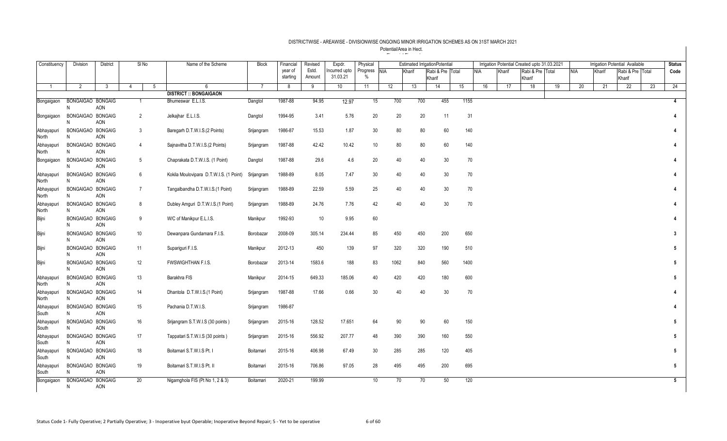| Constituency        | <b>Division</b>         | <b>District</b> |                | $SI$ No         |   | Name of the Scheme                      | <b>Block</b> | Financial     | Revised     | Expdr.                   | Physical                  |      |        | <b>Estimated IrrigationPotential</b> |    |            |    |        | Irrigation Potential Created upto 31.03.2021 |    |            | <b>Irrigation Potential Available</b> |              |                  |    | <b>Status</b>   |
|---------------------|-------------------------|-----------------|----------------|-----------------|---|-----------------------------------------|--------------|---------------|-------------|--------------------------|---------------------------|------|--------|--------------------------------------|----|------------|----|--------|----------------------------------------------|----|------------|---------------------------------------|--------------|------------------|----|-----------------|
|                     |                         |                 |                |                 |   |                                         |              | year of       | Estd.       | ncurred upto<br>31.03.21 | Progress<br>$\frac{0}{0}$ | NIA  | Kharif | Rabi & Pre Total                     |    | <b>NIA</b> |    | Kharif | Rabi & Pre Total                             |    | <b>NIA</b> | Kharif                                |              | Rabi & Pre Total |    | Code            |
| $\overline{1}$      | 2                       | $\mathbf{3}$    | $\overline{4}$ |                 | 5 | 6                                       |              | starting<br>8 | Amount<br>9 | 10                       | 11                        | 12   | 13     | Kharif<br>14                         | 15 |            | 16 | 17     | Kharif<br>18                                 | 19 | 20         | 21                                    | Kharif<br>22 |                  | 23 | $^{24}$         |
|                     |                         |                 |                |                 |   | <b>DISTRICT :: BONGAIGAON</b>           |              |               |             |                          |                           |      |        |                                      |    |            |    |        |                                              |    |            |                                       |              |                  |    |                 |
| Bongaigaon          | BONGAIGAO BONGAIG<br>N  | AON             |                | $\mathbf{1}$    |   | Bhumeswar E.L.I.S.                      | Dangtol      | 1987-88       | 94.95       | 12.97                    | 15                        | 700  | 700    | 455                                  |    | 1155       |    |        |                                              |    |            |                                       |              |                  |    | $\overline{4}$  |
| Bongaigaon          | BONGAIGAO BONGAIG<br>N  | AON             |                | $\overline{2}$  |   | Jelkajhar E.L.I.S.                      | Dangtol      | 1994-95       | 3.41        | 5.76                     | 20                        | 20   |        | 20                                   | 11 | 31         |    |        |                                              |    |            |                                       |              |                  |    |                 |
| Abhayapuri<br>North | BONGAIGAO BONGAIG<br>N  | AON             |                | 3               |   | Baregarh D.T.W.I.S.(2 Points)           | Srijangram   | 1986-87       | 15.53       | 1.87                     | 30                        | 80   |        | 80                                   | 60 | 140        |    |        |                                              |    |            |                                       |              |                  |    |                 |
| Abhayapuri<br>North | BONGAIGAO BONGAIG<br>N  | AON             |                | $\overline{4}$  |   | Sajnavitha D.T.W.I.S.(2 Points)         | Srijangram   | 1987-88       | 42.42       | 10.42                    | 10                        | 80   |        | 80                                   | 60 | 140        |    |        |                                              |    |            |                                       |              |                  |    |                 |
| Bongaigaon          | BONGAIGAO BONGAIG<br>N  | AON             |                | 5 <sub>5</sub>  |   | Chaprakata D.T.W.I.S. (1 Point)         | Dangtol      | 1987-88       | 29.6        | 4.6                      | 20                        | 40   |        | 40                                   | 30 | 70         |    |        |                                              |    |            |                                       |              |                  |    |                 |
| Abhayapuri<br>North | BONGAIGAO BONGAIG<br>N  | <b>AON</b>      |                | 6               |   | Kokila Moulovipara D.T.W.I.S. (1 Point) | Srijangram   | 1988-89       | 8.05        | 7.47                     | 30                        | 40   |        | 40                                   | 30 | 70         |    |        |                                              |    |            |                                       |              |                  |    |                 |
| Abhayapuri<br>North | BONGAIGAO BONGAIG<br>N  | AON             |                | $7\overline{ }$ |   | Tangalbandha D.T.W.I.S.(1 Point)        | Srijangram   | 1988-89       | 22.59       | 5.59                     | 25                        | 40   |        | 40                                   | 30 | 70         |    |        |                                              |    |            |                                       |              |                  |    |                 |
| Abhayapuri<br>North | BONGAIGAO BONGAIG<br>N  | AON             |                | 8               |   | Dubley Amguri D.T.W.I.S.(1 Point)       | Srijangram   | 1988-89       | 24.76       | 7.76                     | 42                        | 40   |        | 40                                   | 30 | $70\,$     |    |        |                                              |    |            |                                       |              |                  |    |                 |
| Bijni               | BONGAIGAO BONGAIG<br>N  | AON             |                | 9               |   | W/C of Manikpur E.L.I.S.                | Manikpur     | 1992-93       | 10          | 9.95                     | 60                        |      |        |                                      |    |            |    |        |                                              |    |            |                                       |              |                  |    |                 |
| Bijni               | BONGAIGAO BONGAIG<br>N  | AON             |                | 10              |   | Dewanpara Gundamara F.I.S.              | Borobazar    | 2008-09       | 305.14      | 234.44                   | 85                        | 450  | 450    | 200                                  |    | 650        |    |        |                                              |    |            |                                       |              |                  |    | 3               |
| Bijni               | BONGAIGAO BONGAIG<br>N  | AON             |                | 11              |   | Supariguri F.I.S.                       | Manikpur     | 2012-13       | 450         | 139                      | 97                        | 320  | 320    | 190                                  |    | 510        |    |        |                                              |    |            |                                       |              |                  |    | 5               |
| Bijni               | BONGAIGAO BONGAIG<br>N  | AON             |                | 12              |   | FWSWIGHTHAN F.I.S.                      | Borobazar    | 2013-14       | 1583.6      | 188                      | 83                        | 1062 | 840    | 560                                  |    | 1400       |    |        |                                              |    |            |                                       |              |                  |    | $5\phantom{.0}$ |
| Abhayapuri<br>North | BONGAIGAO BONGAIG<br>N  | AON             |                | 13              |   | Barakhra FIS                            | Manikpur     | 2014-15       | 649.33      | 185.06                   | 40                        | 420  | 420    | 180                                  |    | 600        |    |        |                                              |    |            |                                       |              |                  |    | $5\phantom{.0}$ |
| Abhayapur<br>North  | BONGAIGAO BONGAIG<br>N  | AON             |                | 14              |   | Dhantola D.T.W.I.S.(1 Point)            | Srijangram   | 1987-88       | 17.66       | 0.66                     | 30                        | 40   |        | 40                                   | 30 | 70         |    |        |                                              |    |            |                                       |              |                  |    |                 |
| Abhayapuri<br>South | BONGAIGAO BONGAIG<br>N  | AON             |                | 15              |   | Pachania D.T.W.I.S.                     | Srijangram   | 1986-87       |             |                          |                           |      |        |                                      |    |            |    |        |                                              |    |            |                                       |              |                  |    |                 |
| Abhayapuri<br>South | BONGAIGAO BONGAIG<br>N  | AON             |                | 16              |   | Srijangram S.T.W.I.S (30 points)        | Srijangram   | 2015-16       | 128.52      | 17.651                   | 64                        | 90   |        | 90                                   | 60 | 150        |    |        |                                              |    |            |                                       |              |                  |    | $5\phantom{.0}$ |
| Abhayapuri<br>South | BONGAIGAO BONGAIG<br>N. | AON             |                | 17              |   | Tappatari S.T.W.I.S (30 points)         | Srijangram   | 2015-16       | 556.92      | 207.77                   | 48                        | 390  | 390    | 160                                  |    | 550        |    |        |                                              |    |            |                                       |              |                  |    | $5\phantom{.0}$ |
| Abhayapuri<br>South | BONGAIGAO BONGAIG<br>N  | AON             |                | 18              |   | Boitamari S.T.W.I.S Pt. I               | Boitamari    | 2015-16       | 406.98      | 67.49                    | 30                        | 285  | 285    | 120                                  |    | 405        |    |        |                                              |    |            |                                       |              |                  |    | $5\phantom{.0}$ |
| Abhayapuri<br>South | BONGAIGAO BONGAIG<br>N  | AON             |                | 19              |   | Boitamari S.T.W.I.S Pt. II              | Boitamari    | 2015-16       | 706.86      | 97.05                    | 28                        | 495  | 495    | 200                                  |    | 695        |    |        |                                              |    |            |                                       |              |                  |    | $5\phantom{.0}$ |
| Bongaigaon          | BONGAIGAO BONGAIG<br>N  | AON             |                | 20              |   | Nigamghola FIS (Pt No 1, 2 & 3)         | Boitamari    | 2020-21       | 199.99      |                          | 10 <sup>°</sup>           | 70   |        | 70                                   | 50 | 120        |    |        |                                              |    |            |                                       |              |                  |    | 5               |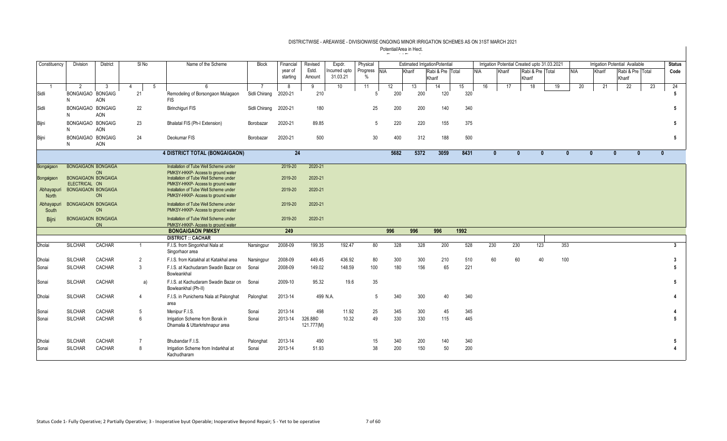| Constituency        | Division                                    | <b>District</b>  | SI <sub>No</sub> | Name of the Scheme                                                                                                     | <b>Block</b>                            | Financial           | Revised                           | Expdr.                   | Physical                      |           |           | <b>Estimated IrrigationPotential</b> |           |            |              |              |                            | Irrigation Potential Created upto 31.03.2021 |              |        | <b>Irrigation Potential Available</b> |    | <b>Status</b> |
|---------------------|---------------------------------------------|------------------|------------------|------------------------------------------------------------------------------------------------------------------------|-----------------------------------------|---------------------|-----------------------------------|--------------------------|-------------------------------|-----------|-----------|--------------------------------------|-----------|------------|--------------|--------------|----------------------------|----------------------------------------------|--------------|--------|---------------------------------------|----|---------------|
|                     |                                             |                  |                  |                                                                                                                        |                                         | year of<br>starting | Estd.<br>Amount                   | ncurred upto<br>31.03.21 | Progress NIA<br>$\frac{0}{0}$ |           | Kharif    | Rabi & Pre Total<br>Kharif           |           | <b>NIA</b> | Kharif       |              | Rabi & Pre Total<br>Kharif |                                              | <b>NIA</b>   | Kharif | Rabi & Pre Total<br>Kharif            |    | Code          |
| Sidli               | 2<br>BONGAIGAO BONGAIG<br>N                 | -3<br><b>AON</b> | $\Delta$<br>21   | 5<br>6<br>Remodeling of Borsongaon Mulagaon<br><b>FIS</b>                                                              | $\overline{7}$<br>Sidli Chirang 2020-21 | 8                   | 9<br>210                          | 10 <sup>1</sup>          | 11                            | 12<br>200 | 13<br>200 | 14<br>120                            | 15<br>320 | 16         |              | 17           | 18                         | 19                                           | 20           | 21     | 22                                    | 23 | 24            |
| Sidli               | BONGAIGAO BONGAIG<br>N                      | <b>AON</b>       | 22               | <b>Birinchiquri FIS</b>                                                                                                | Sidli Chirang                           | 2020-21             | 180                               |                          | 25                            | 200       | 200       | 140                                  |           | 340        |              |              |                            |                                              |              |        |                                       |    | 5             |
| Bijni               | BONGAIGAO BONGAIG<br>N                      | <b>AON</b>       | 23               | Bhalatal FIS (Ph-I Extension)                                                                                          | Borobazar                               | 2020-21             | 89.85                             |                          | 5                             | 220       | 220       | 155                                  |           | 375        |              |              |                            |                                              |              |        |                                       |    | 5             |
| Bijni               | BONGAIGAO BONGAIG<br>N                      | AON              | 24               | Deokumar FIS                                                                                                           | Borobazar                               | 2020-21             | 500                               |                          | 30                            | 400       | 312       | 188                                  |           | 500        |              |              |                            |                                              |              |        |                                       |    | 5             |
|                     |                                             |                  |                  | 4 DISTRICT TOTAL (BONGAIGAON)                                                                                          |                                         | 24                  |                                   |                          |                               | 5682      | 5372      | 3059                                 | 8431      |            | $\mathbf{0}$ | $\mathbf{0}$ | $\mathbf{0}$               |                                              | $\mathbf{0}$ |        | $\mathbf{0}$<br>$\bf{0}$              |    | $\mathbf{0}$  |
| Bongaigaon          | <b>BONGAIGAON BONGAIGA</b>                  | ON               |                  | Installation of Tube Well Scheme under<br>PMKSY-HKKP- Access to ground water                                           |                                         | 2019-20             | 2020-21                           |                          |                               |           |           |                                      |           |            |              |              |                            |                                              |              |        |                                       |    |               |
| Bongaigaon          | <b>BONGAIGAON BONGAIGA</b><br>ELECTRICAL ON |                  |                  | Installation of Tube Well Scheme under<br>PMKSY-HKKP- Access to ground water<br>Installation of Tube Well Scheme under |                                         | 2019-20             | 2020-21<br>2020-21                |                          |                               |           |           |                                      |           |            |              |              |                            |                                              |              |        |                                       |    |               |
| Abhayapuri<br>North | <b>BONGAIGAON BONGAIGA</b>                  | <b>ON</b>        |                  | PMKSY-HKKP- Access to ground water                                                                                     |                                         | 2019-20             |                                   |                          |                               |           |           |                                      |           |            |              |              |                            |                                              |              |        |                                       |    |               |
| Abhayapu<br>South   | <b>BONGAIGAON BONGAIGA</b>                  | ON               |                  | Installation of Tube Well Scheme under<br>PMKSY-HKKP- Access to ground water                                           |                                         | 2019-20             | 2020-21                           |                          |                               |           |           |                                      |           |            |              |              |                            |                                              |              |        |                                       |    |               |
| Biini               | <b>BONGAIGAON BONGAIGA</b>                  | <b>ON</b>        |                  | Installation of Tube Well Scheme under<br>PMKSY-HKKP- Access to ground water                                           |                                         | 2019-20             | 2020-21                           |                          |                               |           |           |                                      |           |            |              |              |                            |                                              |              |        |                                       |    |               |
|                     |                                             |                  |                  | <b>BONGAIGAON PMKSY</b>                                                                                                |                                         | 249                 |                                   |                          |                               | 996       | 996       | 996                                  | 1992      |            |              |              |                            |                                              |              |        |                                       |    |               |
|                     |                                             |                  |                  | <b>DISTRICT :: CACHAR</b>                                                                                              |                                         |                     |                                   |                          |                               |           |           |                                      |           |            |              |              |                            |                                              |              |        |                                       |    |               |
| <b>Dholai</b>       | <b>SILCHAR</b>                              | CACHAR           |                  | F.I.S. from Singorkhal Nala at<br>Singorhaor area                                                                      | Narsingpur                              | 2008-09             | 199.35                            | 192.47                   | 80                            | 328       | 328       | 200                                  |           | 528        | 230          | 230          | 123                        | 353                                          |              |        |                                       |    | 3             |
| Dholai              | <b>SILCHAR</b>                              | CACHAR           | $\overline{2}$   | F.I.S. from Katakhal at Katakhal area                                                                                  | Narsingpur                              | 2008-09             | 449.45                            | 436.92                   | 80                            | 300       | 300       | 210                                  |           | 510        | 60           | 60           | 40                         | 100                                          |              |        |                                       |    |               |
| Sonai               | <b>SILCHAR</b>                              | CACHAR           | 3                | F.I.S. at Kachudaram Swadin Bazar on<br>Bowleankhal                                                                    | Sonai                                   | 2008-09             | 149.02                            | 148.59                   | 100                           | 180       | 156       | 65                                   | 221       |            |              |              |                            |                                              |              |        |                                       |    | 5             |
| Sonai               | <b>SILCHAR</b>                              | CACHAR           | a)               | F.I.S. at Kachudaram Swadin Bazar on<br>Bowleankhal (Ph-II)                                                            | Sonai                                   | 2009-10             | 95.32                             | 19.6                     | 35                            |           |           |                                      |           |            |              |              |                            |                                              |              |        |                                       |    | 5             |
| Dholai              | <b>SILCHAR</b>                              | <b>CACHAR</b>    | $\Delta$         | F.I.S. in Punicherra Nala at Palonghat<br>area                                                                         | Palonghat                               | 2013-14             | 499 N.A.                          |                          | 5                             | 340       | 300       | 40                                   |           | 340        |              |              |                            |                                              |              |        |                                       |    |               |
| Sonai               | <b>SILCHAR</b>                              | CACHAR           | 5                | Menipur F.I.S.                                                                                                         | Sonai                                   | 2013-14             | 498                               | 11.92                    | 25                            | 345       | 300       | 45                                   |           | 345        |              |              |                            |                                              |              |        |                                       |    |               |
| Sonai               | <b>SILCHAR</b>                              | CACHAR           | 6                | Irrigation Scheme from Borak in<br>Dhamalia & Uttarkrishnapur area                                                     | Sonai                                   | 2013-14             | 326.88 <sup>©</sup><br>121.777(M) | 10.32                    | 49                            | 330       | 330       | 115                                  |           | 445        |              |              |                            |                                              |              |        |                                       |    |               |
| Dholai              | <b>SILCHAR</b>                              | CACHAR           | $\overline{7}$   | Bhubandar F.I.S.                                                                                                       | Palonghat                               | 2013-14             | 490                               |                          | 15                            | 340       | 200       | 140                                  |           | 340        |              |              |                            |                                              |              |        |                                       |    |               |
| Sonai               | <b>SILCHAR</b>                              | CACHAR           | 8                | Irrigation Scheme from Indarkhal at<br>Kachudharam                                                                     | Sonai                                   | 2013-14             | 51.93                             |                          | 38                            | 200       | 150       | 50                                   |           | 200        |              |              |                            |                                              |              |        |                                       |    |               |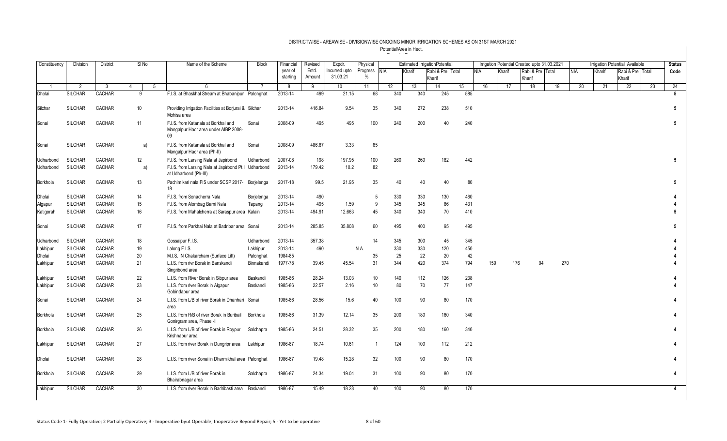| Constituency | <b>Division</b> | District      |    | SINo            | Name of the Scheme                                                                | <b>Block</b> | Financial | Revised | Expdr.          | Physical       |     | <b>Estimated IrrigationPotential</b> |        |                  |     |            |        |     |                  | Irrigation Potential Created upto 31.03.2021 |            |        | <b>Irrigation Potential Available</b> |    | <b>Status</b> |
|--------------|-----------------|---------------|----|-----------------|-----------------------------------------------------------------------------------|--------------|-----------|---------|-----------------|----------------|-----|--------------------------------------|--------|------------------|-----|------------|--------|-----|------------------|----------------------------------------------|------------|--------|---------------------------------------|----|---------------|
|              |                 |               |    |                 |                                                                                   |              | year of   | Estd.   | Incurred upto   | Progress NIA   |     | Kharif                               |        | Rabi & Pre Total |     | <b>NIA</b> | Kharif |     | Rabi & Pre Total |                                              | <b>NIA</b> | Kharif | Rabi & Pre Total                      |    | Code          |
|              |                 |               |    |                 |                                                                                   |              | starting  | Amount  | 31.03.21        | $\%$           |     |                                      | Kharif |                  |     |            |        |     | Kharif           |                                              |            |        | Kharif                                |    |               |
| -1           | 2               | -3            | 4  | -5              | 6                                                                                 |              | 8         | 9       | 10 <sup>°</sup> | 11             | 12  | 13                                   |        | 14               | 15  | 16         |        | 17  | 18               | 19                                           | 20         | 21     | 22                                    | 23 | 24            |
| Dholai       | <b>SILCHAR</b>  | <b>CACHAR</b> |    | 9               | F.I.S. at Bhaskhal Stream at Bhabanipur Palonghat                                 |              | 2013-14   | 499     | 21.15           | 68             | 340 |                                      | 340    | 245              | 585 |            |        |     |                  |                                              |            |        |                                       |    | 5             |
| Silchar      | <b>SILCHAR</b>  | CACHAR        |    | 10              | Providing Irrigation Facilities at Borjurai & Silchar<br>Mohisa area              |              | 2013-14   | 416.84  | 9.54            | 35             | 340 |                                      | 272    | 238              | 510 |            |        |     |                  |                                              |            |        |                                       |    | 5             |
| Sonai        | <b>SILCHAR</b>  | CACHAR        |    | 11              | F.I.S. from Katanala at Borkhal and<br>Mangalpur Haor area under AIBP 2008-<br>09 | Sonai        | 2008-09   | 495     | 495             | 100            | 240 |                                      | 200    | 40               | 240 |            |        |     |                  |                                              |            |        |                                       |    | 5             |
| Sonai        | <b>SILCHAR</b>  | CACHAR        |    | a)              | F.I.S. from Katanala at Borkhal and<br>Mangalpur Haor area (Ph-II)                | Sonai        | 2008-09   | 486.67  | 3.33            | 65             |     |                                      |        |                  |     |            |        |     |                  |                                              |            |        |                                       |    |               |
| Udharbond    | <b>SILCHAR</b>  | CACHAR        |    | 12              | F.I.S. from Larsing Nala at Japirbond                                             | Udharbond    | 2007-08   | 198     | 197.95          | 100            | 260 |                                      | 260    | 182              | 442 |            |        |     |                  |                                              |            |        |                                       |    | 5             |
| Udharbond    | <b>SILCHAR</b>  | CACHAR        |    | a)              | F.I.S. from Larsing Nala at Japirbond Pt.I Udharbond<br>at Udharbond (Ph-III)     |              | 2013-14   | 179.42  | 10.2            | 82             |     |                                      |        |                  |     |            |        |     |                  |                                              |            |        |                                       |    |               |
| Borkhola     | <b>SILCHAR</b>  | CACHAR        |    | 13              | Pachim kari nala FIS under SCSP 2017- Borjelenga<br>18                            |              | 2017-18   | 99.5    | 21.95           | 35             |     | 40                                   | 40     | 40               | 80  |            |        |     |                  |                                              |            |        |                                       |    | 5             |
| Dholai       | <b>SILCHAR</b>  | CACHAR        | 14 |                 | F.I.S. from Sonacherra Nala                                                       | Borjelenga   | 2013-14   | 490     |                 | 5              | 330 |                                      | 330    | 130              | 460 |            |        |     |                  |                                              |            |        |                                       |    |               |
| Algapur      | <b>SILCHAR</b>  | CACHAR        | 15 |                 | F.I.S. from Alombag Barni Nala                                                    | Tapang       | 2013-14   | 495     | 1.59            | 9              | 345 |                                      | 345    | 86               | 431 |            |        |     |                  |                                              |            |        |                                       |    |               |
| Katigorah    | <b>SILCHAR</b>  | <b>CACHAR</b> |    | 16              | F.I.S. from Mahalcherra at Saraspur area                                          | Kalain       | 2013-14   | 494.91  | 12.663          | 45             | 340 |                                      | 340    | 70               | 410 |            |        |     |                  |                                              |            |        |                                       |    | 5             |
| Sonai        | <b>SILCHAR</b>  | CACHAR        | 17 |                 | F.I.S. from Parkhai Nala at Badripar area Sonai                                   |              | 2013-14   | 285.85  | 35.808          | 60             | 495 |                                      | 400    | 95               | 495 |            |        |     |                  |                                              |            |        |                                       |    | 5             |
| Udharbond    | <b>SILCHAR</b>  | CACHAR        |    | 18              | Gossaipur F.I.S.                                                                  | Udharbond    | 2013-14   | 357.38  |                 | 14             | 345 |                                      | 300    | 45               | 345 |            |        |     |                  |                                              |            |        |                                       |    |               |
| Lakhipur     | <b>SILCHAR</b>  | CACHAR        | 19 |                 | Lalong F.I.S.                                                                     | Lakhipur     | 2013-14   | 490     |                 | N.A.           | 330 |                                      | 330    | 120              | 450 |            |        |     |                  |                                              |            |        |                                       |    |               |
| Dholai       | <b>SILCHAR</b>  | CACHAR        | 20 |                 | M.I.S. IN Chakarcham (Surface Lift)                                               | Palonghat    | 1984-85   |         |                 | 35             |     | 25                                   | 22     | 20               | 42  |            |        |     |                  |                                              |            |        |                                       |    |               |
| Lakhipur     | <b>SILCHAR</b>  | CACHAR        | 21 |                 | L.I.S. from rivr Borak in Banskandi<br>Singribond area                            | Binnakandi   | 1977-78   | 39.45   | 45.54           | 31             | 344 |                                      | 420    | 374              | 794 |            | 159    | 176 | 94               | 270                                          |            |        |                                       |    |               |
| Lakhipur     | <b>SILCHAR</b>  | CACHAR        | 22 |                 | L.I.S. from River Borak in Sibpur area                                            | Baskandi     | 1985-86   | 28.24   | 13.03           | 10             | 140 |                                      | 112    | 126              | 238 |            |        |     |                  |                                              |            |        |                                       |    |               |
| Lakhipur     | <b>SILCHAR</b>  | CACHAR        | 23 |                 | L.I.S. from river Borak in Algapur<br>Gobindapur area                             | Baskandi     | 1985-86   | 22.57   | 2.16            | 10             |     | 80                                   | 70     | 77               | 147 |            |        |     |                  |                                              |            |        |                                       |    |               |
| Sonai        | <b>SILCHAR</b>  | CACHAR        | 24 |                 | L.I.S. from L/B of river Borak in Dhanhari Sonai<br>area                          |              | 1985-86   | 28.56   | 15.6            | 40             | 100 |                                      | 90     | 80               | 170 |            |        |     |                  |                                              |            |        |                                       |    |               |
| Borkhola     | <b>SILCHAR</b>  | CACHAR        | 25 |                 | L.I.S. from R/B of river Borak in Buribail<br>Gonirgram area, Phase -II           | Borkhola     | 1985-86   | 31.39   | 12.14           | 35             | 200 |                                      | 180    | 160              | 340 |            |        |     |                  |                                              |            |        |                                       |    |               |
| Borkhola     | <b>SILCHAR</b>  | CACHAR        | 26 |                 | L.I.S. from L/B of river Borak in Roypur<br>Krishnapur area                       | Salchapra    | 1985-86   | 24.51   | 28.32           | 35             | 200 |                                      | 180    | 160              | 340 |            |        |     |                  |                                              |            |        |                                       |    |               |
| Lakhipur     | <b>SILCHAR</b>  | CACHAR        | 27 |                 | L.I.S. from river Borak in Dungripr area                                          | Lakhipur     | 1986-87   | 18.74   | 10.61           | $\overline{1}$ | 124 |                                      | 100    | 112              | 212 |            |        |     |                  |                                              |            |        |                                       |    |               |
| Dholai       | <b>SILCHAR</b>  | CACHAR        | 28 |                 | L.I.S. from river Sonai in Dharmikhal area Palonghat                              |              | 1986-87   | 19.48   | 15.28           | 32             | 100 |                                      | 90     | 80               | 170 |            |        |     |                  |                                              |            |        |                                       |    |               |
| Borkhola     | <b>SILCHAR</b>  | <b>CACHAR</b> |    | 29              | L.I.S. from L/B of river Borak in<br>Bhairabnagar area                            | Salchapra    | 1986-87   | 24.34   | 19.04           | 31             | 100 |                                      | 90     | 80               | 170 |            |        |     |                  |                                              |            |        |                                       |    |               |
| Lakhipur     | <b>SILCHAR</b>  | CACHAR        |    | 30 <sup>2</sup> | L.I.S. from river Borak in Badribasti area                                        | Baskandi     | 1986-87   | 15.49   | 18.28           | 40             |     | 100                                  | 90     | 80               | 170 |            |        |     |                  |                                              |            |        |                                       |    | 4             |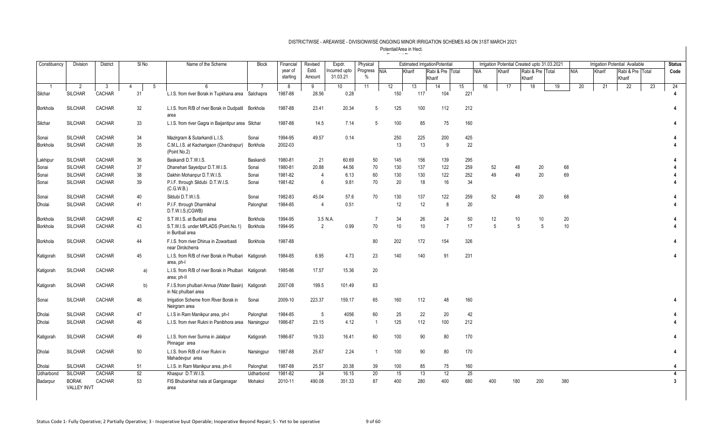| Constituency | <b>Division</b>                    | <b>District</b> | SINo                 | Name of the Scheme                                              | <b>Block</b> | Financial | Revised        | Expdr.       | Physical       |            | <b>Estimated IrrigationPotential</b> |        |                  |     |            |                |        |                  | Irrigation Potential Created upto 31.03.2021 |                 |        | <b>Irrigation Potential Available</b> |    | <b>Status</b>           |
|--------------|------------------------------------|-----------------|----------------------|-----------------------------------------------------------------|--------------|-----------|----------------|--------------|----------------|------------|--------------------------------------|--------|------------------|-----|------------|----------------|--------|------------------|----------------------------------------------|-----------------|--------|---------------------------------------|----|-------------------------|
|              |                                    |                 |                      |                                                                 |              | year of   | Estd.          | ncurred upto | Progress       | <b>NIA</b> | Kharif                               |        | Rabi & Pre Total |     | <b>NIA</b> | Kharif         |        | Rabi & Pre Total |                                              | NIA             | Kharif | Rabi & Pre Total                      |    | Code                    |
|              |                                    |                 |                      |                                                                 |              | starting  | Amount         | 31.03.21     | $\%$           |            |                                      | Kharif |                  |     |            |                | Kharif |                  |                                              |                 |        | Kharif                                |    |                         |
|              | $\overline{2}$                     | - 3             | $\overline{4}$<br>-5 |                                                                 |              | 8         | 9              | 10           | 11             | 12         | 13                                   | 14     |                  | 15  | 16         | 17             |        | 18               | 19                                           | 20              | 21     | 22                                    | 23 | 24                      |
| Silchar      | <b>SILCHAR</b>                     | CACHAR          | 31                   | L.I.S. from river Borak in Tupkhana area Salchapra              |              | 1987-88   | 28.56          | 0.28         |                | 150        |                                      | 117    | 104              | 221 |            |                |        |                  |                                              |                 |        |                                       |    |                         |
| Borkhola     | <b>SILCHAR</b>                     | CACHAR          | 32                   | L.I.S. from R/B of river Borak in Dudpatil Borkhola<br>area     |              | 1987-88   | 23.41          | 20.34        | 5              | 125        |                                      | 100    | 112              | 212 |            |                |        |                  |                                              |                 |        |                                       |    |                         |
| Silchar      | <b>SILCHAR</b>                     | CACHAR          | 33                   | L.I.S. from river Gagra in Baijantipur area Silchar             |              | 1987-88   | 14.5           | 7.14         | 5              | 100        |                                      | 85     | 75               | 160 |            |                |        |                  |                                              |                 |        |                                       |    |                         |
| Sonai        | <b>SILCHAR</b>                     | CACHAR          | 34                   | Mazirgram & Sutarkandi L.I.S.                                   | Sonai        | 1994-95   | 49.57          | 0.14         |                | 250        |                                      | 225    | 200              | 425 |            |                |        |                  |                                              |                 |        |                                       |    |                         |
| Borkhola     | <b>SILCHAR</b>                     | CACHAR          | 35                   | C.M.L.I.S. at Kacharigaon (Chandrapur)<br>(Point No.2)          | Borkhola     | 2002-03   |                |              |                |            | 13                                   | 13     | -9               | 22  |            |                |        |                  |                                              |                 |        |                                       |    |                         |
| Lakhipur     | <b>SILCHAR</b>                     | CACHAR          | 36                   | Baskandi D.T.W.I.S.                                             | Baskandi     | 1980-81   | 21             | 60.69        | 50             | 145        |                                      | 156    | 139              | 295 |            |                |        |                  |                                              |                 |        |                                       |    |                         |
| Sonai        | <b>SILCHAR</b>                     | CACHAR          | 37                   | Dhanehari Sayedpur D.T.W.I.S.                                   | Sonai        | 1980-81   | 20.88          | 44.56        | 70             | 130        |                                      | 137    | 122              | 259 | 52         |                | 48     | 20               | 68                                           |                 |        |                                       |    |                         |
| Sonai        | <b>SILCHAR</b>                     | CACHAR          | 38                   | Dakhin Mohanpur D.T.W.I.S.                                      | Sonai        | 1981-82   | $\overline{4}$ | 6.13         | 60             | 130        |                                      | 130    | 122              | 252 | 49         |                | 49     | 20               | 69                                           |                 |        |                                       |    |                         |
| Sonai        | <b>SILCHAR</b>                     | CACHAR          | 39                   | P.I.F. through Sildubi D.T.W.I.S.<br>(C.G.W.B.)                 | Sonai        | 1981-82   | 6              | 9.81         | 70             |            | 20                                   | 18     | 16               | 34  |            |                |        |                  |                                              |                 |        |                                       |    |                         |
| Sonai        | <b>SILCHAR</b>                     | CACHAR          | 40                   | Sildubi D.T.W.I.S.                                              | Sonai        | 1982-83   | 45.04          | 57.6         | 70             | 130        |                                      | 137    | 122              | 259 | 52         |                | 48     | 20               | 68                                           |                 |        |                                       |    |                         |
| Dholai       | <b>SILCHAR</b>                     | CACHAR          | 41                   | P.I.F. through Dharmikhal<br>D.T.W.I.S.(CGWB)                   | Palonghat    | 1984-85   | $\overline{4}$ | 0.51         |                |            | 12                                   | 12     | 8                | 20  |            |                |        |                  |                                              |                 |        |                                       |    |                         |
| Borkhola     | <b>SILCHAR</b>                     | CACHAR          | 42                   | S.T.W.I.S. at Buribail area                                     | Borkhola     | 1994-95   |                | 3.5 N.A.     | $\overline{7}$ |            | 34                                   | 26     | 24               | 50  | 12         |                | 10     | 10               | 20                                           |                 |        |                                       |    |                         |
| Borkhola     | <b>SILCHAR</b>                     | CACHAR          | 43                   | S.T.W.I.S. under MPLADS (Point.No.1)<br>in Buribail area        | Borkhola     | 1994-95   | 2              | 0.99         | 70             |            | 10                                   | 10     | $\overline{7}$   | 17  |            | $\overline{5}$ | 5      | 5                |                                              | 10 <sup>1</sup> |        |                                       |    |                         |
| Borkhola     | <b>SILCHAR</b>                     | CACHAR          | 44                   | F.I.S. from river Dhirua in Zowarbasti<br>near Dirckcherra      | Borkhola     | 1987-88   |                |              | 80             | 202        |                                      | 172    | 154              | 326 |            |                |        |                  |                                              |                 |        |                                       |    |                         |
| Katigorah    | <b>SILCHAR</b>                     | CACHAR          | 45                   | L.I.S. from R/B of river Borak in Phulbari<br>area, ph-I        | Katigorah    | 1984-85   | 6.95           | 4.73         | 23             | 140        |                                      | 140    | 91               | 231 |            |                |        |                  |                                              |                 |        |                                       |    |                         |
| Katigorah    | <b>SILCHAR</b>                     | CACHAR          | a)                   | L.I.S. from R/B of river Borak in Phulbari<br>area; ph-II       | Katigorah    | 1985-86   | 17.57          | 15.36        | 20             |            |                                      |        |                  |     |            |                |        |                  |                                              |                 |        |                                       |    |                         |
| Katigorah    | <b>SILCHAR</b>                     | CACHAR          | b)                   | F.I.S.from phulbari Annua (Water Basin)<br>in Niz phulbari area | Katigorah    | 2007-08   | 199.5          | 101.49       | 63             |            |                                      |        |                  |     |            |                |        |                  |                                              |                 |        |                                       |    |                         |
| Sonai        | <b>SILCHAR</b>                     | CACHAR          | 46                   | Irrigation Scheme from River Borak in<br>Neirgram area          | Sonai        | 2009-10   | 223.37         | 159.17       | 65             | 160        |                                      | 112    | 48               | 160 |            |                |        |                  |                                              |                 |        |                                       |    |                         |
| Dholai       | <b>SILCHAR</b>                     | CACHAR          | 47                   | L.I.S in Ram Manikpur area, ph-I                                | Palonghat    | 1984-85   | 5              | 4056         | 60             |            | 25                                   | 22     | 20               | 42  |            |                |        |                  |                                              |                 |        |                                       |    |                         |
| Dholai       | <b>SILCHAR</b>                     | CACHAR          | 48                   | L.I.S. from river Rukni in Panibhora area                       | Narsingpur   | 1986-87   | 23.15          | 4.12         | $\overline{1}$ | 125        |                                      | 112    | 100              | 212 |            |                |        |                  |                                              |                 |        |                                       |    |                         |
| Katigorah    | <b>SILCHAR</b>                     | CACHAR          | 49                   | L.I.S. from river Surma in Jalalpur<br>Pinnagar area            | Katigorah    | 1986-87   | 19.33          | 16.41        | 60             | 100        |                                      | 90     | 80               | 170 |            |                |        |                  |                                              |                 |        |                                       |    |                         |
| Dholai       | <b>SILCHAR</b>                     | CACHAR          | 50                   | L.I.S. from R/B of river Rukni in<br>Mahadevpur area            | Narsingpur   | 1987-88   | 25.67          | 2.24         | $\overline{1}$ | 100        |                                      | 90     | 80               | 170 |            |                |        |                  |                                              |                 |        |                                       |    |                         |
| Dholai       | <b>SILCHAR</b>                     | CACHAR          | 51                   | L.I.S. in Ram Manikpur area, ph-II                              | Palonghat    | 1987-88   | 25.57          | 20.38        | 39             | 100        |                                      | 85     | 75               | 160 |            |                |        |                  |                                              |                 |        |                                       |    | 4                       |
| Udharbond    | <b>SILCHAR</b>                     | CACHAR          | 52                   | Khaspur D.T.W.I.S.                                              | Udharbond    | 1981-82   | 24             | 16.15        | 20             |            | 15                                   | 13     | 12               | 25  |            |                |        |                  |                                              |                 |        |                                       |    | 4                       |
| Badarpur     | <b>BORAK</b><br><b>VALLEY INVT</b> | CACHAR          | 53                   | FIS Bhubankhal nala at Ganganagar<br>area                       | Mohakol      | 2010-11   | 490.08         | 351.33       | 87             | 400        |                                      | 280    | 400              | 680 | 400        |                | 180    | 200              | 380                                          |                 |        |                                       |    | $\overline{\mathbf{3}}$ |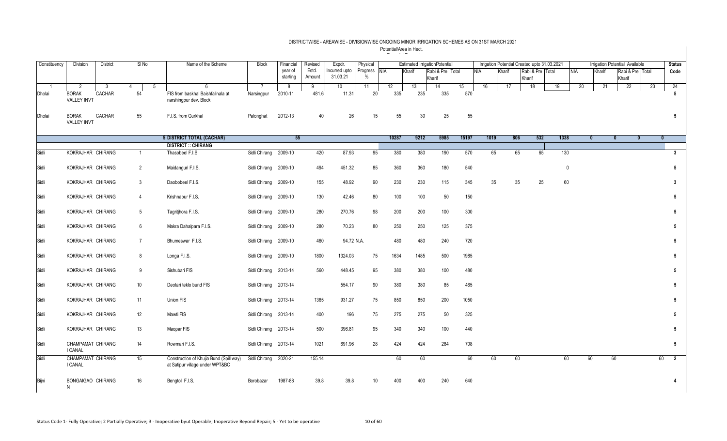| Constituency | Division                                | <b>District</b>           |                      | $SI$ No        | Name of the Scheme                                                         | <b>Block</b>                 | Financial           | Revised         | Expdr.                   | Physical         |            |           | <b>Estimated IrrigationPotential</b> |           |            | Irrigation Potential Created upto 31.03.2021 |        |                  |             |            |              | Irrigation Potential Available |              | <b>Status</b>                 |
|--------------|-----------------------------------------|---------------------------|----------------------|----------------|----------------------------------------------------------------------------|------------------------------|---------------------|-----------------|--------------------------|------------------|------------|-----------|--------------------------------------|-----------|------------|----------------------------------------------|--------|------------------|-------------|------------|--------------|--------------------------------|--------------|-------------------------------|
|              |                                         |                           |                      |                |                                                                            |                              | year of<br>starting | Estd.<br>Amount | ncurred upto<br>31.03.21 | Progress<br>$\%$ | <b>NIA</b> | Kharif    | Rabi & Pre Total<br>Kharif           |           | <b>NIA</b> | Kharif                                       | Kharif | Rabi & Pre Total |             | <b>NIA</b> | Kharif       | Rabi & Pre Total<br>Kharif     |              | Code                          |
| -1<br>Dholai | 2<br><b>BORAK</b><br><b>VALLEY INVT</b> | $3\overline{3}$<br>CACHAR | $\overline{4}$<br>54 | 5              | 6<br>FIS from baskhal Baishfalinala at<br>narshingpur dev. Block           | $\overline{7}$<br>Narsingpur | 8<br>2010-11        | 9<br>481.6      | 10 <sup>1</sup><br>11.31 | 11<br>20         | 12<br>335  | 13<br>235 | 14<br>335                            | 15<br>570 | 16         | 17                                           | 18     |                  | 19          | 20         | 21           | $\overline{22}$                | 23           | 24<br>$5\phantom{.0}$         |
| Dholai       | <b>BORAK</b><br><b>VALLEY INVT</b>      | CACHAR                    | 55                   |                | F.I.S. from Gurkhal                                                        | Palonghat                    | 2012-13             | 40              | 26                       | 15               | 55         | 30        | 25                                   | 55        |            |                                              |        |                  |             |            |              |                                |              | 5                             |
|              |                                         |                           |                      |                | <b>5 DISTRICT TOTAL (CACHAR)</b>                                           |                              | 55                  |                 |                          |                  | 10287      | 9212      | 5985                                 | 15197     | 1019       | 806                                          |        | 532              | 1338        |            | $\mathbf{0}$ | $\mathbf{0}$                   | $\mathbf{0}$ | $\mathbf{0}$                  |
|              |                                         |                           |                      |                | <b>DISTRICT :: CHIRANG</b>                                                 |                              |                     |                 |                          |                  |            |           |                                      |           |            |                                              |        |                  |             |            |              |                                |              |                               |
| Sidli        | KOKRAJHAR CHIRANG                       |                           |                      | $\mathbf{1}$   | Thasobeel F.I.S.                                                           | Sidli Chirang 2009-10        |                     | 420             | 87.93                    | 95               | 380        | 380       | 190                                  | 570       | 65         |                                              | 65     | 65               | 130         |            |              |                                |              | $\overline{\mathbf{3}}$       |
| Sidli        | KOKRAJHAR CHIRANG                       |                           |                      | $\overline{2}$ | Maidanguri F.I.S.                                                          | Sidli Chirang 2009-10        |                     | 494             | 451.32                   | 85               | 360        | 360       | 180                                  | 540       |            |                                              |        |                  | $\mathbf 0$ |            |              |                                |              | $5\phantom{.0}$               |
| Sidli        | KOKRAJHAR CHIRANG                       |                           |                      | $3\phantom{a}$ | Daobobeel F.I.S.                                                           | Sidli Chirang 2009-10        |                     | 155             | 48.92                    | 90               | 230        | 230       | 115                                  | 345       | 35         |                                              | 35     | 25               | 60          |            |              |                                |              | $\mathbf{3}$                  |
| Sidli        | KOKRAJHAR CHIRANG                       |                           |                      | $\overline{4}$ | Krishnapur F.I.S.                                                          | Sidli Chirang 2009-10        |                     | 130             | 42.46                    | 80               | 100        | 100       | 50                                   | 150       |            |                                              |        |                  |             |            |              |                                |              | 5                             |
| Sidli        | KOKRAJHAR CHIRANG                       |                           |                      | 5 <sup>5</sup> | Tagritjhora F.I.S.                                                         | Sidli Chirang 2009-10        |                     | 280             | 270.76                   | 98               | 200        | 200       | 100                                  | 300       |            |                                              |        |                  |             |            |              |                                |              | 5                             |
| Sidli        | KOKRAJHAR CHIRANG                       |                           |                      | 6              | Makra Dahalpara F.I.S.                                                     | Sidli Chirang 2009-10        |                     | 280             | 70.23                    | 80               | 250        | 250       | 125                                  | 375       |            |                                              |        |                  |             |            |              |                                |              | $5\phantom{.0}$               |
| Sidli        | KOKRAJHAR CHIRANG                       |                           |                      | $\overline{7}$ | Bhumeswar F.I.S.                                                           | Sidli Chirang 2009-10        |                     | 460             | 94.72 N.A.               |                  | 480        | 480       | 240                                  | 720       |            |                                              |        |                  |             |            |              |                                |              | $5\phantom{.0}$               |
| Sidli        | KOKRAJHAR CHIRANG                       |                           |                      | 8              | Longa F.I.S.                                                               | Sidli Chirang 2009-10        |                     | 1800            | 1324.03                  | 75               | 1634       | 1485      | 500                                  | 1985      |            |                                              |        |                  |             |            |              |                                |              | 5                             |
| Sidli        | KOKRAJHAR CHIRANG                       |                           |                      | 9              | Sishubari FIS                                                              | Sidli Chirang 2013-14        |                     | 560             | 448.45                   | 95               | 380        | 380       | 100                                  | 480       |            |                                              |        |                  |             |            |              |                                |              | $5\phantom{.0}$               |
| Sidli        | KOKRAJHAR CHIRANG                       |                           | 10                   |                | Deotari teklo bund FIS                                                     | Sidli Chirang 2013-14        |                     |                 | 554.17                   | 90               | 380        | 380       | 85                                   | 465       |            |                                              |        |                  |             |            |              |                                |              | $5\phantom{.0}$               |
| Sidli        | KOKRAJHAR CHIRANG                       |                           | 11                   |                | Union FIS                                                                  | Sidli Chirang 2013-14        |                     | 1365            | 931.27                   | 75               | 850        | 850       | 200                                  | 1050      |            |                                              |        |                  |             |            |              |                                |              | $5\phantom{.0}$               |
| Sidli        | KOKRAJHAR CHIRANG                       |                           | 12                   |                | Mawti FIS                                                                  | Sidli Chirang 2013-14        |                     | 400             | 196                      | 75               | 275        | 275       | 50                                   | 325       |            |                                              |        |                  |             |            |              |                                |              | $5\phantom{.0}$               |
| Sidli        | KOKRAJHAR CHIRANG                       |                           | 13                   |                | Maopar FIS                                                                 | Sidli Chirang 2013-14        |                     | 500             | 396.81                   | 95               | 340        | 340       | 100                                  | 440       |            |                                              |        |                  |             |            |              |                                |              | $5\phantom{.0}$               |
| Sidli        | CHAMPAMAT CHIRANG<br><b>I CANAL</b>     |                           | 14                   |                | Rowmari F.I.S.                                                             | Sidli Chirang 2013-14        |                     | 1021            | 691.96                   | 28               | 424        | 424       | 284                                  | 708       |            |                                              |        |                  |             |            |              |                                |              | $5\phantom{.0}$               |
| Sidli        | CHAMPAMAT CHIRANG<br>I CANAL            |                           | 15                   |                | Construction of Khujia Bund (Spill way)<br>at Satipur village under WPT&BC | Sidli Chirang 2020-21        |                     | 155.14          |                          |                  | 60         | 60        |                                      | 60        | 60         |                                              | 60     |                  | 60          |            | 60           | 60                             |              | 60<br>$\overline{\mathbf{2}}$ |
| Bijni        | BONGAIGAO CHIRANG<br>N                  |                           | 16                   |                | Bengtol F.I.S.                                                             | Borobazar                    | 1987-88             | 39.8            | 39.8                     | 10               | 400        | 400       | 240                                  | 640       |            |                                              |        |                  |             |            |              |                                |              | $\overline{A}$                |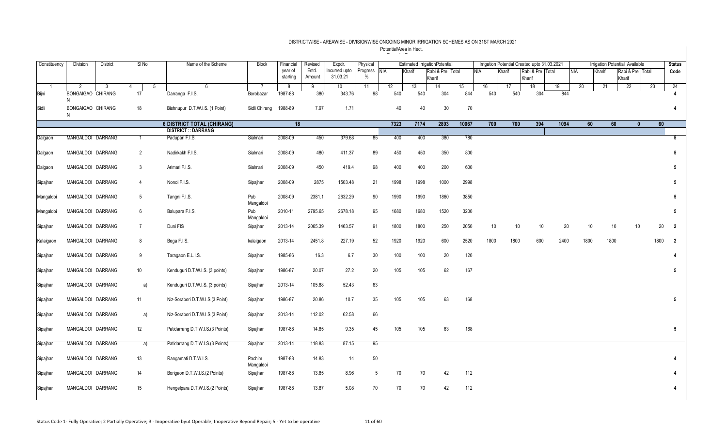| Constituency | Division               | <b>District</b> | $SI$ No         |   | Name of the Scheme                | <b>Block</b>        | Financial | Revised | Expdr.          | Physical      |      |        | <b>Estimated IrrigationPotential</b> |       |      |        | Irrigation Potential Created upto 31.03.2021 |                  |      |      |        | <b>Irrigation Potential Available</b> |    | <b>Status</b>          |
|--------------|------------------------|-----------------|-----------------|---|-----------------------------------|---------------------|-----------|---------|-----------------|---------------|------|--------|--------------------------------------|-------|------|--------|----------------------------------------------|------------------|------|------|--------|---------------------------------------|----|------------------------|
|              |                        |                 |                 |   |                                   |                     | year of   | Estd.   | ncurred upto    | Progress NIA  |      | Kharif | Rabi & Pre Total                     |       | NIA  | Kharif |                                              | Rabi & Pre Total |      | NIA  | Kharif | Rabi & Pre Total                      |    | Code                   |
|              |                        |                 |                 |   |                                   |                     | starting  | Amount  | 31.03.21        | $\frac{0}{0}$ |      |        | Kharif                               |       |      |        | Kharif                                       |                  |      |      |        | Kharif                                |    |                        |
|              | $\overline{2}$         | -3              | 4               | 5 | $6^{\circ}$                       | $\overline{7}$      | 8         | 9       | 10 <sup>°</sup> | 11            | 12   | 13     | 14                                   | 15    | 16   | 17     |                                              | 18               | 19   | 20   | 21     | 22                                    | 23 | 24                     |
| Bijni        | BONGAIGAO CHIRANG<br>N |                 | 17              |   | Darranga F.I.S.                   | Borobazar           | 1987-88   | 380     | 343.76          | 98            | 540  | 540    | 304                                  | 844   | 540  |        | 540                                          | 304              | 844  |      |        |                                       |    |                        |
| Sidli        | BONGAIGAO CHIRANG<br>N |                 | 18              |   | Bishnupur D.T.W.I.S. (1 Point)    | Sidli Chirang       | 1988-89   | 7.97    | 1.71            |               | 40   | 40     | 30                                   | 70    |      |        |                                              |                  |      |      |        |                                       |    | 4                      |
|              |                        |                 |                 |   | <b>6 DISTRICT TOTAL (CHIRANG)</b> |                     | 18        |         |                 |               | 7323 | 7174   | 2893                                 | 10067 | 700  |        | 700                                          | 394              | 1094 | 60   |        | 60<br>$\mathbf{0}$                    |    | 60                     |
|              |                        |                 |                 |   | <b>DISTRICT :: DARRANG</b>        |                     |           |         |                 |               |      |        |                                      |       |      |        |                                              |                  |      |      |        |                                       |    |                        |
| Dalgaon      | MANGALDOI DARRANG      |                 | -1              |   | Padupari F.I.S.                   | Sialmari            | 2008-09   | 450     | 379.68          | 85            | 400  | 400    | 380                                  | 780   |      |        |                                              |                  |      |      |        |                                       |    | $5\overline{5}$        |
| Dalgaon      | MANGALDOI DARRANG      |                 | $\overline{2}$  |   | Nadirkakh F.I.S.                  | Sialmari            | 2008-09   | 480     | 411.37          | 89            | 450  | 450    | 350                                  | 800   |      |        |                                              |                  |      |      |        |                                       |    | 5                      |
| Dalgaon      | MANGALDOI DARRANG      |                 | 3               |   | Arimari F.I.S.                    | Sialmari            | 2008-09   | 450     | 419.4           | 98            | 400  | 400    | 200                                  | 600   |      |        |                                              |                  |      |      |        |                                       |    | 5                      |
| Sipajhar     | MANGALDOI DARRANG      |                 | $\overline{4}$  |   | Nonoi F.I.S.                      | Sipajhar            | 2008-09   | 2875    | 1503.48         | 21            | 1998 | 1998   | 1000                                 | 2998  |      |        |                                              |                  |      |      |        |                                       |    | 5                      |
| Mangaldoi    | MANGALDOI DARRANG      |                 | 5               |   | Tangni F.I.S.                     | Pub<br>Mangaldoi    | 2008-09   | 2381.1  | 2632.29         | 90            | 1990 | 1990   | 1860                                 | 3850  |      |        |                                              |                  |      |      |        |                                       |    | 5                      |
| Mangaldoi    | MANGALDOI DARRANG      |                 | 6               |   | Balupara F.I.S.                   | Pub<br>Mangaldoi    | 2010-11   | 2795.65 | 2678.18         | 95            | 1680 | 1680   | 1520                                 | 3200  |      |        |                                              |                  |      |      |        |                                       |    | 5                      |
| Sipajhar     | MANGALDOI DARRANG      |                 | $7\overline{ }$ |   | Duni FIS                          | Sipajhar            | 2013-14   | 2065.39 | 1463.57         | 91            | 1800 | 1800   | 250                                  | 2050  | 10   |        | 10                                           | 10               | 20   | 10   |        | 10<br>10                              |    | 20<br>$\overline{2}$   |
| Kalaigaon    | MANGALDOI DARRANG      |                 | 8               |   | Bega F.I.S.                       | kalaigaon           | 2013-14   | 2451.8  | 227.19          | 52            | 1920 | 1920   | 600                                  | 2520  | 1800 |        | 1800                                         | 600              | 2400 | 1800 |        | 1800                                  |    | 1800<br>$\overline{2}$ |
| Sipajhar     | MANGALDOI DARRANG      |                 | 9               |   | Taragaon E.L.I.S.                 | Sipajhar            | 1985-86   | 16.3    | 6.7             | 30            | 100  | 100    | 20                                   | 120   |      |        |                                              |                  |      |      |        |                                       |    |                        |
| Sipajhar     | MANGALDOI DARRANG      |                 | 10              |   | Kenduguri D.T.W.I.S. (3 points)   | Sipajhar            | 1986-87   | 20.07   | 27.2            | 20            | 105  | 105    | 62                                   | 167   |      |        |                                              |                  |      |      |        |                                       |    | 5                      |
| Sipajhar     | MANGALDOI DARRANG      |                 | a)              |   | Kenduguri D.T.W.I.S. (3 points)   | Sipajhar            | 2013-14   | 105.88  | 52.43           | 63            |      |        |                                      |       |      |        |                                              |                  |      |      |        |                                       |    |                        |
| Sipajhar     | MANGALDOI DARRANG      |                 | 11              |   | Niz-Sorabori D.T.W.I.S.(3 Point)  | Sipajhar            | 1986-87   | 20.86   | 10.7            | 35            | 105  | 105    | 63                                   | 168   |      |        |                                              |                  |      |      |        |                                       |    | 5                      |
| Sipajhar     | MANGALDOI DARRANG      |                 | a)              |   | Niz-Sorabori D.T.W.I.S.(3 Point)  | Sipajhar            | 2013-14   | 112.02  | 62.58           | 66            |      |        |                                      |       |      |        |                                              |                  |      |      |        |                                       |    |                        |
| Sipajhar     | MANGALDOI DARRANG      |                 | 12              |   | Patidarrang D.T.W.I.S.(3 Points)  | Sipajhar            | 1987-88   | 14.85   | 9.35            | 45            | 105  | 105    | 63                                   | 168   |      |        |                                              |                  |      |      |        |                                       |    | 5                      |
| Sipajhar     | MANGALDOI DARRANG      |                 | a)              |   | Patidarrang D.T.W.I.S.(3 Points)  | Sipajhar            | 2013-14   | 118.83  | 87.15           | 95            |      |        |                                      |       |      |        |                                              |                  |      |      |        |                                       |    |                        |
| Sipajhar     | MANGALDOI DARRANG      |                 | 13              |   | Rangamati D.T.W.I.S.              | Pachim<br>Mangaldoi | 1987-88   | 14.83   | 14              | 50            |      |        |                                      |       |      |        |                                              |                  |      |      |        |                                       |    |                        |
| Sipajhar     | MANGALDOI DARRANG      |                 | 14              |   | Borigaon D.T.W.I.S.(2 Points)     | Sipajhar            | 1987-88   | 13.85   | 8.96            | 5             | 70   | 70     | 42                                   | 112   |      |        |                                              |                  |      |      |        |                                       |    |                        |
| Sipajhar     | MANGALDOI DARRANG      |                 | 15              |   | Hengelpara D.T.W.I.S.(2 Points)   | Sipajhar            | 1987-88   | 13.87   | 5.08            | 70            | 70   | 70     | 42                                   | 112   |      |        |                                              |                  |      |      |        |                                       |    | 4                      |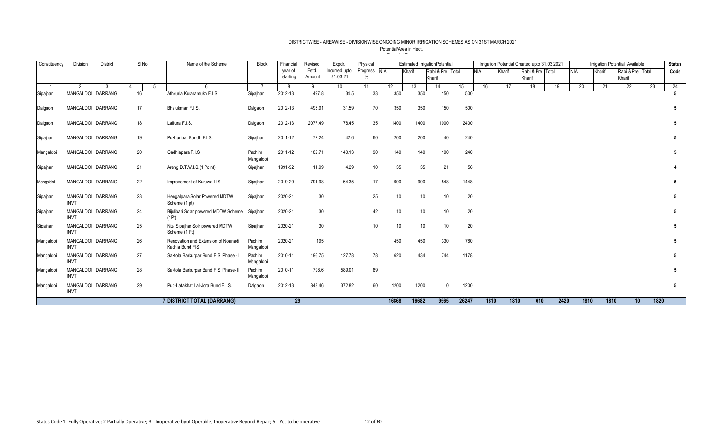| Constituency | <b>Division</b>                  | <b>District</b> | SINo | Name of the Scheme                                     | <b>Block</b>        | Financial | Revised         | Expdr.        | Physical      |                 |        | <b>Estimated IrrigationPotential</b> |       |            |      |        | Irrigation Potential Created upto 31.03.2021 |    |            |      | Irrigation Potential Available |                 |                  | <b>Status</b> |
|--------------|----------------------------------|-----------------|------|--------------------------------------------------------|---------------------|-----------|-----------------|---------------|---------------|-----------------|--------|--------------------------------------|-------|------------|------|--------|----------------------------------------------|----|------------|------|--------------------------------|-----------------|------------------|---------------|
|              |                                  |                 |      |                                                        |                     | year of   | Estd.           | Incurred upto | Progress NIA  |                 | Kharif | Rabi & Pre Total                     |       | <b>NIA</b> |      | Kharif | Rabi & Pre Total                             |    | <b>NIA</b> |      | Kharif                         |                 | Rabi & Pre Total | Code          |
|              |                                  |                 |      |                                                        |                     | starting  | Amount          | 31.03.21      | $\frac{0}{0}$ |                 |        | Kharif                               |       |            |      |        | Kharif                                       |    |            |      |                                | Kharif          |                  |               |
|              | $\mathfrak{p}$                   | 3               |      |                                                        |                     | 8         | 9               | 10            | 11            | 12 <sup>°</sup> | 13     | 14                                   | 15    |            | 16   | 17     | 18                                           | 19 |            | 20   | 21                             | $\overline{22}$ |                  | 24<br>23      |
| Sipajhar     | MANGALDOI DARRANG                |                 | 16   | Athkuria Kuraramukh F.I.S.                             | Sipajhar            | 2012-13   | 497.8           | 34.5          | 33            | 350             | 350    | 150                                  |       | 500        |      |        |                                              |    |            |      |                                |                 |                  |               |
| Dalgaon      | MANGALDOI DARRANG                |                 | 17   | Bhalukmari F.I.S.                                      | Dalgaon             | 2012-13   | 495.91          | 31.59         | 70            | 350             | 350    | 150                                  |       | 500        |      |        |                                              |    |            |      |                                |                 |                  |               |
| Dalgaon      | MANGALDOI DARRANG                |                 | 18   | Lalijura F.I.S.                                        | Dalgaon             | 2012-13   | 2077.49         | 78.45         | 35            | 1400            | 1400   | 1000                                 | 2400  |            |      |        |                                              |    |            |      |                                |                 |                  |               |
| Sipajhar     | MANGALDOI DARRANG                |                 | 19   | Pukhuripar Bundh F.I.S.                                | Sipajhar            | 2011-12   | 72.24           | 42.6          | 60            | 200             | 200    |                                      | 40    | 240        |      |        |                                              |    |            |      |                                |                 |                  |               |
| Mangaldoi    | MANGALDOI DARRANG                |                 | 20   | Gadhiapara F.I.S                                       | Pachim<br>Mangaldoi | 2011-12   | 182.71          | 140.13        | 90            | 140             | 140    | 100                                  |       | 240        |      |        |                                              |    |            |      |                                |                 |                  | 5             |
| Sipajhar     | MANGALDOI DARRANG                |                 | 21   | Areng D.T.W.I.S.(1 Point)                              | Sipajhar            | 1991-92   | 11.99           | 4.29          | 10            | 35              | 35     | 21                                   |       | 56         |      |        |                                              |    |            |      |                                |                 |                  |               |
| Mangaldoi    | MANGALDOI DARRANG                |                 | 22   | Improvement of Kuruwa LIS                              | Sipajhar            | 2019-20   | 791.98          | 64.35         | 17            | 900             | 900    | 548                                  |       | 1448       |      |        |                                              |    |            |      |                                |                 |                  |               |
| Sipajhar     | MANGALDOI DARRANG<br><b>INVT</b> |                 | 23   | Hengalpara Solar Powered MDTW<br>Scheme (1 pt)         | Sipajhar            | 2020-21   | 30              |               | 25            | 10              | 10     |                                      | 10    | 20         |      |        |                                              |    |            |      |                                |                 |                  |               |
| Sipajhar     | MANGALDOI DARRANG<br><b>INVT</b> |                 | 24   | Bijulibari Solar powered MDTW Scheme<br>(1Pt)          | Sipajhar            | 2020-21   | 30              |               | 42            | 10              | 10     |                                      | 10    | 20         |      |        |                                              |    |            |      |                                |                 |                  |               |
| Sipajhar     | MANGALDOI DARRANG<br><b>INVT</b> |                 | 25   | Niz- Sipajhar Solr powered MDTW<br>Scheme (1 Pt)       | Sipajhar            | 2020-21   | 30 <sup>°</sup> |               | 10            | 10              | 10     |                                      | 10    | 20         |      |        |                                              |    |            |      |                                |                 |                  |               |
| Mangaldoi    | MANGALDOI DARRANG<br><b>INVT</b> |                 | 26   | Renovation and Extension of Noanadi<br>Kachia Bund FIS | Pachim<br>Mangaldoi | 2020-21   | 195             |               |               | 450             | 450    | 330                                  |       | 780        |      |        |                                              |    |            |      |                                |                 |                  |               |
| Mangaldoi    | MANGALDOI DARRANG<br><b>INVT</b> |                 | 27   | Saktola Barkurpar Bund FIS Phase - I                   | Pachim<br>Mangaldoi | 2010-11   | 196.75          | 127.78        | 78            | 620             | 434    | 744                                  | 1178  |            |      |        |                                              |    |            |      |                                |                 |                  |               |
| Mangaldoi    | MANGALDOI DARRANG<br><b>INVT</b> |                 | 28   | Saktola Barkurpar Bund FIS Phase- II                   | Pachim<br>Mangaldoi | 2010-11   | 798.6           | 589.01        | 89            |                 |        |                                      |       |            |      |        |                                              |    |            |      |                                |                 |                  |               |
| Mangaldoi    | MANGALDOI DARRANG<br><b>INVT</b> |                 | 29   | Pub-Latakhat Lal-Jora Bund F.I.S.                      | Dalgaon             | 2012-13   | 848.46          | 372.82        | 60            | 1200            | 1200   |                                      | 1200  |            |      |        |                                              |    |            |      |                                |                 |                  |               |
|              |                                  |                 |      | 7 DISTRICT TOTAL (DARRANG)                             |                     | 29        |                 |               |               | 16868           | 16682  | 9565                                 | 26247 |            | 1810 | 1810   | 610                                          |    | 2420       | 1810 | 1810                           |                 | 10               | 1820          |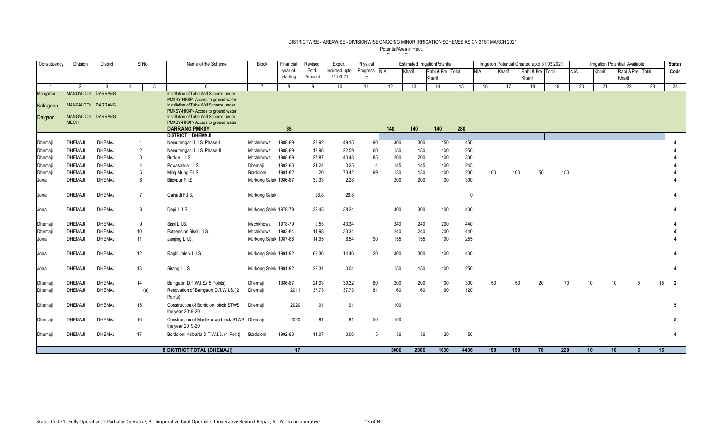| Constituency   | Division                         | District       |                 | SI <sub>No</sub> | Name of the Scheme                                                           | <b>Block</b>          | Financial | Revised | Expdr.          | Physical       |      |        | <b>Estimated IrrigationPotential</b> |      |              |        | Irrigation Potential Created upto 31.03.2021 |     |            |        | <b>Irrigation Potential Available</b> |                   | <b>Status</b>        |
|----------------|----------------------------------|----------------|-----------------|------------------|------------------------------------------------------------------------------|-----------------------|-----------|---------|-----------------|----------------|------|--------|--------------------------------------|------|--------------|--------|----------------------------------------------|-----|------------|--------|---------------------------------------|-------------------|----------------------|
|                |                                  |                |                 |                  |                                                                              |                       | year of   | Estd.   | Incurred upto   | Progress NIA   |      | Kharif | Rabi & Pre Total                     |      | NIA          | Kharif | Rabi & Pre Total                             |     | <b>NIA</b> | Kharif | Rabi & Pre Total                      |                   | Code                 |
|                |                                  |                |                 |                  |                                                                              |                       | starting  | Amount  | 31.03.21        | $\frac{0}{6}$  |      |        | Kharif                               |      |              |        | Kharif                                       |     |            |        | Kharif                                |                   |                      |
| $\overline{1}$ | $\mathcal{P}$                    | -3             | $\overline{4}$  | 5                | $\epsilon$                                                                   | $\overline{7}$        | 8         | g       | 10 <sup>1</sup> | 11             | 12   | 13     | 14                                   | 15   | 16           | 17     | 18                                           | 19  | 20         | 21     | $\overline{22}$                       | 23                | 24                   |
| Mangaldoi      | <b>MANGALDOI</b>                 | <b>DARRANG</b> |                 |                  | Installation of Tube Well Scheme under                                       |                       |           |         |                 |                |      |        |                                      |      |              |        |                                              |     |            |        |                                       |                   |                      |
| Kalaiqaon      | <b>MANGALDOI</b>                 | <b>DARRANG</b> |                 |                  | PMKSY-HKKP- Access to ground water<br>Installation of Tube Well Scheme under |                       |           |         |                 |                |      |        |                                      |      |              |        |                                              |     |            |        |                                       |                   |                      |
|                |                                  |                |                 |                  | PMKSY-HKKP- Access to ground water                                           |                       |           |         |                 |                |      |        |                                      |      |              |        |                                              |     |            |        |                                       |                   |                      |
| Dalgaon        | MANGALDOI DARRANG<br><b>MECH</b> |                |                 |                  | Installation of Tube Well Scheme under<br>PMKSY-HKKP- Access to ground water |                       |           |         |                 |                |      |        |                                      |      |              |        |                                              |     |            |        |                                       |                   |                      |
|                |                                  |                |                 |                  | <b>DARRANG PMKSY</b>                                                         |                       | 35        |         |                 |                | 140  | 140    | 140                                  | 280  |              |        |                                              |     |            |        |                                       |                   |                      |
|                |                                  |                |                 |                  | <b>DISTRICT :: DHEMAJI</b>                                                   |                       |           |         |                 |                |      |        |                                      |      |              |        |                                              |     |            |        |                                       |                   |                      |
| Dhemaji        | <b>DHEMAJ</b>                    | <b>DHEMAJI</b> | -1              |                  | Nemutengani L.I.S. Phase-I                                                   | Machkhowa             | 1988-89   | 23.92   | 49.15           | 90             | 300  | 300    | 150                                  | 450  |              |        |                                              |     |            |        |                                       |                   |                      |
| Dhemaji        | <b>DHEMAJI</b>                   | <b>DHEMAJI</b> | $\overline{2}$  |                  | Nemutengani L.I.S. Phase-II                                                  | Machkhowa             | 1988-89   | 18.96   | 22.59           | 60             | 150  | 150    | 100                                  | 250  |              |        |                                              |     |            |        |                                       |                   |                      |
| Dhemaji        | <b>DHEMAJI</b>                   | <b>DHEMAJI</b> | 3               |                  | Butikur L.I.S.                                                               | Machkhowa             | 1988-89   | 27.87   | 40.48           | 85             | 200  | 200    | 100                                  | 300  |              |        |                                              |     |            |        |                                       |                   |                      |
| Dhemaji        | <b>DHEMAJI</b>                   | <b>DHEMAJI</b> | $\overline{4}$  |                  | Powasaikia L.I.S.                                                            | Dhemaii               | 1992-93   | 21.24   | 0.25            | $\overline{4}$ | 145  | 145    | 100                                  | 245  |              |        |                                              |     |            |        |                                       |                   |                      |
| Dhemaji        | <b>DHEMAJI</b>                   | <b>DHEMAJI</b> | 5               |                  | Ming Mung F.I.S.                                                             | Bordoloni             | 1981-82   | 20      | 73.42           | 99             | 130  | 130    | 100                                  | 230  | 100          |        | 50<br>100                                    | 150 |            |        |                                       |                   |                      |
| Jonai          | <b>DHEMAJI</b>                   | <b>DHEMAJI</b> | 6               |                  | Bijoypur F.I.S.                                                              | Murkong Selek 1986-87 |           | 39.33   | 2.28            |                | 200  | 200    | 100                                  | 300  |              |        |                                              |     |            |        |                                       |                   |                      |
| Jonai          | <b>DHEMAJI</b>                   | <b>DHEMAJI</b> | $\overline{7}$  |                  | Gainadi F.I.S.                                                               | Murkong Selek         |           | 28.8    | 28.8            |                |      |        |                                      |      | $\mathbf{0}$ |        |                                              |     |            |        |                                       |                   |                      |
| Jonai          | <b>DHEMAJI</b>                   | <b>DHEMAJI</b> | 8               |                  | Depi L.I.S.                                                                  | Murkong Selek 1978-79 |           | 32.45   | 38.24           |                | 300  | 300    | 100                                  | 400  |              |        |                                              |     |            |        |                                       |                   |                      |
| Dhemaji        | <b>DHEMAJI</b>                   | <b>DHEMAJI</b> | 9               |                  | Sissi L.I.S.                                                                 | Machkhowa             | 1978-79   | 9.53    | 43.34           |                | 240  | 240    | 200                                  | 440  |              |        |                                              |     |            |        |                                       |                   |                      |
| Dhemaji        | <b>DHEMAJ</b>                    | <b>DHEMAJI</b> | 10 <sup>°</sup> |                  | Extnension Sissi L.I.S.                                                      | Machkhowa             | 1983-84   | 14.98   | 33.34           |                | 240  | 240    | 200                                  | 440  |              |        |                                              |     |            |        |                                       |                   |                      |
| Jonai          | <b>DHEMAJI</b>                   | <b>DHEMAJI</b> | 11              |                  | Jamjing L.I.S.                                                               | Murkong Selek 1987-88 |           | 14.95   | 6.54            | 90             | 155  | 155    | 100                                  | 255  |              |        |                                              |     |            |        |                                       |                   |                      |
| Jonai          | <b>DHEMAJI</b>                   | <b>DHEMAJI</b> | 12              |                  | Ragbi Jalem L.I.S.                                                           | Murkong Selek 1991-92 |           | 69.36   | 14.46           | 20             | 300  | 300    | 100                                  | 400  |              |        |                                              |     |            |        |                                       |                   |                      |
| Jonai          | <b>DHEMAJI</b>                   | <b>DHEMAJI</b> | 13              |                  | Sirang L.I.S.                                                                | Murkong Selek 1991-92 |           | 22.31   | 0.04            |                | 150  | 150    | 100                                  | 250  |              |        |                                              |     |            |        |                                       |                   |                      |
| Dhemaji        | <b>DHEMAJI</b>                   | <b>DHEMAJI</b> | 14              |                  | Bamgaon D.T.W.I.S.(5 Points)                                                 | Dhemaii               | 1986-87   | 24.93   | 39.32           | 80             | 200  | 200    | 100                                  | 300  | 50           |        | 50<br>20                                     |     | 70<br>10   |        | 10 <sup>°</sup><br>5                  |                   | 15<br>$\overline{2}$ |
| Dhemaji        | <b>DHEMAJI</b>                   | <b>DHEMAJI</b> |                 | (a)              | Renovation of Bamgaon D.T.W.I.S.(2<br>Points)                                | Dhemaji               | 2011      | 37.73   | 37.73           | 81             | 60   | 60     | 60                                   | 120  |              |        |                                              |     |            |        |                                       |                   |                      |
| Dhemaji        | <b>DHEMAJI</b>                   | <b>DHEMAJI</b> | 15              |                  | Construction of Bordoloni block STWS<br>the year 2019-20                     | Dhemaii               | 2020      | 91      | 91              |                | 100  |        |                                      |      |              |        |                                              |     |            |        |                                       |                   |                      |
| Dhemaji        | <b>DHEMAJI</b>                   | <b>DHEMAJI</b> | 16              |                  | Construction of Machkhowa block STWS Dhemaji<br>the year 2019-20             |                       | 2020      | 91      | 91              | 50             | 100  |        |                                      |      |              |        |                                              |     |            |        |                                       |                   | 5                    |
| Dhemaji        | <b>DHEMAJI</b>                   | <b>DHEMAJI</b> | 17              |                  | Bordoloni Kaibarta D.T.W.I.S. (1 Point)                                      | Bordoloni             | 1992-93   | 11.07   | 0.06            | -5             | 36   | 36     | 20                                   |      | 56           |        |                                              |     |            |        |                                       |                   | $\overline{4}$       |
|                |                                  |                |                 |                  | 8 DISTRICT TOTAL (DHEMAJI)                                                   |                       | 17        |         |                 |                | 3006 | 2806   | 1630                                 | 4436 | 150          |        | 150<br>70                                    | 220 | 10         |        | 10 <sup>1</sup>                       | 15<br>$5^{\circ}$ |                      |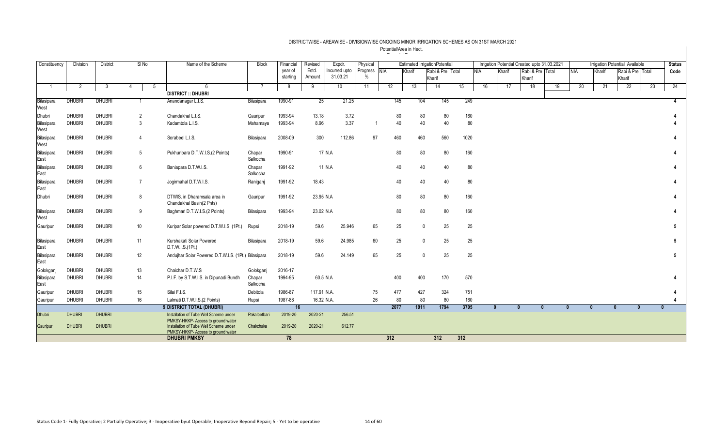| Constituency       | Division      | <b>District</b> | SI No          |   | Name of the Scheme                                                                                                 | <b>Block</b>       | Financial           | Revised         | Expdr.                    | Physical             |      |        | <b>Estimated IrrigationPotential</b> |     |      |            |              | Irrigation Potential Created upto 31.03.2021 |              |              |              | <b>Irrigation Potential Available</b> |              | <b>Status</b> |
|--------------------|---------------|-----------------|----------------|---|--------------------------------------------------------------------------------------------------------------------|--------------------|---------------------|-----------------|---------------------------|----------------------|------|--------|--------------------------------------|-----|------|------------|--------------|----------------------------------------------|--------------|--------------|--------------|---------------------------------------|--------------|---------------|
|                    |               |                 |                |   |                                                                                                                    |                    | year of<br>starting | Estd.<br>Amount | Incurred upto<br>31.03.21 | Progress NIA<br>$\%$ |      | Kharif | Rabi & Pre Total<br>Kharif           |     |      | <b>NIA</b> | Kharif       | Rabi & Pre Total<br>Kharif                   |              | <b>NIA</b>   | Kharif       | Rabi & Pre Total<br>Kharif            |              | Code          |
|                    |               | -3              |                | 5 | 6                                                                                                                  |                    | -8                  | 9               | 10 <sup>°</sup>           | 11                   | 12   | 13     | 14                                   | 15  |      | 16         | 17           | 18                                           | 19           | 20           | 21           | 22                                    | 23           | 24            |
|                    |               |                 |                |   | <b>DISTRICT :: DHUBRI</b>                                                                                          |                    |                     |                 |                           |                      |      |        |                                      |     |      |            |              |                                              |              |              |              |                                       |              |               |
| Bilasipara<br>West | <b>DHUBRI</b> | <b>DHUBRI</b>   |                |   | Anandanagar L.I.S.                                                                                                 | Bilasipara         | 1990-91             | 25              | 21.25                     |                      | 145  | 104    | 145                                  |     | 249  |            |              |                                              |              |              |              |                                       |              | 4             |
| Dhubri             | <b>DHUBRI</b> | <b>DHUBRI</b>   | $\overline{2}$ |   | Chandakhal L.I.S.                                                                                                  | Gauripur           | 1993-94             | 13.18           | 3.72                      |                      | 80   |        | 80<br>80                             |     | 160  |            |              |                                              |              |              |              |                                       |              |               |
| Bilasipara<br>West | <b>DHUBRI</b> | <b>DHUBRI</b>   | -3             |   | Kadamtola L.I.S.                                                                                                   | Mahamaya           | 1993-94             | 8.96            | 3.37                      |                      | 40   |        | 40<br>40                             |     | 80   |            |              |                                              |              |              |              |                                       |              |               |
| Bilasipara<br>West | <b>DHUBRI</b> | <b>DHUBRI</b>   | $\overline{4}$ |   | Sorabeel L.I.S.                                                                                                    | Bilasipara         | 2008-09             | 300             | 112.86                    | 97                   | 460  | 460    | 560                                  |     | 1020 |            |              |                                              |              |              |              |                                       |              |               |
| Bilasipara<br>East | <b>DHUBRI</b> | DHUBRI          | 5              |   | Pukhuripara D.T.W.I.S.(2 Points)                                                                                   | Chapar<br>Salkocha | 1990-91             | 17 N.A          |                           |                      | 80   |        | 80<br>80                             |     | 160  |            |              |                                              |              |              |              |                                       |              |               |
| Bilasipara<br>East | <b>DHUBRI</b> | <b>DHUBRI</b>   | 6              |   | Baniapara D.T.W.I.S.                                                                                               | Chapar<br>Salkocha | 1991-92             | 11 N.A          |                           |                      | 40   |        | 40<br>40                             |     | 80   |            |              |                                              |              |              |              |                                       |              |               |
| Bilasipara<br>East | <b>DHUBRI</b> | <b>DHUBRI</b>   | $\overline{7}$ |   | Jogirmahal D.T.W.I.S.                                                                                              | Raniganj           | 1991-92             | 18.43           |                           |                      | 40   |        | 40<br>40                             |     | 80   |            |              |                                              |              |              |              |                                       |              |               |
| Dhubri             | <b>DHUBRI</b> | <b>DHUBRI</b>   | 8              |   | DTWIS, in Dharamsala area in<br>Chandakhal Basin(2 Pnts)                                                           | Gauripur           | 1991-92             | 23.95 N.A       |                           |                      | 80   |        | 80<br>80                             |     | 160  |            |              |                                              |              |              |              |                                       |              |               |
| Bilasipara<br>West | <b>DHUBRI</b> | <b>DHUBRI</b>   | 9              |   | Baghmari D.T.W.I.S.(2 Points)                                                                                      | Bilasipara         | 1993-94             | 23.02 N.A       |                           |                      | 80   |        | 80<br>80                             |     | 160  |            |              |                                              |              |              |              |                                       |              |               |
| Gauripur           | <b>DHUBRI</b> | <b>DHUBRI</b>   | 10             |   | Kuripar Solar powered D.T.W.I.S. (1Pt.)                                                                            | Rupsi              | 2018-19             | 59.6            | 25.946                    | 65                   | 25   |        | 25<br>$\Omega$                       |     | 25   |            |              |                                              |              |              |              |                                       |              | 5             |
| Bilasipara<br>East | <b>DHUBRI</b> | <b>DHUBRI</b>   | 11             |   | Kurshakati Solar Powered<br>D.T.W.I.S.(1Pt.)                                                                       | Bilasipara         | 2018-19             | 59.6            | 24.985                    | 60                   | 25   |        | 25<br>$\Omega$                       |     | 25   |            |              |                                              |              |              |              |                                       |              | -5            |
| Bilasipara<br>East | <b>DHUBRI</b> | <b>DHUBRI</b>   | 12             |   | Andujhar Solar Powered D.T.W.I.S. (1Pt.) Bilasipara                                                                |                    | 2018-19             | 59.6            | 24.149                    | 65                   | 25   |        | 25<br>$\Omega$                       |     | 25   |            |              |                                              |              |              |              |                                       |              | 5             |
| Golokganj          | <b>DHUBRI</b> | <b>DHUBRI</b>   | 13             |   | Chaichar D.T.W.S                                                                                                   | Golokganj          | 2016-17             |                 |                           |                      |      |        |                                      |     |      |            |              |                                              |              |              |              |                                       |              |               |
| Bilasipara<br>East | <b>DHUBRI</b> | <b>DHUBRI</b>   | 14             |   | P.I.F. by S.T.W.I.S. in Dipunadi Bundh                                                                             | Chapar<br>Salkocha | 1994-95             | 60.5 N.A        |                           |                      | 400  | 400    | 170                                  |     | 570  |            |              |                                              |              |              |              |                                       |              |               |
| Gauripur           | <b>DHUBRI</b> | <b>DHUBRI</b>   | 15             |   | Silai F.I.S.                                                                                                       | Debitola           | 1986-87             | 117.91 N.A.     |                           | 75                   | 477  | 427    | 324                                  |     | 751  |            |              |                                              |              |              |              |                                       |              |               |
| Gauripur           | <b>DHUBRI</b> | <b>DHUBRI</b>   | 16             |   | Lalmati D.T.W.I.S.(2 Points)                                                                                       | Rupsi              | 1987-88             | 16.32 N.A.      |                           | 26                   | 80   |        | 80<br>80                             |     | 160  |            |              |                                              |              |              |              |                                       |              |               |
|                    |               |                 |                |   | 9 DISTRICT TOTAL (DHUBRI)                                                                                          |                    | 16                  |                 |                           |                      | 2077 | 1911   | 1794                                 |     | 3705 |            | $\mathbf{0}$ | $\mathbf{0}$                                 | $\mathbf{0}$ | $\mathbf{0}$ | $\mathbf{0}$ | $\mathbf{0}$                          | $\mathbf{0}$ |               |
| <b>Dhubri</b>      | <b>DHUBRI</b> | <b>DHUBRI</b>   |                |   | Installation of Tube Well Scheme under                                                                             | Paka betbari       | 2019-20             | 2020-21         | 256.51                    |                      |      |        |                                      |     |      |            |              |                                              |              |              |              |                                       |              |               |
| Gauripur           | <b>DHUBRI</b> | <b>DHUBRI</b>   |                |   | PMKSY-HKKP- Access to ground water<br>Installation of Tube Well Scheme under<br>PMKSY-HKKP- Access to ground water | Chakchaka          | 2019-20             | 2020-21         | 612.77                    |                      |      |        |                                      |     |      |            |              |                                              |              |              |              |                                       |              |               |
|                    |               |                 |                |   | <b>DHUBRI PMKSY</b>                                                                                                |                    | 78                  |                 |                           |                      | 312  |        | 312                                  | 312 |      |            |              |                                              |              |              |              |                                       |              |               |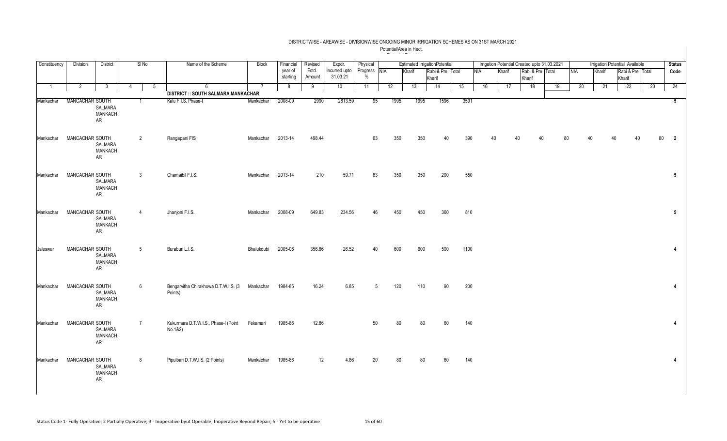| Constituency   | Division        | <b>District</b>                 | SI <sub>No</sub>     | Name of the Scheme                              | <b>Block</b> | Financial           | Revised         | Expdr.                    | Physical         |            |      |        | <b>Estimated IrrigationPotential</b> |      |            |    |        |        |                  | Irrigation Potential Created upto 31.03.2021 |            |        |    | Irrigation Potential Available |    | <b>Status</b>           |
|----------------|-----------------|---------------------------------|----------------------|-------------------------------------------------|--------------|---------------------|-----------------|---------------------------|------------------|------------|------|--------|--------------------------------------|------|------------|----|--------|--------|------------------|----------------------------------------------|------------|--------|----|--------------------------------|----|-------------------------|
|                |                 |                                 |                      |                                                 |              | year of<br>starting | Estd.<br>Amount | Incurred upto<br>31.03.21 | Progress<br>$\%$ | <b>NIA</b> |      | Kharif | Rabi & Pre Total<br>Kharif           |      | <b>NIA</b> |    | Kharif | Kharif | Rabi & Pre Total |                                              | <b>NIA</b> | Kharif |    | Rabi & Pre Total<br>Kharif     |    | Code                    |
| $\overline{1}$ | $\overline{2}$  | 3                               | $5\phantom{.0}$<br>4 | 6<br><b>DISTRICT :: SOUTH SALMARA MANKACHAR</b> |              | 8                   | 9               | 10                        | 11               |            | 12   | 13     | 14                                   | 15   |            | 16 | 17     |        | 18               | 19                                           | 20         |        | 21 | $\overline{22}$                | 23 | 24                      |
|                |                 |                                 |                      |                                                 |              |                     |                 |                           |                  |            |      |        |                                      |      |            |    |        |        |                  |                                              |            |        |    |                                |    |                         |
| Mankachar      | MANCACHAR SOUTH | SALMARA<br>MANKACH<br>AR        |                      | Kalu F.I.S. Phase-I                             | Mankachar    | 2008-09             | 2990            | 2813.59                   | 95               |            | 1995 | 1995   | 1596                                 | 3591 |            |    |        |        |                  |                                              |            |        |    |                                |    | 5                       |
| Mankachar      | MANCACHAR SOUTH | SALMARA<br><b>MANKACH</b><br>AR | $\overline{2}$       | Rangapani FIS                                   | Mankachar    | 2013-14             | 498.44          |                           | 63               |            | 350  | 350    | 40                                   | 390  |            |    |        |        | 40               |                                              |            |        |    |                                | 80 | $\overline{\mathbf{2}}$ |
| Mankachar      | MANCACHAR SOUTH | SALMARA<br><b>MANKACH</b><br>AR | 3                    | Chamaibil F.I.S.                                | Mankachar    | 2013-14             | 210             | 59.71                     | 63               |            | 350  | 350    | 200                                  | 550  |            |    |        |        |                  |                                              |            |        |    |                                |    | $5\phantom{.0}$         |
| Mankachar      | MANCACHAR SOUTH | SALMARA<br><b>MANKACH</b><br>AR | $\overline{4}$       | Jhanjoni F.I.S.                                 | Mankachar    | 2008-09             | 649.83          | 234.56                    | 46               |            | 450  | 450    | 360                                  | 810  |            |    |        |        |                  |                                              |            |        |    |                                |    | $5\overline{)}$         |
| Jaleswar       | MANCACHAR SOUTH | SALMARA<br>MANKACH<br>AR        | $5\phantom{.0}$      | Buraburi L.I.S.                                 | Bhalukdubi   | 2005-06             | 356.86          | 26.52                     | $\Delta$ 0       |            | 600  | 600    | 500                                  | 1100 |            |    |        |        |                  |                                              |            |        |    |                                |    | $\overline{4}$          |
| Mankachar      | MANCACHAR SOUTH | SALMARA<br><b>MANKACH</b><br>AR | 6                    | Bengarvitha Chirakhowa D.T.W.I.S. (3<br>Points) | Mankachar    | 1984-85             | 16.24           | 6.85                      |                  | 5          | 120  | 110    | 90                                   | 200  |            |    |        |        |                  |                                              |            |        |    |                                |    | $\overline{4}$          |
| Mankachar      | MANCACHAR SOUTH | SALMARA<br><b>MANKACH</b><br>AR | $\overline{7}$       | Kukurmara D.T.W.I.S., Phase-I (Point<br>No.1&2) | Fekamari     | 1985-86             | 12.86           |                           | 50               |            | 80   | 80     | 60                                   | 140  |            |    |        |        |                  |                                              |            |        |    |                                |    | $\overline{4}$          |
| Mankachar      | MANCACHAR SOUTH | SALMARA<br><b>MANKACH</b><br>AR | 8                    | Pipulbari D.T.W.I.S. (2 Points)                 | Mankachar    | 1985-86             | 12              | 4.86                      | 20               |            | 80   | 80     | 60                                   | 140  |            |    |        |        |                  |                                              |            |        |    |                                |    | $\overline{4}$          |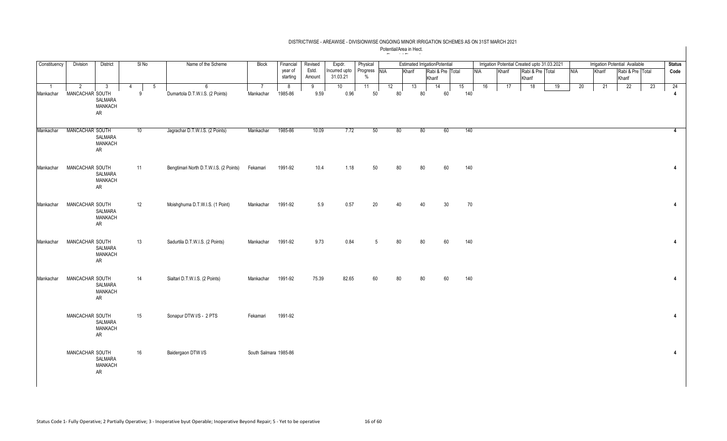### DISTRICTWISE - AREAWISE - DIVISIONWISE ONGOING MINOR IRRIGATION SCHEMES AS ON 31ST MARCH 2021 Potential/Area in Hect.

|              |                 |                                 |         |                                        |                       |           |         |               |              | $-$ | $\cdots$                             |        |                  |     |     |                                              |        |                  |    |            |                                |                  |    |                |
|--------------|-----------------|---------------------------------|---------|----------------------------------------|-----------------------|-----------|---------|---------------|--------------|-----|--------------------------------------|--------|------------------|-----|-----|----------------------------------------------|--------|------------------|----|------------|--------------------------------|------------------|----|----------------|
| Constituency | Division        | District                        | SI No   | Name of the Scheme                     | Block                 | Financial | Revised | Expdr.        | Physical     |     | <b>Estimated IrrigationPotential</b> |        |                  |     |     | Irrigation Potential Created upto 31.03.2021 |        |                  |    |            | Irrigation Potential Available |                  |    | <b>Status</b>  |
|              |                 |                                 |         |                                        |                       | year of   | Estd.   | Incurred upto | Progress NIA |     | Kharif                               |        | Rabi & Pre Total |     | NIA | Kharif                                       |        | Rabi & Pre Total |    | <b>NIA</b> | Kharif                         | Rabi & Pre Total |    | Code           |
|              |                 |                                 |         |                                        |                       | starting  | Amount  | 31.03.21      | $\%$         |     |                                      | Kharif |                  |     |     |                                              | Kharif |                  |    |            |                                | Kharif           |    |                |
|              | 2               | 3                               | -5<br>4 | 6                                      |                       | 8         | 9       | 10            | 11           | 12  | 13                                   |        | 14               | 15  | 16  | 17                                           | 18     |                  | 19 | 20         | 21                             | 22               | 23 | 24             |
| Mankachar    | MANCACHAR SOUTH |                                 | -9      | Dumartola D.T.W.I.S. (2 Points)        | Mankachar             | 1985-86   | 9.59    | 0.96          | 50           |     | 80                                   | 80     | 60               | 140 |     |                                              |        |                  |    |            |                                |                  |    | 4              |
|              |                 | SALMARA<br><b>MANKACH</b><br>AR |         |                                        |                       |           |         |               |              |     |                                      |        |                  |     |     |                                              |        |                  |    |            |                                |                  |    |                |
| Mankachar    | MANCACHAR SOUTH | SALMARA<br><b>MANKACH</b><br>AR | 10      | Jagrachar D.T.W.I.S. (2 Points)        | Mankachar             | 1985-86   | 10.09   | 7.72          | 50           |     | 80                                   | 80     | 60               | 140 |     |                                              |        |                  |    |            |                                |                  |    | $\overline{4}$ |
| Mankachar    | MANCACHAR SOUTH | SALMARA<br><b>MANKACH</b><br>AR | 11      | Bengtimari North D.T.W.I.S. (2 Points) | Fekamari              | 1991-92   | 10.4    | 1.18          | 50           |     | 80                                   | 80     | 60               | 140 |     |                                              |        |                  |    |            |                                |                  |    | 4              |
| Mankachar    | MANCACHAR SOUTH | SALMARA<br><b>MANKACH</b><br>AR | 12      | Moishghuma D.T.W.I.S. (1 Point)        | Mankachar             | 1991-92   | 5.9     | 0.57          | 20           |     | 40                                   | 40     | 30               | 70  |     |                                              |        |                  |    |            |                                |                  |    | $\overline{4}$ |
| Mankachar    | MANCACHAR SOUTH | SALMARA<br><b>MANKACH</b><br>AR | 13      | Sadurtila D.T.W.I.S. (2 Points)        | Mankachar             | 1991-92   | 9.73    | 0.84          | 5            |     | 80                                   | 80     | 60               | 140 |     |                                              |        |                  |    |            |                                |                  |    | $\overline{4}$ |
| Mankachar    | MANCACHAR SOUTH | SALMARA<br><b>MANKACH</b><br>AR | 14      | Sialtari D.T.W.I.S. (2 Points)         | Mankachar             | 1991-92   | 75.39   | 82.65         | 60           |     | 80                                   | 80     | 60               | 140 |     |                                              |        |                  |    |            |                                |                  |    | $\overline{4}$ |
|              | MANCACHAR SOUTH | SALMARA<br><b>MANKACH</b><br>AR | 15      | Sonapur DTW I/S - 2 PTS                | Fekamari              | 1991-92   |         |               |              |     |                                      |        |                  |     |     |                                              |        |                  |    |            |                                |                  |    | 4              |
|              | MANCACHAR SOUTH | SALMARA<br><b>MANKACH</b><br>AR | 16      | Baidergaon DTW I/S                     | South Salmara 1985-86 |           |         |               |              |     |                                      |        |                  |     |     |                                              |        |                  |    |            |                                |                  |    | $\overline{4}$ |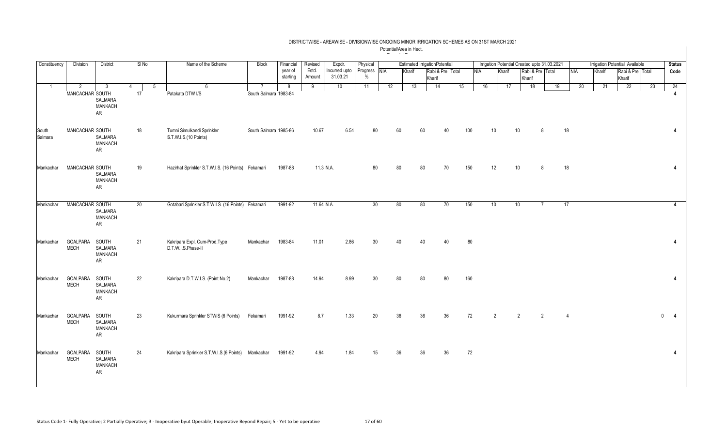| Constituency     | <b>Division</b>                | <b>District</b>                                 | SI No        | Name of the Scheme                                  | <b>Block</b>          | Financial           | Revised         | Expdr.                    | Physical         |            |        | <b>Estimated IrrigationPotential</b> |     |     |                |    | Irrigation Potential Created upto 31.03.2021 |    |                 |        | <b>Irrigation Potential Available</b> |    | <b>Status</b>        |
|------------------|--------------------------------|-------------------------------------------------|--------------|-----------------------------------------------------|-----------------------|---------------------|-----------------|---------------------------|------------------|------------|--------|--------------------------------------|-----|-----|----------------|----|----------------------------------------------|----|-----------------|--------|---------------------------------------|----|----------------------|
|                  |                                |                                                 |              |                                                     |                       | year of<br>starting | Estd.<br>Amount | Incurred upto<br>31.03.21 | Progress<br>$\%$ | <b>NIA</b> | Kharif | Rabi & Pre Total<br>Kharif           |     | NIA | Kharif         |    | Rabi & Pre Total<br>Kharif                   |    | <b>NIA</b>      | Kharif | Rabi & Pre Total<br>Kharif            |    | Code                 |
| $\overline{1}$   | 2<br>MANCACHAR SOUTH           | 3<br>SALMARA<br><b>MANKACH</b><br>AR            | 5<br>4<br>17 | 6<br>Patakata DTW I/S                               | South Salmara 1983-84 | -8                  | 9               | 10                        | 11               | 12         | 13     | 14                                   | 15  | 16  |                | 17 | 18                                           | 19 | 20              | 21     | 22                                    | 23 | 24<br>$\overline{4}$ |
| South<br>Salmara | MANCACHAR SOUTH                | SALMARA<br><b>MANKACH</b><br>AR                 | 18           | Tumni Simulkandi Sprinkler<br>S.T.W.I.S.(10 Points) | South Salmara 1985-86 |                     | 10.67           | 6.54                      | 80               |            | 60     | 60                                   | 100 |     | 10             | 10 | $\mathsf{R}$                                 |    | 18              |        |                                       |    | 4                    |
| Mankachar        | MANCACHAR SOUTH                | <b>SALMARA</b><br><b>MANKACH</b><br>AR          | 19           | Hazirhat Sprinkler S.T.W.I.S. (16 Points) Fekamari  |                       | 1987-88             | 11.3 N.A.       |                           | 80               |            | 80     | 80<br>70                             | 150 |     | 12             | 10 | 8                                            |    | 18              |        |                                       |    | $\overline{4}$       |
| Mankachar        | MANCACHAR SOUTH                | SALMARA<br>MANKACH<br>AR                        | 20           | Gotabari Sprinkler S.T.W.I.S. (16 Points) Fekamari  |                       | 1991-92             | 11.64 N.A.      |                           | 30               |            | 80     | 80<br>70                             | 150 |     | 10             | 10 | $\overline{7}$                               |    | $\overline{17}$ |        |                                       |    | $\overline{4}$       |
| Mankachar        | GOALPARA<br><b>MECH</b>        | SOUTH<br>SALMARA<br><b>MANKACH</b><br>AR        | 21           | Kakripara Expl. Cum-Prod.Type<br>D.T.W.I.S.Phase-II | Mankachar             | 1983-84             | 11.01           | 2.86                      | 30               |            | 40     | 40<br>40                             | 80  |     |                |    |                                              |    |                 |        |                                       |    | $\overline{4}$       |
| Mankachar        | <b>GOALPARA</b><br><b>MECH</b> | SOUTH<br>SALMARA<br><b>MANKACH</b><br>AR        | 22           | Kakripara D.T.W.I.S. (Point No.2)                   | Mankachar             | 1987-88             | 14.94           | 8.99                      | 30               |            | 80     | 80<br>80                             | 160 |     |                |    |                                              |    |                 |        |                                       |    | $\overline{4}$       |
| Mankachar        | <b>GOALPARA</b><br><b>MECH</b> | SOUTH<br><b>SALMARA</b><br><b>MANKACH</b><br>AR | 23           | Kukurmara Sprinkler STWIS (6 Points)                | Fekamari              | 1991-92             | 8.7             | 1.33                      | 20               |            | 36     | 36<br>36                             |     | 72  | $\mathfrak{p}$ | 2  | $\overline{2}$                               |    | $\overline{4}$  |        |                                       |    | $0$ 4                |
| Mankachar        | <b>GOALPARA</b><br><b>MECH</b> | SOUTH<br>SALMARA<br>MANKACH<br>AR               | 24           | Kakripara Sprinkler S.T.W.I.S.(6 Points) Mankachar  |                       | 1991-92             | 4.94            | 1.84                      | 15               |            | 36     | 36<br>36                             | 72  |     |                |    |                                              |    |                 |        |                                       |    | $\overline{4}$       |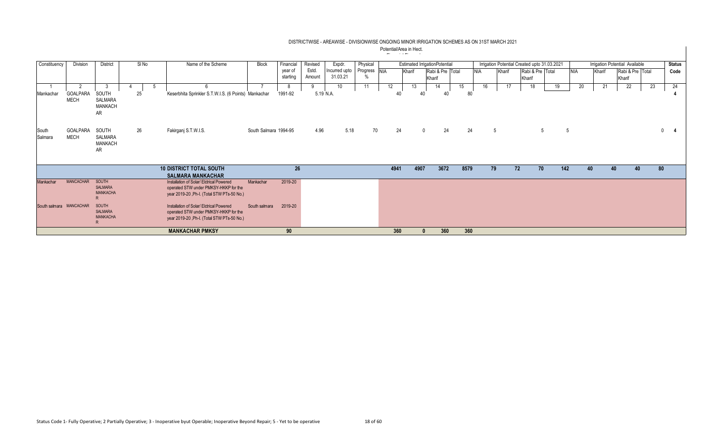| Constituency            | Division                | District                                        | SINo | Name of the Scheme                                                                                                              | Block                 | Financial | Revised | Expdr.        | Physical     |      |        | <b>Estimated IrrigationPotential</b> |      |            | Irrigation Potential Created upto 31.03.2021 |    |                  |     |            |        | Irrigation Potential Available |    | <b>Status</b> |
|-------------------------|-------------------------|-------------------------------------------------|------|---------------------------------------------------------------------------------------------------------------------------------|-----------------------|-----------|---------|---------------|--------------|------|--------|--------------------------------------|------|------------|----------------------------------------------|----|------------------|-----|------------|--------|--------------------------------|----|---------------|
|                         |                         |                                                 |      |                                                                                                                                 |                       | year of   | Estd.   | Incurred upto | Progress NIA |      | Kharif | Rabi & Pre Total                     |      | <b>NIA</b> | Kharif                                       |    | Rabi & Pre Total |     | <b>NIA</b> | Kharif | Rabi & Pre Total               |    | Code          |
|                         |                         |                                                 |      |                                                                                                                                 |                       | starting  | Amount  | 31.03.21      |              |      |        | Kharif                               |      |            |                                              |    | Kharif           |     |            |        | Kharif                         |    |               |
|                         | റ                       |                                                 |      |                                                                                                                                 |                       | 8         |         | 10            | 11           | 12   | 13     | 14                                   | 15   | 16         |                                              |    | 18               | 19  | 20         | 21     | 22                             | 23 | 24            |
| Mankachar               | GOALPARA<br><b>MECH</b> | SOUTH<br>SALMARA<br><b>MANKACH</b><br><b>AR</b> | 25   | Keserbhita Sprinkler S.T.W.I.S. (6 Points) Mankachar                                                                            |                       | 1991-92   |         | 5.19 N.A.     |              | 40   |        | 40<br>40                             |      | 80         |                                              |    |                  |     |            |        |                                |    |               |
| South<br>Salmara        | GOALPARA<br><b>MECH</b> | SOUTH<br>SALMARA<br><b>MANKACH</b><br>AR        | 26   | Fakirganj S.T.W.I.S.                                                                                                            | South Salmara 1994-95 |           | 4.96    | 5.18          | 70           | 24   |        | 24<br>$\overline{0}$                 |      | 24         | 5                                            |    |                  |     |            |        |                                |    | $\mathbf{0}$  |
|                         |                         |                                                 |      | <b>10 DISTRICT TOTAL SOUTH</b>                                                                                                  |                       | 26        |         |               |              | 4941 | 4907   | 3672                                 | 8579 |            | 79                                           | 72 | 70               | 142 | 40         |        | 40<br>40                       |    | 80            |
|                         |                         |                                                 |      | <b>SALMARA MANKACHAR</b>                                                                                                        |                       |           |         |               |              |      |        |                                      |      |            |                                              |    |                  |     |            |        |                                |    |               |
| Mankachar               | MANCACHAR               | SOUTH<br><b>SALMARA</b><br><b>MANKACHA</b>      |      | Installation of Solar/ Elctrical Powered<br>operated STW under PMKSY-HKKP for the<br>year 2019-20, Ph-I. (Total STW PTs-50 No.) | Mankachar             | 2019-20   |         |               |              |      |        |                                      |      |            |                                              |    |                  |     |            |        |                                |    |               |
| South salmara MANCACHAR |                         | SOUTH<br><b>SALMARA</b><br><b>MANKACHA</b>      |      | Installation of Solar/ Elctrical Powered<br>operated STW under PMKSY-HKKP for the<br>year 2019-20, Ph-I. (Total STW PTs-50 No.) | South salmara         | 2019-20   |         |               |              |      |        |                                      |      |            |                                              |    |                  |     |            |        |                                |    |               |
|                         |                         |                                                 |      | <b>MANKACHAR PMKSY</b>                                                                                                          |                       | 90        |         |               |              | 360  |        | 360                                  |      | 360        |                                              |    |                  |     |            |        |                                |    |               |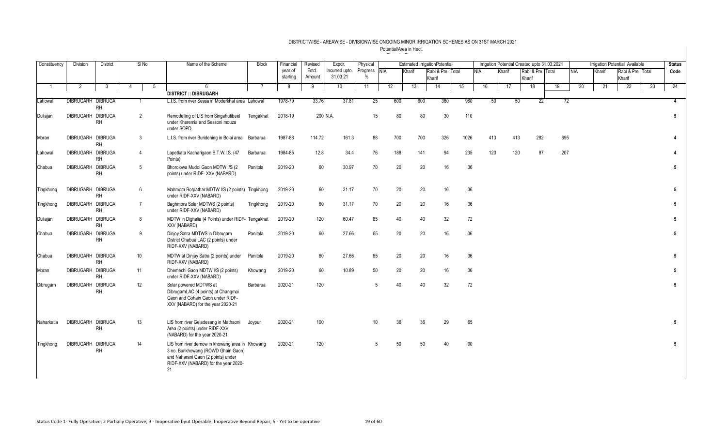| Constituency | <b>Division</b>          | <b>District</b> |   | S/No           | Name of the Scheme                                                                                                                                                         | <b>Block</b>   | Financial           | Revised         | Expdr.                   | Physical             |    |        | <b>Estimated IrrigationPotential</b> |                  |      |            |     |        |                            | Irrigation Potential Created upto 31.03.2021 |     |            |        | <b>Irrigation Potential Available</b> |    | <b>Status</b>  |
|--------------|--------------------------|-----------------|---|----------------|----------------------------------------------------------------------------------------------------------------------------------------------------------------------------|----------------|---------------------|-----------------|--------------------------|----------------------|----|--------|--------------------------------------|------------------|------|------------|-----|--------|----------------------------|----------------------------------------------|-----|------------|--------|---------------------------------------|----|----------------|
|              |                          |                 |   |                |                                                                                                                                                                            |                | vear of<br>starting | Estd.<br>Amount | ncurred upto<br>31.03.21 | Progress NIA<br>$\%$ |    | Kharif | Kharif                               | Rabi & Pre Total |      | <b>NIA</b> |     | Kharif | Rabi & Pre Total<br>Kharif |                                              |     | <b>NIA</b> | Kharif | Rabi & Pre Total<br>Kharif            |    | Code           |
|              | 2                        | 3               | 4 | -5             | $6^{\circ}$<br><b>DISTRICT :: DIBRUGARH</b>                                                                                                                                | $\overline{7}$ | 8                   | 9               | 10                       | 11                   | 12 | 13     | 14                                   | 15               |      | 16         |     | 17     | 18                         |                                              | 19  | 20         | 21     | 22                                    | 23 | 24             |
|              | <b>DIBRUGARH DIBRUGA</b> |                 |   |                |                                                                                                                                                                            |                |                     |                 |                          |                      |    |        |                                      |                  |      |            |     |        |                            |                                              |     |            |        |                                       |    |                |
| Lahowal      |                          | <b>RH</b>       |   |                | L.I.S. from river Sessa in Moderkhat area Lahowal                                                                                                                          |                | 1978-79             | 33.76           | 37.81                    | 25                   |    | 600    | 600                                  | 360              | 960  |            | 50  | 50     |                            | 22                                           | 72  |            |        |                                       |    | $\overline{4}$ |
| Duliajan     | DIBRUGARH DIBRUGA        | <b>RH</b>       |   | $\overline{2}$ | Remodelling of LIS from Singahutibeel<br>under Kheremia and Sessoni mouza<br>under SOPD                                                                                    | Tengakhat      | 2018-19             |                 | 200 N.A.                 | 15                   |    | 80     | 80                                   | 30               | 110  |            |     |        |                            |                                              |     |            |        |                                       |    | 5              |
| Moran        | DIBRUGARH DIBRUGA        | <b>RH</b>       |   | 3              | L.I.S. from river Buridehing in Bolai area                                                                                                                                 | Barbarua       | 1987-88             | 114.72          | 161.3                    | 88                   |    | 700    | 700                                  | 326              | 1026 |            | 413 | 413    |                            | 282                                          | 695 |            |        |                                       |    |                |
| Lahowal      | DIBRUGARH DIBRUGA        | <b>RH</b>       |   | $\overline{4}$ | Lapetkata Kacharigaon S.T.W.I.S. (47<br>Points)                                                                                                                            | Barbarua       | 1984-85             | 12.8            | 34.4                     | 76                   |    | 188    | 141                                  | 94               | 235  |            | 120 | 120    |                            | 87                                           | 207 |            |        |                                       |    |                |
| Chabua       | DIBRUGARH DIBRUGA        | <b>RH</b>       |   | 5              | Bhorolowa Mudoi Gaon MDTW I/S (2<br>points) under RIDF-XXV (NABARD)                                                                                                        | Panitola       | 2019-20             | 60              | 30.97                    | 70                   |    | 20     | 20                                   | 16               | 36   |            |     |        |                            |                                              |     |            |        |                                       |    | 5              |
| Tingkhong    | DIBRUGARH DIBRUGA        | <b>RH</b>       |   | 6              | Mahmora Borpathar MDTW I/S (2 points) Tingkhong<br>under RIDF-XXV (NABARD)                                                                                                 |                | 2019-20             | 60              | 31.17                    | 70                   |    | 20     | 20                                   | 16               | 36   |            |     |        |                            |                                              |     |            |        |                                       |    | 5              |
| Tingkhong    | DIBRUGARH DIBRUGA        | <b>RH</b>       |   | $\overline{7}$ | Baghmora Solar MDTWS (2 points)<br>under RIDF-XXV (NABARD)                                                                                                                 | Tingkhong      | 2019-20             | 60              | 31.17                    | 70                   |    | 20     | 20                                   | 16               | 36   |            |     |        |                            |                                              |     |            |        |                                       |    | 5              |
| Duliajan     | DIBRUGARH DIBRUGA        | <b>RH</b>       |   | 8              | MDTW in Dighalia (4 Points) under RIDF- Tengakhat<br>XXV (NABARD)                                                                                                          |                | 2019-20             | 120             | 60.47                    | 65                   |    | 40     | 40                                   | 32               | 72   |            |     |        |                            |                                              |     |            |        |                                       |    | 5              |
| Chabua       | DIBRUGARH DIBRUGA        | <b>RH</b>       |   | q              | Dinjoy Satra MDTWS in Dibrugarh<br>District Chabua LAC (2 points) under<br>RIDF-XXV (NABARD)                                                                               | Panitola       | 2019-20             | 60              | 27.66                    | 65                   |    | 20     | 20                                   | 16               | 36   |            |     |        |                            |                                              |     |            |        |                                       |    | 5 <sup>5</sup> |
| Chabua       | DIBRUGARH DIBRUGA        | <b>RH</b>       |   | 10             | MDTW at Dinjay Satra (2 points) under<br>RIDF-XXV (NABARD)                                                                                                                 | Panitola       | 2019-20             | 60              | 27.66                    | 65                   |    | 20     | 20                                   | 16               | 36   |            |     |        |                            |                                              |     |            |        |                                       |    | 5              |
| Moran        | DIBRUGARH DIBRUGA        | <b>RH</b>       |   | 11             | Dhemechi Gaon MDTW I/S (2 points)<br>under RIDF-XXV (NABARD)                                                                                                               | Khowang        | 2019-20             | 60              | 10.89                    | 50                   |    | 20     | 20                                   | 16               | 36   |            |     |        |                            |                                              |     |            |        |                                       |    | 5              |
| Dibrugarh    | DIBRUGARH DIBRUGA        | <b>RH</b>       |   | 12             | Solar powered MDTWS at<br>DibrugarhLAC (4 points) at Changmai<br>Gaon and Gohain Gaon under RIDF-<br>XXV (NABARD) for the year 2020-21                                     | Barbarua       | 2020-21             | 120             |                          | .5                   |    | 40     | 40                                   | 32               | 72   |            |     |        |                            |                                              |     |            |        |                                       |    | 5 <sup>5</sup> |
| Naharkatia   | DIBRUGARH DIBRUGA        | <b>RH</b>       |   | 13             | LIS from river Geladesang in Mathaoni<br>Area (2 points) under RIDF-XXV<br>(NABARD) for the year 2020-21                                                                   | Joypur         | 2020-21             | 100             |                          | 10                   |    | 36     | 36                                   | 29               | 65   |            |     |        |                            |                                              |     |            |        |                                       |    | 5              |
| Tingkhong    | DIBRUGARH DIBRUGA        | <b>RH</b>       |   | 14             | LIS from river demow in khowang area in Khowang<br>3 no. Burikhowang (ROWD Ghain Gaon)<br>and Naharani Gaon (2 points) under<br>RIDF-XXV (NABARD) for the year 2020-<br>21 |                | 2020-21             | 120             |                          | $\sqrt{5}$           |    | 50     | 50                                   | 40               | 90   |            |     |        |                            |                                              |     |            |        |                                       |    | 5              |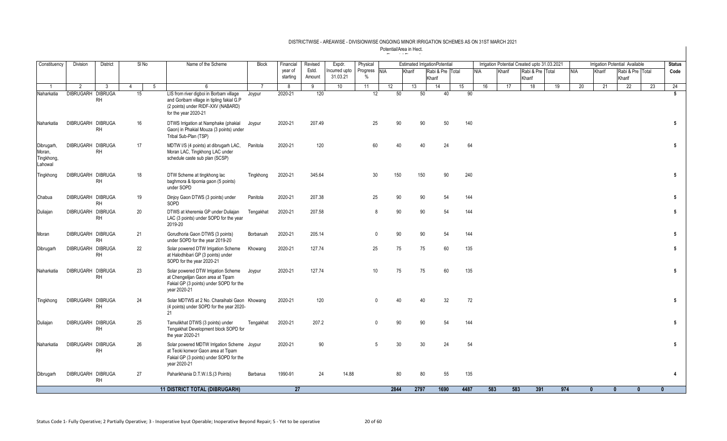| Constituency                                  | Division                 | District     | SI <sub>No</sub> |   | Name of the Scheme                                                                                                                                 | <b>Block</b>   | Financial           | Revised         | Expdr.                   | Physical                      |                 |        | <b>Estimated IrrigationPotential</b> |    |      |            |        | Irrigation Potential Created upto 31.03.2021 |     |     |     |              | <b>Irrigation Potential Available</b> |    | <b>Status</b>   |
|-----------------------------------------------|--------------------------|--------------|------------------|---|----------------------------------------------------------------------------------------------------------------------------------------------------|----------------|---------------------|-----------------|--------------------------|-------------------------------|-----------------|--------|--------------------------------------|----|------|------------|--------|----------------------------------------------|-----|-----|-----|--------------|---------------------------------------|----|-----------------|
|                                               |                          |              |                  |   |                                                                                                                                                    |                | year of<br>starting | Estd.<br>Amount | ncurred upto<br>31.03.21 | Progress NIA<br>$\frac{0}{0}$ |                 | Kharif | Rabi & Pre Total<br>Kharif           |    |      | <b>NIA</b> | Kharif | Rabi & Pre Total<br>Kharif                   |     |     | NIA | Kharif       | Rabi & Pre Total<br>Kharif            |    | Code            |
|                                               | 2                        | $\mathbf{3}$ | $\overline{4}$   | 5 | 6                                                                                                                                                  | $\overline{7}$ | 8                   | 9               | 10                       | 11                            | 12              | 13     | 14                                   | 15 |      | 16         | 17     | 18                                           |     | 19  | 20  | 21           | $\overline{22}$                       | 23 | 24              |
| Naharkatia                                    | <b>DIBRUGARH DIBRUGA</b> | <b>RH</b>    | 15               |   | LIS from river digboi in Borbam village<br>and Goribam village in tipling fakial G.P<br>(2 points) under RIDF-XXV (NABARD)<br>for the year 2020-21 | Joypur         | 2020-21             | 120             |                          | 12                            | 50              | 50     | 40                                   |    | 90   |            |        |                                              |     |     |     |              |                                       |    | 5               |
| Naharkatia                                    | DIBRUGARH DIBRUGA        | <b>RH</b>    | 16               |   | DTWS Irrigation at Namphake (phakial<br>Gaon) in Phakial Mouza (3 points) under<br>Tribal Sub-Plan (TSP)                                           | Joypur         | 2020-21             | 207.49          |                          | 25                            | 90              | 90     | 50                                   |    | 140  |            |        |                                              |     |     |     |              |                                       |    | 5               |
| Dibrugarh,<br>Moran,<br>Tingkhong,<br>Lahowal | DIBRUGARH DIBRUGA        | <b>RH</b>    | 17               |   | MDTW I/S (4 points) at dibrugarh LAC,<br>Moran LAC, Tingkhong LAC under<br>schedule caste sub plan (SCSP)                                          | Panitola       | 2020-21             | 120             |                          | 60                            |                 | 40     | 24                                   |    | 64   |            |        |                                              |     |     |     |              |                                       |    | 5               |
| Tingkhong                                     | DIBRUGARH DIBRUGA        | <b>RH</b>    | 18               |   | DTW Scheme at tingkhong lac<br>baghmora & tipomia gaon (5 points)<br>under SOPD                                                                    | Tingkhong      | 2020-21             | 345.64          |                          | 30                            | 150             | 150    | 90                                   |    | 240  |            |        |                                              |     |     |     |              |                                       |    | $5\phantom{.0}$ |
| Chabua                                        | DIBRUGARH DIBRUGA        | <b>RH</b>    | 19               |   | Dinjoy Gaon DTWS (3 points) under<br>SOPD                                                                                                          | Panitola       | 2020-21             | 207.38          |                          | 25                            | 90              | 90     | 54                                   |    | 144  |            |        |                                              |     |     |     |              |                                       |    | 5               |
| Duliajan                                      | DIBRUGARH DIBRUGA        | <b>RH</b>    | 20               |   | DTWS at kheremia GP under Duliajan<br>LAC (3 points) under SOPD for the year<br>2019-20                                                            | Tengakhat      | 2020-21             | 207.58          |                          | 8                             | 90              | 90     | 54                                   |    | 144  |            |        |                                              |     |     |     |              |                                       |    | 5               |
| Moran                                         | DIBRUGARH DIBRUGA        | <b>RH</b>    | 21               |   | Gorudhoria Gaon DTWS (3 points)<br>under SOPD for the year 2019-20                                                                                 | Borbaruah      | 2020-21             | 205.14          |                          | $\Omega$                      | 90              |        | 90<br>54                             |    | 144  |            |        |                                              |     |     |     |              |                                       |    | 5               |
| Dibrugarh                                     | DIBRUGARH DIBRUGA        | <b>RH</b>    | 22               |   | Solar powered DTW Irrigation Scheme<br>at Halodhibari GP (3 points) under<br>SOPD for the year 2020-21                                             | Khowang        | 2020-21             | 127.74          |                          | 25                            | 75              | 75     | 60                                   |    | 135  |            |        |                                              |     |     |     |              |                                       |    | 5               |
| Naharkatia                                    | DIBRUGARH DIBRUGA        | <b>RH</b>    | 23               |   | Solar powered DTW Irrigation Scheme<br>at Chengelijan Gaon area at Tipam<br>Fakial GP (3 points) under SOPD for the<br>year 2020-21                | Joypur         | 2020-21             | 127.74          |                          | 10                            | 75              | 75     | 60                                   |    | 135  |            |        |                                              |     |     |     |              |                                       |    | 5               |
| Tingkhong                                     | DIBRUGARH DIBRUGA        | <b>RH</b>    | 24               |   | Solar MDTWS at 2 No. Charaihabi Gaon Khowang<br>(4 points) under SOPD for the year 2020-<br>21                                                     |                | 2020-21             | 120             |                          | $\Omega$                      | $\Delta \Omega$ | 40     | 32                                   |    | 72   |            |        |                                              |     |     |     |              |                                       |    | 5               |
| Duliajan                                      | DIBRUGARH DIBRUGA        | <b>RH</b>    | 25               |   | Tamulikhat DTWS (3 points) under<br>Tengakhat Development block SOPD for<br>the year 2020-21                                                       | Tengakhat      | 2020-21             | 207.2           |                          | $\Omega$                      | 90              | 90     | 54                                   |    | 144  |            |        |                                              |     |     |     |              |                                       |    | $5\phantom{.0}$ |
| Naharkatia                                    | DIBRUGARH DIBRUGA        | <b>RH</b>    | 26               |   | Solar powered MDTW Irrigation Scheme Joypur<br>at Teoki konwor Gaon area at Tipam<br>Fakial GP (3 points) under SOPD for the<br>year 2020-21       |                | 2020-21             | 90              |                          | 5                             | 30              | 30     | 24                                   |    | 54   |            |        |                                              |     |     |     |              |                                       |    | 5               |
| Dibrugarh                                     | DIBRUGARH DIBRUGA        | <b>RH</b>    | 27               |   | Paharikhania D.T.W.I.S.(3 Points)                                                                                                                  | Barbarua       | 1990-91             | 24              | 14.88                    |                               | 80              | 80     | 55                                   |    | 135  |            |        |                                              |     |     |     |              |                                       |    | 4               |
|                                               |                          |              |                  |   | <b>11 DISTRICT TOTAL (DIBRUGARH)</b>                                                                                                               |                | 27                  |                 |                          |                               | 2844            | 2797   | 1690                                 |    | 4487 | 583        |        | 583                                          | 391 | 974 |     | $\mathbf{0}$ | $\mathbf{0}$<br>$\mathbf{u}$          |    | $\mathbf{u}$    |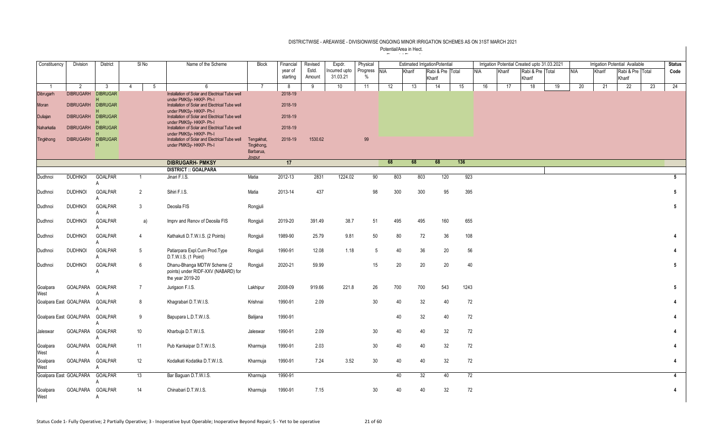| Constituency           | Division         | <b>District</b>      |   | $SI$ No         | Name of the Scheme                                                                      | <b>Block</b>        | Financial           | Revised         | Expdr.                   | Physical          |     |                 | <b>Estimated IrrigationPotential</b> |      |                 |        | Irrigation Potential Created upto 31.03.2021 |    |            |        | Irrigation Potential Available |    | <b>Status</b>          |
|------------------------|------------------|----------------------|---|-----------------|-----------------------------------------------------------------------------------------|---------------------|---------------------|-----------------|--------------------------|-------------------|-----|-----------------|--------------------------------------|------|-----------------|--------|----------------------------------------------|----|------------|--------|--------------------------------|----|------------------------|
|                        |                  |                      |   |                 |                                                                                         |                     | year of<br>starting | Estd.<br>Amount | ncurred upto<br>31.03.21 | Progress NIA<br>% |     | Kharif          | Rabi & Pre Total<br>Kharif           |      | <b>NIA</b>      | Kharif | Rabi & Pre Total<br>Kharif                   |    | <b>NIA</b> | Kharif | Rabi & Pre Total<br>Kharif     |    | Code                   |
| -1                     | 2                | 3                    | 4 |                 | 5<br>6                                                                                  | 7                   | 8                   | 9               | 10                       | 11                | 12  | 13              | 14                                   | 15   | 16              | 17     | 18                                           | 19 | 20         | 21     | 22                             | 23 | 24                     |
| Dibrugarh              | <b>DIBRUGARH</b> | <b>DIBRUGAR</b>      |   |                 | Installation of Solar and Electrical Tube well<br>under PMKSv- HKKP- Ph-I               |                     | 2018-19             |                 |                          |                   |     |                 |                                      |      |                 |        |                                              |    |            |        |                                |    |                        |
| Moran                  | <b>DIBRUGARH</b> | <b>DIBRUGAR</b>      |   |                 | Installation of Solar and Electrical Tube well                                          |                     | 2018-19             |                 |                          |                   |     |                 |                                      |      |                 |        |                                              |    |            |        |                                |    |                        |
| Duliajan               | <b>DIBRUGARH</b> | <b>DIBRUGAR</b>      |   |                 | under PMKSy-HKKP- Ph-I<br>Installation of Solar and Electrical Tube well                |                     | 2018-19             |                 |                          |                   |     |                 |                                      |      |                 |        |                                              |    |            |        |                                |    |                        |
| Naharkatia             | <b>DIBRUGARH</b> | <b>DIBRUGAR</b>      |   |                 | under PMKSy-HKKP- Ph-I<br>Installation of Solar and Electrical Tube well                |                     | 2018-19             |                 |                          |                   |     |                 |                                      |      |                 |        |                                              |    |            |        |                                |    |                        |
| Tingkhong              | <b>DIBRUGARH</b> | н<br><b>DIBRUGAR</b> |   |                 | under PMKSy-HKKP- Ph-I<br>Installation of Solar and Electrical Tube well                | Tengakhat,          | 2018-19             | 1530.62         |                          | 99                |     |                 |                                      |      |                 |        |                                              |    |            |        |                                |    |                        |
|                        |                  | н                    |   |                 | under PMKSy-HKKP- Ph-I                                                                  | Tingkhong,          |                     |                 |                          |                   |     |                 |                                      |      |                 |        |                                              |    |            |        |                                |    |                        |
|                        |                  |                      |   |                 |                                                                                         | Barbarua,<br>Jovour |                     |                 |                          |                   |     |                 |                                      |      |                 |        |                                              |    |            |        |                                |    |                        |
|                        |                  |                      |   |                 | <b>DIBRUGARH- PMKSY</b>                                                                 |                     | 17                  |                 |                          |                   | 68  | 68              | 68                                   | 136  |                 |        |                                              |    |            |        |                                |    |                        |
|                        |                  |                      |   |                 | <b>DISTRICT :: GOALPARA</b>                                                             |                     |                     |                 |                          |                   |     |                 |                                      |      |                 |        |                                              |    |            |        |                                |    |                        |
| Dudhnoi                | <b>DUDHNOI</b>   | <b>GOALPAR</b>       |   | $\overline{1}$  | Jinari F.I.S.                                                                           | Matia               | 2012-13             | 2831            | 1224.02                  | 90                | 803 | 803             | 120                                  | 923  |                 |        |                                              |    |            |        |                                |    | $5\overline{5}$        |
| Dudhnoi                | <b>DUDHNOI</b>   | <b>GOALPAR</b>       |   | $\overline{2}$  | Sihiri F.I.S.                                                                           | Matia               | 2013-14             | 437             |                          | 98                | 300 | 300             | 95                                   | 395  |                 |        |                                              |    |            |        |                                |    | 5                      |
| Dudhnoi                | <b>DUDHNOI</b>   | <b>GOALPAR</b><br>А  |   | 3               | Deosila FIS                                                                             | Rongjuli            |                     |                 |                          |                   |     |                 |                                      |      |                 |        |                                              |    |            |        |                                |    | 5                      |
| Dudhnoi                | <b>DUDHNOI</b>   | <b>GOALPAR</b>       |   | a)              | Imprv and Renov of Deosila FIS                                                          | Rongjuli            | 2019-20             | 391.49          | 38.7                     | 51                | 495 | 495             | 160                                  | 655  |                 |        |                                              |    |            |        |                                |    |                        |
| Dudhnoi                | <b>DUDHNOI</b>   | <b>GOALPAR</b>       |   | $\overline{4}$  | Kathakuti D.T.W.I.S. (2 Points)                                                         | Rongjuli            | 1989-90             | 25.79           | 9.81                     | 50                | 80  | 72              | 36                                   | 108  |                 |        |                                              |    |            |        |                                |    |                        |
| Dudhnoi                | <b>DUDHNOI</b>   | <b>GOALPAR</b>       |   | 5               | Patiarpara Expl.Cum Prod.Type<br>D.T.W.I.S. (1 Point)                                   | Rongjuli            | 1990-91             | 12.08           | 1.18                     | 5                 | 40  | 36              | 20                                   | 56   |                 |        |                                              |    |            |        |                                |    | $\boldsymbol{\Lambda}$ |
| Dudhnoi                | <b>DUDHNOI</b>   | <b>GOALPAR</b>       |   | 6               | Dhanu-Bhanga MDTW Scheme (2)<br>points) under RIDF-XXV (NABARD) for<br>the year 2019-20 | Rongjuli            | 2020-21             | 59.99           |                          | 15                | 20  | 20              | 20                                   | 40   |                 |        |                                              |    |            |        |                                |    | 5                      |
| Goalpara<br>West       | GOALPARA         | <b>GOALPAR</b>       |   | $7\overline{ }$ | Jurigaon F.I.S.                                                                         | Lakhipur            | 2008-09             | 919.66          | 221.8                    | 26                | 700 | 700             | 543                                  | 1243 |                 |        |                                              |    |            |        |                                |    | $5\phantom{.0}$        |
| Goalpara East GOALPARA |                  | GOALPAR              |   | 8               | Khagrabari D.T.W.I.S.                                                                   | Krishnai            | 1990-91             | 2.09            |                          | 30                | 40  | 32              | 40                                   | 72   |                 |        |                                              |    |            |        |                                |    |                        |
| Goalpara East GOALPARA |                  | <b>GOALPAR</b>       |   | 9               | Bapupara L.D.T.W.I.S.                                                                   | Balijana            | 1990-91             |                 |                          |                   | 40  | 32              | 40                                   | 72   |                 |        |                                              |    |            |        |                                |    |                        |
| Jaleswar               | GOALPARA GOALPAR |                      |   | 10              | Kharbuja D.T.W.I.S.                                                                     | Jaleswar            | 1990-91             | 2.09            |                          | 30                | 40  | 40              | 32                                   | 72   |                 |        |                                              |    |            |        |                                |    |                        |
| Goalpara<br>West       | GOALPARA         | <b>GOALPAR</b><br>А  |   | 11              | Pub Kankaipar D.T.W.I.S.                                                                | Kharmuja            | 1990-91             | 2.03            |                          | 30                | 40  | 40              | 32                                   | 72   |                 |        |                                              |    |            |        |                                |    |                        |
| Goalpara<br>West       | GOALPARA         | <b>GOALPAR</b>       |   | 12              | Kodalkati Kodatika D.T.W.I.S.                                                           | Kharmuja            | 1990-91             | 7.24            | 3.52                     | 30                | 40  | 40              | 32                                   | 72   |                 |        |                                              |    |            |        |                                |    | 4                      |
| Goalpara East GOALPARA |                  | <b>GOALPAR</b>       |   | 13              | Bar Baquan D.T.W.I.S.                                                                   | Kharmuja            | 1990-91             |                 |                          |                   | 40  | $\overline{32}$ | 40                                   |      | $\overline{72}$ |        |                                              |    |            |        |                                |    | $\overline{4}$         |
| Goalpara<br>West       | <b>GOALPARA</b>  | <b>GOALPAR</b><br>А  |   | 14              | Chinabari D.T.W.I.S.                                                                    | Kharmuja            | 1990-91             | 7.15            |                          | 30                | 40  | 40              | 32                                   | 72   |                 |        |                                              |    |            |        |                                |    | 4                      |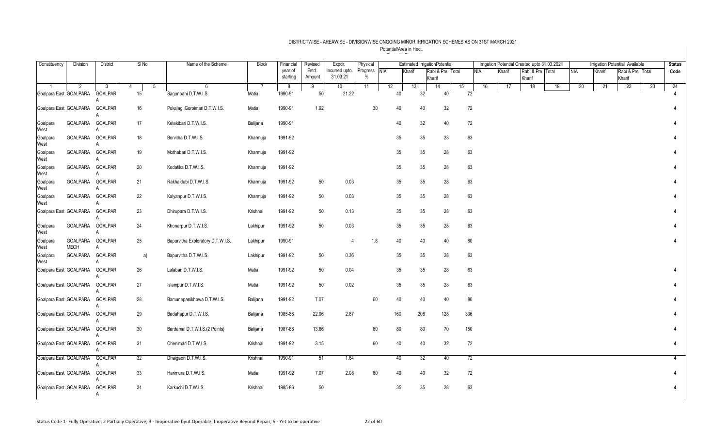| Constituency     | Division                | <b>District</b>     | SI <sub>No</sub> | Name of the Scheme                | <b>Block</b> | Financial           | Revised         | Expdr.                    | Physical                      |     |        | <b>Estimated IrrigationPotential</b> |    |            |        | Irrigation Potential Created upto 31.03.2021 |    |     |        | <b>Irrigation Potential Available</b> |    | <b>Status</b> |
|------------------|-------------------------|---------------------|------------------|-----------------------------------|--------------|---------------------|-----------------|---------------------------|-------------------------------|-----|--------|--------------------------------------|----|------------|--------|----------------------------------------------|----|-----|--------|---------------------------------------|----|---------------|
|                  |                         |                     |                  |                                   |              | year of<br>starting | Estd.<br>Amount | Incurred upto<br>31.03.21 | Progress NIA<br>$\frac{0}{0}$ |     | Kharif | Rabi & Pre Total<br>Kharif           |    | <b>NIA</b> | Kharif | Rabi & Pre Total<br>Kharif                   |    | NIA | Kharif | Rabi & Pre Total<br>Kharif            |    | Code          |
|                  | 2                       | 3                   | 5<br>4           | 6                                 |              | 8                   | 9               | 10                        | 11                            | 12  | 13     | 14                                   | 15 | 16         | 17     | 18                                           | 19 | 20  | 21     | 22                                    | 23 | 24            |
|                  | Goalpara East GOALPARA  | GOALPAR             | 15               | Sagunbahi D.T.W.I.S.              | Matia        | 1990-91             | 50              | 21.22                     |                               | 40  |        | 32<br>40                             |    | 72         |        |                                              |    |     |        |                                       |    |               |
|                  | Goalpara East GOALPARA  | GOALPAR<br>A        | 16               | Pokalagi Goroimari D.T.W.I.S.     | Matia        | 1990-91             | 1.92            |                           | 30                            | 40  |        | 40<br>32                             |    | 72         |        |                                              |    |     |        |                                       |    |               |
| Goalpara<br>West | GOALPARA                | <b>GOALPAR</b><br>A | 17               | Ketekibari D.T.W.I.S.             | Balijana     | 1990-91             |                 |                           |                               | 40  |        | 32<br>40                             |    | 72         |        |                                              |    |     |        |                                       |    |               |
| Goalpara<br>West | GOALPARA                | <b>GOALPAR</b><br>A | 18               | Borvitha D.T.W.I.S.               | Kharmuja     | 1991-92             |                 |                           |                               | 35  |        | 35<br>28                             |    | 63         |        |                                              |    |     |        |                                       |    |               |
| Goalpara<br>West | GOALPARA                | GOALPAR<br>A        | 19               | Mothabari D.T.W.I.S.              | Kharmuja     | 1991-92             |                 |                           |                               | 35  |        | 35<br>28                             |    | 63         |        |                                              |    |     |        |                                       |    |               |
| Goalpara<br>West | GOALPARA                | GOALPAR<br>A        | 20               | Kodatika D.T.W.I.S.               | Kharmuja     | 1991-92             |                 |                           |                               | 35  |        | 35<br>28                             |    | 63         |        |                                              |    |     |        |                                       |    |               |
| Goalpara<br>West | GOALPARA GOALPAR        | A                   | 21               | Rakhaldubi D.T.W.I.S.             | Kharmuja     | 1991-92             | 50              | 0.03                      |                               | 35  |        | 35<br>28                             |    | 63         |        |                                              |    |     |        |                                       |    |               |
| Goalpara<br>West | GOALPARA                | GOALPAR<br>A        | 22               | Kalyanpur D.T.W.I.S.              | Kharmuja     | 1991-92             | 50              | 0.03                      |                               | 35  |        | 35<br>28                             |    | 63         |        |                                              |    |     |        |                                       |    |               |
|                  | Goalpara East GOALPARA  | GOALPAR<br>A        | 23               | Dhirupara D.T.W.I.S.              | Krishnai     | 1991-92             | 50              | 0.13                      |                               | 35  |        | 35<br>28                             |    | 63         |        |                                              |    |     |        |                                       |    |               |
| Goalpara<br>West | GOALPARA GOALPAR        | A                   | 24               | Khonarpur D.T.W.I.S.              | Lakhipur     | 1991-92             | 50              | 0.03                      |                               | 35  |        | 35<br>28                             |    | 63         |        |                                              |    |     |        |                                       |    |               |
| Goalpara<br>West | GOALPARA<br><b>MECH</b> | GOALPAR<br>A        | 25               | Bapurvitha Exploratory D.T.W.I.S. | Lakhipur     | 1990-91             |                 | $\overline{4}$            | 1.8                           | 40  |        | 40<br>40                             |    | 80         |        |                                              |    |     |        |                                       |    |               |
| Goalpara<br>West | GOALPARA                | GOALPAR<br>A        | a)               | Bapurvitha D.T.W.I.S.             | Lakhipur     | 1991-92             | 50              | 0.36                      |                               | 35  |        | 35<br>28                             |    | 63         |        |                                              |    |     |        |                                       |    |               |
|                  | Goalpara East GOALPARA  | <b>GOALPAR</b><br>A | 26               | Lalabari D.T.W.I.S.               | Matia        | 1991-92             | 50              | 0.04                      |                               | 35  |        | 35<br>28                             |    | 63         |        |                                              |    |     |        |                                       |    |               |
|                  | Goalpara East GOALPARA  | GOALPAR             | 27               | Islampur D.T.W.I.S.               | Matia        | 1991-92             | 50              | 0.02                      |                               | 35  |        | 28<br>35                             |    | 63         |        |                                              |    |     |        |                                       |    |               |
|                  | Goalpara East GOALPARA  | GOALPAR<br>A        | 28               | Bamunepanikhowa D.T.W.I.S.        | Balijana     | 1991-92             | 7.07            |                           | 60                            | 40  |        | 40<br>40                             |    | 80         |        |                                              |    |     |        |                                       |    |               |
|                  | Goalpara East GOALPARA  | <b>GOALPAR</b>      | 29               | Badahapur D.T.W.I.S.              | Balijana     | 1985-86             | 22.06           | 2.87                      |                               | 160 | 208    | 128                                  |    | 336        |        |                                              |    |     |        |                                       |    |               |
|                  | Goalpara East GOALPARA  | GOALPAR<br>A        | 30               | Bardamal D.T.W.I.S.(2 Points)     | Balijana     | 1987-88             | 13.66           |                           | 60                            | 80  |        | 80<br>70                             |    | 150        |        |                                              |    |     |        |                                       |    |               |
|                  | Goalpara East GOALPARA  | <b>GOALPAR</b><br>A | 31               | Chenimari D.T.W.I.S.              | Krishnai     | 1991-92             | 3.15            |                           | 60                            | 40  |        | 40<br>32                             |    | 72         |        |                                              |    |     |        |                                       |    |               |
|                  | Goalpara East GOALPARA  | GOALPAR<br>A        | 32               | Dhaigaon D.T.W.I.S.               | Krishnai     | 1990-91             | 51              | 1.64                      |                               | 40  |        | 32<br>40                             |    | 72         |        |                                              |    |     |        |                                       |    | 4             |
|                  | Goalpara East GOALPARA  | <b>GOALPAR</b>      | 33               | Harimura D.T.W.I.S.               | Matia        | 1991-92             | 7.07            | 2.08                      | 60                            | 40  |        | 40<br>32                             |    | 72         |        |                                              |    |     |        |                                       |    |               |
|                  | Goalpara East GOALPARA  | <b>GOALPAR</b><br>Α | 34               | Karkuchi D.T.W.I.S.               | Krishnai     | 1985-86             | 50              |                           |                               | 35  |        | 28<br>35                             |    | 63         |        |                                              |    |     |        |                                       |    |               |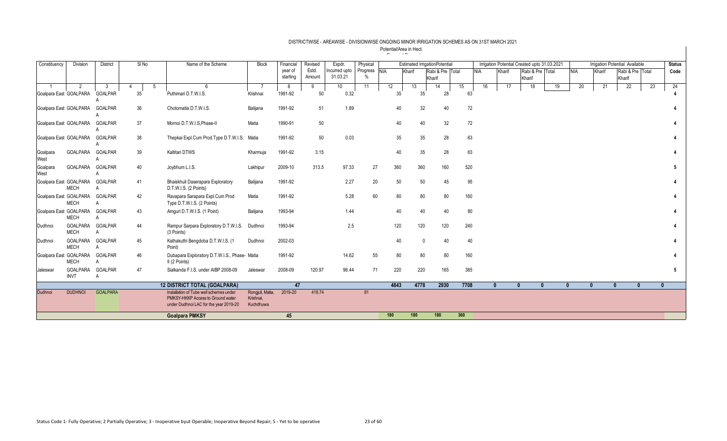| Constituency           | Division                | <b>District</b>     | $SI$ No | Name of the Scheme                                                          | Block                  | Financial | Revised | Expdr.          | Physical     |      | <b>Estimated IrrigationPotential</b> |                  |                  |            |              | Irrigation Potential Created upto 31.03.2021 |    |              |              | Irrigation Potential Available |    | <b>Status</b> |
|------------------------|-------------------------|---------------------|---------|-----------------------------------------------------------------------------|------------------------|-----------|---------|-----------------|--------------|------|--------------------------------------|------------------|------------------|------------|--------------|----------------------------------------------|----|--------------|--------------|--------------------------------|----|---------------|
|                        |                         |                     |         |                                                                             |                        | year of   | Estd.   | Incurred upto   | Progress NIA |      | Kharif                               | Rabi & Pre Total |                  | <b>NIA</b> | Kharif       | Rabi & Pre Total                             |    | <b>NIA</b>   | Kharif       | Rabi & Pre Total               |    | Code          |
|                        |                         |                     |         |                                                                             |                        | starting  | Amount  | 31.03.21        |              |      |                                      | Kharif           |                  |            |              | Kharif                                       |    |              |              | Kharif                         |    |               |
|                        | 2                       |                     |         | -6<br>5                                                                     |                        | 8         | 9       | 10 <sup>1</sup> | 11           | 12   | 13                                   | 14               | 15 <sup>15</sup> | 16         | 17           | 18                                           | 19 | 20           | 21           | 22                             | 23 | 24            |
| Goalpara East GOALPARA |                         | <b>GOALPAR</b>      | 35      | Puthimari D.T.W.I.S.                                                        | Krishnai               | 1991-92   | 50      | 0.32            |              | 35   | 35                                   | 28               | 63               |            |              |                                              |    |              |              |                                |    |               |
| Goalpara East GOALPARA |                         | <b>GOALPAR</b>      | 36      | Chotomatia D.T.W.I.S.                                                       | Balijana               | 1991-92   | 51      | 1.89            |              | 40   | 32                                   | 40               | 72               |            |              |                                              |    |              |              |                                |    |               |
| Goalpara East GOALPARA |                         | <b>GOALPAR</b>      | 37      | Mornoi D.T.W.I.S, Phase-II                                                  | Matia                  | 1990-91   | 50      |                 |              | 40   | 40                                   | 32               | 72               |            |              |                                              |    |              |              |                                |    |               |
| Goalpara East GOALPARA |                         | <b>GOALPAR</b>      | 38      | Thepkai Expl.Cum Prod.Type D.T.W.I.S. Matia                                 |                        | 1991-92   | 50      | 0.03            |              | 35   | 35                                   | 28               | 63               |            |              |                                              |    |              |              |                                |    |               |
| Goalpara<br>West       | GOALPARA                | <b>GOALPAR</b>      | 39      | Kaltitari DTWS                                                              | Kharmuja               | 1991-92   | 3.15    |                 |              | 40   | 35                                   | 28               | 63               |            |              |                                              |    |              |              |                                |    |               |
| Goalpara<br>West       | GOALPARA                | <b>GOALPAR</b>      | 40      | Joybhum L.I.S.                                                              | Lakhipur               | 2009-10   | 313.5   | 97.33           | 27           | 360  | 360                                  | 160              | 520              |            |              |                                              |    |              |              |                                |    |               |
| Goalpara East GOALPARA | <b>MECH</b>             | <b>GOALPAR</b>      | 41      | Bhaiskhuli Daserapara Exploratory<br>D.T.W.I.S. (2 Points)                  | Balijana               | 1991-92   |         | 2.27            | 20           | 50   | 50                                   | 45               | 95               |            |              |                                              |    |              |              |                                |    |               |
| Goalpara East GOALPARA | <b>MECH</b>             | <b>GOALPAR</b>      | 42      | Ravapara Sarapara Expl.Cum Prod<br>Type D.T.W.I.S. (2 Points)               | Matia                  | 1991-92   |         | 5.28            | 60           | 80   | 80                                   | 80               | 160              |            |              |                                              |    |              |              |                                |    |               |
| Goalpara East GOALPARA | <b>MECH</b>             | <b>GOALPAR</b><br>А | 43      | Amquri D.T.W.I.S. (1 Point)                                                 | Balijana               | 1993-94   |         | 1.44            |              | 40   | 40                                   | 40               | 80               |            |              |                                              |    |              |              |                                |    |               |
| Dudhnoi                | GOALPARA<br><b>MECH</b> | <b>GOALPAR</b><br>A | 44      | Rampur Sarpara Exploratory D.T.W.I.S.<br>(3 Points)                         | Dudhnoi                | 1993-94   |         | 2.5             |              | 120  | 120                                  | 120              | 240              |            |              |                                              |    |              |              |                                |    |               |
| Dudhnoi                | GOALPARA<br><b>MECH</b> | <b>GOALPAR</b>      | 45      | Kathakuthi Bengdoba D.T.W.I.S. (1<br>Point)                                 | Dudhnoi                | 2002-03   |         |                 |              | 40   |                                      | 40               | 40               |            |              |                                              |    |              |              |                                |    |               |
| Goalpara East GOALPARA | <b>MECH</b>             | <b>GOALPAR</b>      | 46      | Dubapara Exploratory D.T.W.I.S., Phase- Matia<br>II (2 Points)              |                        | 1991-92   |         | 14.62           | 55           | 80   | 80                                   | 80               | 160              |            |              |                                              |    |              |              |                                |    |               |
| Jaleswar               | GOALPARA<br><b>INVT</b> | <b>GOALPAR</b><br>А | 47      | Sialkanda F.I.S. under AIBP 2008-09                                         | Jaleswar               | 2008-09   | 120.97  | 96.44           | 71           | 220  | 220                                  | 165              | 385              |            |              |                                              |    |              |              |                                |    |               |
|                        |                         |                     |         | <b>12 DISTRICT TOTAL (GOALPARA)</b>                                         |                        | 47        |         |                 |              | 4843 | 4778                                 | 2930             | 7708             |            | $\mathbf{0}$ | $\mathbf{0}$<br>$\mathbf{0}$                 |    | $\mathbf{0}$ | $\mathbf{0}$ | $\mathbf{0}$<br>$\mathbf{0}$   |    |               |
| Dudhnoi                | <b>DUDHNOI</b>          | <b>GOALPARA</b>     |         | Installation of Tube well schemes under                                     | Rongjuli, Matia,       | 2019-20   | 418.74  |                 | 81           |      |                                      |                  |                  |            |              |                                              |    |              |              |                                |    |               |
|                        |                         |                     |         | PMKSY-HKKP Access to Ground water<br>under Dudhnoi LAC for the year 2019-20 | Krishnai.<br>Kuchdhuwa |           |         |                 |              |      |                                      |                  |                  |            |              |                                              |    |              |              |                                |    |               |
|                        |                         |                     |         |                                                                             |                        |           |         |                 |              |      |                                      |                  |                  |            |              |                                              |    |              |              |                                |    |               |
|                        |                         |                     |         | <b>Goalpara PMKSY</b>                                                       |                        | 45        |         |                 |              | 180  | 180                                  | 180              | 360              |            |              |                                              |    |              |              |                                |    |               |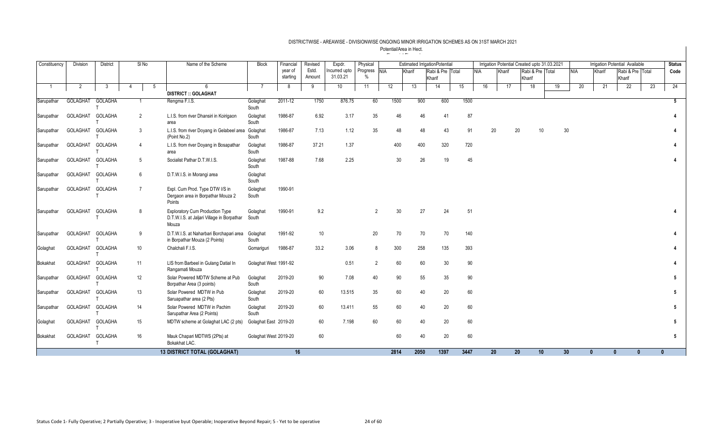| Constituency   | Division | <b>District</b>         | SI No          | Name of the Scheme                                                                            | <b>Block</b>          | Financial           | Revised         | Expdr.                    | Physical             |      |        | <b>Estimated IrrigationPotential</b> |    |      |    |        | Irrigation Potential Created upto 31.03.2021 |                  |                 |            |              | Irrigation Potential Available |    | <b>Status</b> |
|----------------|----------|-------------------------|----------------|-----------------------------------------------------------------------------------------------|-----------------------|---------------------|-----------------|---------------------------|----------------------|------|--------|--------------------------------------|----|------|----|--------|----------------------------------------------|------------------|-----------------|------------|--------------|--------------------------------|----|---------------|
|                |          |                         |                |                                                                                               |                       | year of<br>starting | Estd.<br>Amount | Incurred upto<br>31.03.21 | Progress NIA<br>$\%$ |      | Kharif | Rabi & Pre Total<br>Kharif           |    | NIA  |    | Kharif | Kharif                                       | Rabi & Pre Total |                 | <b>NIA</b> | Kharif       | Rabi & Pre Total<br>Kharif     |    | Code          |
| $\overline{1}$ | 2        | 3                       | -5<br>4        | -6                                                                                            | -7                    | 8                   | 9               | 10                        | 11                   | 12   | 13     | 14                                   | 15 |      | 16 | 17     |                                              | 18               | 19              | 20         | 21           | 22                             | 23 | 24            |
|                |          |                         |                | <b>DISTRICT :: GOLAGHAT</b>                                                                   |                       |                     |                 |                           |                      |      |        |                                      |    |      |    |        |                                              |                  |                 |            |              |                                |    |               |
| Sarupathar     | GOLAGHAT | <b>GOLAGHA</b>          |                | Rengma F.I.S.                                                                                 | Golaghat<br>South     | 2011-12             | 1750            | 876.75                    | 60                   | 1500 | 900    | 600                                  |    | 1500 |    |        |                                              |                  |                 |            |              |                                |    | 5             |
| Sarupathar     | GOLAGHAT | GOLAGHA                 | 2              | L.I.S. from river Dhansiri in Koirigaon<br>area                                               | Golaghat<br>South     | 1986-87             | 6.92            | 3.17                      | 35                   | 46   | 46     | 41                                   |    | 87   |    |        |                                              |                  |                 |            |              |                                |    | 4             |
| Sarupathar     | GOLAGHAT | GOLAGHA                 | 3              | L.I.S. from river Doyang in Gelabeel area<br>(Point No.2)                                     | Golaghat<br>South     | 1986-87             | 7.13            | 1.12                      | 35                   | 48   | 48     | 43                                   |    | 91   | 20 |        | 20                                           | 10 <sup>°</sup>  | 30              |            |              |                                |    |               |
| Sarupathar     | GOLAGHAT | GOLAGHA                 | $\overline{4}$ | L.I.S. from river Doyang in Bosapathar<br>area                                                | Golaghat<br>South     | 1986-87             | 37.21           | 1.37                      |                      | 400  | 400    | 320                                  |    | 720  |    |        |                                              |                  |                 |            |              |                                |    |               |
| Sarupathar     | GOLAGHAT | GOLAGHA                 | 5              | Socialist Pathar D.T.W.I.S.                                                                   | Golaghat<br>South     | 1987-88             | 7.68            | 2.25                      |                      | 30   | 26     | 19                                   |    | 45   |    |        |                                              |                  |                 |            |              |                                |    |               |
| Sarupathar     | GOLAGHAT | <b>GOLAGHA</b>          | 6              | D.T.W.I.S. in Morangi area                                                                    | Golaghat<br>South     |                     |                 |                           |                      |      |        |                                      |    |      |    |        |                                              |                  |                 |            |              |                                |    |               |
| Sarupathar     | GOLAGHAT | GOLAGHA                 | $\overline{7}$ | Expl. Cum Prod. Type DTW I/S in<br>Dergaon area in Borpathar Mouza 2<br>Points                | Golaghat<br>South     | 1990-91             |                 |                           |                      |      |        |                                      |    |      |    |        |                                              |                  |                 |            |              |                                |    |               |
| Sarupathar     | GOLAGHAT | GOLAGHA                 | 8              | <b>Exploratory Cum Production Type</b><br>D.T.W.I.S. at Jaljari Village in Borpathar<br>Mouza | Golaghat<br>South     | 1990-91             | 9.2             |                           | $\overline{2}$       | 30   | 27     | 24                                   |    | 51   |    |        |                                              |                  |                 |            |              |                                |    |               |
| Sarupathar     | GOLAGHAT | GOLAGHA                 | 9              | D.T.W.I.S. at Naharbari Borchapari area<br>in Borpathar Mouza (2 Points)                      | Golaghat<br>South     | 1991-92             | 10 <sup>°</sup> |                           | 20                   | 70   | 70     | 70                                   |    | 140  |    |        |                                              |                  |                 |            |              |                                |    |               |
| Golaghat       | GOLAGHAT | <b>GOLAGHA</b>          | 10             | Chalchali F.I.S.                                                                              | Gomariguri            | 1986-87             | 33.2            | 3.06                      | 8                    | 300  | 258    | 135                                  |    | 393  |    |        |                                              |                  |                 |            |              |                                |    |               |
| Bokakhat       | GOLAGHAT | GOLAGHA                 | 11             | LIS from Barbeel in Gulang Datial In<br>Rangamati Mouza                                       | Golaghat West 1991-92 |                     |                 | 0.51                      | $\overline{2}$       | 60   | 60     | 30                                   |    | 90   |    |        |                                              |                  |                 |            |              |                                |    |               |
| Sarupathar     | GOLAGHAT | <b>GOLAGHA</b>          | 12             | Solar Powered MDTW Scheme at Pub<br>Borpathar Area (3 points)                                 | Golaghat<br>South     | 2019-20             | 90              | 7.08                      | 40                   | 90   | 55     | 35                                   |    | 90   |    |        |                                              |                  |                 |            |              |                                |    | 5             |
| Sarupathar     | GOLAGHAT | GOLAGHA                 | 13             | Solar Powered MDTW in Pub<br>Saruapathar area (2 Pts)                                         | Golaghat<br>South     | 2019-20             | 60              | 13.515                    | 35                   | 60   | 40     | 20                                   |    | 60   |    |        |                                              |                  |                 |            |              |                                |    | 5             |
| Sarupathar     | GOLAGHAT | <b>GOLAGHA</b>          | 14             | Solar Powered MDTW in Pachim<br>Sarupathar Area (2 Points)                                    | Golaghat<br>South     | 2019-20             | 60              | 13.411                    | 55                   | 60   | 40     | 20                                   |    | 60   |    |        |                                              |                  |                 |            |              |                                |    | 5             |
| Golaghat       | GOLAGHAT | GOLAGHA                 | 15             | MDTW scheme at Golaghat LAC (2 pts)                                                           | Golaghat East 2019-20 |                     | 60              | 7.198                     | 60                   | 60   | 40     | 20                                   |    | 60   |    |        |                                              |                  |                 |            |              |                                |    | 5             |
| Bokakhat       | GOLAGHAT | GOLAGHA<br>$\mathsf{T}$ | 16             | Mauk Chapari MDTWS (2Pts) at<br>Bokakhat LAC.                                                 | Golaghat West 2019-20 |                     | 60              |                           |                      | 60   | 40     | 20                                   |    | 60   |    |        |                                              |                  |                 |            |              |                                |    | 5             |
|                |          |                         |                | <b>13 DISTRICT TOTAL (GOLAGHAT)</b>                                                           |                       | 16                  |                 |                           |                      | 2814 | 2050   | 1397                                 |    | 3447 | 20 |        | 20                                           | 10               | 30 <sup>°</sup> |            | $\mathbf{0}$ | $\mathbf{0}$<br>$\mathbf{0}$   |    | $\mathbf{0}$  |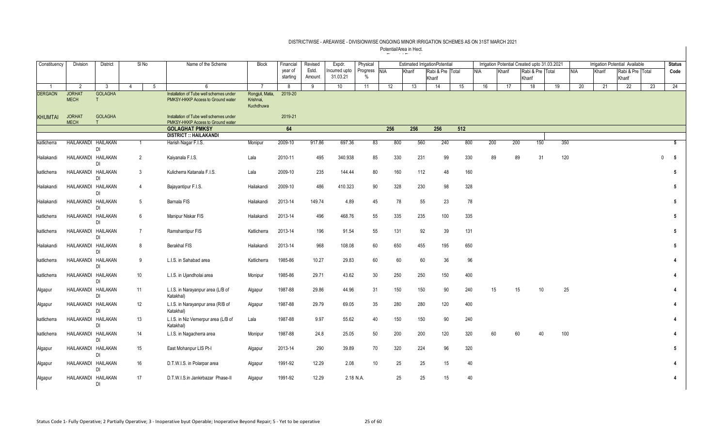| Constituency                     | Division                        | District             |                | $SI$ No        | Name of the Scheme                                                           | <b>Block</b>                       | Financial    | Revised | Expdr.        | Physical      |     |        | <b>Estimated IrrigationPotential</b> |     |            |        |        |                  | Irrigation Potential Created upto 31.03.2021 |            |        | Irrigation Potential Available |    | <b>Status</b>   |
|----------------------------------|---------------------------------|----------------------|----------------|----------------|------------------------------------------------------------------------------|------------------------------------|--------------|---------|---------------|---------------|-----|--------|--------------------------------------|-----|------------|--------|--------|------------------|----------------------------------------------|------------|--------|--------------------------------|----|-----------------|
|                                  |                                 |                      |                |                |                                                                              |                                    | year of      | Estd.   | Incurred upto | Progress NIA  |     | Kharif | Rabi & Pre Total                     |     | <b>NIA</b> | Kharif |        | Rabi & Pre Total |                                              | <b>NIA</b> | Kharif | Rabi & Pre Total               |    | Code            |
|                                  |                                 |                      |                |                |                                                                              |                                    | starting     | Amount  | 31.03.21      | $\frac{0}{0}$ |     |        | Kharif                               |     |            |        | Kharif |                  |                                              |            |        | Kharif                         |    |                 |
| $\overline{1}$<br><b>DERGAON</b> | $\overline{2}$<br><b>JORHAT</b> | -3<br><b>GOLAGHA</b> | $\overline{4}$ | 5              | -6<br>Installation of Tube well schemes under                                | $\overline{7}$<br>Rongjuli, Matia, | 8<br>2019-20 | 9       | 10            | 11            | 12  | 13     | 14                                   | 15  | 16         | 17     |        | 18               | 19                                           | 20         | 21     | 22                             | 23 | 24              |
|                                  | <b>MECH</b>                     |                      |                |                | PMKSY-HKKP Access to Ground water                                            | Krishnai,<br>Kuchdhuwa             |              |         |               |               |     |        |                                      |     |            |        |        |                  |                                              |            |        |                                |    |                 |
| <b>KHUMTAI</b>                   | <b>JORHAT</b><br><b>MECH</b>    | <b>GOLAGHA</b><br>T  |                |                | Installation of Tube well schemes under<br>PMKSY-HKKP Access to Ground water |                                    | 2019-21      |         |               |               |     |        |                                      |     |            |        |        |                  |                                              |            |        |                                |    |                 |
|                                  |                                 |                      |                |                | <b>GOLAGHAT PMKSY</b>                                                        |                                    | 64           |         |               |               | 256 | 256    | 256                                  | 512 |            |        |        |                  |                                              |            |        |                                |    |                 |
|                                  |                                 |                      |                |                | <b>DISTRICT :: HAILAKANDI</b>                                                |                                    |              |         |               |               |     |        |                                      |     |            |        |        |                  |                                              |            |        |                                |    |                 |
| katlicherra                      | HAILAKANDI HAILAKAN             | DI                   |                | $\mathbf{1}$   | Harish Nagar F.I.S.                                                          | Monipur                            | 2009-10      | 917.86  | 697.36        | 83            | 800 | 560    | 240                                  | 800 | 200        |        | 200    | 150              | 350                                          |            |        |                                |    | $5\overline{5}$ |
| Hailakandi                       | HAILAKANDI HAILAKAN             | DI                   |                | $\overline{2}$ | Kaiyanala F.I.S.                                                             | Lala                               | 2010-11      | 495     | 340.938       | 85            | 330 | 231    | 99                                   | 330 | 89         |        | 89     | 31               | 120                                          |            |        |                                |    | 5               |
| katlicherra                      | HAILAKANDI HAILAKAN             | <b>DI</b>            |                | 3              | Kulicherra Katanala F.I.S.                                                   | Lala                               | 2009-10      | 235     | 144.44        | 80            | 160 | 112    | 48                                   | 160 |            |        |        |                  |                                              |            |        |                                |    | 5               |
| Hailakandi                       | HAILAKANDI HAILAKAN             | DI                   |                | $\overline{4}$ | Bajayantipur F.I.S.                                                          | Hailakandi                         | 2009-10      | 486     | 410.323       | 90            | 328 | 230    | 98                                   | 328 |            |        |        |                  |                                              |            |        |                                |    | 5               |
| Hailakandi                       | HAILAKANDI HAILAKAN             | DI                   |                | 5              | Barnala FIS                                                                  | Hailakandi                         | 2013-14      | 149.74  | 4.89          | 45            | 78  | 55     | 23                                   | 78  |            |        |        |                  |                                              |            |        |                                |    | 5               |
| katlicherra                      | HAILAKANDI HAILAKAN             | <b>DI</b>            |                | 6              | Manipur Niskar FIS                                                           | Hailakandi                         | 2013-14      | 496     | 468.76        | 55            | 335 | 235    | 100                                  | 335 |            |        |        |                  |                                              |            |        |                                |    | 5               |
| katlicherra                      | HAILAKANDI HAILAKAN             | DI                   |                | $\overline{7}$ | Ramshantipur FIS                                                             | Katlicherra                        | 2013-14      | 196     | 91.54         | 55            | 131 | 92     | 39                                   | 131 |            |        |        |                  |                                              |            |        |                                |    | $5\phantom{.0}$ |
| Hailakandi                       | HAILAKANDI HAILAKAN             | DI                   |                | 8              | Berakhal FIS                                                                 | Hailakandi                         | 2013-14      | 968     | 108.08        | 60            | 650 | 455    | 195                                  | 650 |            |        |        |                  |                                              |            |        |                                |    | $5\phantom{.0}$ |
| katlicherra                      | HAILAKANDI HAILAKAN             | <b>DI</b>            |                | 9              | L.I.S. in Sahabad area                                                       | Katlicherra                        | 1985-86      | 10.27   | 29.83         | 60            | 60  | 60     | $36\,$                               | 96  |            |        |        |                  |                                              |            |        |                                |    | 4               |
| katlicherra                      | HAILAKANDI HAILAKAN             | DI                   |                | 10             | L.I.S. in Ujandholai area                                                    | Monipur                            | 1985-86      | 29.71   | 43.62         | 30            | 250 | 250    | 150                                  | 400 |            |        |        |                  |                                              |            |        |                                |    | 4               |
| Algapur                          | HAILAKANDI HAILAKAN             | DI                   |                | 11             | L.I.S. in Narayanpur area (L/B of<br>Katakhal)                               | Algapur                            | 1987-88      | 29.86   | 44.96         | 31            | 150 | 150    | 90                                   | 240 | 15         |        | 15     | 10               | 25                                           |            |        |                                |    | 4               |
| Algapur                          | HAILAKANDI HAILAKAN             | DI                   |                | 12             | L.I.S. in Narayanpur area (R/B of<br>Katakhal)                               | Algapur                            | 1987-88      | 29.79   | 69.05         | 35            | 280 | 280    | 120                                  | 400 |            |        |        |                  |                                              |            |        |                                |    | 4               |
| katlicherra                      | HAILAKANDI HAILAKAN             | DI                   |                | 13             | L.I.S. in Niz Vernerpur area (L/B of<br>Katakhal)                            | Lala                               | 1987-88      | 9.97    | 55.62         | 40            | 150 | 150    | 90                                   | 240 |            |        |        |                  |                                              |            |        |                                |    | 4               |
| katlicherra                      | HAILAKANDI HAILAKAN             | <b>DI</b>            | 14             |                | L.I.S. in Nagacherra area                                                    | Monipur                            | 1987-88      | 24.8    | 25.05         | 50            | 200 | 200    | 120                                  | 320 | 60         |        | 60     | 40               | 100                                          |            |        |                                |    |                 |
| Algapur                          | HAILAKANDI HAILAKAN             | DI                   |                | 15             | East Mohanpur LIS Pt-I                                                       | Algapur                            | 2013-14      | 290     | 39.89         | 70            | 320 | 224    | 96                                   | 320 |            |        |        |                  |                                              |            |        |                                |    | 5               |
| Algapur                          | HAILAKANDI HAILAKAN             | DI                   |                | 16             | D.T.W.I.S. in Polarpar area                                                  | Algapur                            | 1991-92      | 12.29   | 2.08          | 10            | 25  | 25     | 15                                   | 40  |            |        |        |                  |                                              |            |        |                                |    | 4               |
| Algapur                          | HAILAKANDI HAILAKAN             | <b>DI</b>            | 17             |                | D.T.W.I.S.in Jankirbazar Phase-II                                            | Algapur                            | 1991-92      | 12.29   | 2.18 N.A.     |               | 25  | 25     | 15                                   | 40  |            |        |        |                  |                                              |            |        |                                |    | 4               |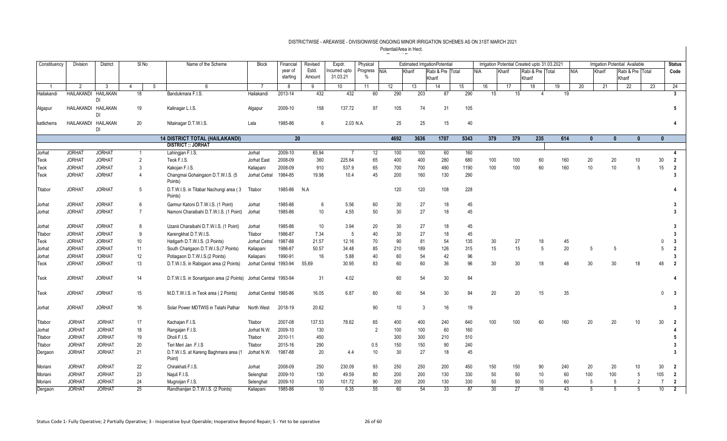| Constituency   | Division            | <b>District</b> |                 | SI <sub>No</sub> | Name of the Scheme                                              | <b>Block</b>           | Financial           | Revised         | Expdr.                    | Physical         |            | <b>Estimated IrrigationPotential</b> |                            |      |            | Irrigation Potential Created upto 31.03.2021 |     |                            |     |            |              |              | <b>Irrigation Potential Available</b> |    | <b>Status</b>                    |
|----------------|---------------------|-----------------|-----------------|------------------|-----------------------------------------------------------------|------------------------|---------------------|-----------------|---------------------------|------------------|------------|--------------------------------------|----------------------------|------|------------|----------------------------------------------|-----|----------------------------|-----|------------|--------------|--------------|---------------------------------------|----|----------------------------------|
|                |                     |                 |                 |                  |                                                                 |                        | year of<br>starting | Estd.<br>Amount | Incurred upto<br>31.03.21 | Progress<br>$\%$ | <b>NIA</b> | Kharif                               | Rabi & Pre Total<br>Kharif |      | <b>NIA</b> | Kharif                                       |     | Rabi & Pre Total<br>Kharif |     | <b>NIA</b> | Kharif       |              | Rabi & Pre Total<br>Kharif            |    | Code                             |
| $\overline{1}$ | 2                   | 3               | $\Delta$        | 5                | 6                                                               | $\overline{7}$         | 8                   | 9               | 10 <sup>°</sup>           | 11               | 12         | 13                                   | 14                         | 15   |            | 16                                           | 17  | 18                         | 19  | 20         |              | 21           | 22                                    | 23 | 24                               |
| Hailakandi     | HAILAKANDI HAILAKAN | DI              | $\overline{18}$ |                  | Bandukmara F.I.S.                                               | Hailakandi             | 2013-14             | 432             | 432                       | 60               | 290        | 203                                  | 87                         | 290  |            | 15                                           | 15  |                            |     | 19         |              |              |                                       |    | 3 <sup>1</sup>                   |
| Algapur        | HAILAKANDI HAILAKAN | DI              | 19              |                  | Kalinagar L.I.S.                                                | Algapur                | 2009-10             | 158             | 137.72                    | 97               | 105        | 74                                   | 31                         | 105  |            |                                              |     |                            |     |            |              |              |                                       |    | 5                                |
| katlicherra    | HAILAKANDI HAILAKAN | DI              | 20              |                  | Nitainagar D.T.W.I.S.                                           | Lala                   | 1985-86             | 6               | 2.03 N.A.                 |                  | 25         | 25                                   | 15                         | 40   |            |                                              |     |                            |     |            |              |              |                                       |    | 4                                |
|                |                     |                 |                 |                  | <b>14 DISTRICT TOTAL (HAILAKANDI)</b>                           |                        | 20                  |                 |                           |                  | 4692       | 3636                                 | 1707                       | 5343 |            | 379                                          | 379 | 235                        | 614 |            | $\mathbf{0}$ | $\mathbf{0}$ | $\mathbf{0}$                          |    | $\mathbf{0}$                     |
|                |                     |                 |                 |                  | <b>DISTRICT :: JORHAT</b>                                       |                        |                     |                 |                           |                  |            |                                      |                            |      |            |                                              |     |                            |     |            |              |              |                                       |    |                                  |
| Jorhat         | <b>JORHAT</b>       | <b>JORHAT</b>   |                 |                  | Lahingjan F.I.S.                                                | Jorhat                 | 2009-10             | 65.94           |                           | 12               | 100        | 100                                  | 60                         | 160  |            |                                              |     |                            |     |            |              |              |                                       |    |                                  |
| Teok           | <b>JORHAT</b>       | <b>JORHAT</b>   | $\overline{2}$  |                  | Teok F.I.S.                                                     | Jorhat East            | 2008-09             | 360             | 225.64                    | 65               | 400        | 400                                  | 280                        | 680  |            | 100                                          | 100 | 60                         | 160 |            | 20           | 20           | 10                                    |    | $\overline{2}$<br>30             |
| Teok           | <b>JORHAT</b>       | <b>JORHAT</b>   | -3              |                  | Kakojan F.I.S.                                                  | Kaliapani              | 2008-09             | 910             | 537.9                     | 65               | 700        | 700                                  | 490                        | 1190 |            | 100                                          | 100 | 60                         | 160 |            | 10           | 10           | 5                                     |    | 15<br>$\overline{2}$             |
| Teok           | <b>JORHAT</b>       | <b>JORHAT</b>   | $\overline{4}$  |                  | Changmai Gohaingaon D.T.W.I.S. (5<br>Points)                    | Jorhat Cetral          | 1984-85             | 19.98           | 10.4                      | 45               | 200        | 160                                  | 130                        | 290  |            |                                              |     |                            |     |            |              |              |                                       |    | 3                                |
| Titabor        | <b>JORHAT</b>       | <b>JORHAT</b>   | 5               |                  | D.T.W.I.S. in Titabar Nachungi area (3<br>Points)               | Titabor                | 1985-86             | N.A             |                           |                  | 120        | 120                                  | 108                        | 228  |            |                                              |     |                            |     |            |              |              |                                       |    |                                  |
| Jorhat         | <b>JORHAT</b>       | <b>JORHAT</b>   | 6               |                  | Garmur Katoni D.T.W.I.S. (1 Point)                              | Jorhat                 | 1985-86             | 6               | 5.56                      | 60               | 30         | 27                                   | 18                         | 45   |            |                                              |     |                            |     |            |              |              |                                       |    |                                  |
| Jorhat         | <b>JORHAT</b>       | <b>JORHAT</b>   | $\overline{7}$  |                  | Namoni Charaibahi D.T.W.I.S. (1 Point)                          | Jorhat                 | 1985-86             | 10 <sup>°</sup> | 4.55                      | 50               | 30         | 27                                   | 18                         | 45   |            |                                              |     |                            |     |            |              |              |                                       |    |                                  |
| Jorhat         | <b>JORHAT</b>       | <b>JORHAT</b>   | 8               |                  | Uzanii Charaibahi D.T.W.I.S. (1 Point)                          | Jorhat                 | 1985-86             | 10              | 3.94                      | 20               | 30         | 27                                   | 18                         | 45   |            |                                              |     |                            |     |            |              |              |                                       |    | 3                                |
| Titabor        | <b>JORHAT</b>       | <b>JORHAT</b>   | 9               |                  | Karengkhat D.T.W.I.S.                                           | Titabor                | 1986-87             | 7.34            | 5                         | 40               | 30         | 27                                   | 18                         | 45   |            |                                              |     |                            |     |            |              |              |                                       |    | 3                                |
| Teok           | <b>JORHAT</b>       | <b>JORHAT</b>   | 10              |                  | Hatigarh D.T.W.I.S. (3 Points)                                  | Jorhat Cetral          | 1987-88             | 21.57           | 12.16                     | 70               | 90         | 81                                   | 54                         | 135  |            | 30                                           | 27  | 18                         |     | 45         |              |              |                                       |    | 3                                |
| Jorhat         | <b>JORHAT</b>       | <b>JORHAT</b>   | 11              |                  | South Charigaon D.T.W.I.S.(7 Points)                            | Kaliapani              | 1986-87             | 50.57           | 34.48                     | 85               | 210        | 189                                  | 126                        | 315  |            | 15                                           | 15  | 5                          |     | 20         | 5            | 5            |                                       |    | $\overline{2}$                   |
| Jorhat         | <b>JORHAT</b>       | <b>JORHAT</b>   | 12              |                  | Potiagaon D.T.W.I.S.(2 Points)                                  | Kaliapani              | 1990-91             | 16              | 5.88                      | 40               | 60         | 54                                   | 42                         | 96   |            |                                              |     |                            |     |            |              |              |                                       |    | 3                                |
| Teok           | <b>JORHAT</b>       | <b>JORHAT</b>   | 13              |                  | D.T.W.I.S. in Rabigaon area (2 Points)                          | Jorhat Central 1993-94 |                     | 55,69           | 30.95                     | 83               | 60         | 60                                   | 36                         | 96   |            | 30                                           | 30  | 18                         |     | 48         | 30           | 30           | 18                                    |    | 48<br>$\overline{\phantom{a}}$   |
| Teok           | <b>JORHAT</b>       | <b>JORHAT</b>   | 14              |                  | D.T.W.I.S. in Sonarigaon area (2 Points) Jorhat Central 1993-94 |                        |                     | 31              | 4.02                      |                  | 60         | 54                                   | 30                         | 84   |            |                                              |     |                            |     |            |              |              |                                       |    |                                  |
| Teok           | <b>JORHAT</b>       | <b>JORHAT</b>   | 15              |                  | M.D.T.W.I.S. in Teok area (2 Points)                            | Jorhat Central 1985-86 |                     | 16.05           | 6.87                      | 60               | 60         | 54                                   | 30                         | 84   |            | 20                                           | 20  | 15                         |     | 35         |              |              |                                       |    | - 3<br>$\Omega$                  |
| Jorhat         | <b>JORHAT</b>       | <b>JORHAT</b>   | 16              |                  | Solar Power MDTWIS in Telahi Pathar                             | North West             | 2018-19             | 20.62           |                           | 90               | 10         | $\mathbf{3}$                         | 16                         | 19   |            |                                              |     |                            |     |            |              |              |                                       |    | 3                                |
| Titabor        | <b>JORHAT</b>       | <b>JORHAT</b>   | 17              |                  | Kachajan F.I.S.                                                 | Titabor                | 2007-08             | 137.53          | 78.62                     | 65               | 400        | 400                                  | 240                        | 640  |            | 100                                          | 100 | 60                         | 160 |            | 20           | 20           | 10                                    |    | 30<br>$\overline{2}$             |
| Jorhat         | <b>JORHAT</b>       | <b>JORHAT</b>   | $18$            |                  | Rangajan F.I.S.                                                 | Jorhat N.W.            | 2009-10             | 130             |                           | $\overline{2}$   | 100        | 100                                  | 60                         | 160  |            |                                              |     |                            |     |            |              |              |                                       |    |                                  |
| Titabor        | <b>JORHAT</b>       | <b>JORHAT</b>   | 19              |                  | Dholi F.I.S.                                                    | Titabor                | 2010-11             | 450             |                           |                  | 300        | 300                                  | 210                        | 510  |            |                                              |     |                            |     |            |              |              |                                       |    |                                  |
| Titabor        | <b>JORHAT</b>       | <b>JORHAT</b>   | 20              |                  | Teri Meri Jan .F.I.S                                            | Titabor                | 2015-16             | 290             |                           | 0.5              | 150        | 150                                  | 90                         | 240  |            |                                              |     |                            |     |            |              |              |                                       |    |                                  |
| Dergaon        | <b>JORHAT</b>       | <b>JORHAT</b>   | 21              |                  | D.T.W.I.S. at Kareng Baghmara area (1<br>Point)                 | Jorhat N.W.            | 1987-88             | 20              | 4.4                       | 10               | 30         | 27                                   | 18                         | 45   |            |                                              |     |                            |     |            |              |              |                                       |    |                                  |
| Moriani        | <b>JORHAT</b>       | <b>JORHAT</b>   | 22              |                  | Chirakhati F.I.S.                                               | Jorhat                 | 2008-09             | 250             | 230.09                    | 93               | 250        | 250                                  | 200                        | 450  |            | 150                                          | 150 | 90                         | 240 |            | 20           | 20           | 10                                    |    | 30<br>$\overline{2}$             |
| Moriani        | <b>JORHAT</b>       | <b>JORHAT</b>   | 23              |                  | Najuli F.I.S.                                                   | Selenghat              | 2009-10             | 130             | 49.59                     | 80               | 200        | 200                                  | 130                        | 330  |            | 50                                           | 50  | 10                         |     | 60         | 100          | 100          | 5                                     |    | 105<br>$\overline{2}$            |
| Moriani        | <b>JORHAT</b>       | <b>JORHAT</b>   | 24              |                  | Mugroijan F.I.S.                                                | Selenghat              | 2009-10             | 130             | 101.72                    | 90               | 200        | 200                                  | 130                        | 330  |            | 50                                           | 50  | 10 <sup>°</sup>            |     | 60         | 5            | 5            | $\overline{2}$                        |    | $\overline{7}$<br>$\overline{2}$ |
| Dergaon        | <b>JORHAT</b>       | <b>JORHAT</b>   | 25              |                  | Randhanijan D.T.W.I.S. (2 Points)                               | Kaliapani              | 1985-86             | 10              | 6.35                      | 55               | 60         | 54                                   | 33                         | 87   |            | 30                                           | 27  | 16                         |     | 43         | 5            | 5            | 5                                     |    | 10<br>$\overline{2}$             |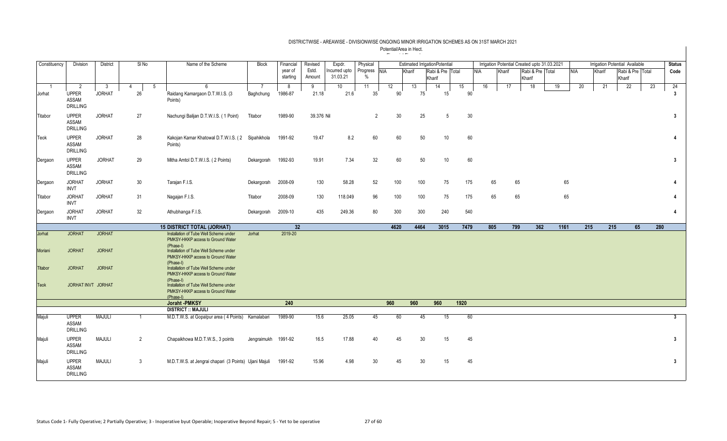| Constituency | Division                                 | <b>District</b> | $SI$ No              | Name of the Scheme                                                                                    | Block               | Financial           | Revised         | Expdr.                    | Physical         |            |        | <b>Estimated IrrigationPotential</b> |      |            |        | Irrigation Potential Created upto 31.03.2021 |                  |      |     |        | Irrigation Potential Available |     | <b>Status</b> |
|--------------|------------------------------------------|-----------------|----------------------|-------------------------------------------------------------------------------------------------------|---------------------|---------------------|-----------------|---------------------------|------------------|------------|--------|--------------------------------------|------|------------|--------|----------------------------------------------|------------------|------|-----|--------|--------------------------------|-----|---------------|
|              |                                          |                 |                      |                                                                                                       |                     | year of<br>starting | Estd.<br>Amount | Incurred upto<br>31.03.21 | Progress<br>$\%$ | <b>NIA</b> | Kharif | Rabi & Pre Total<br>Kharif           |      | <b>NIA</b> | Kharif | Kharif                                       | Rabi & Pre Total |      | NIA | Kharif | Rabi & Pre Total<br>Kharif     |     | Code          |
|              | 2                                        | $\overline{3}$  | $\overline{4}$<br>-5 | 6                                                                                                     | $\overline{7}$      | 8                   | 9               | 10                        | 11               | 12         | 13     | 14                                   | 15   | 16         | 17     | 18                                           |                  | 19   | 20  | 21     | 22                             | 23  | 24            |
| Jorhat       | <b>UPPER</b><br>ASSAM<br><b>DRILLING</b> | <b>JORHAT</b>   | 26                   | Raidang Kamargaon D.T.W.I.S. (3)<br>Points)                                                           | Baghchung           | 1986-87             | 21.18           | 21.6                      | 35               | 90         | 75     | 15                                   | 90   |            |        |                                              |                  |      |     |        |                                |     | 3             |
| Titabor      | <b>UPPER</b><br>ASSAM<br><b>DRILLING</b> | <b>JORHAT</b>   | 27                   | Nachungi Balijan D.T.W.I.S. (1 Point)                                                                 | Titabor             | 1989-90             | 39.376 Nil      |                           | $\overline{2}$   | 30         | 25     | -5                                   | 30   |            |        |                                              |                  |      |     |        |                                |     | 3             |
| Teok         | <b>UPPER</b><br>ASSAM<br><b>DRILLING</b> | <b>JORHAT</b>   | 28                   | Kakojan Kamar Khatowal D.T.W.I.S. (2 Sipahikhola<br>Points)                                           |                     | 1991-92             | 19.47           | 8.2                       | 60               | 60         | 50     | 10                                   | 60   |            |        |                                              |                  |      |     |        |                                |     | 4             |
| Dergaon      | <b>UPPER</b><br>ASSAM<br><b>DRILLING</b> | <b>JORHAT</b>   | 29                   | Mitha Amtol D.T.W.I.S. (2 Points)                                                                     | Dekargorah          | 1992-93             | 19.91           | 7.34                      | 32               | 60         | 50     | 10                                   | 60   |            |        |                                              |                  |      |     |        |                                |     | 3             |
| Dergaon      | <b>JORHAT</b><br><b>INVT</b>             | <b>JORHAT</b>   | 30                   | Tarajan F.I.S.                                                                                        | Dekargorah          | 2008-09             | 130             | 58.28                     | 52               | 100        | 100    | 75                                   | 175  | 65         |        | 65                                           |                  | 65   |     |        |                                |     | $\mathbf{A}$  |
| Titabor      | <b>JORHAT</b><br><b>INVT</b>             | <b>JORHAT</b>   | 31                   | Nagajan F.I.S.                                                                                        | Titabor             | 2008-09             | 130             | 118.049                   | 96               | 100        | 100    | 75                                   | 175  | 65         |        | 65                                           |                  | 65   |     |        |                                |     |               |
| Dergaon      | <b>JORHAT</b><br><b>INVT</b>             | <b>JORHAT</b>   | 32                   | Athubhanga F.I.S.                                                                                     | Dekargorah          | 2009-10             | 435             | 249.36                    | 80               | 300        | 300    | 240                                  | 540  |            |        |                                              |                  |      |     |        |                                |     | 4             |
|              |                                          |                 |                      | <b>15 DISTRICT TOTAL (JORHAT)</b>                                                                     |                     | 32                  |                 |                           |                  | 4620       | 4464   | 3015                                 | 7479 | 805        |        | 799                                          | 362              | 1161 | 215 | 215    | 65                             | 280 |               |
| Jorhat       | <b>JORHAT</b>                            | <b>JORHAT</b>   |                      | Installation of Tube Well Scheme under<br>PMKSY-HKKP access to Ground Water<br>(Phase-I)              | Jorhat              | 2019-20             |                 |                           |                  |            |        |                                      |      |            |        |                                              |                  |      |     |        |                                |     |               |
| Moriani      | <b>JORHAT</b>                            | <b>JORHAT</b>   |                      | Installation of Tube Well Scheme under<br>PMKSY-HKKP access to Ground Water                           |                     |                     |                 |                           |                  |            |        |                                      |      |            |        |                                              |                  |      |     |        |                                |     |               |
| Titabor      | <b>JORHAT</b>                            | <b>JORHAT</b>   |                      | (Phase-I)<br>Installation of Tube Well Scheme under<br>PMKSY-HKKP access to Ground Water              |                     |                     |                 |                           |                  |            |        |                                      |      |            |        |                                              |                  |      |     |        |                                |     |               |
| <b>Teok</b>  | JORHAT INVT JORHAT                       |                 |                      | (Phase-I)<br>Installation of Tube Well Scheme under<br>PMKSY-HKKP access to Ground Water<br>(Phase-I) |                     |                     |                 |                           |                  |            |        |                                      |      |            |        |                                              |                  |      |     |        |                                |     |               |
|              |                                          |                 |                      | Joraht -PMKSY                                                                                         |                     | 240                 |                 |                           |                  | 960        | 960    | 960                                  | 1920 |            |        |                                              |                  |      |     |        |                                |     |               |
|              |                                          |                 |                      | <b>DISTRICT :: MAJULI</b>                                                                             |                     |                     |                 |                           |                  |            |        |                                      |      |            |        |                                              |                  |      |     |        |                                |     |               |
| Majuli       | <b>UPPER</b><br>ASSAM<br><b>DRILLING</b> | <b>MAJULI</b>   | $\mathbf{1}$         | M.D.T.W.S. at Gopalpur area (4 Points) Kamalabari                                                     |                     | 1989-90             | 15.6            | 25.05                     | 45               | 60         | 45     | 15                                   | 60   |            |        |                                              |                  |      |     |        |                                |     | $\mathbf{3}$  |
| Majuli       | <b>UPPER</b><br>ASSAM<br><b>DRILLING</b> | <b>MAJULI</b>   | $\overline{2}$       | Chapaikhowa M.D.T.W.S., 3 points                                                                      | Jengraimukh 1991-92 |                     | 16.5            | 17.88                     | 40               | 45         | 30     | 15                                   | 45   |            |        |                                              |                  |      |     |        |                                |     | 3             |
| Majuli       | <b>UPPER</b><br>ASSAM<br><b>DRILLING</b> | <b>MAJULI</b>   | 3                    | M.D.T.W.S. at Jengrai chapari (3 Points) Ujani Majuli                                                 |                     | 1991-92             | 15.96           | 4.98                      | 30               | 45         | 30     | 15                                   | 45   |            |        |                                              |                  |      |     |        |                                |     | 3             |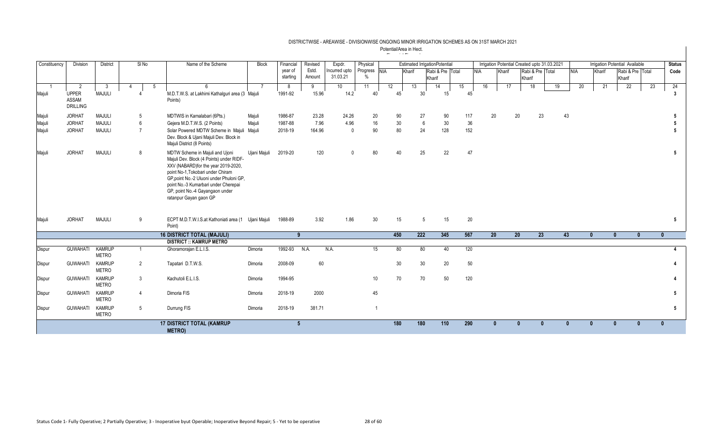| Constituency | <b>Division</b>                          | <b>District</b>               | SI No          | Name of the Scheme                                                                                                                                                                                                                                                                                        | <b>Block</b> | Financial | Revised | Expdr.          | Physical       |     |        | <b>Estimated IrrigationPotential</b> |           |     | Irrigation Potential Created upto 31.03.2021 |        |                 |                  |              |    |            |        | Irrigation Potential Available |    | <b>Status</b> |
|--------------|------------------------------------------|-------------------------------|----------------|-----------------------------------------------------------------------------------------------------------------------------------------------------------------------------------------------------------------------------------------------------------------------------------------------------------|--------------|-----------|---------|-----------------|----------------|-----|--------|--------------------------------------|-----------|-----|----------------------------------------------|--------|-----------------|------------------|--------------|----|------------|--------|--------------------------------|----|---------------|
|              |                                          |                               |                |                                                                                                                                                                                                                                                                                                           |              | year of   | Estd.   | Incurred upto   | Progress NIA   |     | Kharif | Rabi & Pre Total                     |           |     | <b>NIA</b>                                   | Kharif |                 | Rabi & Pre Total |              |    | <b>NIA</b> | Kharif | Rabi & Pre Total               |    | Code          |
|              |                                          |                               |                |                                                                                                                                                                                                                                                                                                           |              | starting  | Amount  | 31.03.21        | $\%$           |     |        | Kharif                               |           |     |                                              |        |                 | Kharif           |              |    |            |        | Kharif                         |    |               |
|              | 2                                        | -3                            | 4<br>-5        |                                                                                                                                                                                                                                                                                                           |              | 8         | 9       | 10 <sup>1</sup> | 11             | 12  | 13     | 14                                   | 15        |     | 16                                           |        | 17              | 18               |              | 19 | 20         | 21     | 22                             | 23 | 24            |
| Majuli       | <b>UPPER</b><br>ASSAM<br><b>DRILLING</b> | <b>MAJULI</b>                 |                | M.D.T.W.S. at Lakhimi Kathalguri area (3 Majuli<br>Points)                                                                                                                                                                                                                                                |              | 1991-92   | 15.96   | 14.2            | 40             | 45  |        | 30                                   | 15        | 45  |                                              |        |                 |                  |              |    |            |        |                                |    | 3             |
| Majuli       | <b>JORHAT</b>                            | <b>MAJULI</b>                 | 5              | MDTWIS in Kamalabari (6Pts.)                                                                                                                                                                                                                                                                              | Majuli       | 1986-87   | 23.28   | 24.26           | 20             | 90  |        | 90<br>27                             | 117       |     | 20                                           |        | 20              |                  | 23           | 43 |            |        |                                |    |               |
| Majuli       | <b>JORHAT</b>                            | <b>MAJULI</b>                 | 6              | Gejera M.D.T.W.S. (2 Points)                                                                                                                                                                                                                                                                              | Majuli       | 1987-88   | 7.96    | 4.96            | 16             | 30  |        | 6<br>30                              |           | 36  |                                              |        |                 |                  |              |    |            |        |                                |    |               |
| Majuli       | <b>JORHAT</b>                            | <b>MAJULI</b>                 | $\overline{7}$ | Solar Powered MDTW Scheme in Majuli Majuli<br>Dev. Block & Ujani Majuli Dev. Block in<br>Majuli District (8 Points)                                                                                                                                                                                       |              | 2018-19   | 164.96  | $\mathbf 0$     | 90             | 80  |        | 24<br>128                            |           | 152 |                                              |        |                 |                  |              |    |            |        |                                |    |               |
| Majuli       | <b>JORHAT</b>                            | <b>MAJULI</b>                 | 8              | MDTW Scheme in Majuli and Ujoni<br>Majuli Dev. Block (4 Points) under RIDF-<br>XXV (NABARD) for the year 2019-2020.<br>point No-1, Tokobari under Chiram<br>GP, point No.-2 Uluoni under Phuloni GP,<br>point No.-3 Kumarbari under Cherepai<br>GP, point No.-4 Gayangaon under<br>ratanpur Gayan gaon GP | Ujani Majuli | 2019-20   | 120     | $\mathbf{0}$    | 80             | 40  |        | 25                                   | 22        | 47  |                                              |        |                 |                  |              |    |            |        |                                |    | 5             |
| Majuli       | <b>JORHAT</b>                            | <b>MAJULI</b>                 | 9              | ECPT M.D.T.W.I.S.at Kathoniati area (1 Ujani Majuli<br>Point)                                                                                                                                                                                                                                             |              | 1988-89   | 3.92    | 1.86            | 30             | 15  |        | 5                                    | 15        | 20  |                                              |        |                 |                  |              |    |            |        |                                |    | 5             |
|              |                                          |                               |                | <b>16 DISTRICT TOTAL (MAJULI)</b>                                                                                                                                                                                                                                                                         |              | -9        |         |                 |                | 450 | 222    | 345                                  | 567       |     | 20                                           |        | 20 <sub>2</sub> |                  | 23           | 43 | 0          |        | $\mathbf{0}$<br>$\mathbf{0}$   |    |               |
|              |                                          |                               |                | <b>DISTRICT :: KAMRUP METRO</b>                                                                                                                                                                                                                                                                           |              |           |         |                 |                |     |        |                                      |           |     |                                              |        |                 |                  |              |    |            |        |                                |    |               |
| Dispur       | <b>GUWAHATI</b>                          | <b>KAMRUP</b><br><b>METRO</b> |                | Ghoramorajan E.L.I.S.                                                                                                                                                                                                                                                                                     | Dimoria      | 1992-93   | N.A.    | N.A.            | 15             | 80  |        | 80                                   | 40        | 120 |                                              |        |                 |                  |              |    |            |        |                                |    |               |
| Dispur       | <b>GUWAHATI</b>                          | <b>KAMRUP</b><br><b>METRO</b> | $\overline{2}$ | Tapatari D.T.W.S.                                                                                                                                                                                                                                                                                         | Dimoria      | 2008-09   | 60      |                 |                | 30  |        | 30                                   | 20        | 50  |                                              |        |                 |                  |              |    |            |        |                                |    |               |
| Dispur       | <b>GUWAHATI</b>                          | <b>KAMRUP</b><br><b>METRO</b> | $\mathbf{3}$   | Kachutoli E.L.I.S.                                                                                                                                                                                                                                                                                        | Dimoria      | 1994-95   |         |                 | 10             | 70  |        | 70                                   | 50<br>120 |     |                                              |        |                 |                  |              |    |            |        |                                |    |               |
| Dispur       | <b>GUWAHATI</b>                          | <b>KAMRUP</b><br><b>METRO</b> | $\overline{4}$ | Dimoria FIS                                                                                                                                                                                                                                                                                               | Dimoria      | 2018-19   | 2000    |                 | 45             |     |        |                                      |           |     |                                              |        |                 |                  |              |    |            |        |                                |    | 5             |
| Dispur       | <b>GUWAHATI</b>                          | <b>KAMRUP</b><br><b>METRO</b> | 5              | Durrung FIS                                                                                                                                                                                                                                                                                               | Dimoria      | 2018-19   | 381.71  |                 | $\overline{1}$ |     |        |                                      |           |     |                                              |        |                 |                  |              |    |            |        |                                |    | 5             |
|              |                                          |                               |                | <b>17 DISTRICT TOTAL (KAMRUP</b><br>METRO)                                                                                                                                                                                                                                                                |              | 5         |         |                 |                | 180 | 180    | 110                                  | 290       |     | $\mathbf{u}$                                 |        | $\mathbf{0}$    |                  | $\mathbf{0}$ | n  | 0          |        | $\mathbf{0}$<br>$\mathbf{0}$   |    | $\mathbf{0}$  |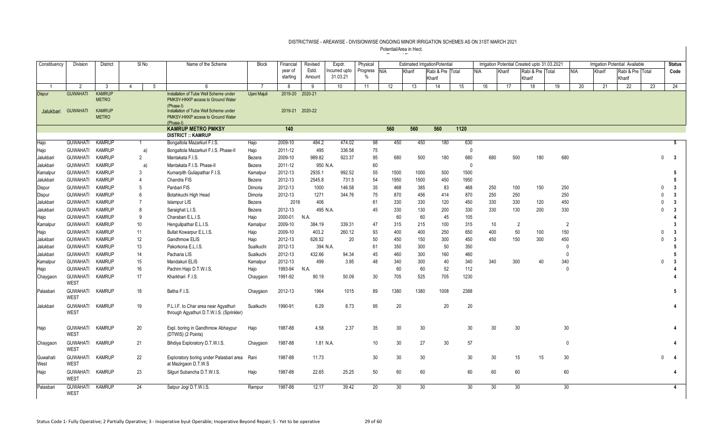| Constituency     | Division                       | <b>District</b> | SI <sub>No</sub> | Name of the Scheme                                                               | <b>Block</b> | Financial       | Revised   | Expdr.       | Physical |      |        | <b>Estimated IrrigationPotential</b> |                  |              | Irrigation Potential Created upto 31.03.2021 |                  |     |                |        | <b>Irrigation Potential Available</b> |          | <b>Status</b>           |
|------------------|--------------------------------|-----------------|------------------|----------------------------------------------------------------------------------|--------------|-----------------|-----------|--------------|----------|------|--------|--------------------------------------|------------------|--------------|----------------------------------------------|------------------|-----|----------------|--------|---------------------------------------|----------|-------------------------|
|                  |                                |                 |                  |                                                                                  |              | year of         | Estd.     | ncurred upto | Progress | NIA  | Kharif | Rabi & Pre Total                     |                  | <b>NIA</b>   | Kharif                                       | Rabi & Pre Total |     | <b>NIA</b>     | Kharif | Rabi & Pre Total                      |          | Code                    |
|                  |                                |                 |                  |                                                                                  |              | starting        | Amount    | 31.03.21     | $\%$     |      |        | Kharif                               |                  |              |                                              | Kharif           |     |                |        | Kharif                                |          |                         |
|                  | 2                              | - 3             | $\Delta$<br>5    |                                                                                  |              | -8              | 9         | 10           | 11       | 12   | 13     | 14                                   | 15               | 16           | 17                                           | 18               | 19  | 20             | 21     | 22                                    | 23       | 24                      |
| <b>Dispur</b>    | <b>GUWAHATI</b>                | <b>KAMRUP</b>   |                  | Installation of Tube Well Scheme under                                           | Ujani Majuli | 2019-20         | 2020-21   |              |          |      |        |                                      |                  |              |                                              |                  |     |                |        |                                       |          |                         |
|                  |                                | <b>METRO</b>    |                  | PMKSY-HKKP access to Ground Water<br>(Phase-I)                                   |              |                 |           |              |          |      |        |                                      |                  |              |                                              |                  |     |                |        |                                       |          |                         |
| Jalukbari        | <b>GUWAHATI</b>                | <b>KAMRUP</b>   |                  | Installation of Tube Well Scheme under                                           |              | 2019-21 2020-22 |           |              |          |      |        |                                      |                  |              |                                              |                  |     |                |        |                                       |          |                         |
|                  |                                | <b>METRO</b>    |                  | PMKSY-HKKP access to Ground Water                                                |              |                 |           |              |          |      |        |                                      |                  |              |                                              |                  |     |                |        |                                       |          |                         |
|                  |                                |                 |                  | (Phase-I)<br><b>KAMRUP METRO PMKSY</b>                                           |              | 140             |           |              |          | 560  | 560    | 560                                  | $\frac{1120}{ }$ |              |                                              |                  |     |                |        |                                       |          |                         |
|                  |                                |                 |                  | <b>DISTRICT :: KAMRUP</b>                                                        |              |                 |           |              |          |      |        |                                      |                  |              |                                              |                  |     |                |        |                                       |          |                         |
| Hajo             | <b>GUWAHATI</b>                | <b>KAMRUP</b>   | 1                | Bongaltola Mazarkuri F.I.S.                                                      | Hajo         | 2009-10         | 484.2     | 474.02       | 98       | 450  | 450    | 180                                  | 630              |              |                                              |                  |     |                |        |                                       |          | 5                       |
| Hajo             | <b>GUWAHATI</b>                | <b>KAMRUP</b>   | a)               | Bongaltola Mazarkuri F.I.S. Phase-II                                             | Hajo         | 2011-12         | 495       | 336.58       | 75       |      |        |                                      |                  | $\mathbf{0}$ |                                              |                  |     |                |        |                                       |          |                         |
| Jalukbari        | <b>GUWAHATI</b>                | <b>KAMRUP</b>   | $\overline{2}$   | Mantakata F.I.S.                                                                 | Bezera       | 2009-10         | 989.82    | 923.37       | 95       | 680  | 500    | 180                                  | 680              |              | 680                                          | 500              | 180 | 680            |        |                                       | $\Omega$ | $\overline{\mathbf{3}}$ |
| Jalukbari        | <b>GUWAHATI</b>                | <b>KAMRUP</b>   | a)               | Mantakata F.I.S. Phase-II                                                        | Bezera       | 2011-12         | 950 N.A.  |              | 60       |      |        |                                      | $\overline{0}$   |              |                                              |                  |     |                |        |                                       |          |                         |
| Kamalpur         | <b>GUWAHATI</b>                | <b>KAMRUP</b>   | 3                | Kumarpith Guliapathar F.I.S.                                                     | Kamalpur     | 2012-13         | 2935.1    | 992.52       | 55       | 1500 | 1000   | 500                                  | 1500             |              |                                              |                  |     |                |        |                                       |          | 5                       |
| Jalukbari        | <b>GUWAHATI</b>                | <b>KAMRUP</b>   | $\overline{4}$   | Chandra FIS                                                                      | Bezera       | 2012-13         | 2545.8    | 731.5        | 54       | 1950 | 1500   | 450                                  | 1950             |              |                                              |                  |     |                |        |                                       |          | 5                       |
| Dispur           | <b>GUWAHATI</b>                | <b>KAMRUP</b>   | 5                | Panbari FIS                                                                      | Dimoria      | 2012-13         | 1000      | 146.58       | $35\,$   | 468  | 385    | 83                                   | 468              |              | 250                                          | 100              | 150 | 250            |        |                                       |          | $\overline{3}$          |
| Dispur           | <b>GUWAHATI</b>                | <b>KAMRUP</b>   | 6                | Botahkuchi High Head                                                             | Dimoria      | 2012-13         | 1271      | 344.76       | 75       | 870  | 456    | 414                                  | 870              |              | 250                                          | 250              |     | 250            |        |                                       |          | 3                       |
| Jalukbari        | <b>GUWAHATI</b>                | <b>KAMRUP</b>   | $\overline{7}$   | <b>Islampur LIS</b>                                                              | Bezera       | 2016            | 406       |              | 61       | 330  | 330    | 120                                  | 450              |              | 330                                          | 330              | 120 | 450            |        |                                       |          | 3                       |
| Jalukbari        | <b>GUWAHATI</b>                | <b>KAMRUP</b>   | 8                | Saraighat L.I.S.                                                                 | Bezera       | 2012-13         | 495 N.A.  |              | 45       | 330  | 130    | 200                                  | 330              |              | 330                                          | 130              | 200 | 330            |        |                                       | $\Omega$ | 3                       |
| Hajo             | <b>GUWAHATI</b>                | <b>KAMRUP</b>   | 9                | Charabari E.L.I.S.                                                               | Hajo         | 2000-01         | N.A.      |              |          | 60   | 60     | 45                                   | 105              |              |                                              |                  |     |                |        |                                       |          | 4                       |
| Kamalpur         | <b>GUWAHATI</b>                | <b>KAMRUP</b>   | 10 <sup>°</sup>  | Henqulipathar E.L.I.S.                                                           | Kamalpur     | 2009-10         | 384.19    | 339.31       | 47       | 315  | 215    | 100                                  | 315              |              | 10                                           | 2                |     | $\overline{2}$ |        |                                       |          | 3                       |
| Hajo             | <b>GUWAHATI</b>                | <b>KAMRUP</b>   | 11               | Bullat Kowarpur E.L.I.S.                                                         | Hajo         | 2009-10         | 403.2     | 260.12       | 93       | 400  | 400    | 250                                  | 650              |              | 400                                          | 50               | 100 | 150            |        |                                       | $\Omega$ | -3                      |
| Jalukbari        | <b>GUWAHATI</b>                | <b>KAMRUP</b>   | 12               | Gandhmow ELIS                                                                    | Hajo         | 2012-13         | 626.52    | 20           | 50       | 450  | 150    | 300                                  | 450              |              | 450                                          | 150              | 300 | 450            |        |                                       |          | 3                       |
| Jalukbari        | <b>GUWAHATI</b>                | <b>KAMRUP</b>   | 13               | Pakorkona E.L.I.S.                                                               | Sualkuchi    | 2012-13         | 394 N.A.  |              | 61       | 350  | 300    | 50                                   | 350              |              |                                              |                  |     | $\Omega$       |        |                                       |          | 5                       |
| Jalukbari        | <b>GUWAHATI</b>                | <b>KAMRUP</b>   | 14               | Pacharia LIS                                                                     | Sualkuchi    | 2012-13         | 432.66    | 94.34        | 45       | 460  | 300    | 160                                  | 460              |              |                                              |                  |     | $\Omega$       |        |                                       |          | 5                       |
| Kamalpur         | <b>GUWAHATI</b>                | <b>KAMRUP</b>   | 15               | Mandakuri ELIS                                                                   | Kamalpur     | 2012-13         | 499       | 3.95         | 48       | 340  | 300    | 40                                   | 340              |              | 340                                          | 300              | 40  | 340            |        |                                       |          | 3                       |
| Hajo             | <b>GUWAHATI</b>                | <b>KAMRUP</b>   | 16               | Pachim Hajo D.T.W.I.S.                                                           | Hajo         | 1993-94         | N.A.      |              |          | 60   | 60     | 52                                   | 112              |              |                                              |                  |     | $\mathbf{0}$   |        |                                       |          |                         |
| Chaygaon         | <b>GUWAHATI</b><br><b>WEST</b> | <b>KAMRUP</b>   | 17               | Kharkhari F.I.S.                                                                 | Chaygaon     | 1991-92         | 90.19     | 50.09        | 30       | 705  | 525    | 705                                  | 1230             |              |                                              |                  |     |                |        |                                       |          |                         |
| Palasbari        | <b>GUWAHATI</b><br><b>WEST</b> | <b>KAMRUP</b>   | 18               | Batha F.I.S.                                                                     | Chaygaon     | 2012-13         | 1964      | 1015         | 89       | 1380 | 1380   | 1008                                 | 2388             |              |                                              |                  |     |                |        |                                       |          | 5                       |
| Jalukbari        | GUWAHATI<br><b>WEST</b>        | <b>KAMRUP</b>   | 19               | P.L.I.F. to Char area near Agyathuri<br>through Agyathuri D.T.W.I.S. (Sprinkler) | Sualkuchi    | 1990-91         | 6.29      | 8.73         | 95       | 20   |        | 20                                   | 20               |              |                                              |                  |     |                |        |                                       |          | Δ                       |
| Hajo             | GUWAHATI<br><b>WEST</b>        | <b>KAMRUP</b>   | 20               | Expl. boring in Gandhmow Abhaypur<br>(DTWIS) (2 Points)                          | Hajo         | 1987-88         | 4.58      | 2.37         | 35       | 30   | 30     |                                      | 30               |              | 30                                           | 30               |     | 30             |        |                                       |          |                         |
| Chaygaon         | <b>GUWAHATI</b><br><b>WEST</b> | <b>KAMRUP</b>   | 21               | Bihdiya Exploratory D.T.W.I.S.                                                   | Chaygaon     | 1987-88         | 1.81 N.A. |              | 10       | 30   | 27     | 30                                   | 57               |              |                                              |                  |     | $\Omega$       |        |                                       |          |                         |
| Guwahati<br>West | <b>GUWAHATI</b><br><b>WEST</b> | <b>KAMRUP</b>   | 22               | Exploratory boring under Palasbari area<br>at Mazirgaon D.T.W.S                  | Rani         | 1987-88         | 11.73     |              | 30       | 30   | 30     |                                      | 30               |              | 30                                           | 15               | 15  | 30             |        |                                       | $\cup$   | 4                       |
| Hajo             | <b>GUWAHATI</b><br><b>WEST</b> | <b>KAMRUP</b>   | 23               | Silguri Subancha D.T.W.I.S.                                                      | Hajo         | 1987-88         | 22.65     | 25.25        | 50       | 60   | 60     |                                      | 60               |              | 60                                           | 60               |     | 60             |        |                                       |          | $\overline{4}$          |
| Palasbari        | <b>GUWAHATI</b><br><b>WEST</b> | <b>KAMRUP</b>   | 24               | Satpur Jogi D.T.W.I.S.                                                           | Rampur       | 1987-88         | 12.17     | 39.42        | 20       | 30   | 30     |                                      | 30               |              | 30                                           | 30               |     | 30             |        |                                       |          | 4                       |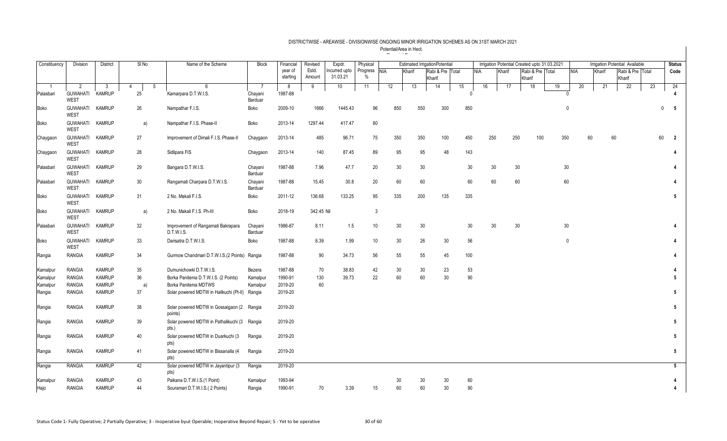| Constituency     | Division                       | <b>District</b>                | $SI$ No             | Name of the Scheme                                            | Block              | Financial           | Revised         | Expdr.                    | Physical             |          |          | <b>Estimated IrrigationPotential</b> |    |          | Irrigation Potential Created upto 31.03.2021 |        |                            |    |                 |    |        | <b>Irrigation Potential Available</b> |             | <b>Status</b>   |
|------------------|--------------------------------|--------------------------------|---------------------|---------------------------------------------------------------|--------------------|---------------------|-----------------|---------------------------|----------------------|----------|----------|--------------------------------------|----|----------|----------------------------------------------|--------|----------------------------|----|-----------------|----|--------|---------------------------------------|-------------|-----------------|
|                  |                                |                                |                     |                                                               |                    | year of<br>starting | Estd.<br>Amount | Incurred upto<br>31.03.21 | Progress NIA<br>$\%$ |          | Kharif   | Rabi & Pre Total<br>Kharif           |    |          | NIA                                          | Kharif | Rabi & Pre Total<br>Kharif |    | <b>NIA</b>      |    | Kharif | Rabi & Pre Total<br>Kharif            |             | Code            |
|                  | $\overline{2}$                 | -3                             | 5<br>$\overline{4}$ | 6                                                             |                    | 8                   | 9               | 10                        | 11                   | 12       | 13       | 14                                   | 15 |          | 16                                           | 17     | 18                         | 19 |                 | 20 | 21     | 22                                    | 23          | 24              |
| Palasbari        | <b>GUWAHATI</b><br><b>WEST</b> | <b>KAMRUP</b>                  | 25                  | Kamarpara D.T.W.I.S.                                          | Chayani<br>Barduar | 1987-88             |                 |                           |                      |          |          |                                      |    | $\Omega$ |                                              |        |                            |    |                 |    |        |                                       |             | 4               |
| Boko             | GUWAHATI KAMRUP<br><b>WEST</b> |                                | 26                  | Nampathar F.I.S.                                              | Boko               | 2009-10             | 1666            | 1445.43                   | 96                   | 850      | 550      | 300                                  |    | 850      |                                              |        |                            |    | $\mathbf{0}$    |    |        |                                       | $\mathbf 0$ | 5               |
| Boko             | <b>GUWAHATI</b><br><b>WEST</b> | <b>KAMRUP</b>                  | a)                  | Nampathar F.I.S. Phase-II                                     | Boko               | 2013-14             | 1297.44         | 417.47                    | 80                   |          |          |                                      |    |          |                                              |        |                            |    |                 |    |        |                                       |             |                 |
| Chaygaon         | <b>GUWAHATI</b><br><b>WEST</b> | <b>KAMRUP</b>                  | 27                  | Improvement of Dimali F.I.S. Phase-II                         | Chaygaon           | 2013-14             | 485             | 96.71                     | 75                   | 350      | 350      | 100                                  |    | 450      | 250                                          | 250    | 100                        |    | 350             | 60 | 60     |                                       | 60          | $\overline{2}$  |
| Chaygaon         | GUWAHATI KAMRUP<br><b>WEST</b> |                                | 28                  | Sidlipara FIS                                                 | Chaygaon           | 2013-14             | 140             | 87.45                     | 89                   | 95       | 95       | 48                                   |    | 143      |                                              |        |                            |    |                 |    |        |                                       |             | 4               |
| Palasbari        | GUWAHATI<br>WEST               | <b>KAMRUP</b>                  | 29                  | Bangara D.T.W.I.S.                                            | Chayani<br>Barduar | 1987-88             | 7.96            | 47.7                      | 20                   | 30       | 30       |                                      |    | 30       | 30                                           | 30     |                            |    | 30              |    |        |                                       |             | 4               |
| Palasbari        | GUWAHATI KAMRUP<br><b>WEST</b> |                                | 30                  | Rangamati Charpara D.T.W.I.S.                                 | Chayani<br>Barduar | 1987-88             | 15.45           | 30.8                      | 20                   | 60       | 60       |                                      |    | 60       | 60                                           | 60     |                            |    | 60              |    |        |                                       |             | 4               |
| Boko             | GUWAHATI KAMRUP<br><b>WEST</b> |                                | 31                  | 2 No. Makali F.I.S.                                           | Boko               | 2011-12             | 136.68          | 133.25                    | 95                   | 335      | 200      | 135                                  |    | 335      |                                              |        |                            |    |                 |    |        |                                       |             | 5               |
| Boko             | GUWAHATI KAMRUP<br><b>WEST</b> |                                | a)                  | 2 No. Makali F.I.S. Ph-III                                    | Boko               | 2018-19             | 342.45 Nil      |                           | 3                    |          |          |                                      |    |          |                                              |        |                            |    |                 |    |        |                                       |             |                 |
| Palasbari        | <b>GUWAHATI</b><br><b>WEST</b> | <b>KAMRUP</b>                  | 32                  | Improvement of Rangamati Bakrapara<br>D.T.W.I.S.              | Chayani<br>Barduar | 1986-87             | 8.11            | 1.5                       | 10                   | 30       | 30       |                                      |    | 30       | 30                                           | 30     |                            |    | 30 <sup>°</sup> |    |        |                                       |             | 4               |
| Boko             | <b>GUWAHATI</b><br><b>WEST</b> | <b>KAMRUP</b>                  | 33                  | Darisatra D.T.W.I.S.                                          | Boko               | 1987-88             | 8.39            | 1.99                      | 10                   | 30       | 26       | 30                                   |    | 56       |                                              |        |                            |    | $\mathbf 0$     |    |        |                                       |             | 4               |
| Rangia           | <b>RANGIA</b>                  | <b>KAMRUP</b>                  | 34                  | Gurmow Chandmari D.T.W.I.S.(2 Points)                         | Rangia             | 1987-88             | 90              | 34.73                     | 56                   | 55       | 55       | 45                                   |    | 100      |                                              |        |                            |    |                 |    |        |                                       |             | 4               |
| Kamalpur         | <b>RANGIA</b>                  | <b>KAMRUP</b>                  | 35                  | Dumunichowki D.T.W.I.S.                                       | Bezera             | 1987-88             | 70              | 38.83                     | 42                   | 30       | 30       | 23                                   |    | 53       |                                              |        |                            |    |                 |    |        |                                       |             |                 |
| Kamalpur         | <b>RANGIA</b>                  | <b>KAMRUP</b>                  | 36                  | Borka Panitema D.T.W.I.S. (2 Points)                          | Kamalpur           | 1990-91             | 130             | 39.73                     | 22                   | 60       | 60       | 30                                   |    | $90\,$   |                                              |        |                            |    |                 |    |        |                                       |             | 5               |
| Kamalpur         | <b>RANGIA</b>                  | <b>KAMRUP</b>                  | a)                  | Borka Panitema MDTWS                                          | Kamalpur           | 2019-20             | 60              |                           |                      |          |          |                                      |    |          |                                              |        |                            |    |                 |    |        |                                       |             |                 |
| Rangia           | <b>RANGIA</b>                  | <b>KAMRUP</b>                  | 37                  | Solar powered MDTW in Halikuchi (Pt-II)                       | Rangia             | 2019-20             |                 |                           |                      |          |          |                                      |    |          |                                              |        |                            |    |                 |    |        |                                       |             | 5               |
| Rangia           | <b>RANGIA</b>                  | <b>KAMRUP</b>                  | 38                  | Solar powered MDTW in Gossaigaon (2<br>points)                | Rangia             | 2019-20             |                 |                           |                      |          |          |                                      |    |          |                                              |        |                            |    |                 |    |        |                                       |             | $5\phantom{.0}$ |
| Rangia           | <b>RANGIA</b>                  | <b>KAMRUP</b>                  | 39                  | Solar powered MDTW in Pathalikuchi (3<br>pts.)                | Rangia             | 2019-20             |                 |                           |                      |          |          |                                      |    |          |                                              |        |                            |    |                 |    |        |                                       |             | 5               |
| Rangia           | <b>RANGIA</b>                  | <b>KAMRUP</b>                  | 40                  | Solar powered MDTW in Duarkuchi (3<br>pts)                    | Rangia             | 2019-20             |                 |                           |                      |          |          |                                      |    |          |                                              |        |                            |    |                 |    |        |                                       |             | $5\phantom{.0}$ |
| Rangia           | <b>RANGIA</b>                  | <b>KAMRUP</b>                  | 41                  | Solar powered MDTW in Bissanalla (4<br>pts)                   | Rangia             | 2019-20             |                 |                           |                      |          |          |                                      |    |          |                                              |        |                            |    |                 |    |        |                                       |             | 5               |
| Rangia           | <b>RANGIA</b>                  | <b>KAMRUP</b>                  | 42                  | Solar powered MDTW in Jayantipur (3<br>pts)                   | Rangia             | 2019-20             |                 |                           |                      |          |          |                                      |    |          |                                              |        |                            |    |                 |    |        |                                       |             | 5               |
| Kamalpur<br>Hajo | <b>RANGIA</b><br><b>RANGIA</b> | <b>KAMRUP</b><br><b>KAMRUP</b> | 43<br>44            | Paikana D.T.W.I.S.(1 Point)<br>Souramari D.T.W.I.S.(2 Points) | Kamalpur<br>Rangia | 1993-94<br>1990-91  | 70              | 3.39                      | 15                   | 30<br>60 | 30<br>60 | 30<br>30                             |    | 60<br>90 |                                              |        |                            |    |                 |    |        |                                       |             | 4<br>4          |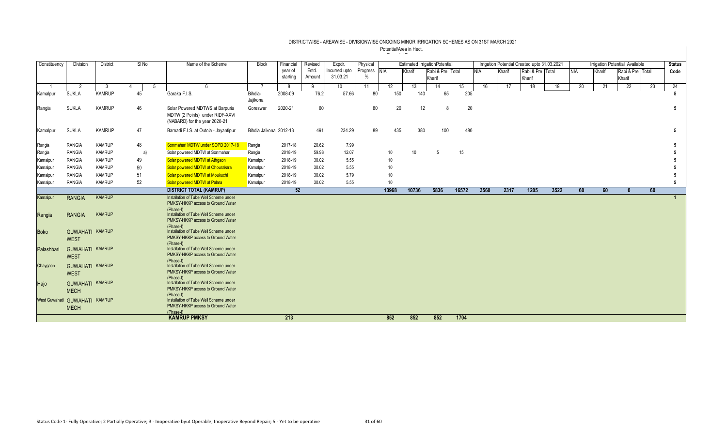| Constituency                  | <b>Division</b>        | District      |    | SI No | Name of the Scheme                                                                                  | <b>Block</b>           | Financial | Revised | Expdr.        | Physical |                 |        | <b>Estimated IrrigationPotential</b> |       |            |        | Irrigation Potential Created upto 31.03.2021 |      |            |        | Irrigation Potential Available |    | <b>Status</b> |
|-------------------------------|------------------------|---------------|----|-------|-----------------------------------------------------------------------------------------------------|------------------------|-----------|---------|---------------|----------|-----------------|--------|--------------------------------------|-------|------------|--------|----------------------------------------------|------|------------|--------|--------------------------------|----|---------------|
|                               |                        |               |    |       |                                                                                                     |                        | year of   | Estd.   | Incurred upto | Progress | <b>NIA</b>      | Kharif | Rabi & Pre Total                     |       | <b>NIA</b> | Kharif | Rabi & Pre Total                             |      | <b>NIA</b> | Kharif | Rabi & Pre Total               |    | Code          |
|                               |                        |               |    |       |                                                                                                     |                        | starting  | Amount  | 31.03.21      | $\%$     |                 |        | Kharif                               |       |            |        | Kharif                                       |      |            |        | Kharif                         |    |               |
|                               | 2                      | - 3           |    |       | -5<br>6                                                                                             |                        | -8        | 9       | 10            | 11       | 12              | 13     | 14                                   | 15    | 16         |        | 17<br>18                                     | 19   | 20         | 21     | 22                             | 23 | 24            |
| Kamalpur                      | <b>SUKLA</b>           | <b>KAMRUP</b> | 45 |       | Garaka F.I.S.                                                                                       | Bihdia-                | 2008-09   | 76.2    | 57.66         | 80       | 150             | 140    | 65                                   | 205   |            |        |                                              |      |            |        |                                |    | 5             |
|                               |                        |               |    |       |                                                                                                     | Jajikona               |           |         |               |          |                 |        |                                      |       |            |        |                                              |      |            |        |                                |    |               |
| Rangia                        | <b>SUKLA</b>           | <b>KAMRUP</b> | 46 |       | Solar Powered MDTWS at Barpuria<br>MDTW (2 Points) under RIDF-XXVI<br>(NABARD) for the year 2020-21 | Goreswar               | 2020-21   | 60      |               | 80       | 20              |        | 12<br>8                              |       | 20         |        |                                              |      |            |        |                                |    | 5             |
| Kamalpur                      | <b>SUKLA</b>           | <b>KAMRUP</b> | 47 |       | Barnadi F.I.S. at Outola - Jayantipur                                                               | Bihdia Jaikona 2012-13 |           | 491     | 234.29        | 89       | 435             | 380    | 100                                  | 480   |            |        |                                              |      |            |        |                                |    | 5             |
| Rangia                        | <b>RANGIA</b>          | <b>KAMRUP</b> |    | 48    | Sonmahari MDTW under SOPD 2017-18                                                                   | Rangia                 | 2017-18   | 20.62   | 7.99          |          |                 |        |                                      |       |            |        |                                              |      |            |        |                                |    | 5             |
| Rangia                        | <b>RANGIA</b>          | <b>KAMRUP</b> |    | a)    | Solar powered MDTW at Sonmahari                                                                     | Rangia                 | 2018-19   | 59.98   | 12.07         |          | 10              | 10     | $\sqrt{5}$                           | 15    |            |        |                                              |      |            |        |                                |    |               |
| Kamalpur                      | <b>RANGIA</b>          | <b>KAMRUP</b> | 49 |       | Solar powered MDTW at Athqaon                                                                       | Kamalpur               | 2018-19   | 30.02   | 5.55          |          | 10 <sup>1</sup> |        |                                      |       |            |        |                                              |      |            |        |                                |    |               |
| Kamalpur                      | <b>RANGIA</b>          | <b>KAMRUP</b> | 50 |       | Solar powered MDTW at Chourakara                                                                    | Kamalpur               | 2018-19   | 30.02   | 5.55          |          | 10              |        |                                      |       |            |        |                                              |      |            |        |                                |    |               |
| Kamalpur                      | <b>RANGIA</b>          | <b>KAMRUP</b> | 51 |       | Solar powered MDTW at Moukuchi                                                                      | Kamalpur               | 2018-19   | 30.02   | 5.79          |          | 10              |        |                                      |       |            |        |                                              |      |            |        |                                |    | 5             |
| Kamalpur                      | <b>RANGIA</b>          | <b>KAMRUP</b> | 52 |       | Solar powered MDTW at Palara                                                                        | Kamalpur               | 2018-19   | 30.02   | 5.55          |          | 10 <sup>1</sup> |        |                                      |       |            |        |                                              |      |            |        |                                |    | 5             |
|                               |                        |               |    |       | <b>DISTRICT TOTAL (KAMRUP)</b>                                                                      |                        | 52        |         |               |          | 13968           | 10736  | 5836                                 | 16572 | 3560       |        | 2317<br>1205                                 | 3522 | 60         | 60     | $\mathbf{0}$                   | 60 |               |
| Kamalpur                      | <b>RANGIA</b>          | <b>KAMRUP</b> |    |       | Installation of Tube Well Scheme under                                                              |                        |           |         |               |          |                 |        |                                      |       |            |        |                                              |      |            |        |                                |    |               |
|                               |                        |               |    |       | PMKSY-HKKP access to Ground Water<br>(Phase-I)                                                      |                        |           |         |               |          |                 |        |                                      |       |            |        |                                              |      |            |        |                                |    |               |
| Rangia                        | <b>RANGIA</b>          | <b>KAMRUP</b> |    |       | Installation of Tube Well Scheme under                                                              |                        |           |         |               |          |                 |        |                                      |       |            |        |                                              |      |            |        |                                |    |               |
|                               |                        |               |    |       | PMKSY-HKKP access to Ground Water                                                                   |                        |           |         |               |          |                 |        |                                      |       |            |        |                                              |      |            |        |                                |    |               |
| <b>Boko</b>                   | <b>GUWAHATI KAMRUP</b> |               |    |       | (Phase-I)<br>Installation of Tube Well Scheme under                                                 |                        |           |         |               |          |                 |        |                                      |       |            |        |                                              |      |            |        |                                |    |               |
|                               | <b>WEST</b>            |               |    |       | PMKSY-HKKP access to Ground Water                                                                   |                        |           |         |               |          |                 |        |                                      |       |            |        |                                              |      |            |        |                                |    |               |
|                               | <b>GUWAHATI KAMRUP</b> |               |    |       | (Phase-I)<br>Installation of Tube Well Scheme under                                                 |                        |           |         |               |          |                 |        |                                      |       |            |        |                                              |      |            |        |                                |    |               |
| Palashbari                    | <b>WEST</b>            |               |    |       | PMKSY-HKKP access to Ground Water                                                                   |                        |           |         |               |          |                 |        |                                      |       |            |        |                                              |      |            |        |                                |    |               |
|                               |                        |               |    |       | (Phase-I)                                                                                           |                        |           |         |               |          |                 |        |                                      |       |            |        |                                              |      |            |        |                                |    |               |
| Chaygaon                      | <b>GUWAHATI KAMRUP</b> |               |    |       | Installation of Tube Well Scheme under<br>PMKSY-HKKP access to Ground Water                         |                        |           |         |               |          |                 |        |                                      |       |            |        |                                              |      |            |        |                                |    |               |
|                               | <b>WEST</b>            |               |    |       | (Phase-I)                                                                                           |                        |           |         |               |          |                 |        |                                      |       |            |        |                                              |      |            |        |                                |    |               |
| Hajo                          | <b>GUWAHATI KAMRUP</b> |               |    |       | Installation of Tube Well Scheme under                                                              |                        |           |         |               |          |                 |        |                                      |       |            |        |                                              |      |            |        |                                |    |               |
|                               | <b>MECH</b>            |               |    |       | PMKSY-HKKP access to Ground Water<br>(Phase-I)                                                      |                        |           |         |               |          |                 |        |                                      |       |            |        |                                              |      |            |        |                                |    |               |
| West Guwahati GUWAHATI KAMRUP |                        |               |    |       | Installation of Tube Well Scheme under                                                              |                        |           |         |               |          |                 |        |                                      |       |            |        |                                              |      |            |        |                                |    |               |
|                               | <b>MECH</b>            |               |    |       | PMKSY-HKKP access to Ground Water                                                                   |                        |           |         |               |          |                 |        |                                      |       |            |        |                                              |      |            |        |                                |    |               |
|                               |                        |               |    |       | (Phase-I)                                                                                           |                        |           |         |               |          |                 |        |                                      |       |            |        |                                              |      |            |        |                                |    |               |
|                               |                        |               |    |       | <b>KAMRUP PMKSY</b>                                                                                 |                        | 213       |         |               |          | 852             | 852    | 852                                  | 1704  |            |        |                                              |      |            |        |                                |    |               |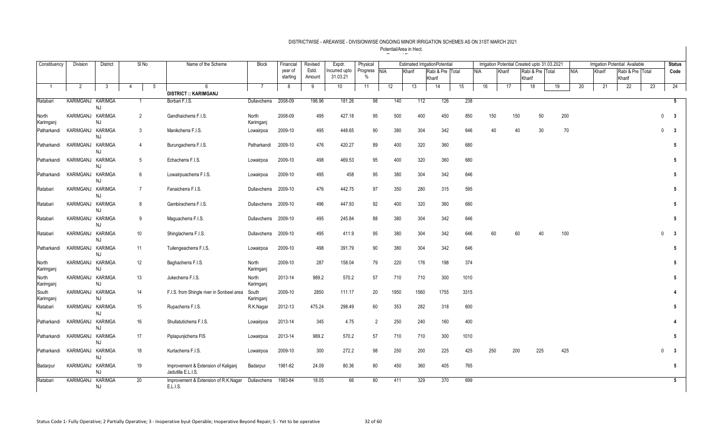| Constituency       | <b>Division</b>   | <b>District</b>             | SINo           | Name of the Scheme                                        | <b>Block</b>         | Financial | Revised | Expdr.        | Physical     |      |        | <b>Estimated IrrigationPotential</b> |    |      | Irrigation Potential Created upto 31.03.2021 |        |        |                  |     |            |        | Irrigation Potential Available |    | <b>Status</b>                           |
|--------------------|-------------------|-----------------------------|----------------|-----------------------------------------------------------|----------------------|-----------|---------|---------------|--------------|------|--------|--------------------------------------|----|------|----------------------------------------------|--------|--------|------------------|-----|------------|--------|--------------------------------|----|-----------------------------------------|
|                    |                   |                             |                |                                                           |                      | year of   | Estd.   | Incurred upto | Progress NIA |      | Kharif | Rabi & Pre Total                     |    |      | <b>NIA</b>                                   | Kharif |        | Rabi & Pre Total |     | <b>NIA</b> | Kharif | Rabi & Pre Total               |    | Code                                    |
|                    |                   |                             |                |                                                           |                      | starting  | Amount  | 31.03.21      | $\%$         |      |        | Kharif                               |    |      |                                              |        | Kharif |                  |     |            |        | Kharif                         |    |                                         |
| $\overline{1}$     | $\overline{2}$    | $\mathbf{3}$                | $\overline{4}$ | -5<br>6                                                   | -7                   | 8         | 9       | 10            | 11           | 12   | 13     | 14                                   | 15 |      | 16                                           | 17     |        | 18               | 19  | 20         | 21     | 22                             | 23 | 24                                      |
| Ratabari           | KARIMGANJ KARIMGA |                             | $\overline{1}$ | <b>DISTRICT :: KARIMGANJ</b><br>Borbari F.I.S.            | Dullavcherra         | 2008-09   | 196.96  | 181.26        | 98           | 140  | 112    | 126                                  |    | 238  |                                              |        |        |                  |     |            |        |                                |    | 5                                       |
|                    |                   | <b>NJ</b>                   |                |                                                           |                      |           |         |               |              |      |        |                                      |    |      |                                              |        |        |                  |     |            |        |                                |    |                                         |
| North<br>Karimganj | KARIMGANJ KARIMGA | <b>NJ</b>                   | $\overline{2}$ | Gandhaicherra F.I.S.                                      | North<br>Karimganj   | 2008-09   | 495     | 427.18        | 95           | 500  | 400    | 450                                  |    | 850  | 150                                          | 150    |        | 50               | 200 |            |        |                                |    | $\mathbf{0}$<br>$\overline{\mathbf{3}}$ |
| Patharkandi        | KARIMGANJ         | <b>KARIMGA</b><br><b>NJ</b> | 3              | Manikcherra F.I.S.                                        | Lowairpoa            | 2009-10   | 495     | 448.65        | 90           | 380  | 304    | 342                                  |    | 646  | 40                                           |        | 40     | 30               |     | 70         |        |                                |    | $\mathbf{0}$<br>$\overline{\mathbf{3}}$ |
| Patharkandi        | KARIMGANJ KARIMGA | <b>NJ</b>                   | $\overline{4}$ | Burungacherra F.I.S.                                      | Patharkandi          | 2009-10   | 476     | 420.27        | 89           | 400  | 320    | 360                                  |    | 680  |                                              |        |        |                  |     |            |        |                                |    | $5\phantom{.0}$                         |
| Patharkandi        | KARIMGANJ         | <b>KARIMGA</b><br><b>NJ</b> | 5              | Echacherra F.I.S.                                         | Lowairpoa            | 2009-10   | 498     | 469.53        | 95           | 400  | 320    | 360                                  |    | 680  |                                              |        |        |                  |     |            |        |                                |    | 5                                       |
| Patharkandi        | KARIMGANJ         | <b>KARIMGA</b><br><b>NJ</b> | 6              | Lowairpuacherra F.I.S.                                    | Lowairpoa            | 2009-10   | 495     | 458           | 95           | 380  | 304    | 342                                  |    | 646  |                                              |        |        |                  |     |            |        |                                |    | $5\phantom{.0}$                         |
| Ratabari           | KARIMGANJ KARIMGA | <b>NJ</b>                   | $\overline{7}$ | Fanaicherra F.I.S.                                        | Dullavcherra 2009-10 |           | 476     | 442.75        | 97           | 350  | 280    | 315                                  |    | 595  |                                              |        |        |                  |     |            |        |                                |    | 5                                       |
| Ratabari           | KARIMGANJ KARIMGA | NJ                          | 8              | Gambiracherra F.I.S.                                      | Dullavcherra         | 2009-10   | 496     | 447.93        | 92           | 400  | 320    | 360                                  |    | 680  |                                              |        |        |                  |     |            |        |                                |    | $5\phantom{.0}$                         |
| Ratabari           | KARIMGANJ KARIMGA | <b>NJ</b>                   | 9              | Maguacherra F.I.S.                                        | Dullavcherra         | 2009-10   | 495     | 245.84        | 88           | 380  | 304    | 342                                  |    | 646  |                                              |        |        |                  |     |            |        |                                |    | $5\phantom{.0}$                         |
| Ratabari           | KARIMGANJ KARIMGA | <b>NJ</b>                   | 10             | Shinglacherra F.I.S.                                      | Dullavcherra         | 2009-10   | 495     | 411.9         | 95           | 380  | 304    | 342                                  |    | 646  | 60                                           |        | 60     | 40               | 100 |            |        |                                |    | $\mathbf 0$<br>$\overline{\mathbf{3}}$  |
| Patharkandi        | KARIMGANJ         | <b>KARIMGA</b><br><b>NJ</b> | 11             | Tuilengeacherra F.I.S.                                    | Lowairpoa            | 2009-10   | 498     | 391.79        | 90           | 380  | 304    | 342                                  |    | 646  |                                              |        |        |                  |     |            |        |                                |    | 5                                       |
| North<br>Karimganj | KARIMGANJ KARIMGA | <b>NJ</b>                   | 12             | Baghacherra F.I.S.                                        | North<br>Karimganj   | 2009-10   | 287     | 158.04        | 79           | 220  | 176    | 198                                  |    | 374  |                                              |        |        |                  |     |            |        |                                |    | $5\phantom{.0}$                         |
| North<br>Karimganj | KARIMGANJ KARIMGA | <b>NJ</b>                   | 13             | Jukecherra F.I.S.                                         | North<br>Karimgani   | 2013-14   | 989.2   | 570.2         | 57           | 710  | 710    | 300                                  |    | 1010 |                                              |        |        |                  |     |            |        |                                |    | 5                                       |
| South<br>Karimganj | KARIMGANJ         | <b>KARIMGA</b><br><b>NJ</b> | 14             | F.I.S. from Shingle river in Sonbeel area                 | South<br>Karimganj   | 2009-10   | 2850    | 111.17        | 20           | 1950 | 1560   | 1755                                 |    | 3315 |                                              |        |        |                  |     |            |        |                                |    |                                         |
| Ratabari           | KARIMGANJ KARIMGA | <b>NJ</b>                   | 15             | Rupacherra F.I.S.                                         | R.K.Nagar            | 2012-13   | 475.24  | 298.49        | 60           | 353  | 282    | 318                                  |    | 600  |                                              |        |        |                  |     |            |        |                                |    | $5\phantom{.0}$                         |
| Patharkandi        | KARIMGANJ         | <b>KARIMGA</b><br><b>NJ</b> | 16             | Shullatuticherra F.I.S.                                   | Lowairpoa            | 2013-14   | 345     | 4.75          | 2            | 250  | 240    | 160                                  |    | 400  |                                              |        |        |                  |     |            |        |                                |    |                                         |
| Patharkandi        | KARIMGANJ         | <b>KARIMGA</b><br><b>NJ</b> | 17             | Piplapunjicherra FIS                                      | Lowairpoa            | 2013-14   | 989.2   | 570.2         | 57           | 710  | 710    | 300                                  |    | 1010 |                                              |        |        |                  |     |            |        |                                |    | 5                                       |
| Patharkandi        | KARIMGANJ KARIMGA | <b>NJ</b>                   | 18             | Kurtacherra F.I.S.                                        | Lowairpoa            | 2009-10   | 300     | 272.2         | 98           | 250  | 200    | 225                                  |    | 425  | 250                                          | 200    |        | 225              | 425 |            |        |                                |    | $\mathbf{3}$<br>0                       |
| Badarpur           | KARIMGANJ KARIMGA | <b>NJ</b>                   | 19             | Improvement & Extension of Kaliganj<br>Jadutilla E.L.I.S. | Badarpur             | 1981-82   | 24.09   | 80.36         | 80           | 450  | 360    | 405                                  |    | 765  |                                              |        |        |                  |     |            |        |                                |    | $5\phantom{.0}$                         |
| Ratabari           | KARIMGANJ         | <b>KARIMGA</b><br><b>NJ</b> | 20             | Improvement & Extension of R.K.Nagar<br>E.L.I.S.          | Dullavcherra         | 1983-84   | 18.05   | 66            | 80           | 411  | 329    | 370                                  |    | 699  |                                              |        |        |                  |     |            |        |                                |    | $5\overline{)}$                         |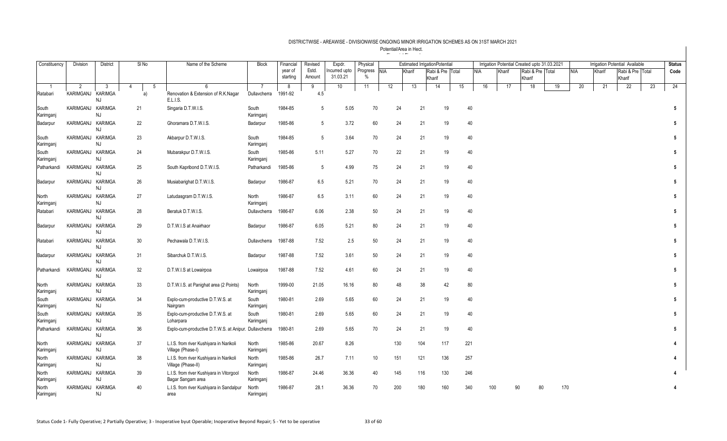| Constituency       | Division          | <b>District</b>      | $SI$ No | Name of the Scheme                                            | <b>Block</b>       | Financial | Revised         | Expdr.          | Physical     |     |        | <b>Estimated IrrigationPotentia</b> |     |     |            | Irrigation Potential Created upto 31.03.2021 |        |                  |    |            |        | <b>Irrigation Potential Available</b> |    | <b>Status</b>  |
|--------------------|-------------------|----------------------|---------|---------------------------------------------------------------|--------------------|-----------|-----------------|-----------------|--------------|-----|--------|-------------------------------------|-----|-----|------------|----------------------------------------------|--------|------------------|----|------------|--------|---------------------------------------|----|----------------|
|                    |                   |                      |         |                                                               |                    | year of   | Estd.           | ncurred upto    | Progress NIA |     | Kharif | Rabi & Pre Total                    |     |     | <b>NIA</b> | Kharif                                       |        | Rabi & Pre Total |    | <b>NIA</b> | Kharif | Rabi & Pre Total                      |    | Code           |
|                    |                   |                      |         |                                                               |                    | starting  | Amount          | 31.03.21        | $\%$         |     |        | Kharif                              |     |     |            |                                              | Kharif |                  |    |            |        | Kharif                                |    |                |
|                    | 2                 | -3                   | 5       | -ĥ                                                            | 7                  | 8         | 9               | 10 <sup>°</sup> | 11           | 12  | 13     | 14                                  |     | 15  | 16         | 17                                           |        | 18               | 19 | 20         | 21     | 22                                    | 23 | 24             |
| Ratabari           | KARIMGANJ         | <b>KARIMGA</b><br>NJ | a)      | Renovation & Extension of R.K.Nagar<br>E.L.I.S.               | Dullavcherra       | 1991-92   | 4.5             |                 |              |     |        |                                     |     |     |            |                                              |        |                  |    |            |        |                                       |    |                |
| South<br>Karimganj | KARIMGANJ KARIMGA | <b>NJ</b>            | 21      | Singaria D.T.W.I.S.                                           | South<br>Karimganj | 1984-85   | 5               | 5.05            | 70           | 24  |        | 21                                  | 19  | 40  |            |                                              |        |                  |    |            |        |                                       |    | 5              |
| Badarpur           | KARIMGANJ KARIMGA | NJ                   | 22      | Ghoramara D.T.W.I.S.                                          | Badarpur           | 1985-86   | $5\overline{)}$ | 3.72            | 60           | 24  |        | 21                                  | 19  | 40  |            |                                              |        |                  |    |            |        |                                       |    | 5              |
| South<br>Karimganj | KARIMGANJ KARIMGA | NJ                   | 23      | Akbarpur D.T.W.I.S.                                           | South<br>Karimganj | 1984-85   | 5               | 3.64            | 70           | 24  |        | 21                                  | 19  | 40  |            |                                              |        |                  |    |            |        |                                       |    | 5              |
| South<br>Karimganj | KARIMGANJ KARIMGA | NJ                   | 24      | Mubarakpur D.T.W.I.S.                                         | South<br>Karimganj | 1985-86   | 5.11            | 5.27            | 70           |     | 22     | 21                                  | 19  | 40  |            |                                              |        |                  |    |            |        |                                       |    | 5              |
| Patharkandi        | KARIMGANJ KARIMGA | NJ                   | 25      | South Kapribond D.T.W.I.S.                                    | Patharkandi        | 1985-86   | 5               | 4.99            | 75           | 24  |        | 21                                  | 19  | 40  |            |                                              |        |                  |    |            |        |                                       |    | 5              |
| Badarpur           | KARIMGANJ KARIMGA | NJ                   | 26      | Musiabarighat D.T.W.I.S.                                      | Badarpur           | 1986-87   | 6.5             | 5.21            | 70           | 24  |        | 21                                  | 19  | 40  |            |                                              |        |                  |    |            |        |                                       |    | 5 <sup>5</sup> |
| North<br>Karimganj | KARIMGANJ KARIMGA | NJ                   | 27      | Latudasgram D.T.W.I.S.                                        | North<br>Karimganj | 1986-87   | 6.5             | 3.11            | 60           | 24  |        | 21                                  | 19  | 40  |            |                                              |        |                  |    |            |        |                                       |    | 5              |
| Ratabari           | KARIMGANJ KARIMGA | NJ                   | 28      | Beratuk D.T.W.I.S.                                            | Dullavcherra       | 1986-87   | 6.06            | 2.38            | 50           | 24  |        | 21                                  | 19  | 40  |            |                                              |        |                  |    |            |        |                                       |    | 5 <sup>5</sup> |
| Badarpur           | KARIMGANJ KARIMGA | NJ                   | 29      | D.T.W.I.S at Anairhaor                                        | Badarpur           | 1986-87   | 6.05            | 5.21            | 80           | 24  |        | 21                                  | 19  | 40  |            |                                              |        |                  |    |            |        |                                       |    | 5              |
| Ratabari           | KARIMGANJ KARIMGA | NJ                   | 30      | Pechawala D.T.W.I.S.                                          | Dullavcherra       | 1987-88   | 7.52            | 2.5             | 50           | 24  |        | 21                                  | 19  | 40  |            |                                              |        |                  |    |            |        |                                       |    | 5 <sup>5</sup> |
| Badarpur           | KARIMGANJ KARIMGA | NJ                   | 31      | Sibarchuk D.T.W.I.S.                                          | Badarpur           | 1987-88   | 7.52            | 3.61            | 50           | 24  |        | 21                                  | 19  | 40  |            |                                              |        |                  |    |            |        |                                       |    | 5              |
| Patharkandi        | KARIMGANJ KARIMGA | NJ                   | 32      | D.T.W.I.S at Lowairpoa                                        | Lowairpoa          | 1987-88   | 7.52            | 4.61            | 60           | 24  |        | 21                                  | 19  | 40  |            |                                              |        |                  |    |            |        |                                       |    | 5 <sup>5</sup> |
| North<br>Karimganj | KARIMGANJ KARIMGA | NJ                   | 33      | D.T.W.I.S. at Panighat area (2 Points)                        | North<br>Karimganj | 1999-00   | 21.05           | 16.16           | 80           | 48  |        | 38                                  | 42  | 80  |            |                                              |        |                  |    |            |        |                                       |    | 5 <sup>5</sup> |
| South<br>Karimganj | KARIMGANJ KARIMGA | NJ                   | 34      | Explo-cum-productive D.T.W.S. at<br>Nairgram                  | South<br>Karimganj | 1980-81   | 2.69            | 5.65            | 60           | 24  |        | 21                                  | 19  | 40  |            |                                              |        |                  |    |            |        |                                       |    | 5              |
| South<br>Karimganj | KARIMGANJ KARIMGA | NJ.                  | 35      | Explo-cum-productive D.T.W.S. at<br>Loharpara                 | South<br>Karimganj | 1980-81   | 2.69            | 5.65            | 60           | 24  |        | 21                                  | 19  | 40  |            |                                              |        |                  |    |            |        |                                       |    | 5 <sup>5</sup> |
| Patharkandi        | KARIMGANJ KARIMGA | NJ                   | 36      | Explo-cum-productive D.T.W.S. at Anipur. Dullavcherra         |                    | 1980-81   | 2.69            | 5.65            | 70           | 24  |        | 21                                  | 19  | 40  |            |                                              |        |                  |    |            |        |                                       |    | 5 <sup>5</sup> |
| North<br>Karimganj | KARIMGANJ KARIMGA | NJ.                  | 37      | L.I.S. from river Kushiyara in Narikoli<br>Village (Phase-I)  | North<br>Karimganj | 1985-86   | 20.67           | 8.26            |              | 130 | 104    | 117                                 |     | 221 |            |                                              |        |                  |    |            |        |                                       |    |                |
| North<br>Karimganj | KARIMGANJ KARIMGA | NJ                   | 38      | L.I.S. from river Kushiyara in Narikoli<br>Village (Phase-II) | North<br>Karimganj | 1985-86   | 26.7            | 7.11            | 10           | 151 | 121    |                                     | 136 | 257 |            |                                              |        |                  |    |            |        |                                       |    |                |
| North<br>Karimganj | KARIMGANJ KARIMGA | NJ                   | 39      | L.I.S. from river Kushiyara in Vitorgool<br>Bagar Sangam area | North<br>Karimganj | 1986-87   | 24.46           | 36.36           | 40           | 145 | 116    |                                     | 130 | 246 |            |                                              |        |                  |    |            |        |                                       |    |                |
| North<br>Karimgani | KARIMGANJ KARIMGA | NJ.                  | 40      | L.I.S. from river Kushiyara in Sandalpur<br>area              | North<br>Karimgani | 1986-87   | 28.1            | 36.36           | 70           | 200 | 180    |                                     | 160 | 340 | 100        |                                              | 90     | 80               |    | 170        |        |                                       |    |                |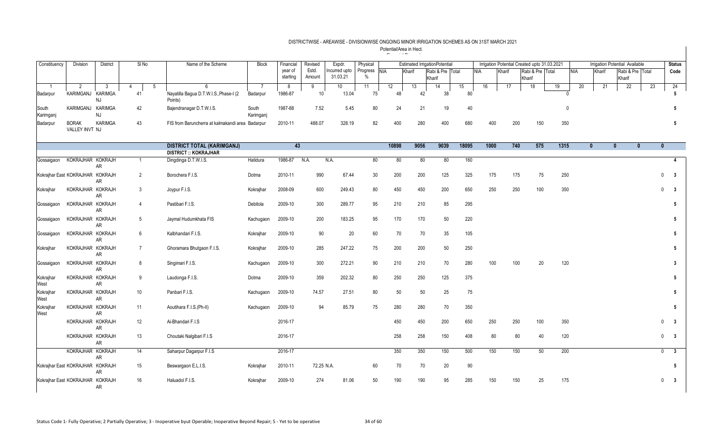| Constituency       | Division                         | District             | SI No           | Name of the Scheme                                | <b>Block</b>       | Financial           | Revised         | Expdr.                    | Physical             |       |        | <b>Estimated IrrigationPotential</b> |       |            |        | Irrigation Potential Created upto 31.03.2021 |           |            |              | Irrigation Potential Available |                  |              | <b>Status</b>           |
|--------------------|----------------------------------|----------------------|-----------------|---------------------------------------------------|--------------------|---------------------|-----------------|---------------------------|----------------------|-------|--------|--------------------------------------|-------|------------|--------|----------------------------------------------|-----------|------------|--------------|--------------------------------|------------------|--------------|-------------------------|
|                    |                                  |                      |                 |                                                   |                    | year of<br>starting | Estd.<br>Amount | Incurred upto<br>31.03.21 | Progress NIA<br>$\%$ |       | Kharif | Rabi & Pre Total<br>Kharif           |       | <b>NIA</b> | Kharif | Rabi & Pre Total<br>Kharif                   |           | <b>NIA</b> | Kharif       | Kharif                         | Rabi & Pre Total |              | Code                    |
| -1                 | 2                                | -3                   | 4<br>-5         | 6                                                 | - 7                | 8                   | 9               | 10                        | 11                   | 12    | 13     | 14                                   | 15    | 16         | 17     | 18                                           | 19        | 20         | 21           | 22                             |                  | 23           | 24                      |
| Badarpur           | KARIMGANJ                        | <b>KARIMGA</b><br>NJ | 41              | Nayatilla Bagua D.T.W.I.S., Phase-I (2<br>Points) | Badarpur           | 1986-87             | 10              | 13.04                     | 75                   | 48    | 42     | 38                                   | 80    |            |        |                                              |           |            |              |                                |                  |              | 5                       |
| South<br>Karimganj | KARIMGANJ KARIMGA                | NJ.                  | 42              | Bajendranagar D.T.W.I.S.                          | South<br>Karimgani | 1987-88             | 7.52            | 5.45                      | 80                   | 24    | 21     | 19                                   | 40    |            |        |                                              |           | $\Omega$   |              |                                |                  |              | 5                       |
| Badarpur           | <b>BORAK</b><br>VALLEY INVT NJ   | <b>KARIMGA</b>       | 43              | FIS from Baruncherra at kalmakandi area Badarpur  |                    | 2010-11             | 488.07          | 328.19                    | 82                   | 400   | 280    | 400                                  | 680   | 400        | 200    | 150                                          | 350       |            |              |                                |                  |              | 5                       |
|                    |                                  |                      |                 | <b>DISTRICT TOTAL (KARIMGANJ)</b>                 |                    | 43                  |                 |                           |                      | 10898 | 9056   | 9039                                 | 18095 | 1000       | 740    | 575                                          | 1315      |            | $\mathbf{0}$ | $\mathbf{0}$                   | $\mathbf{0}$     | $\mathbf{0}$ |                         |
|                    |                                  |                      |                 | <b>DISTRICT :: KOKRAJHAR</b>                      |                    |                     |                 |                           |                      |       |        |                                      |       |            |        |                                              |           |            |              |                                |                  |              |                         |
| Gossaigaon         | KOKRAJHAR KOKRAJH                | AR                   | $\mathbf{1}$    | Dingdinga D.T.W.I.S.                              | Hatidura           | 1986-87             | N.A.            | N.A.                      | 80                   | 80    | 80     | 80                                   | 160   |            |        |                                              |           |            |              |                                |                  |              | 4                       |
|                    | Kokrajhar East KOKRAJHAR KOKRAJH | <b>AR</b>            | $\overline{2}$  | Borochera F.I.S.                                  | Dotma              | 2010-11             | 990             | 67.44                     | 30                   | 200   | 200    | 125                                  | 325   | 175        | 175    |                                              | 250<br>75 |            |              |                                |                  | $\mathbf 0$  | $\overline{\mathbf{3}}$ |
| Kokrajhar          | KOKRAJHAR KOKRAJH                | AR                   | 3               | Joypur F.I.S.                                     | Kokrajhar          | 2008-09             | 600             | 249.43                    | 80                   | 450   | 450    | 200                                  | 650   | 250        | 250    | 100                                          | 350       |            |              |                                |                  | $\mathbf{0}$ | $\overline{\mathbf{3}}$ |
| Gossaigaon         | KOKRAJHAR KOKRAJH                | AR                   | $\overline{4}$  | Pastibari F.I.S.                                  | Debitola           | 2009-10             | 300             | 289.77                    | 95                   | 210   | 210    | 85                                   | 295   |            |        |                                              |           |            |              |                                |                  |              | 5                       |
| Gossaigaon         | KOKRAJHAR KOKRAJH                | AR                   | 5 <sub>5</sub>  | Jaymal Hudumkhata FIS                             | Kachugaon          | 2009-10             | 200             | 183.25                    | 95                   | 170   | 170    | 50                                   | 220   |            |        |                                              |           |            |              |                                |                  |              | 5                       |
| Gossaigaon         | KOKRAJHAR KOKRAJH                | <b>AR</b>            | 6               | Kalbhandari F.I.S.                                | Kokrajhar          | 2009-10             | 90              | 20                        | 60                   | 70    | 70     | 35                                   | 105   |            |        |                                              |           |            |              |                                |                  |              | 5                       |
| Kokrajhar          | KOKRAJHAR KOKRAJH                | AR                   | $\overline{7}$  | Ghoramara Bhutgaon F.I.S.                         | Kokrajhar          | 2009-10             | 285             | 247.22                    | 75                   | 200   | 200    | 50                                   | 250   |            |        |                                              |           |            |              |                                |                  |              | 5                       |
| Gossaigaon         | KOKRAJHAR KOKRAJH                | AR                   | 8               | Singimari F.I.S.                                  | Kachugaon          | 2009-10             | 300             | 272.21                    | 90                   | 210   | 210    | 70                                   | 280   | 100        | 100    |                                              | 20<br>120 |            |              |                                |                  |              | 3                       |
| Kokrajhar<br>West  | KOKRAJHAR KOKRAJH                | <b>AR</b>            | 9               | Laudonga F.I.S.                                   | Dotma              | 2009-10             | 359             | 202.32                    | 80                   | 250   | 250    | 125                                  | 375   |            |        |                                              |           |            |              |                                |                  |              | 5                       |
| Kokrajhar<br>West  | KOKRAJHAR KOKRAJH                | AR                   | 10 <sup>1</sup> | Panbari F.I.S.                                    | Kachugaon          | 2009-10             | 74.57           | 27.51                     | 80                   | 50    | 50     | 25                                   | 75    |            |        |                                              |           |            |              |                                |                  |              | 5                       |
| Kokrajhar<br>West  | KOKRAJHAR KOKRAJH                | AR                   | 11              | Aoutihara F.I.S.(Ph-II)                           | Kachugaon          | 2009-10             | 94              | 85.79                     | 75                   | 280   | 280    | 70                                   | 350   |            |        |                                              |           |            |              |                                |                  |              | 5                       |
|                    | KOKRAJHAR KOKRAJH                | <b>AR</b>            | 12              | Ai-Bhandari F.I.S                                 |                    | 2016-17             |                 |                           |                      | 450   | 450    | 200                                  | 650   | 250        | 250    | 100                                          | 350       |            |              |                                |                  | $\mathbf{0}$ | $\mathbf{3}$            |
|                    | KOKRAJHAR KOKRAJH                | AR                   | 13              | Choutaki Nalgibari F.I.S                          |                    | 2016-17             |                 |                           |                      | 258   | 258    | 150                                  | 408   | 80         |        | 80                                           | 40<br>120 |            |              |                                |                  |              | $0 \quad 3$             |
|                    | KOKRAJHAR KOKRAJH                | AR                   | 14              | Saharpur Dagarpur F.I.S                           |                    | 2016-17             |                 |                           |                      | 350   | 350    | 150                                  | 500   | 150        |        | 150                                          | 50<br>200 |            |              |                                |                  | $\mathbf{0}$ | $\mathbf{3}$            |
|                    | Kokrajhar East KOKRAJHAR KOKRAJH | <b>AR</b>            | 15              | Beswargaon E.L.I.S.                               | Kokrajhar          | 2010-11             | 72.25 N.A.      |                           | 60                   | 70    | 70     | 20                                   | 90    |            |        |                                              |           |            |              |                                |                  |              | 5                       |
|                    | Kokrajhar East KOKRAJHAR KOKRAJH | AR                   | 16              | Haluadol F.I.S.                                   | Kokrajhar          | 2009-10             | 274             | 81.06                     | 50                   | 190   | 190    | 95                                   | 285   | 150        | 150    |                                              | 175<br>25 |            |              |                                |                  | 0            | $\overline{\mathbf{3}}$ |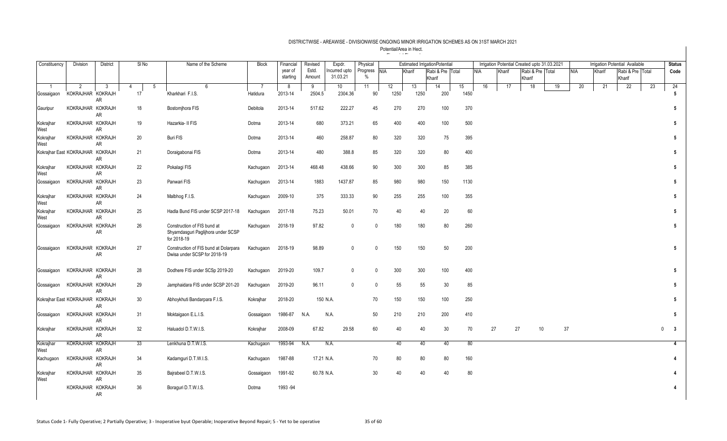| Constituency                     | Division          | District  | SI <sub>No</sub>    | Name of the Scheme                                                               | Block          | Financial           | Revised         | Expdr.                   | Physical             |      |        | <b>Estimated IrrigationPotential</b> |                  |     |        |    | Irrigation Potential Created upto 31.03.2021 |    |            |        | <b>Irrigation Potential Available</b> |    | <b>Status</b>                          |
|----------------------------------|-------------------|-----------|---------------------|----------------------------------------------------------------------------------|----------------|---------------------|-----------------|--------------------------|----------------------|------|--------|--------------------------------------|------------------|-----|--------|----|----------------------------------------------|----|------------|--------|---------------------------------------|----|----------------------------------------|
|                                  |                   |           |                     |                                                                                  |                | year of<br>starting | Estd.<br>Amount | ncurred upto<br>31.03.21 | Progress NIA<br>$\%$ |      | Kharif | Rabi & Pre Total<br>Kharif           |                  | NIA | Kharif |    | Rabi & Pre Total<br>Kharif                   |    | <b>NIA</b> | Kharif | Rabi & Pre Total<br>Kharif            |    | Code                                   |
| $\overline{1}$                   | 2                 | 3         | $\overline{4}$<br>5 | 6                                                                                | $\overline{7}$ | 8                   | 9               | 10                       | 11                   | 12   | 13     | 14                                   | 15 <sub>15</sub> | 16  |        | 17 | 18                                           | 19 | 20         | 21     | 22                                    | 23 | 24                                     |
| Gossaigaon                       | KOKRAJHAR KOKRAJH | AR        | 17                  | Kharkhari F.I.S.                                                                 | Hatidura       | 2013-14             | 2504.5          | 2304.36                  | 90                   | 1250 | 1250   | 200                                  | 1450             |     |        |    |                                              |    |            |        |                                       |    | 5                                      |
| Gauripur                         | KOKRAJHAR KOKRAJH | AR        | 18                  | Bostomjhora FIS                                                                  | Debitola       | 2013-14             | 517.62          | 222.27                   | 45                   | 270  | 270    | 100                                  | 370              |     |        |    |                                              |    |            |        |                                       |    | 5                                      |
| Kokrajhar<br>West                | KOKRAJHAR KOKRAJH | AR        | 19                  | Hazarkia- II FIS                                                                 | Dotma          | 2013-14             | 680             | 373.21                   | 65                   | 400  |        | 400<br>100                           | 500              |     |        |    |                                              |    |            |        |                                       |    | 5                                      |
| Kokrajhar<br>West                | KOKRAJHAR KOKRAJH | AR        | 20                  | Buri FIS                                                                         | Dotma          | 2013-14             | 460             | 258.87                   | 80                   | 320  |        | 320<br>75                            | 395              |     |        |    |                                              |    |            |        |                                       |    | 5                                      |
| Kokrajhar East KOKRAJHAR KOKRAJH |                   | AR        | 21                  | Doraigabonai FIS                                                                 | Dotma          | 2013-14             | 480             | 388.8                    | 85                   | 320  |        | 320<br>80                            | 400              |     |        |    |                                              |    |            |        |                                       |    | 5                                      |
| Kokrajhar<br>West                | KOKRAJHAR KOKRAJH | <b>AR</b> | 22                  | Pokalagi FIS                                                                     | Kachugaon      | 2013-14             | 468.48          | 438.66                   | 90                   | 300  |        | 300<br>85                            | 385              |     |        |    |                                              |    |            |        |                                       |    | 5                                      |
| Gossaigaon                       | KOKRAJHAR KOKRAJH | AR        | 23                  | Panwari FIS                                                                      | Kachugaon      | 2013-14             | 1883            | 1437.87                  | 85                   | 980  |        | 980<br>150                           | 1130             |     |        |    |                                              |    |            |        |                                       |    | 5                                      |
| Kokrajhar<br>West                | KOKRAJHAR KOKRAJH | AR        | 24                  | Malbhog F.I.S.                                                                   | Kachugaon      | 2009-10             | 375             | 333.33                   | 90                   | 255  |        | 255<br>100                           | 355              |     |        |    |                                              |    |            |        |                                       |    | 5                                      |
| Kokrajhar<br>West                | KOKRAJHAR KOKRAJH | <b>AR</b> | 25                  | Hadla Bund FIS under SCSP 2017-18                                                | Kachugaon      | 2017-18             | 75.23           | 50.01                    | 70                   | 40   |        | 40<br>20                             | 60               |     |        |    |                                              |    |            |        |                                       |    | 5                                      |
| Gossaigaon                       | KOKRAJHAR KOKRAJH | AR        | 26                  | Construction of FIS bund at<br>Shyamdasguri Paglijhora under SCSP<br>for 2018-19 | Kachugaon      | 2018-19             | 97.82           | $\mathbf 0$              | $\mathbf{0}$         | 180  |        | 180<br>80                            | 260              |     |        |    |                                              |    |            |        |                                       |    | 5                                      |
| Gossaigaon                       | KOKRAJHAR KOKRAJH | AR        | 27                  | Construction of FIS bund at Dolarpara<br>Dwisa under SCSP for 2018-19            | Kachugaon      | 2018-19             | 98.89           | $\mathbf{0}$             | $\mathbf{0}$         | 150  |        | 150<br>50                            | 200              |     |        |    |                                              |    |            |        |                                       |    | 5                                      |
| Gossaigaon                       | KOKRAJHAR KOKRAJH | AR        | 28                  | Dodhere FIS under SCSp 2019-20                                                   | Kachugaon      | 2019-20             | 109.7           | $\mathbf{0}$             | $\mathbf{0}$         | 300  |        | 300<br>100                           | 400              |     |        |    |                                              |    |            |        |                                       |    | 5                                      |
| Gossaigaon                       | KOKRAJHAR KOKRAJH | <b>AR</b> | 29                  | Jamphaidara FIS under SCSP 201-20                                                | Kachugaon      | 2019-20             | 96.11           | $\mathbf{0}$             | $\mathbf 0$          | 55   |        | 55<br>30                             | 85               |     |        |    |                                              |    |            |        |                                       |    | $5\phantom{.0}$                        |
| Kokrajhar East KOKRAJHAR KOKRAJH |                   | AR        | 30                  | Abhoykhuti Bandarpara F.I.S.                                                     | Kokrajhar      | 2018-20             | 150 N.A.        |                          | 70                   | 150  |        | 150<br>100                           | 250              |     |        |    |                                              |    |            |        |                                       |    | $5\phantom{.0}$                        |
| Gossaigaon                       | KOKRAJHAR KOKRAJH | AR        | 31                  | Moktaigaon E.L.I.S.                                                              | Gossaigaon     | 1986-87             | N.A.            | N.A.                     | 50                   | 210  | 210    | 200                                  | 410              |     |        |    |                                              |    |            |        |                                       |    | $5\phantom{.0}$                        |
| Kokrajhar                        | KOKRAJHAR KOKRAJH | AR        | 32                  | Haluadol D.T.W.I.S.                                                              | Kokrajhar      | 2008-09             | 67.82           | 29.58                    | 60                   | 40   |        | 40<br>30                             | 70               |     | 27     | 27 |                                              | 10 | 37         |        |                                       |    | $\mathbf 0$<br>$\overline{\mathbf{3}}$ |
| Kokrajhar<br>West                | KOKRAJHAR KOKRAJH | AR        | 33                  | Lenkhuna D.T.W.I.S.                                                              | Kachugaon      | 1993-94             | N.A.            | N.A.                     |                      |      | 40     | 40<br>40                             | 80               |     |        |    |                                              |    |            |        |                                       |    | $\overline{4}$                         |
| Kachugaon                        | KOKRAJHAR KOKRAJH | AR        | 34                  | Kadamquri D.T.W.I.S.                                                             | Kachugaon      | 1987-88             | 17.21 N.A.      |                          | 70                   |      | 80     | 80<br>80                             | 160              |     |        |    |                                              |    |            |        |                                       |    | 4                                      |
| Kokrajhar<br>West                | KOKRAJHAR KOKRAJH | AR        | 35                  | Bajrabeel D.T.W.I.S.                                                             | Gossaigaon     | 1991-92             | 60.78 N.A.      |                          | 30                   |      | 40     | 40<br>40                             | 80               |     |        |    |                                              |    |            |        |                                       |    | $\boldsymbol{\Lambda}$                 |
|                                  | KOKRAJHAR KOKRAJH | AR        | 36                  | Boraguri D.T.W.I.S.                                                              | Dotma          | 1993 - 94           |                 |                          |                      |      |        |                                      |                  |     |        |    |                                              |    |            |        |                                       |    | 4                                      |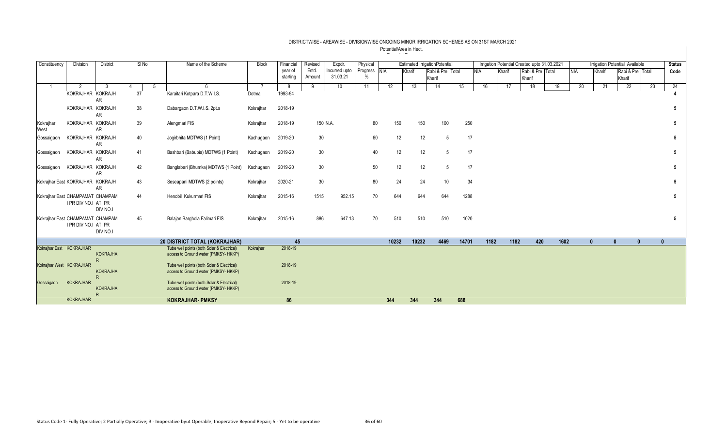| Constituency                     | Division             | <b>District</b>                 |    | SINo | Name of the Scheme                                                                 | Block     | Financial<br>year of | Revised<br>Estd. | Expdr.<br>Incurred upto | Physical     |       |        | <b>Estimated IrrigationPotential</b> |       |            |        | Irrigation Potential Created upto 31.03.2021 |      |            |              | Irrigation Potential Available |              | <b>Status</b> |
|----------------------------------|----------------------|---------------------------------|----|------|------------------------------------------------------------------------------------|-----------|----------------------|------------------|-------------------------|--------------|-------|--------|--------------------------------------|-------|------------|--------|----------------------------------------------|------|------------|--------------|--------------------------------|--------------|---------------|
|                                  |                      |                                 |    |      |                                                                                    |           | starting             | Amount           | 31.03.21                | Progress NIA |       | Kharif | Rabi & Pre Total                     |       | <b>NIA</b> | Kharif | Rabi & Pre Total                             |      | <b>NIA</b> | Kharif       | Rabi & Pre Total               |              | Code          |
|                                  |                      |                                 |    |      |                                                                                    |           |                      |                  |                         |              |       |        | Kharif                               |       |            |        | Kharif                                       |      |            |              | Kharif                         |              |               |
|                                  | 2                    | 3                               |    | -5   |                                                                                    |           | -8                   | 9                | 10 <sup>°</sup>         | 11           | 12    | 13     | 14                                   | 15    | 16         | 17     | 18                                           | 19   | 20         | 21           | 22                             | 23           | 24            |
|                                  | KOKRAJHAR KOKRAJH    | <b>AR</b>                       | 37 |      | Karaitari Kotpara D.T.W.I.S.                                                       | Dotma     | 1993-94              |                  |                         |              |       |        |                                      |       |            |        |                                              |      |            |              |                                |              |               |
|                                  | KOKRAJHAR KOKRAJH    | <b>AR</b>                       | 38 |      | Dabargaon D.T.W.I.S. 2pt.s                                                         | Kokrajhar | 2018-19              |                  |                         |              |       |        |                                      |       |            |        |                                              |      |            |              |                                |              |               |
| Kokrajhar<br>West                | KOKRAJHAR KOKRAJH    | <b>AR</b>                       | 39 |      | Alengmari FIS                                                                      | Kokrajhar | 2018-19              |                  | 150 N.A.                | 80           | 150   |        | 150<br>100                           |       | 250        |        |                                              |      |            |              |                                |              | 5             |
| Gossaigaor                       | KOKRAJHAR KOKRAJH    | <b>AR</b>                       | 40 |      | Jogirbhita MDTWS (1 Point)                                                         | Kachugaon | 2019-20              | 30 <sup>°</sup>  |                         | 60           |       | 12     | 12<br>5                              |       | 17         |        |                                              |      |            |              |                                |              |               |
| Gossaigaon                       | KOKRAJHAR KOKRAJH    | <b>AR</b>                       | 41 |      | Bashbari (Babubia) MDTWS (1 Point)                                                 | Kachugaon | 2019-20              | 30               |                         | 40           |       | 12     | 12<br>5                              |       | 17         |        |                                              |      |            |              |                                |              | 5             |
| Gossaigaon                       | KOKRAJHAR KOKRAJH    | <b>AR</b>                       | 42 |      | Banglabari (Bhumka) MDTWS (1 Point)                                                | Kachugaon | 2019-20              | 30               |                         | 50           |       | 12     | 12<br>$\overline{5}$                 |       | 17         |        |                                              |      |            |              |                                |              |               |
| Kokrajhar East KOKRAJHAR KOKRAJH |                      | <b>AR</b>                       | 43 |      | Seseapani MDTWS (2 points)                                                         | Kokrajhar | 2020-21              | 30               |                         | 80           |       | 24     | 24<br>10                             |       | 34         |        |                                              |      |            |              |                                |              |               |
| Kokrajhar East CHAMPAMAT CHAMPAM | I PR DIV NO.I ATI PR | DIV NO.I                        | 44 |      | Henobil Kukurmari FIS                                                              | Kokrajhar | 2015-16              | 1515             | 952.15                  | 70           | 644   | 644    | 644                                  |       | 1288       |        |                                              |      |            |              |                                |              |               |
| Kokraihar East CHAMPAMAT CHAMPAM | I PR DIV NO.I ATI PR | DIV NO.I                        | 45 |      | Balajan Barghola Falimari FIS                                                      | Kokrajhar | 2015-16              | 886              | 647.13                  | 70           | 510   | 510    | 510                                  |       | 1020       |        |                                              |      |            |              |                                |              | 5             |
|                                  |                      |                                 |    |      | 20 DISTRICT TOTAL (KOKRAJHAR)                                                      |           | 45                   |                  |                         |              | 10232 | 10232  | 4469                                 | 14701 |            | 1182   | 420<br>1182                                  | 1602 |            | $\mathbf{0}$ | $\mathbf{0}$                   | $\mathbf{0}$ | $\mathbf{u}$  |
| Kokrajhar East KOKRAJHAR         |                      | <b>KOKRAJHA</b><br>$\mathsf{R}$ |    |      | Tube well points (both Solar & Electrical)<br>access to Ground water (PMKSY- HKKP) | Kokrajhar | 2018-19              |                  |                         |              |       |        |                                      |       |            |        |                                              |      |            |              |                                |              |               |
| Kokrajhar West KOKRAJHAR         |                      | <b>KOKRAJHA</b>                 |    |      | Tube well points (both Solar & Electrical)<br>access to Ground water (PMKSY- HKKP) |           | 2018-19              |                  |                         |              |       |        |                                      |       |            |        |                                              |      |            |              |                                |              |               |
| Gossaigaon                       | <b>KOKRAJHAR</b>     | R<br><b>KOKRAJHA</b>            |    |      | Tube well points (both Solar & Electrical)<br>access to Ground water (PMKSY- HKKP) |           | 2018-19              |                  |                         |              |       |        |                                      |       |            |        |                                              |      |            |              |                                |              |               |
|                                  | <b>KOKRAJHAR</b>     |                                 |    |      | <b>KOKRAJHAR- PMKSY</b>                                                            |           | 86                   |                  |                         |              | 344   | 344    | 344                                  | 688   |            |        |                                              |      |            |              |                                |              |               |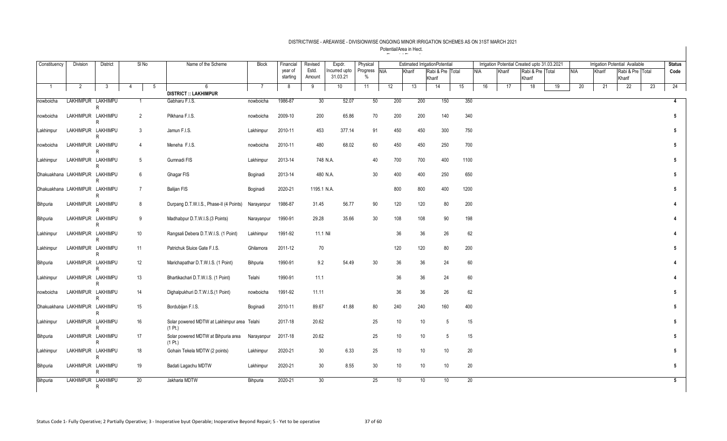| Constituency                   | <b>Division</b> | <b>District</b>              | SI <sub>No</sub> | Name of the Scheme                                     | <b>Block</b>   | Financial           | Revised         | Expdr.                   | Physical             |     |                       | <b>Estimated IrrigationPotential</b> |    |      |    |        | Irrigation Potential Created upto 31.03.2021 |    |            |    | Irrigation Potential Available |                  |    | <b>Status</b>   |
|--------------------------------|-----------------|------------------------------|------------------|--------------------------------------------------------|----------------|---------------------|-----------------|--------------------------|----------------------|-----|-----------------------|--------------------------------------|----|------|----|--------|----------------------------------------------|----|------------|----|--------------------------------|------------------|----|-----------------|
|                                |                 |                              |                  |                                                        |                | year of<br>starting | Estd.<br>Amount | ncurred upto<br>31.03.21 | Progress NIA<br>$\%$ |     | Kharif                | Rabi & Pre Total                     |    | NIA  |    | Kharif | Rabi & Pre Total                             |    | <b>NIA</b> |    | Kharif                         | Rabi & Pre Total |    | Code            |
|                                |                 |                              |                  | 6                                                      | $\overline{7}$ |                     |                 |                          |                      |     |                       | Kharif                               |    |      |    |        | Kharif                                       |    |            |    |                                | Kharif           |    |                 |
| $\overline{1}$                 | $\overline{2}$  | $3\phantom{a}$               | 5<br>4           | <b>DISTRICT :: LAKHIMPUR</b>                           |                | 8                   | 9               | 10 <sup>°</sup>          | 11                   | 12  | 13                    | 14                                   | 15 |      | 16 | 17     | 18                                           | 19 |            | 20 | 21                             | 22               | 23 | 24              |
| nowboicha                      |                 | LAKHIMPUR LAKHIMPU           | 1                | Gabharu F.I.S.                                         | nowboicha      | 1986-87             | 30 <sup>2</sup> | 52.07                    | 50                   | 200 | 200                   | 150                                  |    | 350  |    |        |                                              |    |            |    |                                |                  |    | $\overline{4}$  |
|                                |                 | R                            |                  |                                                        |                |                     |                 |                          |                      |     |                       |                                      |    |      |    |        |                                              |    |            |    |                                |                  |    |                 |
| nowboicha                      |                 | LAKHIMPUR LAKHIMPU<br>R      | 2                | Pilkhana F.I.S.                                        | nowboicha      | 2009-10             | 200             | 65.86                    | 70                   | 200 | 200                   | 140                                  |    | 340  |    |        |                                              |    |            |    |                                |                  |    | 5               |
| Lakhimpur                      |                 | LAKHIMPUR LAKHIMPU<br>R      | 3                | Jamun F.I.S.                                           | Lakhimpur      | 2010-11             | 453             | 377.14                   | 91                   | 450 | 450                   | 300                                  |    | 750  |    |        |                                              |    |            |    |                                |                  |    | $5\phantom{.0}$ |
| nowboicha                      |                 | LAKHIMPUR LAKHIMPU<br>R.     | $\overline{4}$   | Meneha F.I.S.                                          | nowboicha      | 2010-11             | 480             | 68.02                    | 60                   | 450 | 450                   | 250                                  |    | 700  |    |        |                                              |    |            |    |                                |                  |    | $5\phantom{.0}$ |
| Lakhimpur                      |                 | LAKHIMPUR LAKHIMPU           | 5                | Gumnadi FIS                                            | Lakhimpur      | 2013-14             | 748 N.A.        |                          | 40                   | 700 | 700                   | 400                                  |    | 1100 |    |        |                                              |    |            |    |                                |                  |    | 5               |
| Dhakuakhana LAKHIMPUR LAKHIMPU |                 | R                            | 6                | Ghagar FIS                                             | Boginadi       | 2013-14             | 480 N.A.        |                          | 30                   | 400 | 400                   | 250                                  |    | 650  |    |        |                                              |    |            |    |                                |                  |    | $5\phantom{.0}$ |
| Dhakuakhana LAKHIMPUR LAKHIMPU |                 | $\mathsf{R}$                 | $\overline{7}$   | <b>Balijan FIS</b>                                     | Boginadi       | 2020-21             | 1195.1 N.A.     |                          |                      | 800 | 800                   | 400                                  |    | 1200 |    |        |                                              |    |            |    |                                |                  |    | 5               |
| Bihpuria                       |                 | R<br>LAKHIMPUR LAKHIMPU      | 8                | Durpang D.T.W.I.S., Phase-II (4 Points)                | Narayanpur     | 1986-87             | 31.45           | 56.77                    | 90                   | 120 | 120                   | 80                                   |    | 200  |    |        |                                              |    |            |    |                                |                  |    | 4               |
| Bihpuria                       |                 | R<br>LAKHIMPUR LAKHIMPU<br>R | 9                | Madhabpur D.T.W.I.S.(3 Points)                         | Narayanpur     | 1990-91             | 29.28           | 35.66                    | 30                   | 108 | 108                   | 90                                   |    | 198  |    |        |                                              |    |            |    |                                |                  |    | 4               |
| Lakhimpur                      |                 | LAKHIMPUR LAKHIMPU<br>R      | 10               | Rangsali Debera D.T.W.I.S. (1 Point)                   | Lakhimpur      | 1991-92             | 11.1 Nil        |                          |                      |     | 36<br>36              | 26                                   |    | 62   |    |        |                                              |    |            |    |                                |                  |    | 4               |
| Lakhimpur                      |                 | LAKHIMPUR LAKHIMPU<br>R      | 11               | Patrichuk Sluice Gate F.I.S.                           | Ghilamora      | 2011-12             | 70              |                          |                      | 120 | 120                   | 80                                   |    | 200  |    |        |                                              |    |            |    |                                |                  |    | 5               |
| Bihpuria                       |                 | LAKHIMPUR LAKHIMPU<br>R      | 12               | Marichapathar D.T.W.I.S. (1 Point)                     | Bihpuria       | 1990-91             | 9.2             | 54.49                    | 30                   |     | 36<br>36              | 24                                   |    | 60   |    |        |                                              |    |            |    |                                |                  |    | 4               |
| Lakhimpur                      |                 | LAKHIMPUR LAKHIMPU<br>R      | 13               | Bhartikachari D.T.W.I.S. (1 Point)                     | Telahi         | 1990-91             | 11.1            |                          |                      |     | 36<br>36              | 24                                   |    | 60   |    |        |                                              |    |            |    |                                |                  |    | 4               |
| nowboicha                      |                 | LAKHIMPUR LAKHIMPU<br>R      | 14               | Dighalpukhuri D.T.W.I.S.(1 Point)                      | nowboicha      | 1991-92             | 11.11           |                          |                      |     | 36<br>36              | 26                                   |    | 62   |    |        |                                              |    |            |    |                                |                  |    | 5               |
| Dhakuakhana LAKHIMPUR LAKHIMPU |                 | R                            | 15               | Bordubijan F.I.S.                                      | Boginadi       | 2010-11             | 89.67           | 41.88                    | 80                   | 240 | 240                   | 160                                  |    | 400  |    |        |                                              |    |            |    |                                |                  |    | $5\phantom{.0}$ |
| Lakhimpur                      |                 | LAKHIMPUR LAKHIMPU<br>R      | 16               | Solar powered MDTW at Lakhimpur area Telahi<br>(1 Pt.) |                | 2017-18             | 20.62           |                          | 25                   |     | 10<br>10              | 5                                    |    | 15   |    |        |                                              |    |            |    |                                |                  |    | $5\phantom{.0}$ |
| Bihpuria                       |                 | LAKHIMPUR LAKHIMPU<br>R      | 17               | Solar powered MDTW at Bihpuria area<br>(1 Pt.)         | Narayanpur     | 2017-18             | 20.62           |                          | 25                   |     | 10 <sup>°</sup><br>10 | 5                                    |    | 15   |    |        |                                              |    |            |    |                                |                  |    | 5               |
| Lakhimpur                      |                 | LAKHIMPUR LAKHIMPU<br>R      | 18               | Gohain Tekela MDTW (2 points)                          | Lakhimpur      | 2020-21             | 30 <sup>°</sup> | 6.33                     | 25                   |     | 10<br>10              | 10                                   |    | 20   |    |        |                                              |    |            |    |                                |                  |    | 5               |
| Bihpuria                       |                 | LAKHIMPUR LAKHIMPU<br>R      | 19               | Badati Lagachu MDTW                                    | Lakhimpur      | 2020-21             | 30              | 8.55                     | 30                   |     | 10<br>10              | 10                                   |    | 20   |    |        |                                              |    |            |    |                                |                  |    | $5\phantom{.0}$ |
| Bihpuria                       |                 | LAKHIMPUR LAKHIMPU<br>R      | $\overline{20}$  | Jakharia MDTW                                          | Bihpuria       | 2020-21             | 30              |                          | 25                   |     | 10<br>10 <sup>°</sup> | 10                                   |    | 20   |    |        |                                              |    |            |    |                                |                  |    | $5\overline{5}$ |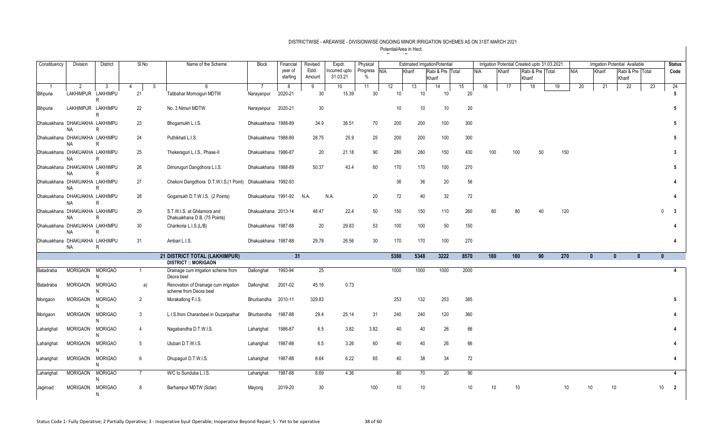| Constituency                   | <b>Division</b>    | <b>District</b>     | SI <sub>No</sub>    | Name of the Scheme                                              | <b>Block</b>        | Financial           | Revised         | Expdr.                   | Physical          |      |                       | <b>Estimated IrrigationPotential</b> |                 |     |     |        |        |                  | Irrigation Potential Created upto 31.03.2021 |            |              |              | Irrigation Potential Available |    | <b>Status</b>          |
|--------------------------------|--------------------|---------------------|---------------------|-----------------------------------------------------------------|---------------------|---------------------|-----------------|--------------------------|-------------------|------|-----------------------|--------------------------------------|-----------------|-----|-----|--------|--------|------------------|----------------------------------------------|------------|--------------|--------------|--------------------------------|----|------------------------|
|                                |                    |                     |                     |                                                                 |                     | year of<br>starting | Estd.<br>Amount | ncurred upto<br>31.03.21 | Progress NIA<br>% |      | Kharif                | Rabi & Pre Total<br>Kharif           |                 | NIA |     | Kharif | Kharif | Rabi & Pre Total |                                              | <b>NIA</b> | Kharif       |              | Rabi & Pre Total<br>Kharif     |    | Code                   |
|                                | 2                  | 3                   | $\overline{4}$<br>5 | 6                                                               | $\overline{7}$      | 8                   | 9               | 10                       | 11                | 12   | 13                    | 14                                   | 15              |     | 16  | 17     |        | 18               | 19                                           | 20         |              | 21           | 22                             | 23 | 24                     |
| Bihpuria                       | LAKHIMPUR LAKHIMPU | R                   | 21                  | Tatibahar Mornoiquri MDTW                                       | Narayanpur          | 2020-21             | 30 <sup>7</sup> | 15.39                    | 30 <sup>°</sup>   |      | 10<br>10              | 10                                   | 20 <sup>2</sup> |     |     |        |        |                  |                                              |            |              |              |                                |    | 5                      |
| Bihpuria                       | LAKHIMPUR LAKHIMPU | R                   | 22                  | No. 3 Nimuri MDTW                                               | Narayanpur          | 2020-21             | 30 <sup>°</sup> |                          |                   |      | 10<br>10              | 10                                   | 20              |     |     |        |        |                  |                                              |            |              |              |                                |    | 5                      |
| Dhakuakhana DHAKUAKHA LAKHIMPU | NA                 | R                   | 23                  | Bhogamukh L.I.S.                                                | Dhakuakhana 1988-89 |                     | 34.9            | 36.51                    | 70                | 200  | 200                   | 100                                  | 300             |     |     |        |        |                  |                                              |            |              |              |                                |    | 5                      |
| Dhakuakhana DHAKUAKHA LAKHIMPU | NA                 | R                   | 24                  | Puthikhati L.I.S.                                               | Dhakuakhana 1988-89 |                     | 28.75           | 25.9                     | 25                | 200  | 200                   | 100                                  | 300             |     |     |        |        |                  |                                              |            |              |              |                                |    | 5                      |
| Dhakuakhana DHAKUAKHA LAKHIMPU | <b>NA</b>          | R                   | 25                  | Thekeraguri L.I.S., Phase-II                                    | Dhakuakhana 1986-87 |                     | 20              | 21.18                    | 90                | 280  | 280                   | 150                                  | 430             |     | 100 |        | 100    | 50               |                                              | 150        |              |              |                                |    | 3                      |
| Dhakuakhana DHAKUAKHA LAKHIMPU | NA                 | R                   | 26                  | Dimoruguri Dangdhora L.I.S.                                     | Dhakuakhana 1988-89 |                     | 50.37           | 43.4                     | 60                | 170  | 170                   | 100                                  | 270             |     |     |        |        |                  |                                              |            |              |              |                                |    | 5                      |
| Dhakuakhana DHAKUAKHA LAKHIMPU | NA                 | R                   | 27                  | Chekoni Dangdhora D.T.W.I.S.(1 Point)                           | Dhakuakhana 1992-93 |                     |                 |                          |                   |      | 36<br>36              | 20                                   | 56              |     |     |        |        |                  |                                              |            |              |              |                                |    |                        |
| Dhakuakhana DHAKUAKHA LAKHIMPU | <b>NA</b>          | R                   | 28                  | Gogamukh D.T.W.I.S. (2 Points)                                  | Dhakuakhana 1991-92 |                     | N.A.            | N.A.                     | 20                |      | 72<br>40              | 32                                   | 72              |     |     |        |        |                  |                                              |            |              |              |                                |    | $\boldsymbol{\Lambda}$ |
| Dhakuakhana DHAKUAKHA LAKHIMPU | <b>NA</b>          | R                   | 29                  | S.T.W.I.S. at Ghilamora and<br>Dhakuakhana D.B. (75 Points)     | Dhakuakhana 2013-14 |                     | 48.47           | 22.4                     | 50                | 150  | 150                   | 110                                  | 260             |     | 80  |        | 80     | 40               |                                              | 120        |              |              |                                |    | $\mathbf{3}$           |
| Dhakuakhana DHAKUAKHA LAKHIMPU | NA                 | R                   | 30                  | Charikoria L.I.S.(L/B)                                          | Dhakuakhana 1987-88 |                     | 20              | 29.83                    | 53                | 100  | 100                   | 50                                   | 150             |     |     |        |        |                  |                                              |            |              |              |                                |    | 4                      |
| Dhakuakhana DHAKUAKHA LAKHIMPU | <b>NA</b>          | R                   | 31                  | Ambari L.I.S.                                                   | Dhakuakhana 1987-88 |                     | 29.78           | 26.56                    | 30                | 170  | 170                   | 100                                  | 270             |     |     |        |        |                  |                                              |            |              |              |                                |    | 4                      |
|                                |                    |                     |                     | 21 DISTRICT TOTAL (LAKHIMPUR)<br><b>DISTRICT :: MORIGAON</b>    |                     | 31                  |                 |                          |                   | 5380 | 5348                  | 3222                                 | 8570            |     | 180 |        | 180    | 90               | 270                                          |            | $\mathbf{0}$ | $\mathbf{0}$ | $\mathbf{0}$                   |    | $\mathbf{0}$           |
| Batadraba                      | <b>MORIGAON</b>    | <b>MORIGAO</b><br>N |                     | Drainage cum irrigation scheme from<br>Deora beel               | Dallonghat          | 1993-94             | 25              |                          |                   | 1000 | 1000                  | 1000                                 | 2000            |     |     |        |        |                  |                                              |            |              |              |                                |    | $\overline{4}$         |
| Batadraba                      | <b>MORIGAON</b>    | <b>MORIGAO</b><br>N | a)                  | Renovation of Drainage cum irrigation<br>scheme from Deora beel | Dallonghat          | 2001-02             | 45.16           | 0.73                     |                   |      |                       |                                      |                 |     |     |        |        |                  |                                              |            |              |              |                                |    |                        |
| Morigaon                       | <b>MORIGAON</b>    | <b>MORIGAO</b><br>N | 2                   | Morakallong F.I.S.                                              | Bhurbandha          | 2010-11             | 329.83          |                          |                   | 253  | 132                   | 253                                  | 385             |     |     |        |        |                  |                                              |            |              |              |                                |    | 5                      |
| Morigaon                       | <b>MORIGAON</b>    | <b>MORIGAO</b><br>N | 3                   | L.I.S.from Charanbeel in Ouzaripathar                           | Bhurbandha          | 1987-88             | 29.4            | 25.14                    | 31                | 240  | 240                   | 120                                  | 360             |     |     |        |        |                  |                                              |            |              |              |                                |    |                        |
| Laharighat                     | <b>MORIGAON</b>    | <b>MORIGAO</b><br>N | $\overline{4}$      | Nagabandha D.T.W.I.S.                                           | Laharighat          | 1986-87             | 6.5             | 3.82                     | 3.82              |      | 40<br>40              | 26                                   | 66              |     |     |        |        |                  |                                              |            |              |              |                                |    |                        |
| Laharighat                     | <b>MORIGAON</b>    | <b>MORIGAO</b><br>N | 5                   | Ulubari D.T.W.I.S.                                              | Laharighat          | 1987-88             | 6.5             | 3.26                     | 60                |      | 40<br>40              | 26                                   | 66              |     |     |        |        |                  |                                              |            |              |              |                                |    | Δ                      |
| Laharighat                     | <b>MORIGAON</b>    | <b>MORIGAO</b><br>N | 6                   | Dhupaguri D.T.W.I.S.                                            | Laharighat          | 1987-88             | 8.64            | 6.22                     | 65                |      | 38<br>40              | 34                                   | 72              |     |     |        |        |                  |                                              |            |              |              |                                |    | 4                      |
| Laharighat                     | <b>MORIGAON</b>    | <b>MORIGAO</b><br>N | $\overline{7}$      | W/C to Sunduba L.I.S.                                           | Laharighat          | 1987-88             | 8.69            | 4.36                     |                   |      | 80<br>$\overline{70}$ | 20                                   | 90              |     |     |        |        |                  |                                              |            |              |              |                                |    |                        |
| Jagiroad                       | <b>MORIGAON</b>    | <b>MORIGAO</b><br>N | 8                   | Barhampur MDTW (Solar)                                          | Mayong              | 2019-20             | 30 <sup>°</sup> |                          | 100               |      | 10 <sup>°</sup><br>10 |                                      | 10 <sup>°</sup> |     | 10  |        | 10     |                  |                                              | 10         | 10           | 10           |                                |    | 10<br>$\overline{2}$   |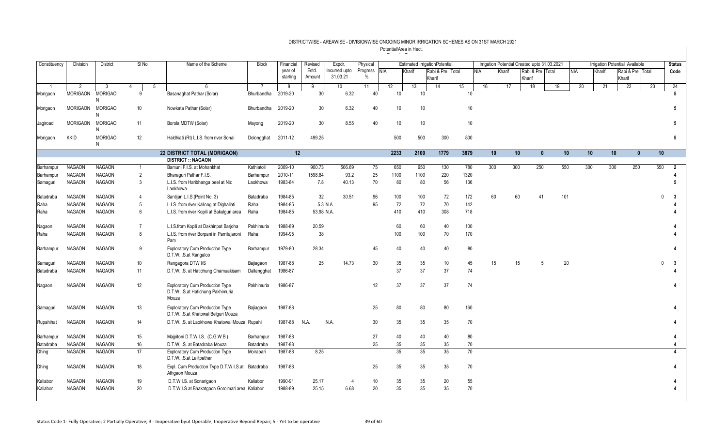| Constituency | Division        | District            | SI <sub>No</sub> | Name of the Scheme                                                                   | <b>Block</b> | Financial           | Revised         | Expdr.                    | Physical                      |      |        | <b>Estimated IrrigationPotential</b> |      |            |        |                 |                  | Irrigation Potential Created upto 31.03.2021 |     |        | <b>Irrigation Potential Available</b> |    | <b>Status</b>      |
|--------------|-----------------|---------------------|------------------|--------------------------------------------------------------------------------------|--------------|---------------------|-----------------|---------------------------|-------------------------------|------|--------|--------------------------------------|------|------------|--------|-----------------|------------------|----------------------------------------------|-----|--------|---------------------------------------|----|--------------------|
|              |                 |                     |                  |                                                                                      |              | year of<br>starting | Estd.<br>Amount | Incurred upto<br>31.03.21 | Progress NIA<br>$\frac{0}{0}$ |      | Kharif | Rabi & Pre Total<br>Kharif           |      | <b>NIA</b> | Kharif | Kharif          | Rabi & Pre Total |                                              | NIA | Kharif | Rabi & Pre Total<br>Kharif            |    | Code               |
|              | 2               | -3                  | -5<br>4          | 6                                                                                    |              | 8                   | 9               | 10                        | 11                            | 12   | 13     | 14                                   | 15   | 16         | 17     |                 | 18               | 19                                           | 20  | 21     | 22                                    | 23 | 24                 |
| Morigaon     | <b>MORIGAON</b> | <b>MORIGAO</b><br>N | 9                | Basanaghat Pathar (Solar)                                                            | Bhurbandha   | 2019-20             | 30              | 6.32                      | 40                            | 10   | 10     |                                      | 10   |            |        |                 |                  |                                              |     |        |                                       |    | 5                  |
| Morigaon     | <b>MORIGAON</b> | <b>MORIGAO</b><br>N | 10 <sup>°</sup>  | Nowkata Pathar (Solar)                                                               | Bhurbandha   | 2019-20             | 30              | 6.32                      | 40                            | 10   | 10     |                                      | 10   |            |        |                 |                  |                                              |     |        |                                       |    | 5                  |
| Jagiroad     | <b>MORIGAON</b> | <b>MORIGAO</b><br>N | 11               | Borola MDTW (Solar)                                                                  | Mayong       | 2019-20             | 30              | 8.55                      | 40                            | 10   | 10     |                                      | 10   |            |        |                 |                  |                                              |     |        |                                       |    |                    |
| Morigaon     | <b>KKID</b>     | <b>MORIGAO</b><br>N | 12               | Haldhiati (Rt) L.I.S. from river Sonai                                               | Dolongghat   | 2011-12             | 499.25          |                           |                               | 500  | 500    | 300                                  | 800  |            |        |                 |                  |                                              |     |        |                                       |    | 5                  |
|              |                 |                     |                  | 22 DISTRICT TOTAL (MORIGAON)                                                         |              | 12                  |                 |                           |                               | 2233 | 2100   | 1779                                 | 3879 |            | 10     | 10 <sup>°</sup> | $\mathbf{0}$     | 10                                           | 10  |        | 10 <sup>°</sup><br>$\mathbf{0}$       |    | 10                 |
|              |                 |                     |                  | <b>DISTRICT :: NAGAON</b>                                                            |              |                     |                 |                           |                               |      |        |                                      |      |            |        |                 |                  |                                              |     |        |                                       |    |                    |
| Barhampur    | <b>NAGAON</b>   | <b>NAGAON</b>       | $\overline{1}$   | Bamuni F.I.S. at Mohankhat                                                           | Kathiatoli   | 2009-10             | 900.73          | 506.69                    | 75                            | 650  | 650    | 130                                  | 780  | 300        |        | 300             | 250              | 550                                          | 300 | 300    | 250                                   |    | 550<br>2           |
| Barhampur    | <b>NAGAON</b>   | <b>NAGAON</b>       | 2                | Bharaquri Pathar F.I.S.                                                              | Barhampur    | 2010-11             | 1598.84         | 93.2                      | 25                            | 1100 | 1100   | 220                                  | 1320 |            |        |                 |                  |                                              |     |        |                                       |    |                    |
| Samaguri     | <b>NAGAON</b>   | <b>NAGAON</b>       | 3                | L.I.S. from Haribhanga beel at Niz<br>Laokhowa                                       | Laokhowa     | 1983-84             | 7.8             | 40.13                     | 70                            | 80   | 80     | 56                                   | 136  |            |        |                 |                  |                                              |     |        |                                       |    |                    |
| Batadraba    | <b>NAGAON</b>   | <b>NAGAON</b>       | 4                | Santijan L.I.S. (Point No. 3)                                                        | Batadraba    | 1984-85             | 32              | 30.51                     | 96                            | 100  | 100    | 72                                   | 172  |            | 60     | 60              | 41               | 101                                          |     |        |                                       |    | $\mathbf{0}$<br>-3 |
| Raha         | <b>NAGAON</b>   | <b>NAGAON</b>       | 5                | L.I.S. from river Kallong at Dighaliati                                              | Raha         | 1984-85             | 5.3 N.A.        |                           | 95                            | 72   | 72     | 70                                   | 142  |            |        |                 |                  |                                              |     |        |                                       |    |                    |
| Raha         | <b>NAGAON</b>   | <b>NAGAON</b>       | 6                | L.I.S. from river Kopili at Bakulguri area                                           | Raha         | 1984-85             | 53.98 N.A.      |                           |                               | 410  | 410    | 308                                  | 718  |            |        |                 |                  |                                              |     |        |                                       |    |                    |
| Nagaon       | <b>NAGAON</b>   | <b>NAGAON</b>       | $\overline{7}$   | L.I.S.from Kopili at Dakhinpat Barjoha                                               | Pakhimuria   | 1988-89             | 20.59           |                           |                               | 60   | 60     | 40                                   | 100  |            |        |                 |                  |                                              |     |        |                                       |    |                    |
| Raha         | <b>NAGAON</b>   | <b>NAGAON</b>       | 8                | L.I.S. from river Borpani in Pamilajaroni<br>Pam                                     | Raha         | 1994-95             | 38              |                           |                               | 100  | 100    | 70                                   | 170  |            |        |                 |                  |                                              |     |        |                                       |    |                    |
| Barhampur    | <b>NAGAON</b>   | <b>NAGAON</b>       | 9                | <b>Exploratory Cum Production Type</b><br>D.T.W.I.S.at Rangaloo                      | Barhampur    | 1979-80             | 28.34           |                           | 45                            | 40   | 40     | 40                                   | 80   |            |        |                 |                  |                                              |     |        |                                       |    |                    |
| Samaguri     | <b>NAGAON</b>   | <b>NAGAON</b>       | 10 <sup>°</sup>  | Rangagora DTW I/S                                                                    | Bajiagaon    | 1987-88             | 25              | 14.73                     | 30                            | 35   | 35     | 10                                   | 45   |            | 15     | 15              | 5                | 20                                           |     |        |                                       |    | 0<br>-3            |
| Batadraba    | <b>NAGAON</b>   | <b>NAGAON</b>       | 11               | D.T.W.I.S. at Hatichung Chamuakisam                                                  | Dallangghat  | 1986-87             |                 |                           |                               | 37   | 37     | 37                                   | 74   |            |        |                 |                  |                                              |     |        |                                       |    |                    |
| Nagaon       | <b>NAGAON</b>   | <b>NAGAON</b>       | 12               | <b>Exploratory Cum Production Type</b><br>D.T.W.I.S.at Hatichung Pakhimuria<br>Mouza | Pakhimuria   | 1986-87             |                 |                           | 12                            | 37   | 37     | 37                                   | 74   |            |        |                 |                  |                                              |     |        |                                       |    |                    |
| Samaguri     | <b>NAGAON</b>   | <b>NAGAON</b>       | 13               | <b>Exploratory Cum Production Type</b><br>D.T.W.I.S.at Khatowal Belguri Mouza        | Bajiagaon    | 1987-88             |                 |                           | 25                            | 80   | 80     | 80                                   | 160  |            |        |                 |                  |                                              |     |        |                                       |    |                    |
| Rupahihat    | <b>NAGAON</b>   | <b>NAGAON</b>       | 14               | D.T.W.I.S. at Laokhowa Khatowal Mouza Rupahi                                         |              | 1987-88             | N.A.            | N.A.                      | 30                            | 35   | 35     | 35                                   | 70   |            |        |                 |                  |                                              |     |        |                                       |    |                    |
| Barhampur    | <b>NAGAON</b>   | <b>NAGAON</b>       | 15               | Majpitoni D.T.W.I.S. (C.G.W.B.)                                                      | Barhampur    | 1987-88             |                 |                           | 27                            | 40   | 40     | 40                                   | 80   |            |        |                 |                  |                                              |     |        |                                       |    |                    |
| Batadraba    | <b>NAGAON</b>   | <b>NAGAON</b>       | 16               | D.T.W.I.S. at Batadraba Mouza                                                        | Batadraba    | 1987-88             |                 |                           | 25                            | 35   | 35     | 35                                   | 70   |            |        |                 |                  |                                              |     |        |                                       |    |                    |
| Dhing        | <b>NAGAON</b>   | <b>NAGAON</b>       | 17               | <b>Exploratory Cum Production Type</b><br>D.T.W.I.S.at Lalitpathar                   | Moirabari    | 1987-88             | 8.25            |                           |                               | 35   | 35     | 35                                   | 70   |            |        |                 |                  |                                              |     |        |                                       |    |                    |
| Dhing        | NAGAON          | <b>NAGAON</b>       | 18               | Expl. Cum Production Type D.T.W.I.S.at<br>Athgaon Mouza                              | Batadraba    | 1987-88             |                 |                           | 25                            | 35   | 35     | 35                                   | 70   |            |        |                 |                  |                                              |     |        |                                       |    |                    |
| Kaliabor     | <b>NAGAON</b>   | <b>NAGAON</b>       | 19               | D.T.W.I.S. at Sonarigaon                                                             | Kaliabor     | 1990-91             | 25.17           |                           | 10                            | 35   | 35     | 20                                   | 55   |            |        |                 |                  |                                              |     |        |                                       |    |                    |
| Kaliabor     | <b>NAGAON</b>   | <b>NAGAON</b>       | 20               | D.T.W.I.S.at Bhakatgaon Goroimari area Kaliabor                                      |              | 1988-89             | 25.15           | 6.68                      | 20                            | 35   | 35     | 35                                   | 70   |            |        |                 |                  |                                              |     |        |                                       |    |                    |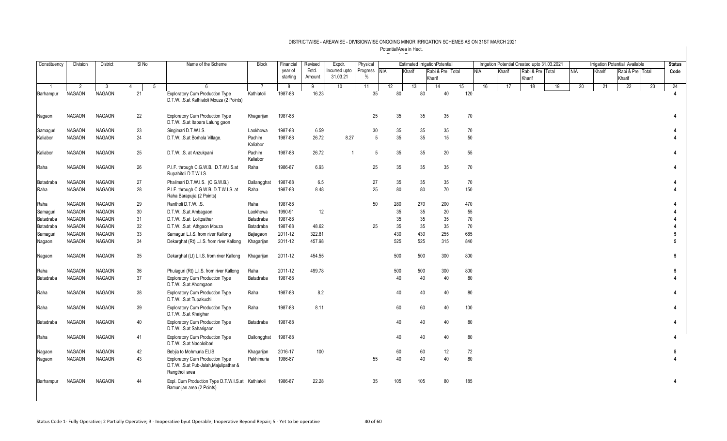| Constituency                | <b>Division</b>                 | District           |         | $SI$ No | Name of the Scheme                                                                                 | <b>Block</b>       | Financial           | Revised         | Expdr.                   | Physical                  |            | <b>Estimated IrrigationPotential</b> |        |                  |    |     |     |        | Irrigation Potential Created upto 31.03.2021 |    |     |        |    | Irrigation Potential Available |    | <b>Status</b> |
|-----------------------------|---------------------------------|--------------------|---------|---------|----------------------------------------------------------------------------------------------------|--------------------|---------------------|-----------------|--------------------------|---------------------------|------------|--------------------------------------|--------|------------------|----|-----|-----|--------|----------------------------------------------|----|-----|--------|----|--------------------------------|----|---------------|
|                             |                                 |                    |         |         |                                                                                                    |                    | year of<br>starting | Estd.<br>Amount | ncurred upto<br>31.03.21 | Progress<br>$\frac{0}{0}$ | <b>NIA</b> | Kharif                               | Kharif | Rabi & Pre Total |    |     | NIA | Kharif | Rabi & Pre Total<br>Kharif                   |    | NIA | Kharif |    | Rabi & Pre Total<br>Kharif     |    | Code          |
| $\overline{1}$<br>Barhampur | $\overline{2}$<br><b>NAGAON</b> | 3<br><b>NAGAON</b> | 4<br>21 | 5       | ĥ<br><b>Exploratory Cum Production Type</b><br>D.T.W.I.S.at Kathiatoli Mouza (2 Points)            | -7<br>Kathiatoli   | 8<br>1987-88        | 9<br>16.23      | 10 <sup>1</sup>          | 11<br>35                  | 12         | 13<br>80                             | 80     | 14<br>40         | 15 | 120 | 16  | 17     | 18                                           | 19 | 20  |        | 21 | $\overline{22}$                | 23 | 24            |
| Nagaon                      | <b>NAGAON</b>                   | <b>NAGAON</b>      | 22      |         | <b>Exploratory Cum Production Type</b><br>D.T.W.I.S.at Itapara Lalung gaon                         | Khagarijan         | 1987-88             |                 |                          | 25                        |            | 35                                   | 35     | 35               |    | 70  |     |        |                                              |    |     |        |    |                                |    |               |
| Samaguri                    | <b>NAGAON</b>                   | <b>NAGAON</b>      | 23      |         | Singimari D.T.W.I.S.                                                                               | Laokhowa           | 1987-88             | 6.59            |                          | 30                        |            | 35                                   | 35     | 35               |    | 70  |     |        |                                              |    |     |        |    |                                |    |               |
| Kaliabor                    | <b>NAGAON</b>                   | <b>NAGAON</b>      | 24      |         | D.T.W.I.S.at Borhola Village.                                                                      | Pachim<br>Kaliabor | 1987-88             | 26.72           | 8.27                     | $\overline{5}$            |            | 35                                   | 35     | 15               |    | 50  |     |        |                                              |    |     |        |    |                                |    |               |
| Kaliabor                    | <b>NAGAON</b>                   | <b>NAGAON</b>      | 25      |         | D.T.W.I.S. at Anzukpani                                                                            | Pachim<br>Kaliabor | 1987-88             | 26.72           | -1                       | 5                         |            | 35                                   | 35     | 20               |    | 55  |     |        |                                              |    |     |        |    |                                |    |               |
| Raha                        | <b>NAGAON</b>                   | <b>NAGAON</b>      | 26      |         | P.I.F. through C.G.W.B. D.T.W.I.S.at<br>Rupahitoli D.T.W.I.S.                                      | Raha               | 1986-87             | 6.93            |                          | 25                        |            | 35                                   | 35     | 35               |    | 70  |     |        |                                              |    |     |        |    |                                |    |               |
| Batadraba                   | <b>NAGAON</b>                   | <b>NAGAON</b>      | 27      |         | Phalimari D.T.W.I.S. (C.G.W.B.)                                                                    | Dallangghat        | 1987-88             | 6.5             |                          | 27                        |            | 35                                   | 35     | 35               |    | 70  |     |        |                                              |    |     |        |    |                                |    |               |
| Raha                        | <b>NAGAON</b>                   | <b>NAGAON</b>      | 28      |         | P.I.F. through C.G.W.B. D.T.W.I.S. at<br>Raha Barapujia (2 Points)                                 | Raha               | 1987-88             | 8.48            |                          | 25                        |            | 80                                   | 80     | 70               |    | 150 |     |        |                                              |    |     |        |    |                                |    |               |
| Raha                        | <b>NAGAON</b>                   | <b>NAGAON</b>      | 29      |         | Rantholi D.T.W.I.S.                                                                                | Raha               | 1987-88             |                 |                          | 50                        | 280        |                                      | 270    | 200              |    | 470 |     |        |                                              |    |     |        |    |                                |    |               |
| Samaguri                    | <b>NAGAON</b>                   | <b>NAGAON</b>      | 30      |         | D.T.W.I.S.at Ambagaon                                                                              | Laokhowa           | 1990-91             | 12              |                          |                           |            | 35                                   | 35     | 20               |    | 55  |     |        |                                              |    |     |        |    |                                |    |               |
| Batadraba                   | <b>NAGAON</b>                   | <b>NAGAON</b>      | 31      |         | D.T.W.I.S.at Lolitpathar                                                                           | Batadraba          | 1987-88             |                 |                          |                           |            | 35                                   | 35     | 35               |    | 70  |     |        |                                              |    |     |        |    |                                |    |               |
| Batadraba                   | <b>NAGAON</b>                   | <b>NAGAON</b>      | 32      |         | D.T.W.I.S.at Athgaon Mouza                                                                         | Batadraba          | 1987-88             | 48.62           |                          | 25                        |            | 35                                   | 35     | 35               |    | 70  |     |        |                                              |    |     |        |    |                                |    |               |
| Samaguri                    | <b>NAGAON</b>                   | <b>NAGAON</b>      | 33      |         | Samaguri L.I.S. from river Kallong                                                                 | Bajiagaon          | 2011-12             | 322.81          |                          |                           | 430        |                                      | 430    | 255              |    | 685 |     |        |                                              |    |     |        |    |                                |    |               |
| Nagaon                      | <b>NAGAON</b>                   | <b>NAGAON</b>      | 34      |         | Dekarghat (Rt) L.I.S. from river Kallong                                                           | Khagarijan         | 2011-12             | 457.98          |                          |                           | 525        |                                      | 525    | 315              |    | 840 |     |        |                                              |    |     |        |    |                                |    |               |
| Nagaon                      | <b>NAGAON</b>                   | <b>NAGAON</b>      | 35      |         | Dekarghat (Lt) L.I.S. from river Kallong                                                           | Khagarijan         | 2011-12             | 454.55          |                          |                           | 500        |                                      | 500    | 300              |    | 800 |     |        |                                              |    |     |        |    |                                |    | 5             |
| Raha                        | <b>NAGAON</b>                   | <b>NAGAON</b>      | 36      |         | Phulaguri (Rt) L.I.S. from river Kallong                                                           | Raha               | 2011-12             | 499.78          |                          |                           | 500        |                                      | 500    | 300              |    | 800 |     |        |                                              |    |     |        |    |                                |    |               |
| Batadraba                   | <b>NAGAON</b>                   | <b>NAGAON</b>      | 37      |         | <b>Exploratory Cum Production Type</b><br>D.T.W.I.S.at Ahomgaon                                    | Batadraba          | 1987-88             |                 |                          |                           |            | 40                                   | 40     | 40               |    | 80  |     |        |                                              |    |     |        |    |                                |    |               |
| Raha                        | <b>NAGAON</b>                   | <b>NAGAON</b>      | 38      |         | <b>Exploratory Cum Production Type</b><br>D.T.W.I.S.at Tupakuchi                                   | Raha               | 1987-88             | 8.2             |                          |                           |            | 40                                   | 40     | 40               |    | 80  |     |        |                                              |    |     |        |    |                                |    |               |
| Raha                        | <b>NAGAON</b>                   | <b>NAGAON</b>      | 39      |         | <b>Exploratory Cum Production Type</b><br>D.T.W.I.S.at Khaighar                                    | Raha               | 1987-88             | 8.11            |                          |                           |            | 60                                   | 60     | 40               |    | 100 |     |        |                                              |    |     |        |    |                                |    |               |
| Batadraba                   | <b>NAGAON</b>                   | <b>NAGAON</b>      | 40      |         | <b>Exploratory Cum Production Type</b><br>D.T.W.I.S.at Saharigaon                                  | Batadraba          | 1987-88             |                 |                          |                           |            | 40                                   | 40     | 40               |    | 80  |     |        |                                              |    |     |        |    |                                |    |               |
| Raha                        | <b>NAGAON</b>                   | <b>NAGAON</b>      | 41      |         | <b>Exploratory Cum Production Type</b><br>D.T.W.I.S.at Nadoloibari                                 | Dallongghat        | 1987-88             |                 |                          |                           |            | 40                                   | 40     | 40               |    | 80  |     |        |                                              |    |     |        |    |                                |    |               |
| Nagaon                      | <b>NAGAON</b>                   | <b>NAGAON</b>      | 42      |         | Bebjia to Mohmuria ELIS                                                                            | Khagarijan         | 2016-17             | 100             |                          |                           |            | 60                                   | 60     | 12               |    | 72  |     |        |                                              |    |     |        |    |                                |    |               |
| Nagaon                      | <b>NAGAON</b>                   | <b>NAGAON</b>      | 43      |         | <b>Exploratory Cum Production Type</b><br>D.T.W.I.S.at Pub-Jalah, Majulipathar &<br>Rangtholi area | Pakhimuria         | 1986-87             |                 |                          | 55                        |            | 40                                   | 40     | 40               |    | 80  |     |        |                                              |    |     |        |    |                                |    |               |
| Barhampur                   | <b>NAGAON</b>                   | <b>NAGAON</b>      | 44      |         | Expl. Cum Production Type D.T.W.I.S.at Kathiatoli<br>Bamunijan area (2 Points)                     |                    | 1986-87             | 22.28           |                          | 35                        | 105        |                                      | 105    | 80               |    | 185 |     |        |                                              |    |     |        |    |                                |    |               |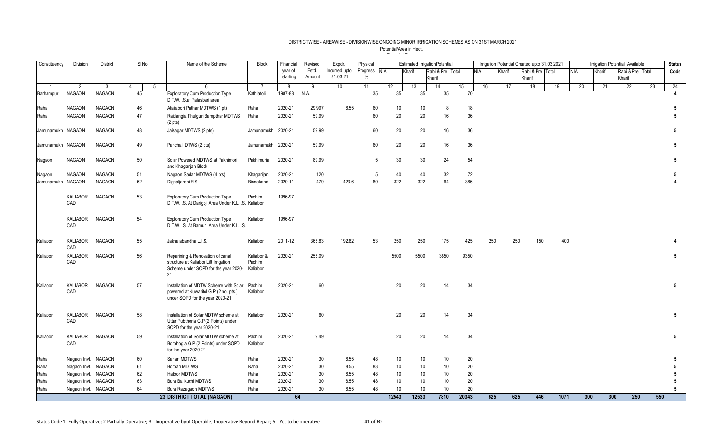| Constituency      | Division               | District       | SI <sub>No</sub> |   | Name of the Scheme                                                                                                      | <b>Block</b>                     | Financial | Revised | Expdr.       | Physical |                 |                 | <b>Estimated IrrigationPotential</b> |       |            |        | Irrigation Potential Created upto 31.03.2021 |      |            |        | <b>Irrigation Potential Available</b> |     | <b>Status</b>   |
|-------------------|------------------------|----------------|------------------|---|-------------------------------------------------------------------------------------------------------------------------|----------------------------------|-----------|---------|--------------|----------|-----------------|-----------------|--------------------------------------|-------|------------|--------|----------------------------------------------|------|------------|--------|---------------------------------------|-----|-----------------|
|                   |                        |                |                  |   |                                                                                                                         |                                  | year of   | Estd.   | ncurred upto | Progress | <b>NIA</b>      | Kharif          | Rabi & Pre Total                     |       | <b>NIA</b> | Kharif | Rabi & Pre Total                             |      | <b>NIA</b> | Kharif | Rabi & Pre Total                      |     | Code            |
|                   |                        |                |                  |   |                                                                                                                         |                                  | starting  | Amount  | 31.03.21     | $\%$     |                 |                 | Kharif                               |       |            |        | Kharif                                       |      |            |        | Kharif                                |     |                 |
| $\overline{1}$    | 2                      | $\overline{3}$ | 4                | 5 | 6                                                                                                                       | -7                               | 8         | 9       | 10           | 11       | 12              | 13              | 14                                   | 15    | 16         | 17     | 18                                           | 19   | 20         | 21     | 22                                    | 23  | 24              |
| Barhampur         | <b>NAGAON</b>          | <b>NAGAON</b>  | 45               |   | <b>Exploratory Cum Production Type</b><br>D.T.W.I.S.at Palasbari area                                                   | Kathiatoli                       | 1987-88   | N.A.    |              | 35       | 35 <sup>2</sup> | 35 <sup>5</sup> | 35 <sup>2</sup>                      |       | 70         |        |                                              |      |            |        |                                       |     |                 |
| Raha              | <b>NAGAON</b>          | <b>NAGAON</b>  | 46               |   | Afaliabori Pathar MDTWS (1 pt)                                                                                          | Raha                             | 2020-21   | 29.997  | 8.55         | 60       | 10              | 10              | 8                                    |       | $18$       |        |                                              |      |            |        |                                       |     | 5               |
| Raha              | <b>NAGAON</b>          | <b>NAGAON</b>  | 47               |   | Raidangia Phulguri Bampthar MDTWS<br>$(2 \text{ pts})$                                                                  | Raha                             | 2020-21   | 59.99   |              | 60       | 20              | 20              | 16                                   |       | 36         |        |                                              |      |            |        |                                       |     | 5               |
| Jamunamukh NAGAON |                        | <b>NAGAON</b>  | 48               |   | Jaisagar MDTWS (2 pts)                                                                                                  | Jamunamukh 2020-21               |           | 59.99   |              | 60       | 20              | 20              | 16                                   |       | 36         |        |                                              |      |            |        |                                       |     | 5               |
| Jamunamukh NAGAON |                        | <b>NAGAON</b>  | 49               |   | Panchali DTWS (2 pts)                                                                                                   | Jamunamukh 2020-21               |           | 59.99   |              | 60       | 20              | 20              | 16                                   |       | 36         |        |                                              |      |            |        |                                       |     | 5               |
| Nagaon            | <b>NAGAON</b>          | <b>NAGAON</b>  | 50               |   | Solar Powered MDTWS at Pakhimori<br>and Khagarijan Block                                                                | Pakhimuria                       | 2020-21   | 89.99   |              | 5        | 30              | 30              | 24                                   |       | 54         |        |                                              |      |            |        |                                       |     | $5\phantom{.0}$ |
| Nagaon            | <b>NAGAON</b>          | <b>NAGAON</b>  | 51               |   | Nagaon Sadar MDTWS (4 pts)                                                                                              | Khaqarijan                       | 2020-21   | 120     |              | -5       | 40              | 40              | 32                                   |       | 72         |        |                                              |      |            |        |                                       |     | 5               |
| Jamunamukh NAGAON |                        | <b>NAGAON</b>  | 52               |   | Dighaljaroni FIS                                                                                                        | Binnakandi                       | 2020-11   | 479     | 423.6        | 80       | 322             | 322             | 64                                   | 386   |            |        |                                              |      |            |        |                                       |     |                 |
|                   | KALIABOR<br>CAD        | <b>NAGAON</b>  | 53               |   | <b>Exploratory Cum Production Type</b><br>D.T.W.I.S. At Darigoji Area Under K.L.I.S. Kaliabor                           | Pachim                           | 1996-97   |         |              |          |                 |                 |                                      |       |            |        |                                              |      |            |        |                                       |     |                 |
|                   | KALIABOR<br>CAD        | <b>NAGAON</b>  | 54               |   | <b>Exploratory Cum Production Type</b><br>D.T.W.I.S. At Bamuni Area Under K.L.I.S.                                      | Kaliabor                         | 1996-97   |         |              |          |                 |                 |                                      |       |            |        |                                              |      |            |        |                                       |     |                 |
| Kaliabor          | <b>KALIABOR</b><br>CAD | <b>NAGAON</b>  | 55               |   | Jakhalabandha L.I.S.                                                                                                    | Kaliabor                         | 2011-12   | 363.83  | 192.82       | 53       | 250             | 250             | 175                                  | 425   |            | 250    | 250<br>150                                   | 400  |            |        |                                       |     |                 |
| Kaliabor          | KALIABOR<br>CAD        | <b>NAGAON</b>  | 56               |   | Reparining & Renovation of canal<br>structure at Kaliabor Lift Irrigation<br>Scheme under SOPD for the year 2020-<br>21 | Kaliabor &<br>Pachim<br>Kaliabor | 2020-21   | 253.09  |              |          | 5500            | 5500            | 3850                                 | 9350  |            |        |                                              |      |            |        |                                       |     | $5\phantom{.0}$ |
| Kaliabor          | KALIABOR<br>CAD        | <b>NAGAON</b>  | 57               |   | Installation of MDTW Scheme with Solar<br>powered at Kuwaritol G.P (2 no. pts.)<br>under SOPD for the year 2020-21      | Pachim<br>Kaliabor               | 2020-21   | 60      |              |          | 20              | 20              | 14                                   |       | 34         |        |                                              |      |            |        |                                       |     | $5\phantom{.0}$ |
| Kaliabor          | <b>KALIABOR</b><br>CAD | <b>NAGAON</b>  | 58               |   | Installation of Solar MDTW scheme at<br>Uttar Pubthoria G.P (2 Points) under<br>SOPD for the year 2020-21               | Kaliabor                         | 2020-21   | 60      |              |          | 20              | 20              | 14                                   |       | 34         |        |                                              |      |            |        |                                       |     | 5               |
| Kaliabor          | KALIABOR<br>CAD        | <b>NAGAON</b>  | 59               |   | Installation of Solar MDTW scheme at<br>Borbhogia G.P (2 Points) under SOPD<br>for the year 2020-21                     | Pachim<br>Kaliabor               | 2020-21   | 9.49    |              |          | 20              | 20              | 14                                   | 34    |            |        |                                              |      |            |        |                                       |     | $5\overline{5}$ |
| Raha              | Nagaon Invt. NAGAON    |                | 60               |   | Sahari MDTWS                                                                                                            | Raha                             | 2020-21   | 30      | 8.55         | 48       | 10 <sup>°</sup> | 10 <sup>°</sup> | 10                                   |       | 20         |        |                                              |      |            |        |                                       |     | 5               |
| Raha              | Nagaon Invt. NAGAON    |                | 61               |   | <b>Borbari MDTWS</b>                                                                                                    | Raha                             | 2020-21   | 30      | 8.55         | 83       | 10 <sup>1</sup> | 10 <sup>°</sup> | 10                                   |       | 20         |        |                                              |      |            |        |                                       |     | 5               |
| Raha              | Nagaon Invt. NAGAON    |                | 62               |   | Hatbor MDTWS                                                                                                            | Raha                             | 2020-21   | 30      | 8.55         | 48       | 10              | 10 <sup>°</sup> | 10                                   |       | 20         |        |                                              |      |            |        |                                       |     | 5               |
| Raha              | Nagaon Invt. NAGAON    |                | 63               |   | Bura Balikuchi MDTWS                                                                                                    | Raha                             | 2020-21   | 30      | 8.55         | 48       | 10              | 10              | 10                                   |       | 20         |        |                                              |      |            |        |                                       |     | 5               |
| Raha              | Nagaon Invt. NAGAON    |                | 64               |   | Bura Razagaon MDTWS                                                                                                     | Raha                             | 2020-21   | 30      | 8.55         | 48       | 10 <sup>1</sup> | 10              | 10                                   |       | 20         |        |                                              |      |            |        |                                       |     | 5               |
|                   |                        |                |                  |   | 23 DISTRICT TOTAL (NAGAON)                                                                                              |                                  | 64        |         |              |          | 12543           | 12533           | 7810                                 | 20343 |            | 625    | 625<br>446                                   | 1071 | 300        | 300    | 250                                   | 550 |                 |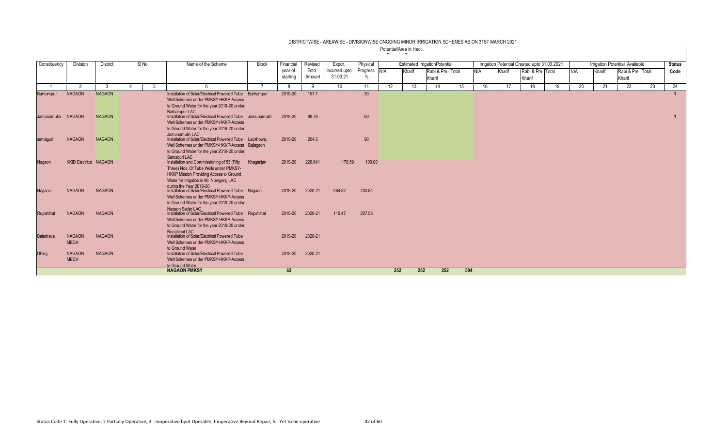| Constituency      | Division                      | <b>District</b> | SI No | Name of the Scheme                                                                       | Block      | Financial           | Revised         | Expdr.                    | Physical                      |     |        | <b>Estimated IrrigationPotential</b> |     |            |        | Irrigation Potential Created upto 31.03.2021 |    |            |        | <b>Irrigation Potential Available</b> |    | <b>Status</b> |
|-------------------|-------------------------------|-----------------|-------|------------------------------------------------------------------------------------------|------------|---------------------|-----------------|---------------------------|-------------------------------|-----|--------|--------------------------------------|-----|------------|--------|----------------------------------------------|----|------------|--------|---------------------------------------|----|---------------|
|                   |                               |                 |       |                                                                                          |            | year of<br>starting | Estd.<br>Amount | Incurred upto<br>31.03.21 | Progress NIA<br>$\frac{0}{n}$ |     | Kharif | Rabi & Pre Total<br>Kharif           |     | <b>NIA</b> | Kharif | Rabi & Pre Total<br>Kharif                   |    | <b>NIA</b> | Kharif | Rabi & Pre Total<br>Kharif            |    | Code          |
|                   | ່າ                            | $\mathbf{R}$    |       |                                                                                          |            | -8                  | 9               | 10 <sup>1</sup>           | 11                            | 12  | 13     | 14                                   | 15  | 16         | 17     | 18                                           | 19 | 20         | 21     | 22                                    | 23 | 24            |
| Barhampur         | <b>NAGAON</b>                 | <b>NAGAON</b>   |       | Installation of Solar/Electrical Powered Tube Barhampur                                  |            | 2019-20             | 157.7           |                           | 30 <sup>°</sup>               |     |        |                                      |     |            |        |                                              |    |            |        |                                       |    |               |
|                   |                               |                 |       | Well Schemes under PMKSY-HKKP-Access                                                     |            |                     |                 |                           |                               |     |        |                                      |     |            |        |                                              |    |            |        |                                       |    |               |
|                   |                               |                 |       | to Ground Water for the year 2019-20 under<br>Barhampur LAC                              |            |                     |                 |                           |                               |     |        |                                      |     |            |        |                                              |    |            |        |                                       |    |               |
| Jamunamukh NAGAON |                               | <b>NAGAON</b>   |       | Installation of Solar/Electrical Powered Tube Jamunamukh                                 |            | 2019-20             | 88.78           |                           | 90                            |     |        |                                      |     |            |        |                                              |    |            |        |                                       |    |               |
|                   |                               |                 |       | Well Schemes under PMKSY-HKKP-Access                                                     |            |                     |                 |                           |                               |     |        |                                      |     |            |        |                                              |    |            |        |                                       |    |               |
|                   |                               |                 |       | to Ground Water for the year 2019-20 under                                               |            |                     |                 |                           |                               |     |        |                                      |     |            |        |                                              |    |            |        |                                       |    |               |
|                   | <b>NAGAON</b>                 | <b>NAGAON</b>   |       | Jamunamukh LAC<br>Installation of Solar/Electrical Powered Tube Laokhowa.                |            | 2019-20             | 204.3           |                           | 90                            |     |        |                                      |     |            |        |                                              |    |            |        |                                       |    |               |
| samaguri          |                               |                 |       | Well Schemes under PMKSY-HKKP-Access Bajiagaon                                           |            |                     |                 |                           |                               |     |        |                                      |     |            |        |                                              |    |            |        |                                       |    |               |
|                   |                               |                 |       | to Ground Water for the year 2019-20 under                                               |            |                     |                 |                           |                               |     |        |                                      |     |            |        |                                              |    |            |        |                                       |    |               |
|                   |                               |                 |       | Samaguri LAC                                                                             |            |                     |                 |                           |                               |     |        |                                      |     |            |        |                                              |    |            |        |                                       |    |               |
| Nagaon            | <b>KKID Electrical NAGAON</b> |                 |       | Installation and Commissioning of 53 (Fifty                                              | Khagarijan | 2019-20             | 226.641         | 178.59                    | 100.00                        |     |        |                                      |     |            |        |                                              |    |            |        |                                       |    |               |
|                   |                               |                 |       | Three) Nos. Of Tube Wells under PMKSY-<br><b>HKKP Mission Providing Access to Ground</b> |            |                     |                 |                           |                               |     |        |                                      |     |            |        |                                              |    |            |        |                                       |    |               |
|                   |                               |                 |       | Water for Irrigation in 86 Nowgong LAC                                                   |            |                     |                 |                           |                               |     |        |                                      |     |            |        |                                              |    |            |        |                                       |    |               |
|                   |                               |                 |       | during the Year 2019-20                                                                  |            |                     |                 |                           |                               |     |        |                                      |     |            |        |                                              |    |            |        |                                       |    |               |
| Nagaon            | <b>NAGAON</b>                 | <b>NAGAON</b>   |       | Installation of Solar/Electrical Powered Tube Nagaon                                     |            | 2019-20             | 2020-21         | 284.82                    | 230.84                        |     |        |                                      |     |            |        |                                              |    |            |        |                                       |    |               |
|                   |                               |                 |       | Well Schemes under PMKSY-HKKP-Access<br>to Ground Water for the year 2019-20 under       |            |                     |                 |                           |                               |     |        |                                      |     |            |        |                                              |    |            |        |                                       |    |               |
|                   |                               |                 |       | Nagaon Sadar LAC                                                                         |            |                     |                 |                           |                               |     |        |                                      |     |            |        |                                              |    |            |        |                                       |    |               |
| Rupahihat         | <b>NAGAON</b>                 | <b>NAGAON</b>   |       | Installation of Solar/Electrical Powered Tube Rupahihat                                  |            | 2019-20             | 2020-21         | 110.47                    | 207.58                        |     |        |                                      |     |            |        |                                              |    |            |        |                                       |    |               |
|                   |                               |                 |       | Well Schemes under PMKSY-HKKP-Access                                                     |            |                     |                 |                           |                               |     |        |                                      |     |            |        |                                              |    |            |        |                                       |    |               |
|                   |                               |                 |       | to Ground Water for the year 2019-20 under                                               |            |                     |                 |                           |                               |     |        |                                      |     |            |        |                                              |    |            |        |                                       |    |               |
| Batadrava         | <b>NAGAON</b>                 | <b>NAGAON</b>   |       | <b>Rupahihat LAC</b><br>Installation of Solar/Electrical Powered Tube                    |            | 2019-20             | 2020-21         |                           |                               |     |        |                                      |     |            |        |                                              |    |            |        |                                       |    |               |
|                   | <b>MECH</b>                   |                 |       | Well Schemes under PMKSY-HKKP-Access                                                     |            |                     |                 |                           |                               |     |        |                                      |     |            |        |                                              |    |            |        |                                       |    |               |
|                   |                               |                 |       | to Ground Water                                                                          |            |                     |                 |                           |                               |     |        |                                      |     |            |        |                                              |    |            |        |                                       |    |               |
| <b>Dhing</b>      | <b>NAGAON</b>                 | <b>NAGAON</b>   |       | Installation of Solar/Electrical Powered Tube                                            |            | 2019-20             | 2020-21         |                           |                               |     |        |                                      |     |            |        |                                              |    |            |        |                                       |    |               |
|                   | <b>MECH</b>                   |                 |       | Well Schemes under PMKSY-HKKP-Access<br>to Ground Water                                  |            |                     |                 |                           |                               |     |        |                                      |     |            |        |                                              |    |            |        |                                       |    |               |
|                   |                               |                 |       | <b>NAGAON PMKSY</b>                                                                      |            | 63                  |                 |                           |                               | 252 | 252    | 252                                  | 504 |            |        |                                              |    |            |        |                                       |    |               |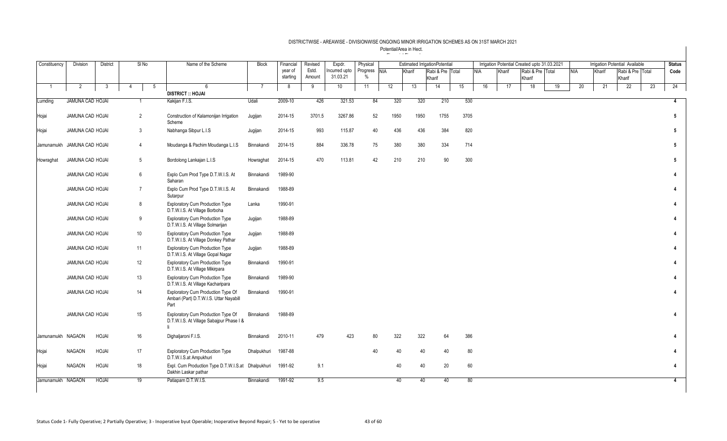| Constituency                | <b>Division</b>         | <b>District</b> | SI No               | Name of the Scheme                                                                    | <b>Block</b>   | Financial | Revised | Expdr.        | Physical     |      |        | <b>Estimated IrrigationPotential</b> |      |            |        | Irrigation Potential Created upto 31.03.2021 |                  |    |            |        | <b>Irrigation Potential Available</b> |    | <b>Status</b>          |
|-----------------------------|-------------------------|-----------------|---------------------|---------------------------------------------------------------------------------------|----------------|-----------|---------|---------------|--------------|------|--------|--------------------------------------|------|------------|--------|----------------------------------------------|------------------|----|------------|--------|---------------------------------------|----|------------------------|
|                             |                         |                 |                     |                                                                                       |                | year of   | Estd.   | Incurred upto | Progress NIA |      | Kharif | Rabi & Pre Total                     |      | <b>NIA</b> | Kharif |                                              | Rabi & Pre Total |    | <b>NIA</b> | Kharif | Rabi & Pre Total                      |    | Code                   |
|                             |                         |                 |                     |                                                                                       |                | starting  | Amount  | 31.03.21      | $\%$         |      |        | Kharif                               |      |            |        | Kharif                                       |                  |    |            |        | Kharif                                |    |                        |
| $\overline{1}$              | $\overline{2}$          | 3               | 5<br>$\overline{4}$ | 6<br><b>DISTRICT :: HOJAI</b>                                                         | $\overline{7}$ | 8         | 9       | 10            | 11           | 12   | 13     | 14                                   | 15   | 16         | 17     |                                              | 18               | 19 | 20         | 21     | 22                                    | 23 | 24                     |
| Lumding                     | JAMUNA CAD HOJAI        |                 |                     | Kakijan F.I.S.                                                                        | Udali          | 2009-10   | 426     | 321.53        | 84           | 320  | 320    | 210                                  | 530  |            |        |                                              |                  |    |            |        |                                       |    | $\overline{4}$         |
|                             |                         |                 |                     |                                                                                       |                |           |         |               |              |      |        |                                      |      |            |        |                                              |                  |    |            |        |                                       |    |                        |
| Hojai                       | JAMUNA CAD HOJAI        |                 | 2                   | Construction of Kalamonijan Irrigation<br>Scheme                                      | Jugijan        | 2014-15   | 3701.5  | 3267.86       | 52           | 1950 | 1950   | 1755                                 | 3705 |            |        |                                              |                  |    |            |        |                                       |    | $5\phantom{.0}$        |
| Hojai                       | JAMUNA CAD HOJAI        |                 | 3                   | Nabhanga Sibpur L.I.S                                                                 | Jugijan        | 2014-15   | 993     | 115.87        | 40           | 436  | 436    | 384                                  | 820  |            |        |                                              |                  |    |            |        |                                       |    | $5\phantom{.0}$        |
| Jamunamukh JAMUNA CAD HOJAI |                         |                 | $\overline{4}$      | Moudanga & Pachim Moudanga L.I.S                                                      | Binnakandi     | 2014-15   | 884     | 336.78        | 75           | 380  | 380    | 334                                  | 714  |            |        |                                              |                  |    |            |        |                                       |    | 5                      |
| Howraghat                   | JAMUNA CAD HOJAI        |                 | 5                   | Bordolong Lankajan L.I.S                                                              | Howraghat      | 2014-15   | 470     | 113.81        | 42           | 210  | 210    | 90                                   | 300  |            |        |                                              |                  |    |            |        |                                       |    | 5                      |
|                             | JAMUNA CAD HOJAI        |                 | 6                   | Explo Cum Prod Type D.T.W.I.S. At<br>Saharan                                          | Binnakandi     | 1989-90   |         |               |              |      |        |                                      |      |            |        |                                              |                  |    |            |        |                                       |    | 4                      |
|                             | <b>JAMUNA CAD HOJAI</b> |                 | $\overline{7}$      | Explo Cum Prod Type D.T.W.I.S. At<br>Sutarpur                                         | Binnakandi     | 1988-89   |         |               |              |      |        |                                      |      |            |        |                                              |                  |    |            |        |                                       |    | $\mathbf{A}$           |
|                             | JAMUNA CAD HOJAI        |                 | 8                   | <b>Exploratory Cum Production Type</b><br>D.T.W.I.S. At Village Borboha               | Lanka          | 1990-91   |         |               |              |      |        |                                      |      |            |        |                                              |                  |    |            |        |                                       |    | 4                      |
|                             | JAMUNA CAD HOJAI        |                 | 9                   | <b>Exploratory Cum Production Type</b><br>D.T.W.I.S. At Village Solmarijan            | Jugijan        | 1988-89   |         |               |              |      |        |                                      |      |            |        |                                              |                  |    |            |        |                                       |    | 4                      |
|                             | JAMUNA CAD HOJAI        |                 | 10                  | <b>Exploratory Cum Production Type</b><br>D.T.W.I.S. At Village Donkey Pathar         | Jugijan        | 1988-89   |         |               |              |      |        |                                      |      |            |        |                                              |                  |    |            |        |                                       |    | $\boldsymbol{\Lambda}$ |
|                             | JAMUNA CAD HOJAI        |                 | 11                  | <b>Exploratory Cum Production Type</b><br>D.T.W.I.S. At Village Gopal Nagar           | Jugijan        | 1988-89   |         |               |              |      |        |                                      |      |            |        |                                              |                  |    |            |        |                                       |    | 4                      |
|                             | <b>JAMUNA CAD HOJAI</b> |                 | 12                  | <b>Exploratory Cum Production Type</b><br>D.T.W.I.S. At Village Mikirpara             | Binnakandi     | 1990-91   |         |               |              |      |        |                                      |      |            |        |                                              |                  |    |            |        |                                       |    | $\mathbf{A}$           |
|                             | JAMUNA CAD HOJAI        |                 | 13                  | <b>Exploratory Cum Production Type</b><br>D.T.W.I.S. At Village Kacharipara           | Binnakandi     | 1989-90   |         |               |              |      |        |                                      |      |            |        |                                              |                  |    |            |        |                                       |    | 4                      |
|                             | <b>JAMUNA CAD HOJAI</b> |                 | 14                  | Exploratory Cum Production Type Of<br>Ambari (Part) D.T.W.I.S. Uttar Nayabill<br>Part | Binnakandi     | 1990-91   |         |               |              |      |        |                                      |      |            |        |                                              |                  |    |            |        |                                       |    | 4                      |
|                             | <b>JAMUNA CAD HOJAI</b> |                 | 15                  | Exploratory Cum Production Type Of<br>D.T.W.I.S. At Village Sabajpur Phase I &        | Binnakandi     | 1988-89   |         |               |              |      |        |                                      |      |            |        |                                              |                  |    |            |        |                                       |    | 4                      |
| Jamunamukh NAGAON           |                         | HOJAI           | 16                  | Dighaljaroni F.I.S.                                                                   | Binnakandi     | 2010-11   | 479     | 423           | 80           | 322  | 322    | 64                                   | 386  |            |        |                                              |                  |    |            |        |                                       |    | 4                      |
| Hojai                       | <b>NAGAON</b>           | HOJAI           | 17                  | <b>Exploratory Cum Production Type</b><br>D.T.W.I.S.at Ampukhuri                      | Dhalpukhuri    | 1987-88   |         |               | 40           | 40   | 40     | 40                                   | 80   |            |        |                                              |                  |    |            |        |                                       |    | $\Delta$               |
| Hojai                       | <b>NAGAON</b>           | HOJAI           | 18                  | Expl. Cum Production Type D.T.W.I.S.at Dhalpukhuri<br>Dakhin Laskar pathar            |                | 1991-92   | 9.1     |               |              | 40   | 40     | 20                                   | 60   |            |        |                                              |                  |    |            |        |                                       |    | $\mathbf{A}$           |
| Jamunamukh NAGAON           |                         | HOJAI           | 19                  | Patiapam D.T.W.I.S.                                                                   | Binnakandi     | 1991-92   | 9.5     |               |              | 40   | 40     | 40                                   | 80   |            |        |                                              |                  |    |            |        |                                       |    | $\overline{4}$         |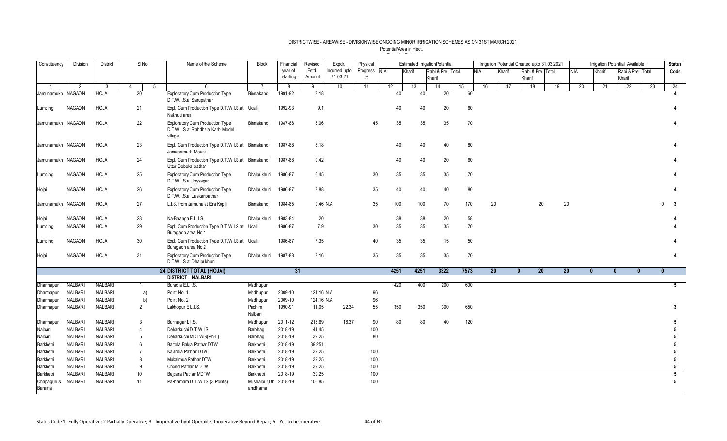| Constituency          | Division       | District       | SI <sub>No</sub>    | Name of the Scheme                                                                     | <b>Block</b>                     | Financial | Revised     | Expdr.          | Physical      |            |        | <b>Estimated IrrigationPotential</b> |      |            |        | Irrigation Potential Created upto 31.03.2021 |                 |              |        | Irrigation Potential Available |    | <b>Status</b>  |
|-----------------------|----------------|----------------|---------------------|----------------------------------------------------------------------------------------|----------------------------------|-----------|-------------|-----------------|---------------|------------|--------|--------------------------------------|------|------------|--------|----------------------------------------------|-----------------|--------------|--------|--------------------------------|----|----------------|
|                       |                |                |                     |                                                                                        |                                  | year of   | Estd.       | ncurred upto    | Progress      | <b>NIA</b> | Kharif | Rabi & Pre Total                     |      | <b>NIA</b> | Kharif | Rabi & Pre Total                             |                 | <b>NIA</b>   | Kharif | Rabi & Pre Total               |    | Code           |
|                       |                |                |                     |                                                                                        |                                  | starting  | Amount      | 31.03.21        | $\frac{0}{0}$ |            |        | Kharif                               |      |            |        | Kharif                                       |                 |              |        | Kharif                         |    |                |
| -1                    | 2              | - 3            | 5<br>$\overline{4}$ | <b>6</b>                                                                               | 7                                | 8         | 9           | 10 <sup>°</sup> | 11            | 12         | 13     | 14                                   | 15   | 16         | 17     | 18                                           | 19              | 20           | 21     | 22                             | 23 | 24             |
| Jamunamukh NAGAON     |                | <b>HOJAI</b>   | 20                  | <b>Exploratory Cum Production Type</b><br>D.T.W.I.S.at Sarupathar                      | Binnakandi                       | 1991-92   | 8.18        |                 |               | 40         |        | 20<br>40                             |      | 60         |        |                                              |                 |              |        |                                |    |                |
| Lumding               | <b>NAGAON</b>  | HOJAI          | 21                  | Expl. Cum Production Type D.T.W.I.S.at Udali<br>Nakhuti area                           |                                  | 1992-93   | 9.1         |                 |               | 40         |        | 20<br>40                             |      | 60         |        |                                              |                 |              |        |                                |    |                |
| Jamunamukh NAGAON     |                | HOJAI          | 22                  | <b>Exploratory Cum Production Type</b><br>D.T.W.I.S.at Rahdhala Karbi Model<br>village | Binnakandi                       | 1987-88   | 8.06        |                 | 45            | 35         |        | 35<br>35                             |      | 70         |        |                                              |                 |              |        |                                |    | $\overline{4}$ |
| Jamunamukh NAGAON     |                | <b>HOJAI</b>   | 23                  | Expl. Cum Production Type D.T.W.I.S.at Binnakandi<br>Jamunamukh Mouza                  |                                  | 1987-88   | 8.18        |                 |               | 40         |        | 40<br>40                             |      | 80         |        |                                              |                 |              |        |                                |    | Δ              |
| Jamunamukh NAGAON     |                | HOJAI          | 24                  | Expl. Cum Production Type D.T.W.I.S.at Binnakandi<br>Uttar Doboka pathar               |                                  | 1987-88   | 9.42        |                 |               | 40         |        | 40<br>20                             |      | 60         |        |                                              |                 |              |        |                                |    |                |
| Lumding               | <b>NAGAON</b>  | <b>HOJAI</b>   | 25                  | <b>Exploratory Cum Production Type</b><br>D.T.W.I.S.at Joysagar                        | Dhalpukhuri                      | 1986-87   | 6.45        |                 | 30            | 35         |        | 35<br>35                             |      | 70         |        |                                              |                 |              |        |                                |    |                |
| Hojai                 | <b>NAGAON</b>  | <b>HOJAI</b>   | 26                  | <b>Exploratory Cum Production Type</b><br>D.T.W.I.S.at Laskar pathar                   | Dhalpukhuri                      | 1986-87   | 8.88        |                 | 35            | 40         |        | 40<br>40                             |      | 80         |        |                                              |                 |              |        |                                |    |                |
| Jamunamukh NAGAON     |                | HOJAI          | 27                  | L.I.S. from Jamuna at Era Kopili                                                       | Binnakandi                       | 1984-85   | 9.46 N.A.   |                 | 35            | 100        |        | 100<br>70                            |      | 170        | 20     | 20                                           | 20              |              |        |                                |    | -3<br>$\Omega$ |
| Hojai                 | <b>NAGAON</b>  | <b>HOJAI</b>   | 28                  | Na-Bhanga E.L.I.S.                                                                     | Dhalpukhuri                      | 1983-84   | 20          |                 |               | 38         |        | 38<br>20                             |      | 58         |        |                                              |                 |              |        |                                |    |                |
| Lumding               | <b>NAGAON</b>  | HOJAI          | 29                  | Expl. Cum Production Type D.T.W.I.S.at Udali<br>Buragaon area No.1                     |                                  | 1986-87   | 7.9         |                 | 30            | 35         |        | 35<br>35                             |      | 70         |        |                                              |                 |              |        |                                |    |                |
| Lumding               | <b>NAGAON</b>  | HOJAI          | 30                  | Expl. Cum Production Type D.T.W.I.S.at Udali<br>Buragaon area No.2                     |                                  | 1986-87   | 7.35        |                 | 40            | 35         |        | 35<br>15                             |      | 50         |        |                                              |                 |              |        |                                |    | 4              |
| Hojai                 | <b>NAGAON</b>  | <b>HOJAI</b>   | 31                  | <b>Exploratory Cum Production Type</b><br>D.T.W.I.S.at Dhalpukhuri                     | Dhalpukhuri                      | 1987-88   | 8.16        |                 | 35            | 35         |        | 35<br>35                             |      | 70         |        |                                              |                 |              |        |                                |    |                |
|                       |                |                |                     | 24 DISTRICT TOTAL (HOJAI)                                                              |                                  | 31        |             |                 |               | 4251       | 4251   | 3322                                 | 7573 |            | 20     | 20 <sup>°</sup><br>$\mathbf{0}$              | 20 <sup>°</sup> | $\mathbf{0}$ |        | $\mathbf{0}$<br>$\mathbf{0}$   |    | $\mathbf{0}$   |
|                       |                |                |                     | <b>DISTRICT :: NALBARI</b>                                                             |                                  |           |             |                 |               |            |        |                                      |      |            |        |                                              |                 |              |        |                                |    |                |
| Dharmapur             | <b>NALBARI</b> | <b>NALBARI</b> | -1                  | Buradia E.L.I.S.                                                                       | Madhupur                         |           |             |                 |               | 420        |        | 400<br>200                           |      | 600        |        |                                              |                 |              |        |                                |    | 5 <sub>5</sub> |
| Dharmapur             | <b>NALBARI</b> | <b>NALBARI</b> | a)                  | Point No. 1                                                                            | Madhupur                         | 2009-10   | 124.16 N.A. |                 | 96            |            |        |                                      |      |            |        |                                              |                 |              |        |                                |    |                |
| Dharmapur             | <b>NALBARI</b> | <b>NALBARI</b> | b)                  | Point No. 2                                                                            | Madhupur                         | 2009-10   | 124.16 N.A. |                 | 96            |            |        |                                      |      |            |        |                                              |                 |              |        |                                |    |                |
| Dharmapur             | <b>NALBARI</b> | <b>NALBARI</b> | $\overline{2}$      | Lakhopur E.L.I.S.                                                                      | Pachim<br>Nalbari                | 1990-91   | 11.05       | 22.34           | 55            | 350        |        | 350<br>300                           |      | 650        |        |                                              |                 |              |        |                                |    | 3              |
| Dharmapur             | <b>NALBARI</b> | <b>NALBARI</b> | 3                   | Burinagar L.I.S.                                                                       | Madhupur                         | 2011-12   | 215.69      | 18.37           | 90            | 80         |        | 80<br>40                             |      | 120        |        |                                              |                 |              |        |                                |    | 5              |
| Nalbari               | <b>NALBARI</b> | <b>NALBARI</b> | $\overline{4}$      | Deharkuchi D.T.W.I.S                                                                   | Barbhag                          | 2018-19   | 44.45       |                 | 100           |            |        |                                      |      |            |        |                                              |                 |              |        |                                |    |                |
| Nalbari               | <b>NALBARI</b> | <b>NALBARI</b> | 5                   | Deharkuchi MDTWIS(Ph-II)                                                               | Barbhag                          | 2018-19   | 39.25       |                 | 80            |            |        |                                      |      |            |        |                                              |                 |              |        |                                |    |                |
| Barkhetri             | <b>NALBARI</b> | <b>NALBARI</b> | 6                   | Bartola Bakra Pathar DTW                                                               | Barkhetri                        | 2018-19   | 39.251      |                 |               |            |        |                                      |      |            |        |                                              |                 |              |        |                                |    |                |
| Barkhetri             | <b>NALBARI</b> | <b>NALBARI</b> | $\overline{7}$      | Kalardia Pathar DTW                                                                    | Barkhetri                        | 2018-19   | 39.25       |                 | 100           |            |        |                                      |      |            |        |                                              |                 |              |        |                                |    | 5              |
| Barkhetri             | <b>NALBARI</b> | <b>NALBARI</b> | 8                   | Mukalmua Pathar DTW                                                                    | Barkhetri                        | 2018-19   | 39.25       |                 | 100           |            |        |                                      |      |            |        |                                              |                 |              |        |                                |    |                |
| Barkhetri             | <b>NALBARI</b> | <b>NALBARI</b> | 9                   | Chand Pathar MDTW                                                                      | Barkhetri                        | 2018-19   | 39.25       |                 | 100           |            |        |                                      |      |            |        |                                              |                 |              |        |                                |    | 5              |
| Barkhetri             | <b>NALBAR</b>  | <b>NALBARI</b> | 10                  | Bejpara Pathar MDTW                                                                    | Barkhetri                        | 2018-19   | 39.25       |                 | 100           |            |        |                                      |      |            |        |                                              |                 |              |        |                                |    | 5              |
| Chapaguri &<br>Barama | <b>NALBARI</b> | <b>NALBARI</b> | 11                  | Pakhamara D.T.W.I.S.(3 Points)                                                         | Mushalpur, Dh 2018-19<br>amdhama |           | 106.85      |                 | 100           |            |        |                                      |      |            |        |                                              |                 |              |        |                                |    | 5              |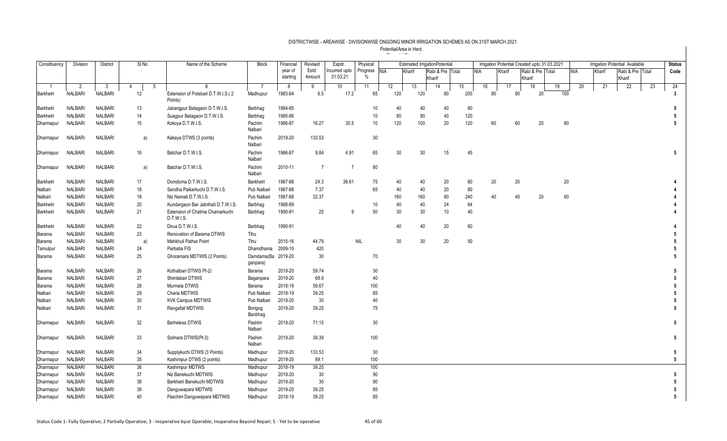| Constituency  | Division       | <b>District</b> | SI <sub>No</sub> | Name of the Scheme                            | Block                          | Financial           | Revised         | Expdr.                   | Physical         |            |        | <b>Estimated IrrigationPotential</b> |     |            |    |        | Irrigation Potential Created upto 31.03.2021 |                  |     |            |        | Irrigation Potential Available |                  | <b>Status</b>   |
|---------------|----------------|-----------------|------------------|-----------------------------------------------|--------------------------------|---------------------|-----------------|--------------------------|------------------|------------|--------|--------------------------------------|-----|------------|----|--------|----------------------------------------------|------------------|-----|------------|--------|--------------------------------|------------------|-----------------|
|               |                |                 |                  |                                               |                                | year of<br>starting | Estd.<br>Amount | ncurred upto<br>31.03.21 | Progress<br>$\%$ | <b>NIA</b> | Kharif | Rabi & Pre Total<br>Kharif           |     | <b>NIA</b> |    | Kharif | Kharif                                       | Rabi & Pre Total |     | <b>NIA</b> | Kharif | Kharif                         | Rabi & Pre Total | Code            |
| -1            | $\overline{2}$ | - 3             | 4<br>-5          | 6                                             | - 7                            | -8                  | 9               | 10                       | 11               | 12         | 13     | 14                                   | 15  | 16         |    | 17     | 18                                           |                  | 19  | 20         | 21     | 22                             | 23               | 24              |
| Barkhetri     | <b>NALBARI</b> | <b>NALBARI</b>  | 12               | Extension of Potebari D.T.W.I.S.(2<br>Points) | Madhupur                       | 1983-84             | 6.5             | 17.2                     | 65               | 120        | 120    | 80                                   | 200 |            | 80 | 80     |                                              | 20               | 100 |            |        |                                |                  | 3               |
| Barkhetri     | <b>NALBARI</b> | <b>NALBARI</b>  | 13               | Jabangpur Batagaon D.T.W.I.S.                 | Barbhag                        | 1984-85             |                 |                          | 10               | 40         | 40     | 40                                   | 80  |            |    |        |                                              |                  |     |            |        |                                |                  |                 |
| Barkhetri     | <b>NALBARI</b> | <b>NALBARI</b>  | 14               | Suagpur Batagaon D.T.W.I.S.                   | Barbhag                        | 1985-86             |                 |                          | 10               | 80         | 80     | 40                                   | 120 |            |    |        |                                              |                  |     |            |        |                                |                  |                 |
| Dharmapur     | <b>NALBARI</b> | NALBARI         | 15               | Kokoya D.T.W.I.S.                             | Pachim<br>Nalbari              | 1986-87             | 16.27           | 30.5                     | $10$             | 120        | 100    | 20                                   | 120 |            | 60 | 60     |                                              | 20               | 80  |            |        |                                |                  | 5               |
| Dharmapur     | <b>NALBARI</b> | NALBARI         | a)               | Kakaya DTWS (3 points)                        | Pachim<br>Nalbari              | 2019-20             | 133.53          |                          | 30               |            |        |                                      |     |            |    |        |                                              |                  |     |            |        |                                |                  |                 |
| Dharmapur     | <b>NALBARI</b> | <b>NALBARI</b>  | 16               | Batchar D.T.W.I.S.                            | Pachim<br>Nalbari              | 1986-87             | 9.84            | 4.91                     | 65               | 30         | 30     | 15                                   | 45  |            |    |        |                                              |                  |     |            |        |                                |                  | 5               |
| Dharmapur     | <b>NALBARI</b> | NALBARI         | a)               | Batchar D.T.W.I.S.                            | Pachim<br>Nalbari              | 2010-11             | $\overline{7}$  | $\overline{7}$           | 80               |            |        |                                      |     |            |    |        |                                              |                  |     |            |        |                                |                  |                 |
| Barkhetri     | <b>NALBARI</b> | NALBARI         | 17               | Domdoma D.T.W.I.S.                            | Barkhetri                      | 1987-88             | 24.3            | 38.61                    | 75               | 40         | 40     | 20                                   | 60  |            | 20 | 20     |                                              |                  | 20  |            |        |                                |                  |                 |
| Nalbari       | <b>NALBARI</b> | <b>NALBARI</b>  | 18               | Sandha Paikarkuchi D.T.W.I.S.                 | Pub Nalbari                    | 1987-88             | 7.37            |                          | 65               | 40         | 40     | 20                                   | 60  |            |    |        |                                              |                  |     |            |        |                                |                  |                 |
| Nalbari       | <b>NALBARI</b> | <b>NALBARI</b>  | 19               | Niz Namati D.T.W.I.S.                         | Pub Nalbari                    | 1987-88             | 32.37           |                          |                  | 160        | 160    | 80                                   | 240 |            | 40 | 40     |                                              | 20               | 60  |            |        |                                |                  |                 |
| Barkhetri     | <b>NALBARI</b> | <b>NALBARI</b>  | 20               | Kundargaon Bar Jabrihati D.T.W.I.S.           | Barbhag                        | 1988-89             |                 |                          | 10               | 40         | 40     | 24                                   | 64  |            |    |        |                                              |                  |     |            |        |                                |                  |                 |
| Barkhetri     | <b>NALBARI</b> | <b>NALBARI</b>  | 21               | Extension of Chatma Chamarkuchi<br>D.T.W.I.S. | Barbhag                        | 1990-91             | 25              | 9                        | 50               | 30         | 30     | 10                                   | 40  |            |    |        |                                              |                  |     |            |        |                                |                  |                 |
| Barkhetri     | <b>NALBARI</b> | <b>NALBARI</b>  | 22               | Dirua D.T.W.I.S.                              | Barbhag                        | 1990-91             |                 |                          |                  | 40         | 40     | 20                                   | 60  |            |    |        |                                              |                  |     |            |        |                                |                  |                 |
| <b>Barama</b> | <b>NALBARI</b> | <b>NALBARI</b>  | 23               | Renovation of Barama DTWIS                    | Tihu                           |                     |                 |                          |                  |            |        |                                      |     |            |    |        |                                              |                  |     |            |        |                                |                  |                 |
| <b>Barama</b> | <b>NALBARI</b> | <b>NALBARI</b>  | a)               | Mahkhuli Pathar Point                         | Tihu                           | 2015-16             | 44.79           |                          | <b>NIL</b>       | 30         | 30     | 20                                   | 50  |            |    |        |                                              |                  |     |            |        |                                |                  |                 |
| Tamulpu       | <b>NALBARI</b> | NALBARI         | 24               | Parbatia FIS                                  | Dhamdhama                      | 2009-10             | 420             |                          |                  |            |        |                                      |     |            |    |        |                                              |                  |     |            |        |                                |                  |                 |
| Barama        | <b>NALBARI</b> | <b>NALBARI</b>  | 25               | Ghoramara MDTWIS (2 Points)                   | Damdama(Ba 2019-20<br>ganpara) |                     | 30              |                          | 70               |            |        |                                      |     |            |    |        |                                              |                  |     |            |        |                                |                  | 5               |
| <b>Barama</b> | <b>NALBARI</b> | NALBARI         | 26               | Kothalbari DTWIS Pt-2)                        | Barama                         | 2019-20             | 59.74           |                          | 30               |            |        |                                      |     |            |    |        |                                              |                  |     |            |        |                                |                  | 5               |
| <b>Barama</b> | <b>NALBARI</b> | <b>NALBARI</b>  | 27               | Shimlabari DTWIS                              | Baganpara                      | 2019-20             | 68.9            |                          | 40               |            |        |                                      |     |            |    |        |                                              |                  |     |            |        |                                |                  |                 |
| <b>Barama</b> | <b>NALBARI</b> | <b>NALBARI</b>  | 28               | Murmela DTWIS                                 | Barama                         | 2018-19             | 59.67           |                          | 100              |            |        |                                      |     |            |    |        |                                              |                  |     |            |        |                                |                  |                 |
| Nalbari       | <b>NALBARI</b> | NALBARI         | $29\,$           | Charia MDTWIS                                 | Pub Nalbari                    | 2018-19             | 39.25           |                          | 85               |            |        |                                      |     |            |    |        |                                              |                  |     |            |        |                                |                  |                 |
| Nalbari       | <b>NALBARI</b> | <b>NALBARI</b>  | 30               | <b>KVK Campus MDTWIS</b>                      | Pub Nalbari                    | 2019-20             | 30              |                          | 40               |            |        |                                      |     |            |    |        |                                              |                  |     |            |        |                                |                  |                 |
| Nalbari       | <b>NALBARI</b> | <b>NALBARI</b>  | 31               | Rangafali MDTWIS                              | Borigog<br>Banbhag             | 2019-20             | 39.25           |                          | 75               |            |        |                                      |     |            |    |        |                                              |                  |     |            |        |                                |                  | 5               |
| Dharmapur     | <b>NALBARI</b> | <b>NALBARI</b>  | 32               | <b>Barhelesa DTWIS</b>                        | Pashim<br>Nalbari              | 2019-20             | 71.15           |                          | 30               |            |        |                                      |     |            |    |        |                                              |                  |     |            |        |                                |                  | $5\phantom{.0}$ |
| Dharmapur     | <b>NALBARI</b> | NALBARI         | 33               | Solmara DTWIS(Pt-3)                           | Pashim<br>Nalbari              | 2019-20             | 39.39           |                          | 100              |            |        |                                      |     |            |    |        |                                              |                  |     |            |        |                                |                  | $5\phantom{.0}$ |
| Dharmapur     | <b>NALBARI</b> | NALBARI         | 34               | Supplykuchi DTWS (3 Points)                   | Madhupur                       | 2019-20             | 133.53          |                          | 30               |            |        |                                      |     |            |    |        |                                              |                  |     |            |        |                                |                  | -5              |
| Dharmapur     | <b>NALBARI</b> | <b>NALBARI</b>  | $35\,$           | Kashimpur DTWS (2 points)                     | Madhupur                       | 2019-20             | 89.1            |                          | 100              |            |        |                                      |     |            |    |        |                                              |                  |     |            |        |                                |                  | 5               |
| Dharmapur     | <b>NALBARI</b> | <b>NALBARI</b>  | 36               | Kashimpur MDTWS                               | Madhupur                       | 2018-19             | 39.25           |                          | 100              |            |        |                                      |     |            |    |        |                                              |                  |     |            |        |                                |                  |                 |
| Dharmapur     | <b>NALBARI</b> | <b>NALBARI</b>  | 37               | Niz Banekuchi MDTWIS                          | Madhupur                       | 2019-20             | 30              |                          | 90               |            |        |                                      |     |            |    |        |                                              |                  |     |            |        |                                |                  | 5               |
| Dharmapur     | <b>NALBARI</b> | <b>NALBARI</b>  | 38               | Barkhetri Banekuchi MDTWIS                    | Madhupur                       | 2019-20             | 30              |                          | 90               |            |        |                                      |     |            |    |        |                                              |                  |     |            |        |                                |                  | 5               |
| Dharmapur     | <b>NALBARI</b> | <b>NALBARI</b>  | 39               | Danguwapara MDTWIS                            | Madhupur                       | 2019-20             | 39.25           |                          | 85               |            |        |                                      |     |            |    |        |                                              |                  |     |            |        |                                |                  |                 |
| Dharmapur     | <b>NALBARI</b> | <b>NALBARI</b>  | 40               | Paschim Danguwapara MDTWIS                    | Madhupur                       | 2018-19             | 39.25           |                          | 85               |            |        |                                      |     |            |    |        |                                              |                  |     |            |        |                                |                  | 5               |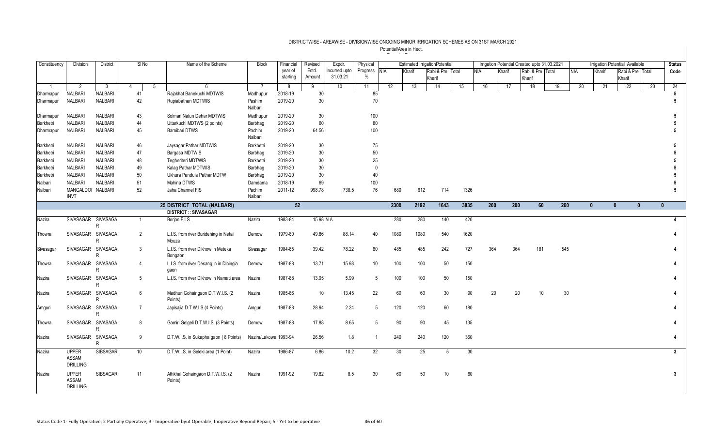| Constituency   | Division           | District             | $SI$ No        |   | Name of the Scheme                      | <b>Block</b>          | Financial | Revised         | Expdr.       | Physical       |            |        | <b>Estimated IrrigationPotential</b> |    |            |        |        | Irrigation Potential Created upto 31.03.2021 |            |          | Irrigation Potential Available |    | <b>Status</b>          |
|----------------|--------------------|----------------------|----------------|---|-----------------------------------------|-----------------------|-----------|-----------------|--------------|----------------|------------|--------|--------------------------------------|----|------------|--------|--------|----------------------------------------------|------------|----------|--------------------------------|----|------------------------|
|                |                    |                      |                |   |                                         |                       | year of   | Estd.           | ncurred upto | Progress       | <b>NIA</b> | Kharif | Rabi & Pre Total                     |    | <b>NIA</b> | Kharif |        | Rabi & Pre Total                             | <b>NIA</b> | Kharif   | Rabi & Pre Total               |    | Code                   |
|                |                    |                      |                |   |                                         |                       | starting  | Amount          | 31.03.21     | $\%$           |            |        | Kharif                               |    |            |        | Kharif |                                              |            |          | Kharif                         |    |                        |
| $\overline{1}$ | 2                  | $\mathbf{3}$         | 4              | 5 | 6                                       | 7                     | 8         | 9               | 10           | 11             | 12         | 13     | 14                                   | 15 | 16         | 17     | 18     | 19                                           | 20         | 21       | $\overline{22}$                | 23 | 24                     |
| Dharmapur      | <b>NALBARI</b>     | NALBARI              | 41             |   | Rajakhat Banekuchi MDTWIS               | Madhupur              | 2018-19   | 30              |              | 85             |            |        |                                      |    |            |        |        |                                              |            |          |                                |    | 5                      |
| Dharmapur      | <b>NALBARI</b>     | <b>NALBARI</b>       | 42             |   | Rupiabathan MDTWIS                      | Pashim                | 2019-20   | 30 <sup>°</sup> |              | 70             |            |        |                                      |    |            |        |        |                                              |            |          |                                |    | 5                      |
|                |                    |                      |                |   |                                         | Nalbari               |           |                 |              |                |            |        |                                      |    |            |        |        |                                              |            |          |                                |    |                        |
| Dharmapur      | <b>NALBARI</b>     | <b>NALBARI</b>       | 43             |   | Solmari Natun Dehar MDTWIS              | Madhupur              | 2019-20   | 30 <sup>°</sup> |              | 100            |            |        |                                      |    |            |        |        |                                              |            |          |                                |    | 5                      |
| Barkhetri      | <b>NALBARI</b>     | <b>NALBARI</b>       | 44             |   | Uttarkuchi MDTWS (2 points)             | Barbhag               | 2019-20   | 60              |              | 80             |            |        |                                      |    |            |        |        |                                              |            |          |                                |    | 5                      |
| Dharmapur      | <b>NALBARI</b>     | NALBARI              | 45             |   | <b>Bamibari DTWS</b>                    | Pachim<br>Nalbari     | 2019-20   | 64.56           |              | 100            |            |        |                                      |    |            |        |        |                                              |            |          |                                |    |                        |
| Barkhetri      | <b>NALBARI</b>     | <b>NALBARI</b>       | 46             |   | Jaysagar Pathar MDTWIS                  | Barkhetri             | 2019-20   | 30              |              | 75             |            |        |                                      |    |            |        |        |                                              |            |          |                                |    | 5                      |
| Barkhetri      | <b>NALBARI</b>     | <b>NALBARI</b>       | 47             |   | Bargasa MDTWIS                          | Barbhag               | 2019-20   | 30 <sup>°</sup> |              | 50             |            |        |                                      |    |            |        |        |                                              |            |          |                                |    |                        |
| Barkhetri      | <b>NALBARI</b>     | <b>NALBARI</b>       | 48             |   | Tegheriteri MDTWIS                      | Barkhetri             | 2019-20   | 30              |              | 25             |            |        |                                      |    |            |        |        |                                              |            |          |                                |    |                        |
| Barkhetri      | <b>NALBARI</b>     | <b>NALBARI</b>       | 49             |   | Kalag Pathar MDTWIS                     | Barbhag               | 2019-20   | 30              |              | $\Omega$       |            |        |                                      |    |            |        |        |                                              |            |          |                                |    |                        |
| Barkhetri      | <b>NALBARI</b>     | <b>NALBARI</b>       | 50             |   | Ukhura Pandula Pathar MDTW              | Barbhag               | 2019-20   | 30              |              | 40             |            |        |                                      |    |            |        |        |                                              |            |          |                                |    |                        |
| Nalbari        | <b>NALBARI</b>     | <b>NALBARI</b>       | 51             |   | Mahina DTWS                             | Damdama               | 2018-19   | 69              |              | 100            |            |        |                                      |    |            |        |        |                                              |            |          |                                |    |                        |
| Nalbari        | MANGALDOI NALBARI  |                      | 52             |   | Jaha Channel FIS                        | Pachim                | 2011-12   | 998.78          | 738.5        | 76             | 680        | 612    | 714                                  |    | 1326       |        |        |                                              |            |          |                                |    | 5                      |
|                | <b>INVT</b>        |                      |                |   |                                         | Nalbari               |           |                 |              |                |            |        |                                      |    |            |        |        |                                              |            |          |                                |    |                        |
|                |                    |                      |                |   | 25 DISTRICT TOTAL (NALBARI)             |                       | 52        |                 |              |                | 2300       | 2192   | 1643                                 |    | 3835       | 200    | 200    | 60                                           | 260        | $\Omega$ | $\mathbf{0}$<br>$\mathbf{0}$   |    | $\mathbf{0}$           |
|                |                    |                      |                |   | <b>DISTRICT :: SIVASAGAR</b>            |                       |           |                 |              |                |            |        |                                      |    |            |        |        |                                              |            |          |                                |    |                        |
| Nazira         | SIVASAGAR          | <b>SIVASAGA</b><br>R | $\mathbf{1}$   |   | Borjan F.I.S.                           | Nazira                | 1983-84   | 15.98 N.A.      |              |                | 280        | 280    | 140                                  |    | 420        |        |        |                                              |            |          |                                |    | $\Delta$               |
| Thowra         | SIVASAGAR SIVASAGA |                      | $\overline{2}$ |   | L.I.S. from river Buridehing in Netai   | Demow                 | 1979-80   | 49.86           | 88.14        | 40             | 1080       | 1080   | 540                                  |    | 1620       |        |        |                                              |            |          |                                |    |                        |
|                |                    | R                    |                |   | Mouza                                   |                       |           |                 |              |                |            |        |                                      |    |            |        |        |                                              |            |          |                                |    |                        |
| Sivasagar      | SIVASAGAR SIVASAGA |                      | 3              |   | L.I.S. from river Dikhow in Meteka      | Sivasagar             | 1984-85   | 39.42           | 78.22        | 80             | 485        | 485    | 242                                  |    | 727        | 364    | 364    | 181                                          | 545        |          |                                |    | $\boldsymbol{\Lambda}$ |
|                |                    | R                    |                |   | Bongaon                                 |                       |           |                 |              |                |            |        |                                      |    |            |        |        |                                              |            |          |                                |    |                        |
| Thowra         | SIVASAGAR SIVASAGA |                      | $\overline{4}$ |   | L.I.S. from river Desang in in Dihingia | Demow                 | 1987-88   | 13.71           | 15.98        | 10             | 100        | 100    | 50                                   |    | 150        |        |        |                                              |            |          |                                |    |                        |
|                |                    | R                    |                |   | qaon                                    |                       |           |                 |              |                |            |        |                                      |    |            |        |        |                                              |            |          |                                |    |                        |
| Nazira         | SIVASAGAR SIVASAGA |                      | 5              |   | L.I.S. from river Dikhow in Namati area | Nazira                | 1987-88   | 13.95           | 5.99         | 5              | 100        | 100    | 50                                   |    | 150        |        |        |                                              |            |          |                                |    |                        |
|                |                    | R                    |                |   |                                         |                       |           |                 |              |                |            |        |                                      |    |            |        |        |                                              |            |          |                                |    |                        |
| Nazira         | SIVASAGAR          | SIVASAGA             | 6              |   | Madhuri Gohaingaon D.T.W.I.S. (2)       | Nazira                | 1985-86   | 10              | 13.45        | 22             | 60         | 60     | 30                                   |    | 90         | 20     | 20     | 10                                           | 30         |          |                                |    | 4                      |
|                |                    | R                    |                |   | Points)                                 |                       |           |                 |              |                |            |        |                                      |    |            |        |        |                                              |            |          |                                |    |                        |
| Amguri         | SIVASAGAR SIVASAGA |                      | $7^{\circ}$    |   | Japisajia D.T.W.I.S.(4 Points)          | Amquri                | 1987-88   | 28.94           | 2.24         | 5              | 120        | 120    | 60                                   |    | 180        |        |        |                                              |            |          |                                |    | 4                      |
|                |                    | R                    |                |   |                                         |                       |           |                 |              |                |            |        |                                      |    |            |        |        |                                              |            |          |                                |    |                        |
| Thowra         | SIVASAGAR SIVASAGA | R                    | 8              |   | Gamiri Gelgeli D.T.W.I.S. (3 Points)    | Demow                 | 1987-88   | 17.88           | 8.65         | 5              | 90         | 90     | 45                                   |    | 135        |        |        |                                              |            |          |                                |    |                        |
|                |                    |                      |                |   |                                         |                       |           |                 |              | $\overline{1}$ |            |        |                                      |    |            |        |        |                                              |            |          |                                |    | 4                      |
| Nazira         | SIVASAGAR SIVASAGA | R                    | 9              |   | D.T.W.I.S. in Sukapha gaon (8 Points)   | Nazira/Lakowa 1993-94 |           | 26.56           | 1.8          |                | 240        | 240    | 120                                  |    | 360        |        |        |                                              |            |          |                                |    |                        |
| Nazira         | <b>UPPER</b>       | <b>SIBSAGAR</b>      | 10             |   | D.T.W.I.S. in Geleki area (1 Point)     | Nazira                | 1986-87   | 6.86            | 10.2         | 32             | 30         | 25     | 5                                    |    | 30         |        |        |                                              |            |          |                                |    | 3                      |
|                | ASSAM              |                      |                |   |                                         |                       |           |                 |              |                |            |        |                                      |    |            |        |        |                                              |            |          |                                |    |                        |
|                | DRILLING           |                      |                |   |                                         |                       |           |                 |              |                |            |        |                                      |    |            |        |        |                                              |            |          |                                |    |                        |
| Nazira         | <b>UPPER</b>       | <b>SIBSAGAR</b>      | 11             |   | Athkhal Gohaingaon D.T.W.I.S. (2        | Nazira                | 1991-92   | 19.82           | 8.5          | 30             | 60         | 50     | 10                                   |    | 60         |        |        |                                              |            |          |                                |    | $\overline{3}$         |
|                | ASSAM              |                      |                |   | Points)                                 |                       |           |                 |              |                |            |        |                                      |    |            |        |        |                                              |            |          |                                |    |                        |
|                | <b>DRILLING</b>    |                      |                |   |                                         |                       |           |                 |              |                |            |        |                                      |    |            |        |        |                                              |            |          |                                |    |                        |
|                |                    |                      |                |   |                                         |                       |           |                 |              |                |            |        |                                      |    |            |        |        |                                              |            |          |                                |    |                        |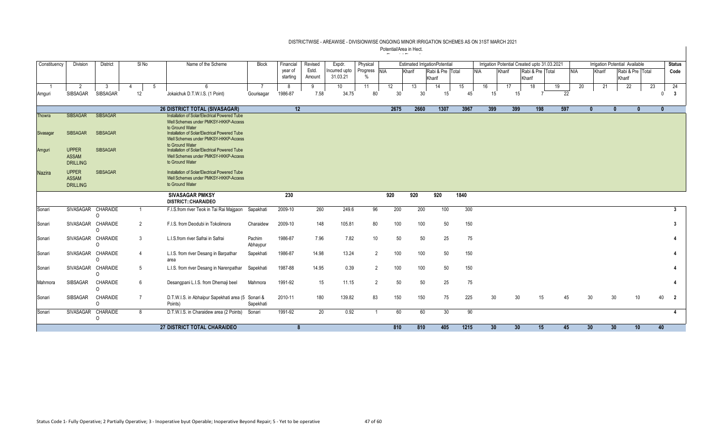| Constituency  | Division                                        | <b>District</b>      | $SI$ No        | Name of the Scheme                                                                                                          | <b>Block</b>       | Financial           | Revised         | Expdr.                    | Physical         |            |        | <b>Estimated IrrigationPotential</b> |      |            |                 |                 |                            | Irrigation Potential Created upto 31.03.2021 |            |        | Irrigation Potential Available |              | <b>Status</b>  |
|---------------|-------------------------------------------------|----------------------|----------------|-----------------------------------------------------------------------------------------------------------------------------|--------------------|---------------------|-----------------|---------------------------|------------------|------------|--------|--------------------------------------|------|------------|-----------------|-----------------|----------------------------|----------------------------------------------|------------|--------|--------------------------------|--------------|----------------|
|               |                                                 |                      |                |                                                                                                                             |                    | year of<br>starting | Estd.<br>Amount | Incurred upto<br>31.03.21 | Progress<br>$\%$ | <b>NIA</b> | Kharif | Rabi & Pre Total<br>Kharif           |      | <b>NIA</b> |                 | Kharif          | Rabi & Pre Total<br>Kharif |                                              | <b>NIA</b> | Kharif | Rabi & Pre Total<br>Kharif     |              | Code           |
|               | 2                                               | 3                    | 5              |                                                                                                                             |                    |                     | Q               | 10                        | 11               | 12         | 13     | 14                                   | 15   |            | 16              | 17              | 18                         | 19                                           | 20         | 21     | 22                             | 23           | 24             |
| Amguri        | SIBSAGAR                                        | <b>SIBSAGAR</b>      | 12             | Jokaichuk D.T.W.I.S. (1 Point)                                                                                              | Gourisagar         | 1986-87             | 7.58            | 34.75                     | 80               | 30         | 30     | 15                                   |      | 45         | 15              | 15              |                            |                                              | 22         |        |                                |              | -3<br>$\Omega$ |
|               |                                                 |                      |                | 26 DISTRICT TOTAL (SIVASAGAR)                                                                                               |                    | 12                  |                 |                           |                  | 2675       | 2660   | 1307                                 | 3967 |            | 399             | 399             |                            | 597<br>198                                   |            |        |                                | $\mathbf{0}$ | $\mathbf{0}$   |
| Thowra        | <b>SIBSAGAR</b>                                 | <b>SIBSAGAR</b>      |                | Installation of Solar/Electrical Powered Tube<br>Well Schemes under PMKSY-HKKP-Access<br>to Ground Water                    |                    |                     |                 |                           |                  |            |        |                                      |      |            |                 |                 |                            |                                              |            |        |                                |              |                |
| Sivasagar     | <b>SIBSAGAR</b>                                 | <b>SIBSAGAR</b>      |                | Installation of Solar/Electrical Powered Tube<br>Well Schemes under PMKSY-HKKP-Access                                       |                    |                     |                 |                           |                  |            |        |                                      |      |            |                 |                 |                            |                                              |            |        |                                |              |                |
| Amguri        | <b>UPPER</b><br><b>ASSAM</b><br><b>DRILLING</b> | <b>SIBSAGAR</b>      |                | to Ground Water<br>Installation of Solar/Electrical Powered Tube<br>Well Schemes under PMKSY-HKKP-Access<br>to Ground Water |                    |                     |                 |                           |                  |            |        |                                      |      |            |                 |                 |                            |                                              |            |        |                                |              |                |
| <b>Nazira</b> | <b>UPPER</b><br>ASSAM<br><b>DRILLING</b>        | <b>SIBSAGAR</b>      |                | Installation of Solar/Electrical Powered Tube<br>Well Schemes under PMKSY-HKKP-Access<br>to Ground Water                    |                    |                     |                 |                           |                  |            |        |                                      |      |            |                 |                 |                            |                                              |            |        |                                |              |                |
|               |                                                 |                      |                | <b>SIVASAGAR PMKSY</b><br><b>DISTRICT::CHARAIDEO</b>                                                                        |                    | 230                 |                 |                           |                  | 920        | 920    | 920                                  | 1840 |            |                 |                 |                            |                                              |            |        |                                |              |                |
| Sonari        | <b>SIVASAGAR</b>                                | CHARAIDE<br>$\Omega$ |                | F.I.S.from river Teok in Tai Rai Majgaon                                                                                    | Sapakhati          | 2009-10             | 260             | 249.6                     | 96               | 200        | 200    | 100                                  | 300  |            |                 |                 |                            |                                              |            |        |                                |              |                |
| Sonari        | SIVASAGAR CHARAIDE                              | $\Omega$             | 2              | F.I.S. from Deodubi in Tokolimora                                                                                           | Charaidew          | 2009-10             | 148             | 105.81                    | 80               | 100        | 100    | 50                                   | 150  |            |                 |                 |                            |                                              |            |        |                                |              |                |
| Sonari        | SIVASAGAR CHARAIDE                              | $\Omega$             | 3              | L.I.S.from river Safrai in Safrai                                                                                           | Pachim<br>Abhaypur | 1986-87             | 7.96            | 7.82                      | 10               | 50         | 50     | 25                                   |      | 75         |                 |                 |                            |                                              |            |        |                                |              |                |
| Sonari        | SIVASAGAR CHARAIDE                              | $\Omega$             | $\overline{4}$ | L.I.S. from river Desang in Barpathar<br>area                                                                               | Sapekhati          | 1986-87             | 14.98           | 13.24                     | $\overline{2}$   | 100        | 100    | 50                                   | 150  |            |                 |                 |                            |                                              |            |        |                                |              |                |
| Sonari        | SIVASAGAR CHARAIDE                              | $\Omega$             | 5              | L.I.S. from river Desang in Narenpathar                                                                                     | Sapekhati          | 1987-88             | 14.95           | 0.39                      | $\overline{2}$   | 100        | 100    | 50                                   | 150  |            |                 |                 |                            |                                              |            |        |                                |              |                |
| Mahmora       | SIBSAGAR                                        | CHARAIDE<br>$\Omega$ | 6              | Desangpani L.I.S. from Dhemaji beel                                                                                         | Mahmora            | 1991-92             | 15              | 11.15                     | $\overline{2}$   | 50         | 50     | 25                                   |      | 75         |                 |                 |                            |                                              |            |        |                                |              |                |
| Sonari        | SIBSAGAR                                        | CHARAIDE<br>0        | $\overline{7}$ | D.T.W.I.S. in Abhaipur Sapekhati area (5 Sonari &<br>Points)                                                                | Sapekhati          | 2010-11             | 180             | 139.82                    | 83               | 150        | 150    | 75                                   | 225  |            | 30              | 30              |                            | 15                                           | 30<br>45   |        | 30                             | 10           | 40<br>- 2      |
| Sonari        | <b>SIVASAGAR</b>                                | <b>CHARAIDE</b>      | 8              | D.T.W.I.S. in Charaidew area (2 Points)                                                                                     | Sonari             | 1991-92             | 20              | 0.92                      |                  | 60         | 60     | 30                                   |      | 90         |                 |                 |                            |                                              |            |        |                                |              | 4              |
|               |                                                 | 0                    |                |                                                                                                                             |                    |                     |                 |                           |                  |            |        |                                      |      |            |                 |                 |                            |                                              |            |        |                                |              |                |
|               |                                                 |                      |                | 27 DISTRICT TOTAL CHARAIDEO                                                                                                 |                    | 8                   |                 |                           |                  | 810        | 810    | 405                                  | 1215 |            | 30 <sup>°</sup> | 30 <sup>°</sup> |                            | 15                                           | 45<br>30   |        | 30 <sup>°</sup>                | 10           | 40             |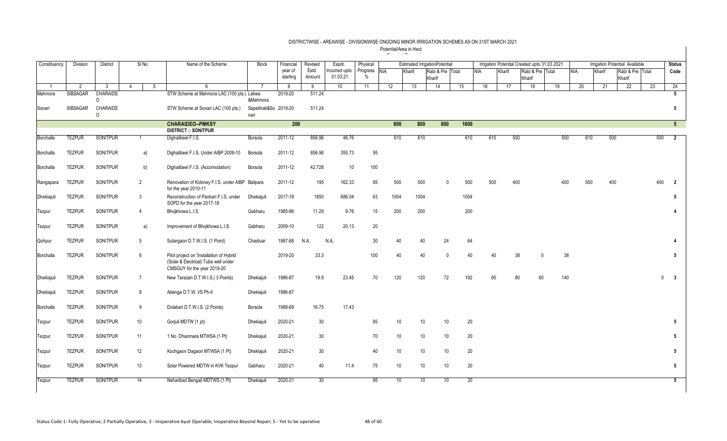| Constituency | Division        | <b>District</b>      | SINo            | Name of the Scheme                                                                                              | <b>Block</b>         | Financial | Revised | Expdr.        | Physical |            |                 | <b>Estimated IrrigationPotential</b> |          |      |            |        | Irrigation Potential Created upto 31.03.2021 |                |            |        | Irrigation Potential Available |                  |     | <b>Status</b>           |
|--------------|-----------------|----------------------|-----------------|-----------------------------------------------------------------------------------------------------------------|----------------------|-----------|---------|---------------|----------|------------|-----------------|--------------------------------------|----------|------|------------|--------|----------------------------------------------|----------------|------------|--------|--------------------------------|------------------|-----|-------------------------|
|              |                 |                      |                 |                                                                                                                 |                      | year of   | Estd.   | Incurred upto | Progress | <b>NIA</b> | Kharif          | Rabi & Pre Total                     |          |      | <b>NIA</b> | Kharif | Rabi & Pre Total                             |                | <b>NIA</b> | Kharif |                                | Rabi & Pre Total |     | Code                    |
|              |                 |                      |                 |                                                                                                                 |                      | starting  | Amount  | 31.03.21      | $\%$     |            |                 | Kharif                               |          |      |            |        | Kharif                                       |                |            |        | Kharif                         |                  |     |                         |
|              | $\overline{2}$  | $\mathbf{3}$         | 5<br>$\Delta$   | 6                                                                                                               |                      | -8        | 9       | 10            | 11       | 12         | 13              | 14                                   |          | 15   | 16         | 17     | 18                                           | 19             | 20         | 21     | 22                             |                  | 23  | 24                      |
| Mahmora      | <b>SIBSAGAR</b> | <b>CHARAIDE</b><br>0 |                 | STW Scheme at Mahmora LAC (100 pts.) Lakwa                                                                      | &Mahmora             | 2019-20   | 511.24  |               |          |            |                 |                                      |          |      |            |        |                                              |                |            |        |                                |                  |     | 5                       |
| Sonari       | SIBSAGAR        | CHARAIDE             |                 | STW Scheme at Sonari LAC (100 pts.)                                                                             | Sapekhati&So 2019-20 |           | 511.24  |               |          |            |                 |                                      |          |      |            |        |                                              |                |            |        |                                |                  |     | 5                       |
|              |                 | 0                    |                 |                                                                                                                 | nari                 |           |         |               |          |            |                 |                                      |          |      |            |        |                                              |                |            |        |                                |                  |     |                         |
|              |                 |                      |                 | <b>CHARAIDEO-PMKSY</b>                                                                                          |                      | 200       |         |               |          | 800        |                 | 800                                  | 800      | 1600 |            |        |                                              |                |            |        |                                |                  |     | $5\overline{)}$         |
|              |                 |                      |                 | <b>DISTRICT :: SONITPUR</b>                                                                                     |                      |           |         |               |          |            |                 |                                      |          |      |            |        |                                              |                |            |        |                                |                  |     |                         |
| Borchalla    | <b>TEZPUR</b>   | <b>SONITPUR</b>      |                 | Dighalibeel F.I.S.                                                                                              | Borsola              | 2011-12   | 856.96  | 46.76         |          | 610        |                 | 610                                  |          | 610  | 610        |        | 500                                          | 500            | 610        |        | 500                            |                  | 500 | $\overline{\mathbf{2}}$ |
| Borchalla    | <b>TEZPUR</b>   | <b>SONITPUR</b>      | a)              | Dighalibeel F.I.S. Under AIBP 2009-10                                                                           | Borsola              | 2011-12   | 856.96  | 355.73        | 95       |            |                 |                                      |          |      |            |        |                                              |                |            |        |                                |                  |     |                         |
| Borchalla    | <b>TEZPUR</b>   | SONITPUR             | b)              | Dighalibeel F.I.S. (Accomodation)                                                                               | Borsola              | 2011-12   | 42.728  | 10            | 100      |            |                 |                                      |          |      |            |        |                                              |                |            |        |                                |                  |     |                         |
| Rangapara    | <b>TEZPUR</b>   | SONITPUR             | 2               | Renovation of Koloney F.I.S. under AIBP Balipara<br>for the year 2010-11                                        |                      | 2011-12   | 195     | 162.33        | 85       | 500        |                 | 500                                  | $\Omega$ | 500  | 500        |        | 400                                          | 400            | 500        |        | 400                            |                  | 400 | $\overline{2}$          |
| Dhekiajuli   | <b>TEZPUR</b>   | SONITPUR             | 3               | Reconstruction of Panbari F.I.S. under<br>SOPD for the year 2017-18                                             | Dhekiajuli           | 2017-18   | 1850    | 686.04        | 63       | 1004       |                 | 1004                                 |          | 1004 |            |        |                                              |                |            |        |                                |                  |     | 5                       |
| Tezpur       | <b>TEZPUR</b>   | SONITPUR             | $\overline{4}$  | Bhojkhowa L.I.S.                                                                                                | Gabharu              | 1985-86   | 11.29   | 9.76          | 15       | 200        |                 | 200                                  |          | 200  |            |        |                                              |                |            |        |                                |                  |     | $\overline{4}$          |
| Tezpur       | <b>TEZPUR</b>   | SONITPUR             | a)              | Improvement of Bhojkhowa L.I.S.                                                                                 | Gabharu              | 2009-10   | 122     | 20.13         | 20       |            |                 |                                      |          |      |            |        |                                              |                |            |        |                                |                  |     |                         |
| Gohpur       | <b>TEZPUR</b>   | SONITPUR             | 5               | Sutargaon D.T.W.I.S. (1 Point)                                                                                  | Chaiduar             | 1987-88   | N.A.    | N.A.          | 30       | 40         |                 | 40                                   | 24       | 64   |            |        |                                              |                |            |        |                                |                  |     | 4                       |
| Borchalla    | <b>TEZPUR</b>   | <b>SONITPUR</b>      | 6               | Pilot project on 'Installation of Hybrid<br>(Solar & Electrical) Tube well under<br>CMSGUY for the year 2019-20 |                      | 2019-20   | 33.3    |               | 100      | 40         |                 | 40                                   | $\Omega$ | 40   | 40         |        | 38                                           | 38<br>$\Omega$ |            |        |                                |                  |     | 5 <sub>5</sub>          |
| Dhekiajuli   | <b>TEZPUR</b>   | <b>SONITPUR</b>      | $\overline{7}$  | New Tarazan D.T.W.I.S.(3 Points)                                                                                | <b>Dhekiaiuli</b>    | 1986-87   | 19.9    | 23.45         | 70       | 120        |                 | 120                                  | 72       | 192  | 80         |        | 80<br>60                                     | 140            |            |        |                                |                  |     | $0 \quad 3$             |
| Dhekiajuli   | <b>TEZPUR</b>   | SONITPUR             | 8               | Alisinga D.T.W. I/S Ph-II                                                                                       | Dhekiajuli           | 1986-87   |         |               |          |            |                 |                                      |          |      |            |        |                                              |                |            |        |                                |                  |     |                         |
| Borchalla    | <b>TEZPUR</b>   | SONITPUR             | 9               | Dolabari D.T.W.I.S. (2 Points)                                                                                  | Borsola              | 1988-89   | 16.75   | 17.43         |          |            |                 |                                      |          |      |            |        |                                              |                |            |        |                                |                  |     |                         |
| Tezpur       | <b>TEZPUR</b>   | SONITPUR             | 10              | Gorjuli MDTW (1 pt)                                                                                             | Dhekiajuli           | 2020-21   | 30      |               | 85       |            | 10 <sup>°</sup> | 10                                   | 10       | 20   |            |        |                                              |                |            |        |                                |                  |     | 5                       |
| Tezpur       | <b>TEZPUR</b>   | SONITPUR             | 11              | 1 No. Dhanmara MTWSA (1 Pt)                                                                                     | Dhekiajuli           | 2020-21   | 30      |               | 70       |            | 10 <sup>1</sup> | 10                                   | 10       | 20   |            |        |                                              |                |            |        |                                |                  |     | $5\phantom{.0}$         |
| Tezpur       | <b>TEZPUR</b>   | SONITPUR             | 12              | Kochgaon Dagaon MTWSA (1 Pt)                                                                                    | Dhekiajuli           | 2020-21   | 30      |               | 40       |            | 10              | 10                                   | 10       | 20   |            |        |                                              |                |            |        |                                |                  |     | $5\phantom{.0}$         |
| Tezpur       | <b>TEZPUR</b>   | SONITPUR             | 13              | Solar Powered MDTW in KVK Tezpur                                                                                | Gabharu              | 2020-21   | 40      | 11.4          | 75       |            | 10              | 10                                   | 10       | 20   |            |        |                                              |                |            |        |                                |                  |     | 5                       |
| Tezpur       | <b>TEZPUR</b>   | <b>SONITPUR</b>      | $\overline{14}$ | Naharibari Bengali MDTWS (1 Pt)                                                                                 | Dhekiajuli           | 2020-21   | 30      |               | 95       |            | 10              | 10 <sup>°</sup>                      | 10       | 20   |            |        |                                              |                |            |        |                                |                  |     | 5 <sub>5</sub>          |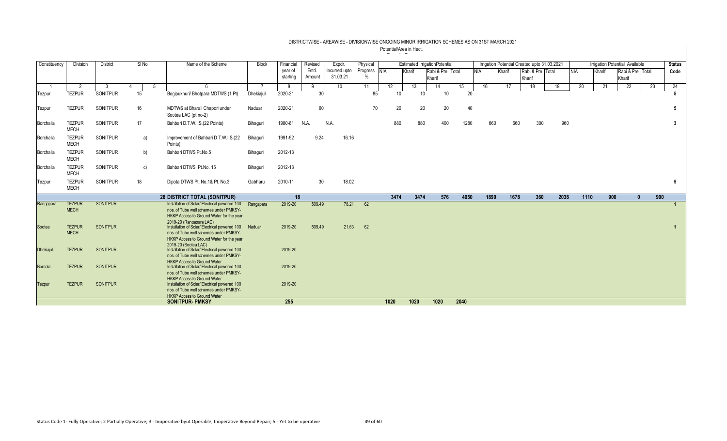| Constituency      | Division                     | District        | SINo           | Name of the Scheme                                                                                                                                                 | <b>Block</b> | Financial | Revised | Expdr.          | Physical |              |        |        | <b>Estimated IrrigationPotential</b> |      |            |        | Irrigation Potential Created upto 31.03.2021 |      |            |        | Irrigation Potential Available |     | <b>Status</b> |
|-------------------|------------------------------|-----------------|----------------|--------------------------------------------------------------------------------------------------------------------------------------------------------------------|--------------|-----------|---------|-----------------|----------|--------------|--------|--------|--------------------------------------|------|------------|--------|----------------------------------------------|------|------------|--------|--------------------------------|-----|---------------|
|                   |                              |                 |                |                                                                                                                                                                    |              | vear of   | Estd.   | Incurred upto   |          | Progress NIA | Kharif |        | Rabi & Pre Total                     |      | <b>NIA</b> | Kharif | Rabi & Pre Total                             |      | <b>NIA</b> | Kharif | Rabi & Pre Total               |     | Code          |
|                   |                              |                 |                |                                                                                                                                                                    |              | starting  | Amount  | 31.03.21        | $\%$     |              |        | Kharif |                                      |      |            |        | Kharif                                       |      |            |        | Kharif                         |     |               |
|                   | $\overline{2}$               | -3              | $\overline{5}$ | $\kappa$                                                                                                                                                           |              | 8         | 9       | 10 <sup>1</sup> | 11       | 12           | 13     |        | 14                                   | 15   | 16         | 17     | 18                                           | 19   | 20         | 21     | 22                             | 23  | 24            |
| Tezpur            | <b>TEZPUR</b>                | SONITPUR        | 15             | Bogipukhuri/ Bhotpara MDTWS (1 Pt)                                                                                                                                 | Dhekiajuli   | 2020-21   | 30      |                 |          | 85           | 10     | 10     | 10                                   | 20   |            |        |                                              |      |            |        |                                |     | 5             |
| Tezpur            | <b>TEZPUR</b>                | SONITPUR        | 16             | MDTWS at Bharali Chapori under<br>Sootea LAC (pt no-2)                                                                                                             | Naduar       | 2020-21   | 60      |                 |          | 70           | 20     | 20     | 20                                   | 40   |            |        |                                              |      |            |        |                                |     | 5             |
| Borchalla         | <b>TEZPUR</b><br><b>MECH</b> | SONITPUR        | 17             | Bahbari D.T.W.I.S.(22 Points)                                                                                                                                      | Bihaquri     | 1980-81   | N.A.    | N.A.            |          |              | 880    | 880    | 400                                  | 1280 | 660        |        | 660<br>300                                   | 960  |            |        |                                |     | $\mathbf{3}$  |
| Borchalla         | <b>TEZPUR</b><br><b>MECH</b> | SONITPUR        | a)             | Improvement of Bahbari D.T.W.I.S.(22<br>Points)                                                                                                                    | Bihaguri     | 1991-92   | 9.24    | 16.16           |          |              |        |        |                                      |      |            |        |                                              |      |            |        |                                |     |               |
| Borchalla         | <b>TEZPUR</b><br><b>MECH</b> | <b>SONITPUR</b> | b)             | Bahbari DTWS Pt.No.5                                                                                                                                               | Bihaguri     | 2012-13   |         |                 |          |              |        |        |                                      |      |            |        |                                              |      |            |        |                                |     |               |
| Borchalla         | <b>TEZPUR</b><br><b>MECH</b> | SONITPUR        | c)             | Bahbari DTWS Pt.No. 15                                                                                                                                             | Bihaguri     | 2012-13   |         |                 |          |              |        |        |                                      |      |            |        |                                              |      |            |        |                                |     |               |
| Tezpur            | <b>TEZPUR</b><br><b>MECH</b> | <b>SONITPUR</b> | 18             | Dipota DTWS Pt. No.1& Pt. No.3                                                                                                                                     | Gabharu      | 2010-11   | 30      | 18.02           |          |              |        |        |                                      |      |            |        |                                              |      |            |        |                                |     | 5             |
|                   |                              |                 |                | 28 DISTRICT TOTAL (SONITPUR)                                                                                                                                       |              | 18        |         |                 |          |              | 3474   | 3474   | 576                                  | 4050 | 1890       |        | 1678<br>360                                  | 2038 | 1110       | 900    | $\mathbf{r}$                   | 900 |               |
| Rangapara         | <b>TEZPUR</b><br><b>MECH</b> | <b>SONITPUR</b> |                | Installation of Solar/ Electrical powered 100<br>nos. of Tube well schemes under PMKSY-<br>HKKP Access to Ground Water for the year                                | Rangapara    | 2019-20   | 509.49  | 78.21           | 62       |              |        |        |                                      |      |            |        |                                              |      |            |        |                                |     | 1             |
| Sootea            | <b>TEZPUR</b><br><b>MECH</b> | <b>SONITPUR</b> |                | 2019-20 (Rangapara LAC)<br>Installation of Solar/ Electrical powered 100<br>nos. of Tube well schemes under PMKSY-<br>HKKP Access to Ground Water for the year     | Naduar       | 2019-20   | 509.49  | 21.63           | 62       |              |        |        |                                      |      |            |        |                                              |      |            |        |                                |     | $\mathbf{1}$  |
| <b>Dhekiajuli</b> | <b>TEZPUR</b>                | <b>SONITPUR</b> |                | 2019-20 (Sootea LAC)<br>Installation of Solar/ Electrical powered 100<br>nos, of Tube well schemes under PMKSY-                                                    |              | 2019-20   |         |                 |          |              |        |        |                                      |      |            |        |                                              |      |            |        |                                |     |               |
| <b>Borsola</b>    | <b>TEZPUR</b>                | <b>SONITPUR</b> |                | <b>HKKP Access to Ground Water</b><br>Installation of Solar/Electrical powered 100<br>nos, of Tube well schemes under PMKSY-                                       |              | 2019-20   |         |                 |          |              |        |        |                                      |      |            |        |                                              |      |            |        |                                |     |               |
| Tezpur            | <b>TEZPUR</b>                | <b>SONITPUR</b> |                | <b>HKKP Access to Ground Water</b><br>Installation of Solar/Electrical powered 100<br>nos. of Tube well schemes under PMKSY-<br><b>HKKP Access to Ground Water</b> |              | 2019-20   |         |                 |          |              |        |        |                                      |      |            |        |                                              |      |            |        |                                |     |               |
|                   |                              |                 |                | <b>SONITPUR- PMKSY</b>                                                                                                                                             |              | 255       |         |                 |          | 1020         | 1020   |        | 1020                                 | 2040 |            |        |                                              |      |            |        |                                |     |               |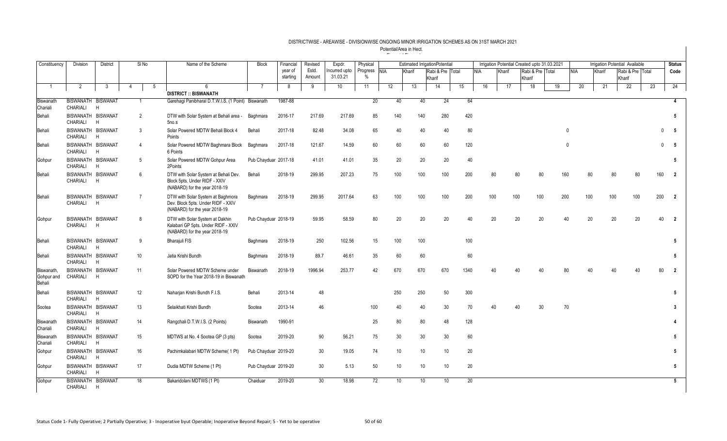| Constituency                       | <b>Division</b>                | <b>District</b> |                | SI <sub>No</sub> |   | Name of the Scheme                                                                                       | <b>Block</b>         | Financial           | Revised         | Expdr.                    | Physical         |            |        | <b>Estimated IrrigationPotential</b> |    |            |    |        |     |                            |     | Irrigation Potential Created upto 31.03.2021 |              |     |        |        | <b>Irrigation Potential Available</b> |     | <b>Status</b>     |
|------------------------------------|--------------------------------|-----------------|----------------|------------------|---|----------------------------------------------------------------------------------------------------------|----------------------|---------------------|-----------------|---------------------------|------------------|------------|--------|--------------------------------------|----|------------|----|--------|-----|----------------------------|-----|----------------------------------------------|--------------|-----|--------|--------|---------------------------------------|-----|-------------------|
|                                    |                                |                 |                |                  |   |                                                                                                          |                      | year of<br>starting | Estd.<br>Amount | Incurred upto<br>31.03.21 | Progress<br>$\%$ | <b>NIA</b> | Kharif | Rabi & Pre Total<br>Kharif           |    | <b>NIA</b> |    | Kharif |     | Rabi & Pre Total<br>Kharif |     |                                              | <b>NIA</b>   |     | Kharif | Kharif | Rabi & Pre Total                      |     | Code              |
| $\overline{1}$                     | 2                              | 3               | $\overline{4}$ |                  | 5 | 6                                                                                                        | $\overline{7}$       | 8                   | 9               | 10                        | 11               | 12         | 13     | 14                                   | 15 |            | 16 |        | 17  | 18                         |     | 19                                           |              | 20  | 21     |        | 22                                    | 23  | 24                |
| Biswanath                          | BISWANATH BISWANAT             |                 |                |                  |   | <b>DISTRICT :: BISWANATH</b><br>Garehagi Panibharal D.T.W.I.S. (1 Point) Biswanath                       |                      | 1987-88             |                 |                           | 20               | 40         | 40     | 24                                   |    | 64         |    |        |     |                            |     |                                              |              |     |        |        |                                       |     | 4                 |
| Chariali                           | CHARIALI                       | H               |                |                  |   |                                                                                                          |                      |                     |                 |                           |                  |            |        |                                      |    |            |    |        |     |                            |     |                                              |              |     |        |        |                                       |     |                   |
| Behali                             | BISWANATH BISWANAT<br>CHARIALI | H               |                | 2                |   | DTW with Solar System at Behali area -<br>5no.s                                                          | Baghmara             | 2016-17             | 217.69          | 217.69                    | 85               | 140        | 140    | 280                                  |    | 420        |    |        |     |                            |     |                                              |              |     |        |        |                                       |     | 5                 |
| Behali                             | BISWANATH BISWANAT<br>CHARIALI | H               |                | -3               |   | Solar Powered MDTW Behali Block 4<br>Points                                                              | Behali               | 2017-18             | 82.48           | 34.08                     | 65               | 40         | 40     | 40                                   |    | 80         |    |        |     |                            |     |                                              | $\mathbf{0}$ |     |        |        |                                       |     | 5<br>$\Omega$     |
| Behali                             | BISWANATH BISWANAT<br>CHARIALI | H               |                | $\overline{4}$   |   | Solar Powered MDTW Baghmara Block<br>6 Points                                                            | Baghmara             | 2017-18             | 121.67          | 14.59                     | 60               | 60         | 60     | 60                                   |    | 120        |    |        |     |                            |     |                                              |              |     |        |        |                                       |     | 5<br>$\mathbf{0}$ |
| Gohpur                             | BISWANATH BISWANAT<br>CHARIALI | H               |                | $5^{\circ}$      |   | Solar Powered MDTW Gohpur Area<br>2Points                                                                | Pub Chayduar 2017-18 |                     | 41.01           | 41.01                     | 35               | 20         | 20     | 20                                   |    | 40         |    |        |     |                            |     |                                              |              |     |        |        |                                       |     | 5                 |
| Behali                             | BISWANATH BISWANAT<br>CHARIALI | H               |                | 6                |   | DTW with Solar System at Behali Dev.<br>Block 5pts. Under RIDF - XXIV<br>(NABARD) for the year 2018-19   | Behali               | 2018-19             | 299.95          | 207.23                    | 75               | 100        | 100    | 100                                  |    | 200        |    | 80     | 80  |                            |     | 160                                          |              | 80  |        | 80     |                                       | 160 | $\overline{2}$    |
| Behali                             | BISWANATH BISWANAT<br>CHARIALI | H               |                | $\overline{7}$   |   | DTW with Solar System at Baghmora<br>Dev. Block 5pts. Under RIDF - XXIV<br>(NABARD) for the year 2018-19 | Baghmara             | 2018-19             | 299.95          | 2017.64                   | 63               | 100        | 100    | 100                                  |    | 200        |    | 100    | 100 |                            | 100 | 200                                          |              | 100 | 100    |        | 100                                   | 200 | $\overline{2}$    |
| Gohpur                             | BISWANATH BISWANAT<br>CHARIALI | H               |                | 8                |   | DTW with Solar System at Dakhin<br>Kalabari GP 5pts. Under RIDF - XXIV<br>(NABARD) for the year 2018-19  | Pub Chayduar 2018-19 |                     | 59.95           | 58.59                     | 80               | 20         | 20     | 20                                   |    | 40         |    | 20     | 20  |                            | 20  |                                              | 40           | 20  |        | 20     | 20                                    | 40  | $\overline{2}$    |
| Behali                             | BISWANATH BISWANAT<br>CHARIALI | H               |                | 9                |   | <b>Bharajuli FIS</b>                                                                                     | Baghmara             | 2018-19             | 250             | 102.56                    | 15               | 100        | 100    |                                      |    | 100        |    |        |     |                            |     |                                              |              |     |        |        |                                       |     | 5                 |
| Behali                             | BISWANATH BISWANAT<br>CHARIALI | H               |                | 10               |   | Jatia Krishi Bundh                                                                                       | Baghmara             | 2018-19             | 89.7            | 46.61                     | 35               | 60         | 60     |                                      |    | 60         |    |        |     |                            |     |                                              |              |     |        |        |                                       |     | 5                 |
| Biswanath,<br>Gohpur and<br>Behali | BISWANATH BISWANAT<br>CHARIALI | H               |                | 11               |   | Solar Powered MDTW Scheme under<br>SOPD for the Year 2018-19 in Biswanath                                | <b>Biswanath</b>     | 2018-19             | 1996.94         | 253.77                    | 42               | 670        | 670    | 670                                  |    | 1340       |    | 40     |     |                            | л∩  |                                              |              |     |        |        |                                       | 80  | $\overline{2}$    |
| Behali                             | BISWANATH BISWANAT<br>CHARIALI | H               |                | 12               |   | Naharjan Krishi Bundh F.I.S.                                                                             | Behali               | 2013-14             | 48              |                           |                  | 250        | 250    | 50                                   |    | 300        |    |        |     |                            |     |                                              |              |     |        |        |                                       |     | 5                 |
| Sootea                             | BISWANATH BISWANAT<br>CHARIALI | H               |                | 13               |   | Selaikhati Krishi Bundh                                                                                  | Sootea               | 2013-14             | 46              |                           | 100              | 40         | 40     | 30                                   |    | 70         |    | 40     | 40  |                            | 30  |                                              | 70           |     |        |        |                                       |     | 3                 |
| Biswanath<br>Chariali              | BISWANATH BISWANAT<br>CHARIALI | H               |                | 14               |   | Rangchali D.T.W.I.S. (2 Points)                                                                          | Biswanath            | 1990-91             |                 |                           | 25               | 80         | 80     | 48                                   |    | 128        |    |        |     |                            |     |                                              |              |     |        |        |                                       |     |                   |
| Biswanath<br>Chariali              | BISWANATH BISWANAT<br>CHARIALI | H               |                | 15               |   | MDTWS at No. 4 Sootea GP (3 pts)                                                                         | Sootea               | 2019-20             | 90              | 56.21                     | 75               | 30         | 30     | 30                                   |    | 60         |    |        |     |                            |     |                                              |              |     |        |        |                                       |     | 5                 |
| Gohpur                             | BISWANATH BISWANAT<br>CHARIALI | H               |                | 16               |   | Pachimkalabari MDTW Scheme( 1 Pt)                                                                        | Pub Chayduar 2019-20 |                     | 30 <sup>°</sup> | 19.05                     | 74               | 10         | 10     | 10 <sup>°</sup>                      |    | 20         |    |        |     |                            |     |                                              |              |     |        |        |                                       |     | 5                 |
| Gohpur                             | BISWANATH BISWANAT<br>CHARIALI | H               |                | 17               |   | Dudia MDTW Scheme (1 Pt)                                                                                 | Pub Chayduar 2019-20 |                     | 30 <sup>°</sup> | 5.13                      | 50               | 10         | 10     | 10 <sup>°</sup>                      |    | 20         |    |        |     |                            |     |                                              |              |     |        |        |                                       |     | 5                 |
| Gohpur                             | BISWANATH BISWANAT<br>CHARIALI | H               |                | 18               |   | Bakaridolani MDTWS (1 Pt)                                                                                | Chaiduar             | 2019-20             | 30 <sup>°</sup> | 18.98                     | 72               | 10         | 10     | 10 <sup>°</sup>                      |    | 20         |    |        |     |                            |     |                                              |              |     |        |        |                                       |     | $5^{\circ}$       |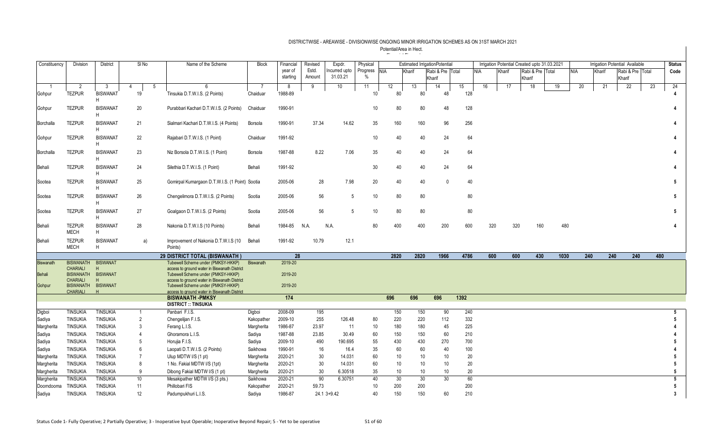| Constituency | Division                              | <b>District</b>      | SI <sub>No</sub>     | Name of the Scheme                                                                 | <b>Block</b>     | Financial           | Revised         | Expdr.                   | Physical                  |            |                 | <b>Estimated IrrigationPotential</b> |      |     |        | Irrigation Potential Created upto 31.03.2021 |     |      |     |        | <b>Irrigation Potential Available</b> |     | <b>Status</b>           |
|--------------|---------------------------------------|----------------------|----------------------|------------------------------------------------------------------------------------|------------------|---------------------|-----------------|--------------------------|---------------------------|------------|-----------------|--------------------------------------|------|-----|--------|----------------------------------------------|-----|------|-----|--------|---------------------------------------|-----|-------------------------|
|              |                                       |                      |                      |                                                                                    |                  | year of<br>starting | Estd.<br>Amount | ncurred upto<br>31.03.21 | Progress<br>$\frac{0}{0}$ | <b>NIA</b> | Kharif          | Rabi & Pre Total<br>Kharif           |      | NIA | Kharif | Rabi & Pre Total<br>Kharif                   |     | NIA  |     | Kharif | Rabi & Pre   Total<br>Kharif          |     | Code                    |
|              | 2                                     | 3                    | $\overline{4}$<br>-5 | 6                                                                                  |                  | 8                   | 9               | 10                       | 11                        | 12         | 13              | 14                                   | 15   | 16  |        | 17<br>18                                     | 19  |      | 20  | 21     | 22                                    | 23  | 24                      |
| Gohpur       | <b>TEZPUR</b>                         | <b>BISWANAT</b><br>H | 19                   | Tinsukia D.T.W.I.S. (2 Points)                                                     | Chaiduar         | 1988-89             |                 |                          | 10 <sup>1</sup>           | 80         | 80              | 48                                   | 128  |     |        |                                              |     |      |     |        |                                       |     |                         |
| Gohpur       | <b>TEZPUR</b>                         | <b>BISWANAT</b><br>H | 20                   | Purabbari Kachari D.T.W.I.S. (2 Points)                                            | Chaiduar         | 1990-91             |                 |                          | 10 <sup>1</sup>           | 80         | 80              | 48                                   | 128  |     |        |                                              |     |      |     |        |                                       |     |                         |
| Borchalla    | <b>TEZPUR</b>                         | <b>BISWANAT</b><br>H | 21                   | Sialmari Kachari D.T.W.I.S. (4 Points)                                             | <b>Borsola</b>   | 1990-91             | 37.34           | 14.62                    | 35                        | 160        | 160             | 96                                   | 256  |     |        |                                              |     |      |     |        |                                       |     |                         |
| Gohpur       | <b>TEZPUR</b>                         | <b>BISWANAT</b><br>H | 22                   | Rajabari D.T.W.I.S. (1 Point)                                                      | Chaiduar         | 1991-92             |                 |                          | 10                        | 40         | 40              | 24                                   | 64   |     |        |                                              |     |      |     |        |                                       |     |                         |
| Borchalla    | <b>TEZPUR</b>                         | <b>BISWANAT</b><br>H | 23                   | Niz Borsola D.T.W.I.S. (1 Point)                                                   | Borsola          | 1987-88             | 8.22            | 7.06                     | 35                        | 40         | 40              | 24                                   | 64   |     |        |                                              |     |      |     |        |                                       |     |                         |
| Behali       | <b>TEZPUR</b>                         | <b>BISWANAT</b><br>H | 24                   | Silethia D.T.W.I.S. (1 Point)                                                      | Behali           | 1991-92             |                 |                          | 30                        | 40         | 40              | 24                                   | 64   |     |        |                                              |     |      |     |        |                                       |     |                         |
| Sootea       | <b>TEZPUR</b>                         | <b>BISWANAT</b><br>H | 25                   | Gomirpal Kumargaon D.T.W.I.S. (1 Point) Sootia                                     |                  | 2005-06             | 28              | 7.98                     | 20                        | 40         | 40              | $\mathbf{0}$                         | 40   |     |        |                                              |     |      |     |        |                                       |     | 5                       |
| Sootea       | <b>TEZPUR</b>                         | <b>BISWANAT</b><br>H | 26                   | Chengelimora D.T.W.I.S. (2 Points)                                                 | Sootia           | 2005-06             | 56              | 5                        | 10                        | 80         | 80              |                                      | 80   |     |        |                                              |     |      |     |        |                                       |     | 5                       |
| Sootea       | <b>TEZPUR</b>                         | <b>BISWANAT</b><br>H | 27                   | Goalgaon D.T.W.I.S. (2 Points)                                                     | Sootia           | 2005-06             | 56              | 5                        | 10                        | 80         | 80              |                                      | 80   |     |        |                                              |     |      |     |        |                                       |     | 5                       |
| Behali       | <b>TEZPUR</b><br><b>MECH</b>          | <b>BISWANAT</b><br>H | 28                   | Nakonia D.T.W.I.S (10 Points)                                                      | Behali           | 1984-85             | N.A.            | N.A.                     | 80                        | 400        | 400             | 200                                  | 600  |     | 320    | 320                                          | 160 | 480  |     |        |                                       |     |                         |
| Behali       | <b>TEZPUR</b><br><b>MECH</b>          | <b>BISWANAT</b><br>H | a)                   | Improvement of Nakonia D.T.W.I.S (10)<br>Points)                                   | Behali           | 1991-92             | 10.79           | 12.1                     |                           |            |                 |                                      |      |     |        |                                              |     |      |     |        |                                       |     |                         |
|              |                                       |                      |                      | 29 DISTRICT TOTAL (BISWANATH)                                                      |                  | 28                  |                 |                          |                           | 2820       | 2820            | 1966                                 | 4786 |     | 600    | 600                                          | 430 | 1030 | 240 | 240    | 240                                   | 480 |                         |
| Biswanath    | <b>BISWANATH</b>                      | <b>BISWANAT</b>      |                      | Tubewell Scheme under (PMKSY-HKKP)                                                 | <b>Biswanath</b> | 2019-20             |                 |                          |                           |            |                 |                                      |      |     |        |                                              |     |      |     |        |                                       |     |                         |
| Behali       | <b>CHARIALI</b><br>BISWANATH BISWANAT |                      |                      | access to ground water in Biswanath District<br>Tubewell Scheme under (PMKSY-HKKP) |                  | 2019-20             |                 |                          |                           |            |                 |                                      |      |     |        |                                              |     |      |     |        |                                       |     |                         |
| Gohpur       | <b>CHARIALI</b><br><b>BISWANATH</b>   | H<br><b>BISWANAT</b> |                      | access to ground water in Biswanath District<br>Tubewell Scheme under (PMKSY-HKKP) |                  | 2019-20             |                 |                          |                           |            |                 |                                      |      |     |        |                                              |     |      |     |        |                                       |     |                         |
|              | <b>CHARIALI</b>                       | H                    |                      | access to ground water in Biswanath District<br><b>BISWANATH -PMKSY</b>            |                  | 174                 |                 |                          |                           | 696        | 696             | 696                                  | 1392 |     |        |                                              |     |      |     |        |                                       |     |                         |
|              |                                       |                      |                      | <b>DISTRICT :: TINSUKIA</b>                                                        |                  |                     |                 |                          |                           |            |                 |                                      |      |     |        |                                              |     |      |     |        |                                       |     |                         |
| Digboi       | <b>TINSUKIA</b>                       | <b>TINSUKIA</b>      |                      | Panbari F.I.S.                                                                     | Digboi           | 2008-09             | 195             |                          |                           | 150        | 150             | 90                                   | 240  |     |        |                                              |     |      |     |        |                                       |     | 5                       |
| Sadiya       | <b>TINSUKIA</b>                       | <b>TINSUKIA</b>      | $\overline{2}$       | Chengelijan F.I.S.                                                                 | Kakopather       | 2009-10             | 255             | 126.48                   | 80                        | 220        | 220             | 112                                  | 332  |     |        |                                              |     |      |     |        |                                       |     |                         |
| Margherita   | <b>TINSUKIA</b>                       | <b>TINSUKIA</b>      | 3                    | Ferang L.I.S.                                                                      | Margherita       | 1986-87             | 23.97           | 11                       | 10                        | 180        | 180             | 45                                   | 225  |     |        |                                              |     |      |     |        |                                       |     |                         |
| Sadiya       | <b>TINSUKIA</b>                       | <b>TINSUKIA</b>      | $\overline{4}$       | Ghoramora L.I.S.                                                                   | Sadiya           | 1987-88             | 23.85           | 30.49                    | 60                        | 150        | 150             | 60                                   | 210  |     |        |                                              |     |      |     |        |                                       |     |                         |
| Sadiya       | <b>TINSUKIA</b>                       | <b>TINSUKIA</b>      | 5                    | Horujia F.I.S.                                                                     | Sadiya           | 2009-10             | 490             | 190.695                  | 55                        | 430        | 430             | 270                                  | 700  |     |        |                                              |     |      |     |        |                                       |     |                         |
| Sadiya       | <b>TINSUKIA</b>                       | <b>TINSUKIA</b>      | 6                    | Laopati D.T.W.I.S. (2 Points)                                                      | Saikhowa         | 1990-91             | 16              | 16.4                     | 35                        | 60         | 60              | 40                                   | 100  |     |        |                                              |     |      |     |        |                                       |     |                         |
| Margherita   | <b>TINSUKIA</b>                       | <b>TINSUKIA</b>      | $\overline{7}$       | Ulup MDTW I/S (1 pt)                                                               | Margherita       | 2020-21             | 30              | 14.031                   | 60                        | 10         | 10 <sup>°</sup> | 10                                   | 20   |     |        |                                              |     |      |     |        |                                       |     |                         |
| Margherita   | <b>TINSUKIA</b>                       | <b>TINSUKIA</b>      | 8                    | 1 No. Fakial MDTW I/S (1pt)                                                        | Margherita       | 2020-21             | 30              | 14.031                   | 60                        | 10         | 10              | 10                                   | 20   |     |        |                                              |     |      |     |        |                                       |     |                         |
| Margherita   | <b>TINSUKIA</b>                       | <b>TINSUKIA</b>      | 9                    | Dibong Fakial MDTW I/S (1 pt)                                                      | Margherita       | 2020-21             | 30              | 6.30518                  | 35                        | 10         | 10 <sup>°</sup> | 10                                   | 20   |     |        |                                              |     |      |     |        |                                       |     | 5                       |
| Margherita   | <b>TINSUKIA</b>                       | <b>TINSUKIA</b>      | 10                   | Mesakipather MDTW I/S (3 pts.)                                                     | Saikhowa         | 2020-21             | 90              | 6.30751                  | 40                        | 30         | 30              | 30                                   | 60   |     |        |                                              |     |      |     |        |                                       |     | 5                       |
| Doomdooma    | <b>TINSUKIA</b>                       | <b>TINSUKIA</b>      | 11                   | Phillobari FIS                                                                     | Kakopather       | 2020-21             | 59.73           |                          | 10 <sup>°</sup>           | 200        | 200             |                                      | 200  |     |        |                                              |     |      |     |        |                                       |     | 5                       |
| Sadiya       | <b>TINSUKIA</b>                       | <b>TINSUKIA</b>      | 12                   | Padumpukhuri L.I.S.                                                                | Sadiya           | 1986-87             |                 | 24.1 3+9.42              | 40                        | 150        | 150             | 60                                   | 210  |     |        |                                              |     |      |     |        |                                       |     | $\overline{\mathbf{3}}$ |
|              |                                       |                      |                      |                                                                                    |                  |                     |                 |                          |                           |            |                 |                                      |      |     |        |                                              |     |      |     |        |                                       |     |                         |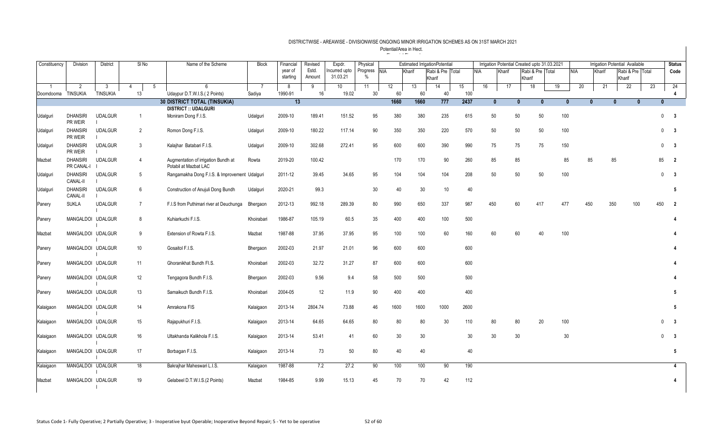| Constituency       | <b>Division</b>                    | <b>District</b>      | SI <sub>No</sub> |   | Name of the Scheme                                           | <b>Block</b>             | Financial    | Revised | Expdr.                   | Physical              |          |        | <b>Estimated IrrigationPotential</b> |           |     | Irrigation Potential Created upto 31.03.2021 |              |                  |              |            |          | <b>Irrigation Potential Available</b> |                  |              | <b>Status</b>                          |
|--------------------|------------------------------------|----------------------|------------------|---|--------------------------------------------------------------|--------------------------|--------------|---------|--------------------------|-----------------------|----------|--------|--------------------------------------|-----------|-----|----------------------------------------------|--------------|------------------|--------------|------------|----------|---------------------------------------|------------------|--------------|----------------------------------------|
|                    |                                    |                      |                  |   |                                                              |                          | year of      | Estd.   | ncurred upto             | Progress NIA          |          | Kharif | Rabi & Pre Total                     |           | NIA | Kharif                                       |              | Rabi & Pre Total |              | <b>NIA</b> | Kharif   |                                       | Rabi & Pre Total |              | Code                                   |
|                    |                                    |                      |                  |   |                                                              |                          | starting     | Amount  | 31.03.21                 | $\%$                  |          |        | Kharif                               |           |     |                                              | Kharif       |                  |              |            |          | Kharif                                |                  |              |                                        |
| Doomdooma TINSUKIA | $\overline{2}$                     | 3<br><b>TINSUKIA</b> | 4<br>13          | 5 | $\epsilon$<br>Udaypur D.T.W.I.S. (2 Points)                  | $\overline{7}$<br>Sadiya | 8<br>1990-91 | 9<br>16 | 10 <sup>1</sup><br>19.02 | 11<br>30 <sup>°</sup> | 12<br>60 | 13     | 14<br>60<br>40                       | 15<br>100 | 16  | 17                                           |              | 18               | 19           | 20         | 21       |                                       | 22               | 23           | 24                                     |
|                    |                                    |                      |                  |   | <b>30 DISTRICT TOTAL (TINSUKIA)</b>                          |                          | 13           |         |                          |                       | 1660     | 1660   | 777                                  | 2437      |     | $\mathbf{0}$                                 | $\mathbf{0}$ | $\mathbf{0}$     | $\mathbf{0}$ |            | $\Omega$ | $\mathbf{0}$                          | $\mathbf{0}$     | $\mathbf{0}$ | 4                                      |
|                    |                                    |                      |                  |   | <b>DISTRICT :: UDALGURI</b>                                  |                          |              |         |                          |                       |          |        |                                      |           |     |                                              |              |                  |              |            |          |                                       |                  |              |                                        |
| Udalguri           | <b>DHANSIRI</b><br>PR WEIR         | <b>UDALGUR</b>       | $\overline{1}$   |   | Moniram Dong F.I.S.                                          | Udalguri                 | 2009-10      | 189.41  | 151.52                   | 95                    | 380      | 380    | 235                                  | 615       | 50  |                                              | 50           | 50               | 100          |            |          |                                       |                  |              | $0 \qquad 3$                           |
| Udalguri           | <b>DHANSIRI</b><br>PR WEIR         | <b>UDALGUR</b>       | $\overline{2}$   |   | Romon Dong F.I.S.                                            | Udalguri                 | 2009-10      | 180.22  | 117.14                   | 90                    | 350      | 350    | 220                                  | 570       | 50  |                                              | 50           | 50               | 100          |            |          |                                       |                  |              | $0\qquad 3$                            |
| Udalguri           | <b>DHANSIRI</b><br>PR WEIR         | <b>UDALGUR</b>       | 3                |   | Kalajhar Batabari F.I.S.                                     | Udalguri                 | 2009-10      | 302.68  | 272.41                   | 95                    | 600      | 600    | 390                                  | 990       | 75  |                                              | 75           | 75               | 150          |            |          |                                       |                  |              | $0 \quad 3$                            |
| Mazbat             | <b>DHANSIRI</b><br>PR CANAL-I      | <b>UDALGUR</b>       | $\overline{4}$   |   | Augmentation of irrigation Bundh at<br>Potabil at Mazbat LAC | Rowta                    | 2019-20      | 100.42  |                          |                       | 170      | 170    | 90                                   | 260       | 85  |                                              | 85           |                  | 85           |            | 85       | 85                                    |                  | 85           | $\overline{\mathbf{2}}$                |
| Udalguri           | <b>DHANSIRI</b><br>CANAL-II        | <b>UDALGUR</b>       | 5                |   | Rangamakha Dong F.I.S. & Improvement Udalguri                |                          | 2011-12      | 39.45   | 34.65                    | 95                    | 104      | 104    | 104                                  | 208       | 50  |                                              | 50           | 50               | 100          |            |          |                                       |                  |              | $\mathbf 0$<br>$\overline{\mathbf{3}}$ |
| Udalguri           | <b>DHANSIRI</b><br><b>CANAL-II</b> | <b>UDALGUR</b>       | 6                |   | Construction of Anujuli Dong Bundh                           | Udalguri                 | 2020-21      | 99.3    |                          | 30                    | 40       |        | 30                                   | 10<br>40  |     |                                              |              |                  |              |            |          |                                       |                  |              | 5                                      |
| Panery             | <b>SUKLA</b>                       | <b>UDALGUR</b>       | $\overline{7}$   |   | F.I.S from Puthimari river at Deuchunga                      | Bhergaon                 | 2012-13      | 992.18  | 289.39                   | 80                    | 990      | 650    | 337                                  | 987       | 450 |                                              | 60           | 417              | 477          |            | 450      | 350                                   | 100              | 450          | -2                                     |
| Panery             | MANGALDOI UDALGUR                  |                      | 8                |   | Kuhiarkuchi F.I.S.                                           | Khoirabari               | 1986-87      | 105.19  | 60.5                     | 35                    | 400      | 400    | 100                                  | 500       |     |                                              |              |                  |              |            |          |                                       |                  |              |                                        |
| Mazbat             | MANGALDOI UDALGUR                  |                      | 9                |   | Extension of Rowta F.I.S.                                    | Mazbat                   | 1987-88      | 37.95   | 37.95                    | 95                    | 100      | 100    | 60                                   | 160       | 60  |                                              | 60           | 40               | 100          |            |          |                                       |                  |              |                                        |
| Panery             | MANGALDOI UDALGUR                  |                      | 10               |   | Gosaitol F.I.S.                                              | Bhergaon                 | 2002-03      | 21.97   | 21.01                    | 96                    | 600      | 600    |                                      | 600       |     |                                              |              |                  |              |            |          |                                       |                  |              |                                        |
| Panery             | MANGALDOI UDALGUR                  |                      | 11               |   | Ghoranikhat Bundh Fl.S.                                      | Khoirabari               | 2002-03      | 32.72   | 31.27                    | 87                    | 600      | 600    |                                      | 600       |     |                                              |              |                  |              |            |          |                                       |                  |              |                                        |
| Panery             | MANGALDOI UDALGUR                  |                      | 12               |   | Tengagora Bundh F.I.S.                                       | Bhergaon                 | 2002-03      | 9.56    | 9.4                      | 58                    | 500      | 500    |                                      | 500       |     |                                              |              |                  |              |            |          |                                       |                  |              |                                        |
| Panery             | MANGALDOI UDALGUR                  |                      | 13               |   | Samaikuch Bundh F.I.S.                                       | Khoirabari               | 2004-05      | 12      | 11.9                     | 90                    | 400      | 400    |                                      | 400       |     |                                              |              |                  |              |            |          |                                       |                  |              | 5                                      |
| Kalaigaon          | MANGALDOI UDALGUR                  |                      | 14               |   | Amrakona FIS                                                 | Kalaigaon                | 2013-14      | 2804.74 | 73.88                    | 46                    | 1600     | 1600   | 1000                                 | 2600      |     |                                              |              |                  |              |            |          |                                       |                  |              | 5                                      |
| Kalaigaon          | MANGALDOI UDALGUR                  |                      | 15               |   | Rajapukhuri F.I.S.                                           | Kalaigaon                | 2013-14      | 64.65   | 64.65                    | 80                    | 80       |        | 80<br>30                             | 110       | 80  |                                              | 80           | 20               | 100          |            |          |                                       |                  |              | $_{3}$<br>$\Omega$                     |
| Kalaigaon          | MANGALDOI UDALGUR                  |                      | 16               |   | Ultakhanda Kalikhola F.I.S.                                  | Kalaigaon                | 2013-14      | 53.41   | 41                       | 60                    |          | 30     | 30                                   | 30        | 30  |                                              | 30           |                  | 30           |            |          |                                       |                  |              | $\overline{\mathbf{3}}$<br>$\Omega$    |
| Kalaigaon          | MANGALDOI UDALGUR                  |                      | 17               |   | Borbagan F.I.S.                                              | Kalaigaon                | 2013-14      | 73      | $50\,$                   | 80                    |          | 40     | 40                                   | 40        |     |                                              |              |                  |              |            |          |                                       |                  |              | 5                                      |
| Kalaigaon          | MANGALDOI UDALGUR                  |                      | 18               |   | Bakrajhar Maheswari L.I.S.                                   | Kalaigaon                | 1987-88      | 7.2     | 27.2                     | 90                    | 100      | 100    | 90                                   | 190       |     |                                              |              |                  |              |            |          |                                       |                  |              | 4                                      |
| Mazbat             | MANGALDOI UDALGUR                  |                      | 19               |   | Gelabeel D.T.W.I.S.(2 Points)                                | Mazbat                   | 1984-85      | 9.99    | 15.13                    | 45                    |          | 70     | 70<br>42                             | 112       |     |                                              |              |                  |              |            |          |                                       |                  |              | 4                                      |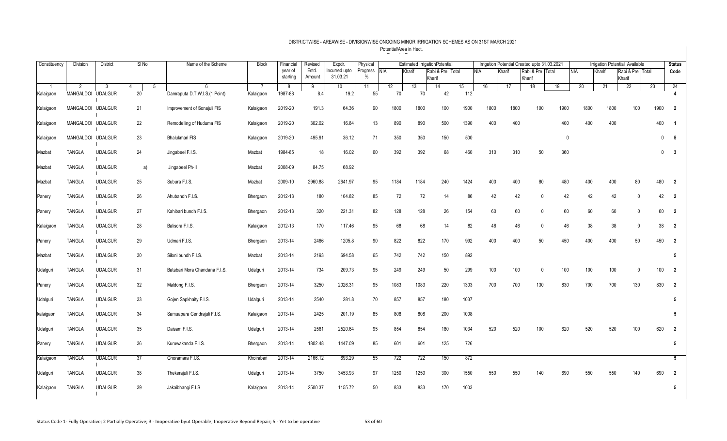| Constituency    | Division              | District             | SI <sub>No</sub> | Name of the Scheme            | <b>Block</b> | Financial    | Revised         | Expdr.                    | Physical             |          |          | <b>Estimated IrrigationPotential</b> |           |            |        | Irrigation Potential Created upto 31.03.2021 |              |            |        | <b>Irrigation Potential Available</b> |              | <b>Status</b>           |
|-----------------|-----------------------|----------------------|------------------|-------------------------------|--------------|--------------|-----------------|---------------------------|----------------------|----------|----------|--------------------------------------|-----------|------------|--------|----------------------------------------------|--------------|------------|--------|---------------------------------------|--------------|-------------------------|
|                 |                       |                      |                  |                               |              | year of      | Estd.<br>Amount | Incurred upto<br>31.03.21 | Progress NIA<br>$\%$ |          | Kharif   | Rabi & Pre Total                     |           | <b>NIA</b> | Kharif | Rabi & Pre Total                             |              | <b>NIA</b> | Kharif | Rabi & Pre   Total                    |              | Code                    |
|                 |                       |                      |                  | 6                             |              | starting     |                 |                           |                      |          |          | Kharif                               |           |            |        | Kharif                                       |              |            |        | Kharif                                |              | 24                      |
| -1<br>Kalaigaon | 2<br><b>MANGALDOI</b> | -3<br><b>UDALGUR</b> | -5<br>4<br>20    | Damraputa D.T.W.I.S.(1 Point) | Kalaigaon    | 8<br>1987-88 | 9<br>8.4        | 10 <sup>°</sup><br>19.2   | 11<br>55             | 12<br>70 | 13<br>70 | 14<br>42                             | 15<br>112 | 16         | 17     | 18                                           | 19           | 20         | 21     | 22                                    | 23           |                         |
|                 |                       |                      |                  |                               |              |              |                 |                           |                      |          |          |                                      |           |            |        |                                              |              |            |        |                                       |              |                         |
| Kalaigaon       | MANGALDOI UDALGUR     |                      | 21               | Improvement of Sonajuli FIS   | Kalaigaon    | 2019-20      | 191.3           | 64.36                     | 90                   | 1800     | 1800     | 100                                  | 1900      | 1800       | 1800   | 100                                          | 1900         | 1800       | 1800   | 100                                   | 1900         | $\overline{2}$          |
| Kalaigaon       | MANGALDOI UDALGUR     |                      | 22               | Remodelling of Huduma FIS     | Kalaigaon    | 2019-20      | 302.02          | 16.84                     | 13                   | 890      | 890      | 500                                  | 1390      | 400        | 400    |                                              | 400          | 400        | 400    |                                       | 400          | - 1                     |
| Kalaigaon       | MANGALDOI UDALGUR     |                      | 23               | Bhalukmari FIS                | Kalaigaon    | 2019-20      | 495.91          | 36.12                     | 71                   | 350      | 350      | 150                                  | 500       |            |        |                                              | $\mathbf{0}$ |            |        |                                       | $\mathbf{0}$ | $5\overline{5}$         |
| Mazbat          | <b>TANGLA</b>         | <b>UDALGUR</b>       | 24               | Jingabeel F.I.S.              | Mazbat       | 1984-85      | 18              | 16.02                     | 60                   | 392      | 392      | 68                                   | 460       | 310        | 310    | 50                                           | 360          |            |        |                                       | $\mathbf{0}$ | $\overline{\mathbf{3}}$ |
| Mazbat          | <b>TANGLA</b>         | <b>UDALGUR</b>       | a)               | Jingabeel Ph-II               | Mazbat       | 2008-09      | 84.75           | 68.92                     |                      |          |          |                                      |           |            |        |                                              |              |            |        |                                       |              |                         |
| Mazbat          | <b>TANGLA</b>         | <b>UDALGUR</b>       | 25               | Subura F.I.S.                 | Mazbat       | 2009-10      | 2960.88         | 2641.97                   | 95                   | 1184     | 1184     | 240                                  | 1424      | 400        | 400    | 80                                           | 480          | 400        | 400    | 80                                    | 480          | $\overline{\mathbf{2}}$ |
| Panery          | <b>TANGLA</b>         | <b>UDALGUR</b>       | 26               | Ahubandh F.I.S.               | Bhergaon     | 2012-13      | 180             | 104.82                    | 85                   | 72       | 72       | 14                                   | 86        | 42         | 42     | $\mathbf{0}$                                 | 42           | 42         | 42     | $\Omega$                              | 42           | $\overline{2}$          |
| Panery          | <b>TANGLA</b>         | <b>UDALGUR</b>       | 27               | Kahibari bundh F.I.S.         | Bhergaon     | 2012-13      | 320             | 221.31                    | 82                   | 128      | 128      | 26                                   | 154       | 60         | 60     | $\mathbf 0$                                  | 60           | 60         | 60     | $\mathbf{0}$                          | 60           | $\overline{2}$          |
| Kalaigaon       | <b>TANGLA</b>         | <b>UDALGUR</b>       | 28               | Balisora F.I.S.               | Kalaigaon    | 2012-13      | 170             | 117.46                    | 95                   | 68       | 68       | 14                                   | 82        | 46         | 46     | $\mathbf 0$                                  | 46           | 38         | 38     | $\mathbf 0$                           | 38           | $\overline{2}$          |
| Panery          | <b>TANGLA</b>         | <b>UDALGUR</b>       | 29               | Udmari F.I.S.                 | Bhergaon     | 2013-14      | 2466            | 1205.8                    | 90                   | 822      | 822      | 170                                  | 992       | 400        | 400    | 50                                           | 450          | 400        | 400    | 50                                    | 450          | $\overline{2}$          |
| Mazbat          | <b>TANGLA</b>         | <b>UDALGUR</b>       | 30               | Siloni bundh F.I.S.           | Mazbat       | 2013-14      | 2193            | 694.58                    | 65                   | 742      | 742      | 150                                  | 892       |            |        |                                              |              |            |        |                                       |              | 5                       |
| Udalguri        | <b>TANGLA</b>         | <b>UDALGUR</b>       | 31               | Batabari Mora Chandana F.I.S. | Udalguri     | 2013-14      | 734             | 209.73                    | 95                   | 249      | 249      | 50                                   | 299       | 100        | 100    | $\mathbf{0}$                                 | 100          | 100        | 100    | $\Omega$                              | 100          | $\overline{2}$          |
| Panery          | <b>TANGLA</b>         | <b>UDALGUR</b>       | 32               | Maldong F.I.S.                | Bhergaon     | 2013-14      | 3250            | 2026.31                   | 95                   | 1083     | 1083     | 220                                  | 1303      | 700        | 700    | 130                                          | 830          | 700        | 700    | 130                                   | 830          | $\overline{2}$          |
| Udalguri        | <b>TANGLA</b>         | <b>UDALGUR</b>       | 33               | Gojen Sapkhaity F.I.S.        | Udalguri     | 2013-14      | 2540            | 281.8                     | 70                   | 857      | 857      | 180                                  | 1037      |            |        |                                              |              |            |        |                                       |              | 5                       |
| kalaigaon       | <b>TANGLA</b>         | <b>UDALGUR</b>       | 34               | Samuapara Gendrajuli F.I.S.   | Kalaigaon    | 2013-14      | 2425            | 201.19                    | 85                   | 808      | 808      | 200                                  | 1008      |            |        |                                              |              |            |        |                                       |              | 5                       |
| Udalguri        | <b>TANGLA</b>         | <b>UDALGUR</b>       | 35               | Daisam F.I.S.                 | Udalguri     | 2013-14      | 2561            | 2520.64                   | 95                   | 854      | 854      | 180                                  | 1034      | 520        | 520    | 100                                          | 620          | 520        | 520    | 100                                   | 620          | $\overline{2}$          |
| Panery          | <b>TANGLA</b>         | <b>UDALGUR</b>       | 36               | Kuruwakanda F.I.S.            | Bhergaon     | 2013-14      | 1802.48         | 1447.09                   | 85                   | 601      | 601      | 125                                  | 726       |            |        |                                              |              |            |        |                                       |              | 5                       |
| Kalaigaon       | <b>TANGLA</b>         | <b>UDALGUR</b>       | 37               | Ghoramara F.I.S.              | Khoirabari   | 2013-14      | 2166.12         | 693.29                    | 55                   | 722      | 722      | 150                                  | 872       |            |        |                                              |              |            |        |                                       |              | $5\overline{)}$         |
| Udalguri        | <b>TANGLA</b>         | <b>UDALGUR</b>       | 38               | Thekerajuli F.I.S.            | Udalguri     | 2013-14      | 3750            | 3453.93                   | 97                   | 1250     | 1250     | 300                                  | 1550      | 550        | 550    | 140                                          | 690          | 550        | 550    | 140                                   | 690          | $\overline{2}$          |
| Kalaigaon       | <b>TANGLA</b>         | <b>UDALGUR</b>       | 39               | Jakaibhangi F.I.S.            | Kalaigaon    | 2013-14      | 2500.37         | 1155.72                   | 50                   | 833      | 833      | 170                                  | 1003      |            |        |                                              |              |            |        |                                       |              | 5                       |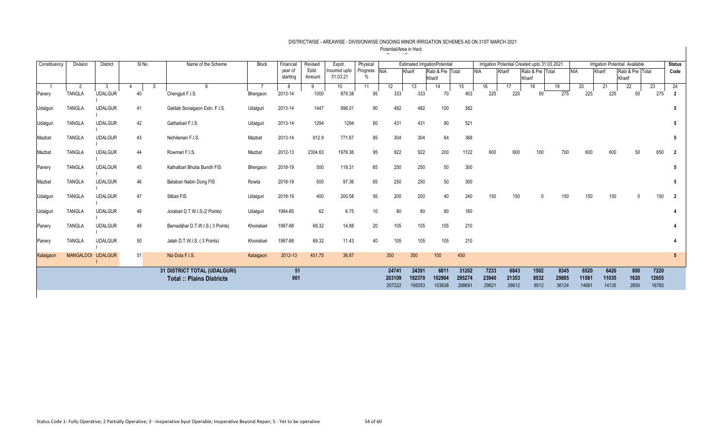| Constituency | Division         | <b>District</b> | $SI$ No | Name of the Scheme               | <b>Block</b> | Financial | Revised | Expdr.        | Physical     |        |        | <b>Estimated IrrigationPotential</b> |        |            | Irrigation Potential Created upto 31.03.2021 |                  |       |            |        | Irrigation Potential Available |       | <b>Status</b> |
|--------------|------------------|-----------------|---------|----------------------------------|--------------|-----------|---------|---------------|--------------|--------|--------|--------------------------------------|--------|------------|----------------------------------------------|------------------|-------|------------|--------|--------------------------------|-------|---------------|
|              |                  |                 |         |                                  |              | year of   | Estd.   | Incurred upto | Progress NIA |        | Kharif | Rabi & Pre Total                     |        | <b>NIA</b> | Kharif                                       | Rabi & Pre Total |       | <b>NIA</b> | Kharif | Rabi & Pre Total               |       | Code          |
|              |                  |                 |         |                                  |              | starting  | Amount  | 31.03.21      |              |        |        | Kharif                               |        |            |                                              | Kharif           |       |            |        | Kharif                         |       |               |
|              |                  |                 |         | 6                                |              | -8        | 9       | 10            | 11           | 12     | 13     | 14                                   | 15     | 16         | 17                                           | 18               | 19    | 20         | 21     | 22                             | 23    | 24            |
| Panery       | <b>TANGLA</b>    | <b>UDALGUR</b>  | 40      | Chengjuli F.I.S.                 | Bhergaon     | 2013-14   | 1000    | 879.38        | 95           | 333    | 333    | 70                                   | 403    | 225        | 225                                          | 50               | 275   | 225        | 225    | 50                             | 275   |               |
|              |                  |                 |         |                                  |              |           |         |               |              |        |        |                                      |        |            |                                              |                  |       |            |        |                                |       |               |
| Udalguri     | <b>TANGLA</b>    | <b>UDALGUR</b>  | 41      | Galdab Sonaigaon Extn. F.I.S.    | Udalguri     | 2013-14   | 1447    | 998.01        | 90           | 482    | 482    | 100                                  | 582    |            |                                              |                  |       |            |        |                                |       |               |
|              |                  |                 |         |                                  |              |           |         |               |              |        |        |                                      |        |            |                                              |                  |       |            |        |                                |       |               |
| Udalguri     | <b>TANGLA</b>    | <b>UDALGUR</b>  | 42      | Gathaibari F.I.S.                | Udalguri     | 2013-14   | 1294    | 1294          | 80           | 431    | 431    | 90                                   | 521    |            |                                              |                  |       |            |        |                                |       |               |
|              |                  |                 |         |                                  |              |           |         |               |              |        |        |                                      |        |            |                                              |                  |       |            |        |                                |       |               |
| Mazbat       | <b>TANGLA</b>    | <b>UDALGUR</b>  | 43      | Nichilamari F.I.S.               | Mazbat       | 2013-14   | 912.9   | 771.67        | 85           | 304    | 304    | 64                                   | 368    |            |                                              |                  |       |            |        |                                |       |               |
|              |                  |                 |         |                                  |              |           |         |               |              |        |        |                                      |        |            |                                              |                  |       |            |        |                                |       |               |
| Mazbat       | <b>TANGLA</b>    | <b>UDALGUR</b>  | 44      | Rowmari F.I.S.                   | Mazbat       | 2012-13   | 2304.63 | 1979.36       | 95           | 922    | 922    | 200                                  | 1122   | 600        | 600                                          | 100              | 700   | 600        | 600    | 50                             | 650   |               |
|              |                  |                 |         |                                  |              |           |         |               |              |        |        |                                      |        |            |                                              |                  |       |            |        |                                |       |               |
| Panery       | <b>TANGLA</b>    | <b>UDALGUR</b>  | 45      | Kathalbari Bhutia Bundh FIS      | Bhergaon     | 2018-19   | 500     | 118.31        | 65           | 250    | 250    | 50                                   | 300    |            |                                              |                  |       |            |        |                                |       |               |
|              |                  |                 |         |                                  |              |           |         |               |              |        |        |                                      |        |            |                                              |                  |       |            |        |                                |       |               |
| Mazbat       | <b>TANGLA</b>    | <b>UDALGUR</b>  | 46      | Batabari Nabin Dong FIS          | Rowta        | 2018-19   | 500     | 97.36         | 65           | 250    | 250    | 50                                   | 300    |            |                                              |                  |       |            |        |                                |       |               |
|              |                  |                 |         |                                  |              |           |         |               |              |        |        |                                      |        |            |                                              |                  |       |            |        |                                |       |               |
| Udalguri     | <b>TANGLA</b>    | <b>UDALGUR</b>  | 47      | Silbari FIS                      | Udalguri     | 2018-19   | 400     | 200.58        | 95           | 200    | 200    | 40                                   | 240    | 150        | 150                                          |                  | 150   | 150        | 150    |                                | 150   |               |
|              |                  |                 |         |                                  |              |           |         |               |              |        |        |                                      |        |            |                                              |                  |       |            |        |                                |       |               |
| Udalguri     | <b>TANGLA</b>    | <b>UDALGUR</b>  | 48      | Jorabari D.T.W.I.S.(2 Points)    | Udalguri     | 1984-85   | 62      | 6.75          | 10           | 80     | 80     | 80                                   | 160    |            |                                              |                  |       |            |        |                                |       |               |
|              |                  |                 |         |                                  |              |           |         |               |              |        |        |                                      |        |            |                                              |                  |       |            |        |                                |       |               |
| Panery       | <b>TANGLA</b>    | <b>UDALGUR</b>  | 49      | Barnadijhar D.T.W.I.S.(3 Points) | Khoirabari   | 1987-88   | 69.32   | 14.88         | 20           | 105    | 105    | 105                                  | 210    |            |                                              |                  |       |            |        |                                |       |               |
|              |                  |                 |         |                                  |              |           |         |               |              |        |        |                                      |        |            |                                              |                  |       |            |        |                                |       |               |
| Panery       | <b>TANGLA</b>    | <b>UDALGUR</b>  | 50      | Jalah D.T.W.I.S. (3 Points)      | Khoirabari   | 1987-88   | 69.32   | 11.43         | 40           | 105    | 105    | 105                                  | 210    |            |                                              |                  |       |            |        |                                |       |               |
|              |                  |                 |         |                                  |              |           |         |               |              |        |        |                                      |        |            |                                              |                  |       |            |        |                                |       |               |
| Kalaigaon    | <b>MANGALDOI</b> | <b>UDALGUR</b>  | 51      | Niz-Dola F.I.S.                  | Kalaigaon    | 2012-13   | 451.75  | 36.87         |              | 350    | 350    | 100                                  | 450    |            |                                              |                  |       |            |        |                                |       | 5             |
|              |                  |                 |         |                                  |              |           |         |               |              |        |        |                                      |        |            |                                              |                  |       |            |        |                                |       |               |
|              |                  |                 |         | 31 DISTRICT TOTAL (UDALGURI)     |              | 51        |         |               |              | 24741  | 24391  | 6811                                 | 31202  | 7233       | 6843                                         | 1502             | 8345  | 6520       | 6420   | 800                            | 7220  |               |
|              |                  |                 |         | <b>Total:: Plains Districts</b>  |              | 901       |         |               |              | 203109 | 192370 | 102904                               | 295274 | 23940      | 21353                                        | 8532             | 29885 | 11581      | 11035  | 1620                           | 12655 |               |
|              |                  |                 |         |                                  |              |           |         |               |              | 207222 | 195053 | 103638                               | 298691 | 29621      | 26612                                        | 9512             | 36124 | 14681      | 14135  | 2650                           | 16785 |               |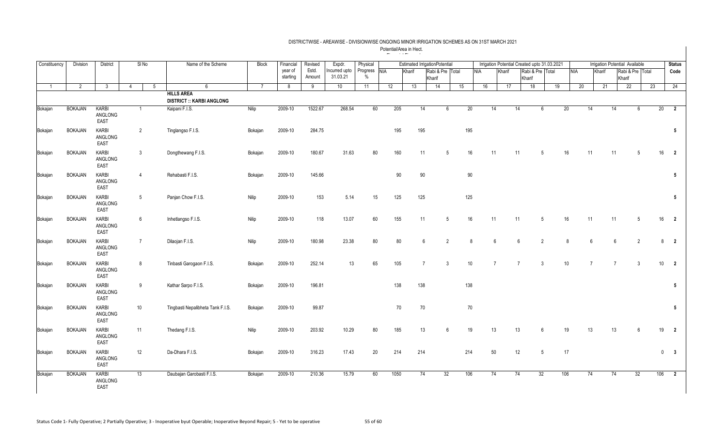| Constituency   | <b>Division</b> | <b>District</b>          |    | SINo            | Name of the Scheme                                    | <b>Block</b> | Financia            | Revised         | Expdr.                    | Physical         |            |        | <b>Estimated IrrigationPotential</b> |                |              |            |        |                 |                            |                 | Irrigation Potential Created upto 31.03.2021 |            |                 |                | Irrigation Potential Available |    |     | <b>Status</b>           |
|----------------|-----------------|--------------------------|----|-----------------|-------------------------------------------------------|--------------|---------------------|-----------------|---------------------------|------------------|------------|--------|--------------------------------------|----------------|--------------|------------|--------|-----------------|----------------------------|-----------------|----------------------------------------------|------------|-----------------|----------------|--------------------------------|----|-----|-------------------------|
|                |                 |                          |    |                 |                                                       |              | year of<br>starting | Estd.<br>Amount | Incurred upto<br>31.03.21 | Progress<br>$\%$ | <b>NIA</b> | Kharif | Rabi & Pre Total<br>Kharif           |                |              | <b>NIA</b> | Kharif |                 | Rabi & Pre Total<br>Kharif |                 |                                              | <b>NIA</b> | Kharif          |                | Rabi & Pre Total<br>Kharif     |    |     | Code                    |
| $\overline{1}$ | 2               | 3                        | 4  | $5\overline{5}$ | 6                                                     | 7            | 8                   | 9               | 10                        | 11               | 12         | 13     | 14                                   | 15             |              | 16         |        | 17              | 18                         |                 | 19                                           | 20         |                 | 21             | 22                             |    | 23  | 24                      |
|                |                 |                          |    |                 | <b>HILLS AREA</b><br><b>DISTRICT :: KARBI ANGLONG</b> |              |                     |                 |                           |                  |            |        |                                      |                |              |            |        |                 |                            |                 |                                              |            |                 |                |                                |    |     |                         |
| Bokajan        | <b>BOKAJAN</b>  | KARBI<br>ANGLONG<br>EAST |    | $\overline{1}$  | Kaipani F.I.S.                                        | Nilip        | 2009-10             | 1522.67         | 268.54                    | 60               | 205        |        | 14                                   | 6              | 20           |            | 14     | 14              |                            | 6               | 20                                           |            | 14              | 14             |                                | 6  | 20  | $\overline{2}$          |
| Bokajan        | <b>BOKAJAN</b>  | KARBI<br>ANGLONG<br>EAST |    | 2               | Tinglangso F.I.S.                                     | Bokajan      | 2009-10             | 284.75          |                           |                  | 195        | 195    |                                      |                | 195          |            |        |                 |                            |                 |                                              |            |                 |                |                                |    |     | $5\phantom{.0}$         |
| Bokajan        | <b>BOKAJAN</b>  | KARBI<br>ANGLONG<br>EAST |    | $\mathbf{3}$    | Dongthewang F.I.S.                                    | Bokajan      | 2009-10             | 180.67          | 31.63                     | 80               | 160        |        | 11                                   | 5              | 16           |            | 11     | 11              |                            | .5              | 16                                           |            | 11              | 11             |                                | 5  | 16  | $\overline{2}$          |
| Bokajan        | <b>BOKAJAN</b>  | KARBI<br>ANGLONG<br>EAST |    | $\overline{4}$  | Rehabasti F.I.S.                                      | Bokajan      | 2009-10             | 145.66          |                           |                  |            | 90     | 90                                   |                | $90\,$       |            |        |                 |                            |                 |                                              |            |                 |                |                                |    |     | $5\phantom{.0}$         |
| Bokajan        | <b>BOKAJAN</b>  | KARBI<br>ANGLONG<br>EAST |    | 5               | Panjan Chow F.I.S.                                    | Nilip        | 2009-10             | 153             | 5.14                      | 15               | 125        | 125    |                                      |                | 125          |            |        |                 |                            |                 |                                              |            |                 |                |                                |    |     | $5\phantom{.0}$         |
| Bokajan        | <b>BOKAJAN</b>  | KARBI<br>ANGLONG<br>EAST |    | 6               | Inhetlangso F.I.S.                                    | Nilip        | 2009-10             | 118             | 13.07                     | 60               | 155        |        | 11                                   | 5              | 16           |            | 11     | 11              |                            | 5               | 16                                           |            | 11              | 11             |                                | 5  | 16  | $\overline{2}$          |
| Bokajan        | <b>BOKAJAN</b>  | KARBI<br>ANGLONG<br>EAST |    | $\overline{7}$  | Dilaojan F.I.S.                                       | Nilip        | 2009-10             | 180.98          | 23.38                     | 80               |            | 80     | 6                                    | $\overline{2}$ | $\mathbf{8}$ |            | 6      | $6\overline{6}$ |                            | $\overline{2}$  | $\mathbf{8}$                                 |            | $6\overline{6}$ | 6              |                                | 2  | 8   | $\overline{\mathbf{2}}$ |
| Bokajan        | <b>BOKAJAN</b>  | KARBI<br>ANGLONG<br>EAST |    | 8               | Tinbasti Garogaon F.I.S.                              | Bokajan      | 2009-10             | 252.14          | 13                        | 65               | 105        |        | $\overline{7}$                       | 3              | $10$         |            |        |                 |                            | $\mathbf{3}$    | 10                                           |            |                 | $\overline{7}$ |                                | 3  | 10  | $\overline{2}$          |
| Bokajan        | <b>BOKAJAN</b>  | KARBI<br>ANGLONG<br>EAST |    | 9               | Kathar Sarpo F.I.S.                                   | Bokajan      | 2009-10             | 196.81          |                           |                  | 138        | 138    |                                      |                | 138          |            |        |                 |                            |                 |                                              |            |                 |                |                                |    |     | $5\phantom{.0}$         |
| Bokajan        | <b>BOKAJAN</b>  | KARBI<br>ANGLONG<br>EAST |    | 10              | Tingbasti Nepalibheta Tank F.I.S.                     | Bokajan      | 2009-10             | 99.87           |                           |                  |            | 70     | 70                                   |                | 70           |            |        |                 |                            |                 |                                              |            |                 |                |                                |    |     | $5\phantom{.0}$         |
| Bokajan        | <b>BOKAJAN</b>  | KARBI<br>ANGLONG<br>EAST | 11 |                 | Thedang F.I.S.                                        | Nilip        | 2009-10             | 203.92          | 10.29                     | 80               | 185        |        | 13                                   | 6              | 19           |            | 13     | 13              |                            | 6               | 19                                           |            | 13              | 13             |                                | 6  | 19  | $\overline{2}$          |
| Bokajan        | <b>BOKAJAN</b>  | KARBI<br>ANGLONG<br>EAST |    | 12              | Da-Dhara F.I.S.                                       | Bokajan      | 2009-10             | 316.23          | 17.43                     | 20               | 214        | 214    |                                      |                | 214          |            | 50     | 12              |                            | $5\phantom{.0}$ | 17                                           |            |                 |                |                                |    |     | $0\qquad 3$             |
| Bokajan        | <b>BOKAJAN</b>  | KARBI<br>ANGLONG<br>EAST |    | 13              | Daubajan Garobasti F.I.S.                             | Bokajan      | 2009-10             | 210.36          | 15.79                     | 60               | 1050       |        | 32<br>74                             |                | 106          |            | 74     | 74              |                            | 32              | 106                                          |            | 74              | 74             |                                | 32 | 106 | $\overline{2}$          |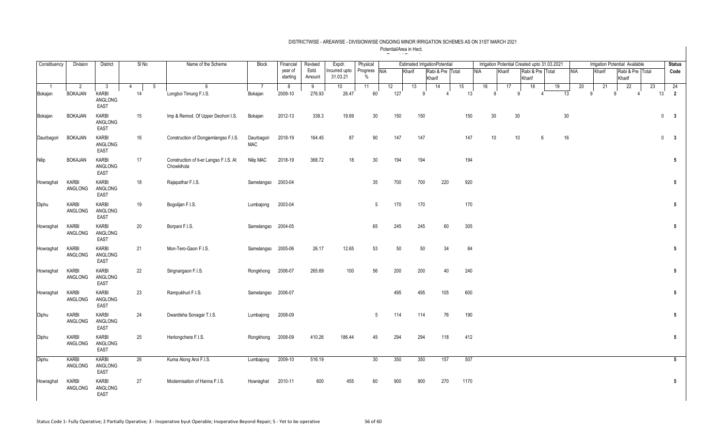| Constituency | Division                         | <b>District</b>                                 | SINo         | Name of the Scheme                                   | <b>Block</b>              | Financial           | Revised         | Expdr.                    | Physical                      |           | <b>Estimated IrrigationPotential</b> |              |                  |    |            |    |        |    |                            |   | Irrigation Potential Created upto 31.03.2021 |    |            |        | Irrigation Potential Available |                 |                  |              | <b>Status</b>           |
|--------------|----------------------------------|-------------------------------------------------|--------------|------------------------------------------------------|---------------------------|---------------------|-----------------|---------------------------|-------------------------------|-----------|--------------------------------------|--------------|------------------|----|------------|----|--------|----|----------------------------|---|----------------------------------------------|----|------------|--------|--------------------------------|-----------------|------------------|--------------|-------------------------|
|              |                                  |                                                 |              |                                                      |                           | year of<br>starting | Estd.<br>Amount | Incurred upto<br>31.03.21 | Progress NIA<br>$\frac{0}{0}$ |           | Kharif                               | Kharif       | Rabi & Pre Total |    | <b>NIA</b> |    | Kharif |    | Rabi & Pre Total<br>Kharif |   |                                              |    | <b>NIA</b> | Kharif |                                | Kharif          | Rabi & Pre Total |              | Code                    |
| Bokajan      | $\overline{2}$<br><b>BOKAJAN</b> | $\mathbf{3}$<br>KARBI<br>ANGLONG<br><b>EAST</b> | 5<br>4<br>14 | 6<br>Longboi Timung F.I.S.                           | $\overline{7}$<br>Bokajan | 8<br>2009-10        | 9<br>276.93     | 10 <sup>°</sup><br>26.47  | 11<br>60                      | 12<br>127 | 13                                   | <sub>9</sub> | 14               | 15 | 13         | 16 | q      | 17 | 18<br>9                    |   | 19                                           | 13 | 20<br>q    | 21     | 9                              | $\overline{22}$ |                  | 23<br>13     | 24<br>$\overline{2}$    |
| Bokajan      | <b>BOKAJAN</b>                   | KARBI<br>ANGLONG<br><b>EAST</b>                 | 15           | Imp & Remod. Of Upper Deohori I.S.                   | Bokajan                   | 2012-13             | 338.3           | 19.69                     | 30                            | 150       |                                      | 150          |                  |    | 150        |    | 30     |    | 30                         |   |                                              | 30 |            |        |                                |                 |                  | $\mathbf 0$  | $\mathbf{3}$            |
| Daurbagori   | <b>BOKAJAN</b>                   | KARBI<br>ANGLONG<br><b>EAST</b>                 | 16           | Construction of Dongjemlangso F.I.S.                 | Daurbagori<br><b>MAC</b>  | 2018-19             | 164.45          | 87                        | 90                            | 147       |                                      | 147          |                  |    | 147        |    | 10     |    | 10                         | 6 |                                              | 16 |            |        |                                |                 |                  | $\mathbf{0}$ | $\overline{\mathbf{3}}$ |
| <b>Nilip</b> | <b>BOKAJAN</b>                   | KARBI<br>ANGLONG<br><b>EAST</b>                 | 17           | Construction of ti-er Langso F.I.S. At<br>Chowkihola | Nilip MAC                 | 2018-19             | 368.72          | 18                        | 30                            | 194       |                                      | 194          |                  |    | 194        |    |        |    |                            |   |                                              |    |            |        |                                |                 |                  |              | 5                       |
| Howraghat    | KARBI<br>ANGLONG                 | KARBI<br>ANGLONG<br>EAST                        | 18           | Rajapathar F.I.S.                                    | Samelangso 2003-04        |                     |                 |                           | 35                            | 700       |                                      | 700          | 220              |    | 920        |    |        |    |                            |   |                                              |    |            |        |                                |                 |                  |              | $5\phantom{.0}$         |
| Diphu        | KARBI<br>ANGLONG                 | KARBI<br>ANGLONG<br><b>EAST</b>                 | 19           | Bogolijan F.I.S.                                     | Lumbajong                 | 2003-04             |                 |                           | $5\phantom{.0}$               | 170       |                                      | 170          |                  |    | 170        |    |        |    |                            |   |                                              |    |            |        |                                |                 |                  |              | $5\phantom{.0}$         |
| Howraghat    | KARBI<br>ANGLONG                 | KARBI<br>ANGLONG<br>EAST                        | 20           | Borpani F.I.S.                                       | Samelangso                | 2004-05             |                 |                           | 65                            | 245       |                                      | 245          | 60               |    | 305        |    |        |    |                            |   |                                              |    |            |        |                                |                 |                  |              | $5\phantom{.0}$         |
| Howraghat    | KARBI<br>ANGLONG                 | KARBI<br>ANGLONG<br><b>EAST</b>                 | 21           | Mon-Tero-Gaon F.I.S.                                 | Samelangso                | 2005-06             | 26.17           | 12.65                     | 53                            |           | 50                                   | 50           | 34               |    | 84         |    |        |    |                            |   |                                              |    |            |        |                                |                 |                  |              | $5\phantom{.0}$         |
| Howraghat    | KARBI<br>ANGLONG                 | KARBI<br>ANGLONG<br>EAST                        | 22           | Singnargaon F.I.S.                                   | Rongkhong                 | 2006-07             | 265.69          | 100                       | 56                            | 200       |                                      | 200          | 40               |    | 240        |    |        |    |                            |   |                                              |    |            |        |                                |                 |                  |              | $5\phantom{.0}$         |
| Howraghat    | KARBI<br>ANGLONG                 | KARBI<br>ANGLONG<br><b>EAST</b>                 | 23           | Rampukhuri F.I.S.                                    | Samelangso 2006-07        |                     |                 |                           |                               | 495       |                                      | 495          | 105              |    | 600        |    |        |    |                            |   |                                              |    |            |        |                                |                 |                  |              | $5\phantom{.0}$         |
| Diphu        | KARBI<br>ANGLONG                 | KARBI<br>ANGLONG<br>EAST                        | 24           | Dwardisha Sonagar T.I.S.                             | Lumbajong                 | 2008-09             |                 |                           | $5\phantom{.0}$               | 114       |                                      | 114          | 76               |    | 190        |    |        |    |                            |   |                                              |    |            |        |                                |                 |                  |              | $5\phantom{.0}$         |
| Diphu        | KARBI<br>ANGLONG                 | KARBI<br>ANGLONG<br>EAST                        | 25           | Herlongchera F.I.S.                                  | Rongkhong                 | 2008-09             | 410.26          | 186.44                    | 45                            | 294       |                                      | 294          | 118              |    | 412        |    |        |    |                            |   |                                              |    |            |        |                                |                 |                  |              | $5\phantom{.0}$         |
| Diphu        | KARBI<br>ANGLONG                 | KARBI<br>ANGLONG<br>EAST                        | 26           | Kuma Along Aroi F.I.S.                               | Lumbajong                 | 2009-10             | 516.19          |                           | 30                            | 350       |                                      | 350          | 157              |    | 507        |    |        |    |                            |   |                                              |    |            |        |                                |                 |                  |              | $5\overline{5}$         |
| Howraghat    | KARBI<br>ANGLONG                 | KARBI<br>ANGLONG<br><b>EAST</b>                 | 27           | Modernisation of Hanna F.I.S.                        | Howraghat                 | 2010-11             | 600             | 455                       | 60                            | 900       |                                      | 900          | 270              |    | 1170       |    |        |    |                            |   |                                              |    |            |        |                                |                 |                  |              | $5\phantom{.0}$         |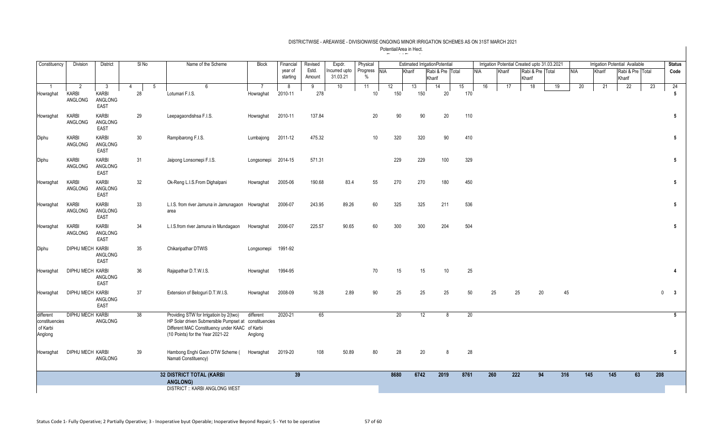| Constituency                                       | Division                     | District                               | SI <sub>No</sub> | Name of the Scheme                                                                                                                                                                     | <b>Block</b>         | Financial           | Revised         | Expdr.                    | Physical        | <b>Estimated IrrigationPotentia</b><br>Progress NIA<br>Rabi & Pre Total<br>Kharif<br><b>NIA</b> |           |           |      |           |     |        | Irrigation Potential Created upto 31.03.2021 |     |                  |                  | Irrigation Potential Available |    | <b>Status</b>         |
|----------------------------------------------------|------------------------------|----------------------------------------|------------------|----------------------------------------------------------------------------------------------------------------------------------------------------------------------------------------|----------------------|---------------------|-----------------|---------------------------|-----------------|-------------------------------------------------------------------------------------------------|-----------|-----------|------|-----------|-----|--------|----------------------------------------------|-----|------------------|------------------|--------------------------------|----|-----------------------|
|                                                    |                              |                                        |                  |                                                                                                                                                                                        |                      | year of<br>starting | Estd.<br>Amount | Incurred upto<br>31.03.21 | $\%$            |                                                                                                 |           | Kharif    |      |           |     | Kharif | Rabi & Pre Total<br>Kharif                   |     | NIA              | Kharif           | Rabi & Pre Total<br>Kharif     |    | Code                  |
| Howraghat                                          | 2<br><b>KARBI</b><br>ANGLONG | -3<br>KARBI<br>ANGLONG<br>EAST         | 4<br>28          | -5<br>6<br>Lotumari F.I.S.                                                                                                                                                             | Howraghat            | 8<br>2010-11        | 9<br>278        | 10                        | 11<br>10        | 12                                                                                              | 13<br>150 | 14<br>150 | 20   | 15<br>170 | 16  | 17     | 18                                           | 19  | 20               | 21               | 22                             | 23 | 24<br>$5\phantom{.0}$ |
| Howraghat                                          | KARBI<br>ANGLONG             | KARBI<br>ANGLONG<br>EAST               | 29               | Leepagaondishsa F.I.S.                                                                                                                                                                 | Howraghat            | 2010-11             | 137.84          |                           | 20              |                                                                                                 | 90        | 90        | 20   | 110       |     |        |                                              |     |                  |                  |                                |    | 5                     |
| Diphu                                              | KARBI<br>ANGLONG             | <b>KARBI</b><br>ANGLONG<br><b>EAST</b> | 30               | Rampibarong F.I.S.                                                                                                                                                                     | Lumbajong            | 2011-12             | 475.32          |                           | 10 <sup>°</sup> |                                                                                                 | 320       | 320       | 90   | 410       |     |        |                                              |     |                  |                  |                                |    | 5                     |
| Diphu                                              | KARBI<br>ANGLONG             | KARBI<br>ANGLONG<br>EAST               | 31               | Jaipong Lonsomepi F.I.S.                                                                                                                                                               | Longsomepi 2014-15   |                     | 571.31          |                           |                 |                                                                                                 | 229       | 229       | 100  | 329       |     |        |                                              |     |                  |                  |                                |    | 5                     |
| Howraghat                                          | KARBI<br>ANGLONG             | KARBI<br>ANGLONG<br>EAST               | 32               | Ok-Reng L.I.S.From Dighalpani                                                                                                                                                          | Howraghat            | 2005-06             | 190.68          | 83.4                      | 55              |                                                                                                 | 270       | 270       | 180  | 450       |     |        |                                              |     |                  |                  |                                |    | 5                     |
| Howraghat                                          | KARBI<br>ANGLONG             | KARBI<br>ANGLONG<br>EAST               | 33               | L.I.S. from river Jamuna in Jamunagaon Howraghat<br>area                                                                                                                               |                      | 2006-07             | 243.95          | 89.26                     | 60              |                                                                                                 | 325       | 325       | 211  | 536       |     |        |                                              |     |                  |                  |                                |    | 5                     |
| Howraghat                                          | KARBI<br>ANGLONG             | KARBI<br>ANGLONG<br>EAST               | 34               | L.I.S.from river Jamuna in Mundagaon                                                                                                                                                   | Howraghat            | 2006-07             | 225.57          | 90.65                     | 60              |                                                                                                 | 300       | 300       | 204  | 504       |     |        |                                              |     |                  |                  |                                |    | 5                     |
| Diphu                                              | <b>DIPHU MECH KARBI</b>      | ANGLONG<br>EAST                        | 35               | Chikaripathar DTWIS                                                                                                                                                                    | Longsomepi 1991-92   |                     |                 |                           |                 |                                                                                                 |           |           |      |           |     |        |                                              |     |                  |                  |                                |    |                       |
| Howraghat                                          | DIPHU MECH KARBI             | ANGLONG<br>EAST                        | 36               | Rajapathar D.T.W.I.S.                                                                                                                                                                  | Howraghat            | 1994-95             |                 |                           | 70              |                                                                                                 | 15        | 15        | 10   | 25        |     |        |                                              |     |                  |                  |                                |    |                       |
| Howraghat                                          | <b>DIPHU MECH KARBI</b>      | ANGLONG<br>EAST                        | 37               | Extension of Beloguri D.T.W.I.S.                                                                                                                                                       | Howraghat            | 2008-09             | 16.28           | 2.89                      | 90              |                                                                                                 | 25        | 25        | 25   | 50        | 25  |        | 25<br>20                                     | 45  |                  |                  |                                |    | $0 \quad 3$           |
| different<br>constituencies<br>of Karbi<br>Anglong | <b>DIPHU MECH KARBI</b>      | ANGLONG                                | 38               | Providing STW for Irrigatioin by 2(two)<br>HP Solar driven Submersible Pumpset at constituencies<br>Different MAC Constituency under KAAC of Karbi<br>(10 Points) for the Year 2021-22 | different<br>Anglong | 2020-21             | 65              |                           |                 |                                                                                                 | 20        | 12        | 8    | 20        |     |        |                                              |     |                  |                  |                                |    | $5\overline{5}$       |
| Howraghat                                          | <b>DIPHU MECH KARBI</b>      | ANGLONG                                | 39               | Hambong Enghi Gaon DTW Scheme (<br>Namati Constituency)                                                                                                                                | Howraghat            | 2019-20             | 108             | 50.89                     | 80              |                                                                                                 | 28        | 20        | 8    | 28        |     |        |                                              |     |                  |                  |                                |    | 5                     |
|                                                    |                              |                                        |                  | <b>32 DISTRICT TOTAL (KARBI</b><br>ANGLONG)<br><b>DISTRICT:: KARBI ANGLONG WEST</b>                                                                                                    |                      | 39                  |                 |                           |                 | 8680                                                                                            | 6742      |           | 2019 | 8761      | 260 |        | 222<br>94                                    | 316 | $\overline{145}$ | $\overline{145}$ | 63                             |    | 208                   |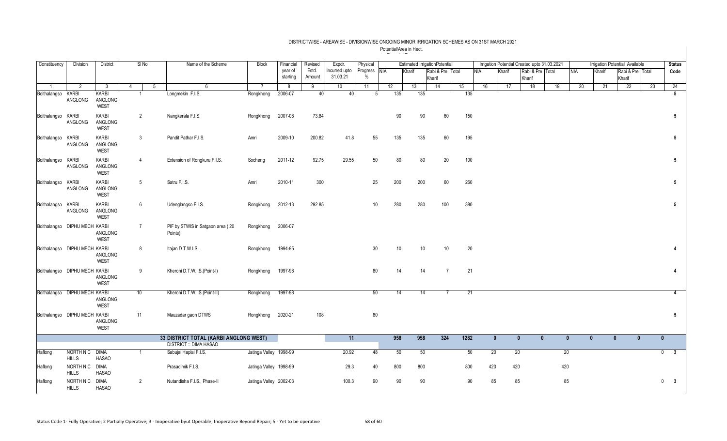| Constituency                  | Division                      | District                               |                | SI No          | Name of the Scheme                                                      | <b>Block</b>           | Financial           | Revised         | Expdr.                    | Physical                      |     | <b>Estimated IrrigationPotential</b> |        |                  |      |            |              |        | Irrigation Potential Created upto 31.03.2021 |              |              |              | Irrigation Potential Available |    | <b>Status</b>                          |
|-------------------------------|-------------------------------|----------------------------------------|----------------|----------------|-------------------------------------------------------------------------|------------------------|---------------------|-----------------|---------------------------|-------------------------------|-----|--------------------------------------|--------|------------------|------|------------|--------------|--------|----------------------------------------------|--------------|--------------|--------------|--------------------------------|----|----------------------------------------|
|                               |                               |                                        |                |                |                                                                         |                        | year of<br>starting | Estd.<br>Amount | Incurred upto<br>31.03.21 | Progress NIA<br>$\frac{0}{0}$ |     | Kharif                               | Kharif | Rabi & Pre Total |      | <b>NIA</b> |              | Kharif | Rabi & Pre Total<br>Kharif                   |              | <b>NIA</b>   | Kharif       | Rabi & Pre Total<br>Kharif     |    | Code                                   |
| $\overline{1}$                | $\overline{2}$                | $\overline{3}$                         | $\overline{4}$ |                | 5<br>6                                                                  |                        | 8                   | 9               | 10                        | 11                            | 12  | 13                                   |        | 14               | 15   |            | 16           | 17     | 18                                           | 19           | 20           | 21           | 22                             | 23 | 24                                     |
| Boithalangso KARBI            | ANGLONG                       | KARBI<br>ANGLONG<br>WEST               |                | $\overline{1}$ | Longmekin F.I.S.                                                        | Rongkhong              | 2006-07             | 40              | 40                        | 5                             | 135 |                                      | 135    |                  |      | 135        |              |        |                                              |              |              |              |                                |    | 5 <sup>5</sup>                         |
| Boithalangso KARBI            | ANGLONG                       | <b>KARBI</b><br>ANGLONG<br>WEST        |                | 2              | Nangkerala F.I.S.                                                       | Rongkhong              | 2007-08             | 73.84           |                           |                               |     | 90                                   | 90     | 60               |      | 150        |              |        |                                              |              |              |              |                                |    | 5                                      |
| Boithalangso KARBI            | ANGLONG                       | KARBI<br>ANGLONG<br>WEST               |                | 3              | Pandit Pathar F.I.S.                                                    | Amri                   | 2009-10             | 200.82          | 41.8                      | 55                            | 135 |                                      | 135    | 60               |      | 195        |              |        |                                              |              |              |              |                                |    | $5\phantom{.0}$                        |
| Boithalangso KARBI            | ANGLONG                       | <b>KARBI</b><br>ANGLONG<br>WEST        |                | $\overline{4}$ | Extension of Rongkuru F.I.S.                                            | Socheng                | 2011-12             | 92.75           | 29.55                     | 50                            |     | $80\,$                               | 80     | 20               |      | 100        |              |        |                                              |              |              |              |                                |    | $\sqrt{5}$                             |
| Boithalangso KARBI            | ANGLONG                       | <b>KARBI</b><br>ANGLONG<br><b>WEST</b> |                | 5              | Satru F.I.S.                                                            | Amri                   | 2010-11             | 300             |                           | 25                            | 200 |                                      | 200    | 60               |      | 260        |              |        |                                              |              |              |              |                                |    | 5                                      |
| Boithalangso KARBI            | ANGLONG                       | <b>KARBI</b><br>ANGLONG<br>WEST        |                | 6              | Udenglangso F.I.S.                                                      | Rongkhong              | 2012-13             | 292.85          |                           | 10                            | 280 |                                      | 280    | 100              |      | 380        |              |        |                                              |              |              |              |                                |    | $5\phantom{.0}$                        |
|                               | Boithalangso DIPHU MECH KARBI | ANGLONG<br><b>WEST</b>                 |                | $\overline{7}$ | PIF by STWIS in Satgaon area (20<br>Points)                             | Rongkhong              | 2006-07             |                 |                           |                               |     |                                      |        |                  |      |            |              |        |                                              |              |              |              |                                |    |                                        |
|                               | Boithalangso DIPHU MECH KARBI | ANGLONG<br><b>WEST</b>                 |                | 8              | Itajan D.T.W.I.S.                                                       | Rongkhong              | 1994-95             |                 |                           | 30                            |     | 10 <sup>°</sup>                      | 10     | 10               |      | 20         |              |        |                                              |              |              |              |                                |    |                                        |
| Boithalangso DIPHU MECH KARBI |                               | ANGLONG<br><b>WEST</b>                 |                | 9              | Kheroni D.T.W.I.S.(Point-I)                                             | Rongkhong              | 1997-98             |                 |                           | 80                            |     | 14                                   | 14     | $\overline{7}$   |      | 21         |              |        |                                              |              |              |              |                                |    | 4                                      |
|                               | Boithalangso DIPHU MECH KARBI | ANGLONG<br><b>WEST</b>                 |                | 10             | Kheroni D.T.W.I.S.(Point-II)                                            | Rongkhong              | 1997-98             |                 |                           | 50                            |     | 14                                   | 14     |                  |      | 21         |              |        |                                              |              |              |              |                                |    | $\overline{4}$                         |
| Boithalangso DIPHU MECH KARBI |                               | ANGLONG<br>WEST                        |                | 11             | Mauzadar gaon DTWS                                                      | Rongkhong              | 2020-21             | 108             |                           | 80                            |     |                                      |        |                  |      |            |              |        |                                              |              |              |              |                                |    | $5\overline{5}$                        |
|                               |                               |                                        |                |                | 33 DISTRICT TOTAL (KARBI ANGLONG WEST)<br><b>DISTRICT :: DIMA HASAO</b> |                        |                     |                 | 11                        |                               | 958 |                                      | 958    | 324              | 1282 |            | $\mathbf{0}$ |        | $\mathbf{0}$                                 | $\mathbf{0}$ | $\mathbf{0}$ | $\mathbf{0}$ | $\mathbf{0}$<br>$\mathbf{0}$   |    | $\mathbf{0}$                           |
| Haflong                       | NORTH N C<br>$HILLS$          | <b>DIMA</b><br><b>HASAO</b>            |                | $\mathbf{1}$   | Sabujai Haplai F.I.S.                                                   | Jatinga Valley 1998-99 |                     |                 | 20.92                     | 48                            |     | 50                                   | 50     |                  |      | 50         | 20           |        | 20                                           |              | 20           |              |                                |    | $\overline{\mathbf{3}}$<br>$\mathbf 0$ |
| Haflong                       | NORTH N C<br><b>HILLS</b>     | <b>DIMA</b><br><b>HASAO</b>            |                |                | Prasadimik F.I.S.                                                       | Jatinga Valley 1998-99 |                     |                 | 29.3                      | 40                            | 800 |                                      | 800    |                  |      | 800        | 420          |        | 420                                          |              | 420          |              |                                |    |                                        |
| Haflong                       | NORTH N C<br><b>HILLS</b>     | <b>DIMA</b><br><b>HASAO</b>            |                | $\overline{2}$ | Nutandisha F.I.S., Phase-II                                             | Jatinga Valley 2002-03 |                     |                 | 100.3                     | 90                            | 90  |                                      | 90     |                  |      | 90         | 85           |        | 85                                           |              | 85           |              |                                |    | $0\qquad 3$                            |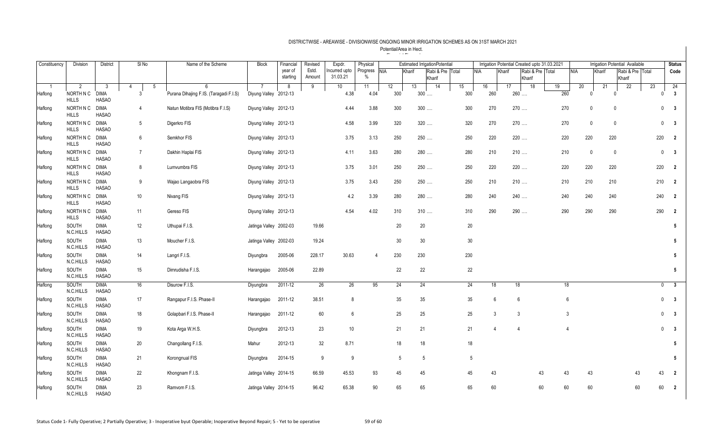| Constituency | Division                  | <b>District</b>             | $SI$ No              | Name of the Scheme                     | <b>Block</b>           | Financial           | Revised         | Expdr.                    | Physical         |            | <b>Estimated IrrigationPotential</b> |                  |    |        | Irrigation Potential Created upto 31.03.2021 |                |              |       |                |                |             | <b>Irrigation Potential Available</b> |     | <b>Status</b>                           |
|--------------|---------------------------|-----------------------------|----------------------|----------------------------------------|------------------------|---------------------|-----------------|---------------------------|------------------|------------|--------------------------------------|------------------|----|--------|----------------------------------------------|----------------|--------------|-------|----------------|----------------|-------------|---------------------------------------|-----|-----------------------------------------|
|              |                           |                             |                      |                                        |                        | year of<br>starting | Estd.<br>Amount | Incurred upto<br>31.03.21 | Progress<br>$\%$ | <b>NIA</b> | Kharif                               | Rabi & Pre Total |    |        | <b>NIA</b><br>Kharif                         |                | Rabi & Pre   | Total | <b>NIA</b>     |                | Kharif      | Rabi & Pre Total                      |     | Code                                    |
|              | $\overline{2}$            | 3                           | $5\phantom{.0}$<br>4 | 6                                      |                        | 8                   | 9               | 10 <sup>°</sup>           | 11               | 12         | 13                                   | Kharif<br>14     | 15 |        | 16                                           | 17             | Kharif<br>18 | 19    | 20             |                | 21          | Kharif<br>22                          | 23  | 24                                      |
| Haflong      | NORTH N C                 | <b>DIMA</b>                 | 3                    | Purana Dihajing F.IS. (Taragadi F.I.S) | Diyung Valley 2012-13  |                     |                 | 4.38                      | 4.04             | 300        | $300$                                |                  |    | 300    | 260                                          | 260            |              |       | 260            | $\Omega$       |             |                                       |     | $\mathbf{3}$<br>$\Omega$                |
|              | <b>HILLS</b>              | <b>HASAO</b>                |                      |                                        |                        |                     |                 |                           |                  |            |                                      |                  |    |        |                                              |                |              |       |                |                |             |                                       |     |                                         |
| Haflong      | NORTH N C<br><b>HILLS</b> | <b>DIMA</b><br><b>HASAO</b> | $\overline{4}$       | Natun Motibra FIS (Motibra F.I.S)      | Diyung Valley 2012-13  |                     |                 | 4.44                      | 3.88             | 300        | $300$                                |                  |    | 300    | 270                                          | 270            |              |       | 270            | 0              | 0           |                                       |     | $\mathbf{0}$<br>$\overline{\mathbf{3}}$ |
| Haflong      | NORTH N C<br><b>HILLS</b> | <b>DIMA</b><br><b>HASAO</b> | 5                    | Digerkro FIS                           | Diyung Valley 2012-13  |                     |                 | 4.58                      | 3.99             | 320        | 320                                  |                  |    | 320    | 270                                          | 270            |              |       | 270            | 0              | 0           |                                       |     | $\mathbf 0$<br>$\overline{\mathbf{3}}$  |
| Haflong      | NORTH N C<br><b>HILLS</b> | DIMA<br><b>HASAO</b>        | 6                    | Semkhor FIS                            | Diyung Valley 2012-13  |                     |                 | 3.75                      | 3.13             | 250        | 250                                  |                  |    | 250    | 220                                          | 220            |              |       | 220            | 220            | 220         |                                       | 220 | $\overline{\mathbf{2}}$                 |
| Haflong      | NORTH N C<br><b>HILLS</b> | <b>DIMA</b><br><b>HASAO</b> | $7\overline{ }$      | Dakhin Haplai FIS                      | Diyung Valley 2012-13  |                     |                 | 4.11                      | 3.63             | 280        | 280                                  |                  |    | 280    | 210                                          | 210            |              |       | 210            | $\overline{0}$ | $\mathbf 0$ |                                       |     | 0<br>$\overline{\mathbf{3}}$            |
| Haflong      | NORTH N C<br><b>HILLS</b> | <b>DIMA</b><br><b>HASAO</b> | 8                    | Lumvumbra FIS                          | Diyung Valley 2012-13  |                     |                 | 3.75                      | 3.01             | 250        | 250                                  |                  |    | 250    | 220                                          | 220            |              |       | 220            | 220            | 220         |                                       | 220 | $\overline{2}$                          |
| Haflong      | NORTH N C<br><b>HILLS</b> | DIMA<br><b>HASAO</b>        | 9                    | Wajao Langaobra FIS                    | Diyung Valley 2012-13  |                     |                 | 3.75                      | 3.43             | 250        | 250                                  |                  |    | 250    | 210                                          | 210            |              |       | 210            | 210            | 210         |                                       | 210 | $\overline{2}$                          |
| Haflong      | NORTH N C<br><b>HILLS</b> | <b>DIMA</b><br><b>HASAO</b> | 10                   | Nivang FIS                             | Diyung Valley 2012-13  |                     |                 | 4.2                       | 3.39             | 280        | 280                                  |                  |    | 280    | 240                                          | 240            |              |       | 240            | 240            | 240         |                                       | 240 | $\overline{2}$                          |
| Haflong      | NORTH N C<br><b>HILLS</b> | <b>DIMA</b><br><b>HASAO</b> | 11                   | Gereso FIS                             | Diyung Valley 2012-13  |                     |                 | 4.54                      | 4.02             | 310        | 310                                  |                  |    | 310    | 290                                          | 290            |              |       | 290            | 290            | 290         |                                       | 290 | $\overline{2}$                          |
| Haflong      | SOUTH<br>N.C.HILLS        | <b>DIMA</b><br><b>HASAO</b> | 12                   | Uthupai F.I.S.                         | Jatinga Valley 2002-03 |                     | 19.66           |                           |                  | 20         | 20                                   |                  |    | $20\,$ |                                              |                |              |       |                |                |             |                                       |     | 5                                       |
| Haflong      | SOUTH<br>N.C.HILLS        | <b>DIMA</b><br><b>HASAO</b> | 13                   | Moucher F.I.S.                         | Jatinga Valley 2002-03 |                     | 19.24           |                           |                  | 30         | 30                                   |                  |    | 30     |                                              |                |              |       |                |                |             |                                       |     | 5                                       |
| Haflong      | SOUTH<br>N.C.HILLS        | <b>DIMA</b><br><b>HASAO</b> | 14                   | Langri F.I.S.                          | Diyungbra              | 2005-06             | 228.17          | 30.63                     | $\overline{4}$   | 230        | 230                                  |                  |    | 230    |                                              |                |              |       |                |                |             |                                       |     | $5\phantom{.0}$                         |
| Haflong      | SOUTH<br>N.C.HILLS        | <b>DIMA</b><br><b>HASAO</b> | 15                   | Dimrudisha F.I.S.                      | Harangajao             | 2005-06             | 22.89           |                           |                  | 22         | 22                                   |                  |    | 22     |                                              |                |              |       |                |                |             |                                       |     | $5\phantom{.0}$                         |
| Haflong      | SOUTH<br>N.C.HILLS        | <b>DIMA</b><br><b>HASAO</b> | 16                   | Disurow F.I.S.                         | Diyungbra              | 2011-12             | 26              | 26                        | 95               | 24         | 24                                   |                  |    | 24     | 18                                           | 18             |              |       | 18             |                |             |                                       |     | $\overline{\mathbf{3}}$<br>$\mathbf{0}$ |
| Haflong      | SOUTH<br>N.C.HILLS        | <b>DIMA</b><br><b>HASAO</b> | 17                   | Rangapur F.I.S. Phase-II               | Harangajao             | 2011-12             | 38.51           | 8                         |                  | 35         | 35                                   |                  |    | 35     | 6                                            | 6              |              |       | 6              |                |             |                                       |     | $0\qquad 3$                             |
| Haflong      | SOUTH<br>N.C.HILLS        | <b>DIMA</b><br><b>HASAO</b> | 18                   | Golapbari F.I.S. Phase-II              | Harangajao             | 2011-12             | 60              | 6                         |                  | 25         | 25                                   |                  |    | 25     | 3                                            | 3              |              |       | 3              |                |             |                                       |     | $\mathbf 0$<br>$\overline{\mathbf{3}}$  |
| Haflong      | SOUTH<br>N.C.HILLS        | <b>DIMA</b><br><b>HASAO</b> | 19                   | Kota Arga W.H.S.                       | Diyungbra              | 2012-13             | 23              | $10$                      |                  | 21         | 21                                   |                  |    | 21     | $\overline{4}$                               | $\overline{4}$ |              |       | $\overline{4}$ |                |             |                                       |     | $\mathbf{0}$<br>$\overline{\mathbf{3}}$ |
| Haflong      | SOUTH<br>N.C.HILLS        | <b>DIMA</b><br><b>HASAO</b> | 20                   | Changollang F.I.S.                     | Mahur                  | 2012-13             | 32              | 8.71                      |                  | 18         | 18                                   |                  |    | 18     |                                              |                |              |       |                |                |             |                                       |     | 5                                       |
| Haflong      | SOUTH<br>N.C.HILLS        | <b>DIMA</b><br><b>HASAO</b> | 21                   | Korongnual FIS                         | Diyungbra              | 2014-15             | 9               | 9                         |                  | 5          | 5                                    |                  |    | 5      |                                              |                |              |       |                |                |             |                                       |     | $5\phantom{.0}$                         |
| Haflong      | SOUTH<br>N.C.HILLS        | <b>DIMA</b><br><b>HASAO</b> | 22                   | Khongnam F.I.S.                        | Jatinga Valley 2014-15 |                     | 66.59           | 45.53                     | 93               | 45         | 45                                   |                  |    | 45     | 43                                           |                | 43           |       | 43             | 43             |             | 43                                    |     | 43<br>$\overline{2}$                    |
| Haflong      | SOUTH<br>N.C.HILLS        | <b>DIMA</b><br><b>HASAO</b> | 23                   | Ramvom F.I.S.                          | Jatinga Valley 2014-15 |                     | 96.42           | 65.38                     | 90               | 65         | 65                                   |                  |    | 65     | 60                                           |                | 60           |       | 60             | 60             |             | 60                                    |     | 60<br>$\overline{2}$                    |